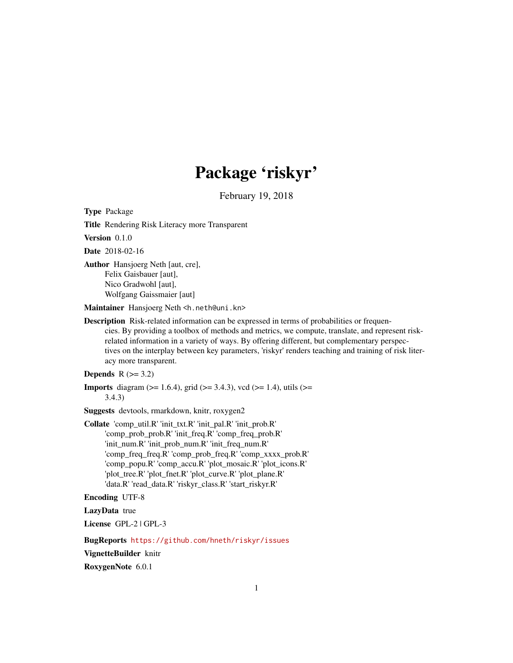# Package 'riskyr'

February 19, 2018

Type Package

Title Rendering Risk Literacy more Transparent

Version 0.1.0

Date 2018-02-16

Author Hansjoerg Neth [aut, cre], Felix Gaisbauer [aut], Nico Gradwohl [aut], Wolfgang Gaissmaier [aut]

Maintainer Hansjoerg Neth <h.neth@uni.kn>

Description Risk-related information can be expressed in terms of probabilities or frequencies. By providing a toolbox of methods and metrics, we compute, translate, and represent riskrelated information in a variety of ways. By offering different, but complementary perspectives on the interplay between key parameters, 'riskyr' renders teaching and training of risk literacy more transparent.

Depends  $R$  ( $>= 3.2$ )

**Imports** diagram ( $>= 1.6.4$ ), grid ( $>= 3.4.3$ ), vcd ( $>= 1.4$ ), utils ( $>= 1.4$ ) 3.4.3)

Suggests devtools, rmarkdown, knitr, roxygen2

Collate 'comp\_util.R' 'init\_txt.R' 'init\_pal.R' 'init\_prob.R' 'comp\_prob\_prob.R' 'init\_freq.R' 'comp\_freq\_prob.R' 'init\_num.R' 'init\_prob\_num.R' 'init\_freq\_num.R' 'comp\_freq\_freq.R' 'comp\_prob\_freq.R' 'comp\_xxxx\_prob.R' 'comp\_popu.R' 'comp\_accu.R' 'plot\_mosaic.R' 'plot\_icons.R' 'plot\_tree.R' 'plot\_fnet.R' 'plot\_curve.R' 'plot\_plane.R' 'data.R' 'read\_data.R' 'riskyr\_class.R' 'start\_riskyr.R'

Encoding UTF-8

LazyData true

License GPL-2 | GPL-3

BugReports <https://github.com/hneth/riskyr/issues>

VignetteBuilder knitr

RoxygenNote 6.0.1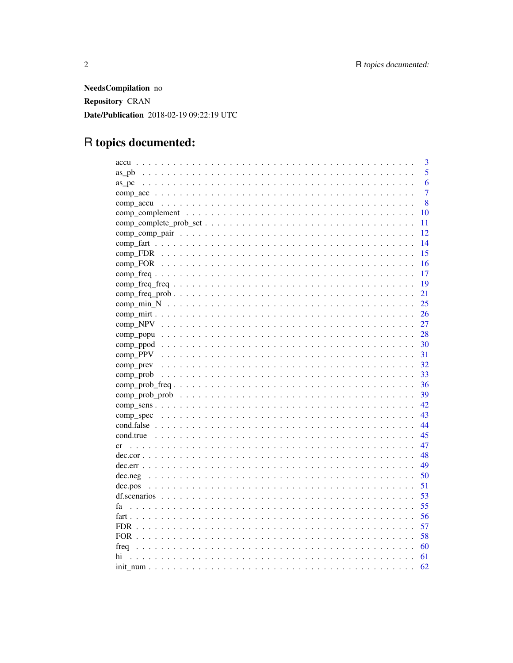NeedsCompilation no Repository CRAN Date/Publication 2018-02-19 09:22:19 UTC

# R topics documented:

| 3                                                                                                                       |
|-------------------------------------------------------------------------------------------------------------------------|
| 5                                                                                                                       |
| 6<br>as pc                                                                                                              |
| $\overline{7}$                                                                                                          |
| 8                                                                                                                       |
| 10                                                                                                                      |
| 11                                                                                                                      |
| 12                                                                                                                      |
| 14                                                                                                                      |
| 15                                                                                                                      |
| 16                                                                                                                      |
| 17                                                                                                                      |
| 19                                                                                                                      |
| 21<br>$comp_freq_pprob \dots \dots \dots \dots \dots \dots \dots \dots \dots \dots \dots \dots \dots \dots \dots \dots$ |
| 25                                                                                                                      |
| 26                                                                                                                      |
| 27                                                                                                                      |
| 28                                                                                                                      |
| 30                                                                                                                      |
| 31                                                                                                                      |
| 32                                                                                                                      |
| 33                                                                                                                      |
| 36                                                                                                                      |
| 39                                                                                                                      |
| 42                                                                                                                      |
| 43                                                                                                                      |
| 44                                                                                                                      |
| 45                                                                                                                      |
| 47                                                                                                                      |
| 48                                                                                                                      |
| 49                                                                                                                      |
| 50                                                                                                                      |
| 51                                                                                                                      |
| 53                                                                                                                      |
| 55                                                                                                                      |
| 56                                                                                                                      |
| 57                                                                                                                      |
| 58                                                                                                                      |
| 60<br>freq                                                                                                              |
| 61<br>hi                                                                                                                |
| 62                                                                                                                      |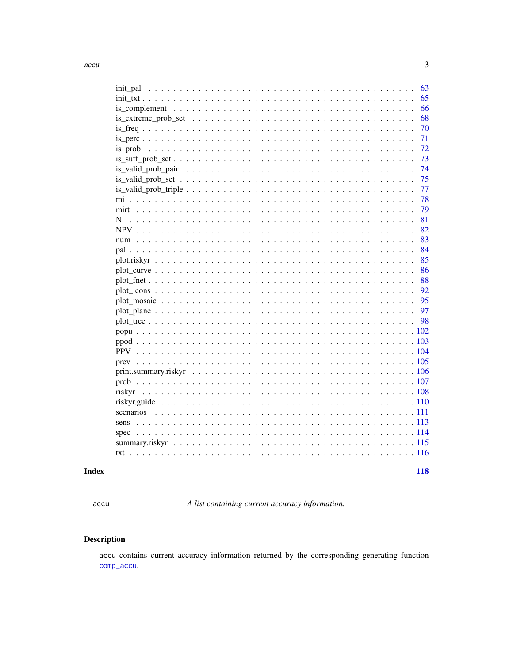<span id="page-2-0"></span>

| 63<br>init_pal |
|----------------|
| 65             |
| 66             |
| 68             |
| 70             |
| 71             |
| 72             |
| 73             |
| 74             |
| 75             |
| 77             |
| 78             |
| 79             |
| 81<br>N        |
| 82             |
| 83             |
| 84             |
| 85             |
| 86             |
| 88             |
| 92             |
| 95             |
| 97             |
| 98             |
|                |
|                |
|                |
|                |
|                |
|                |
|                |
|                |
| scenarios      |
| sens           |
| spec           |
|                |
|                |
|                |
| 118            |

# **Index**

<span id="page-2-1"></span>accu

A list containing current accuracy information.

# Description

accu contains current accuracy information returned by the corresponding generating function comp\_accu.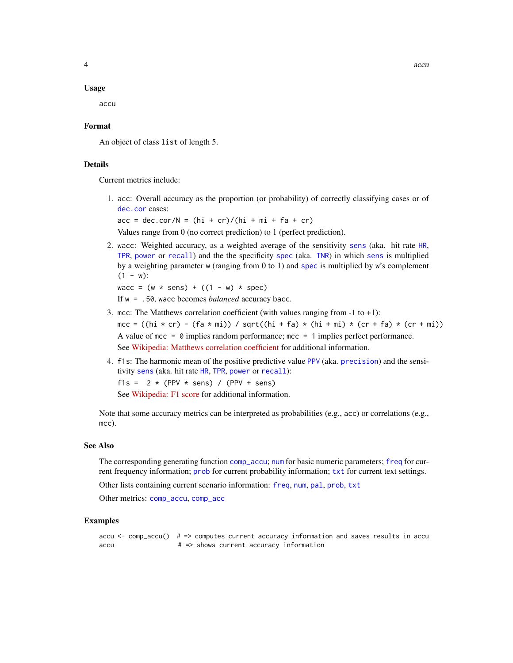#### Usage

accu

## Format

An object of class list of length 5.

## Details

Current metrics include:

1. acc: Overall accuracy as the proportion (or probability) of correctly classifying cases or of [dec.cor](#page-47-1) cases:

 $acc = dec.cor/N = (hi + cr)/(hi + mi + fa + cr)$ 

Values range from 0 (no correct prediction) to 1 (perfect prediction).

2. wacc: Weighted accuracy, as a weighted average of the sensitivity [sens](#page-112-1) (aka. hit rate [HR](#page-112-2), [TPR](#page-112-2), [power](#page-112-2) or [recall](#page-112-2)) and the the specificity [spec](#page-113-1) (aka. [TNR](#page-113-2)) in which [sens](#page-112-1) is multiplied by a weighting parameter w (ranging from 0 to 1) and [spec](#page-113-1) is multiplied by w's complement  $(1 - w)$ :

wacc =  $(w * sens) + ((1 - w) * spec)$ 

If w = .50, wacc becomes *balanced* accuracy bacc.

- 3. mcc: The Matthews correlation coefficient (with values ranging from -1 to +1): mcc = ((hi  $\star$  cr) - (fa  $\star$  mi)) / sqrt((hi + fa)  $\star$  (hi + mi)  $\star$  (cr + fa)  $\star$  (cr + mi)) A value of mcc =  $\theta$  implies random performance; mcc = 1 implies perfect performance. See [Wikipedia: Matthews correlation coefficient](https://en.wikipedia.org/wiki/Matthews_correlation_coefficient) for additional information.
- 4. f1s: The harmonic mean of the positive predictive value [PPV](#page-103-1) (aka. [precision](#page-103-2)) and the sensitivity [sens](#page-112-1) (aka. hit rate [HR](#page-112-2), [TPR](#page-112-2), [power](#page-112-2) or [recall](#page-112-2)): f1s =  $2 * (PPV * sens) / (PPV + sens)$ See [Wikipedia: F1 score](https://en.wikipedia.org/wiki/F1_score) for additional information.

Note that some accuracy metrics can be interpreted as probabilities (e.g., acc) or correlations (e.g., mcc).

## See Also

The corresponding generating function [comp\\_accu](#page-7-1); [num](#page-82-1) for basic numeric parameters; [freq](#page-59-1) for current frequency information; [prob](#page-106-1) for current probability information; [txt](#page-115-1) for current text settings.

Other lists containing current scenario information: [freq](#page-59-1), [num](#page-82-1), [pal](#page-83-1), [prob](#page-106-1), [txt](#page-115-1)

Other metrics: [comp\\_accu](#page-7-1), [comp\\_acc](#page-6-1)

## Examples

```
accu \le - comp_accu() # => computes current accuracy information and saves results in accu
accu # \Rightarrow shows current accuracy information
```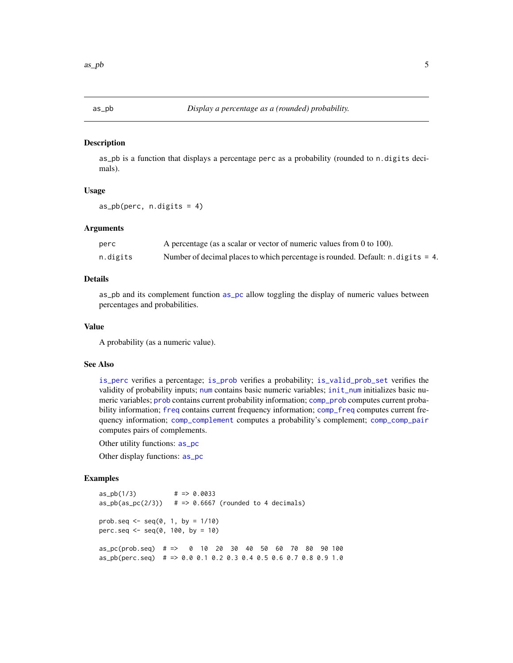<span id="page-4-1"></span><span id="page-4-0"></span>

as\_pb is a function that displays a percentage perc as a probability (rounded to n.digits decimals).

## Usage

as\_pb(perc, n.digits = 4)

## Arguments

| perc     | A percentage (as a scalar or vector of numeric values from 0 to 100).               |
|----------|-------------------------------------------------------------------------------------|
| n.digits | Number of decimal places to which percentage is rounded. Default: $n$ . digits = 4. |

## Details

as\_pb and its complement function [as\\_pc](#page-5-1) allow toggling the display of numeric values between percentages and probabilities.

# Value

A probability (as a numeric value).

#### See Also

[is\\_perc](#page-70-1) verifies a percentage; [is\\_prob](#page-71-1) verifies a probability; [is\\_valid\\_prob\\_set](#page-74-1) verifies the validity of probability inputs; [num](#page-82-1) contains basic numeric variables; [init\\_num](#page-61-1) initializes basic numeric variables; [prob](#page-106-1) contains current probability information; [comp\\_prob](#page-32-1) computes current probability information; [freq](#page-59-1) contains current frequency information; [comp\\_freq](#page-16-1) computes current frequency information; [comp\\_complement](#page-9-1) computes a probability's complement; [comp\\_comp\\_pair](#page-11-1) computes pairs of complements.

Other utility functions: [as\\_pc](#page-5-1)

Other display functions: [as\\_pc](#page-5-1)

#### Examples

 $as\_pb(1/3)$  # => 0.0033  $as\_pb(as\_pc(2/3))$  # => 0.6667 (rounded to 4 decimals) prob.seq <-  $seq(0, 1, by = 1/10)$ perc.seq <- seq(0, 100, by = 10) as\_pc(prob.seq) # => 0 10 20 30 40 50 60 70 80 90 100 as\_pb(perc.seq) # => 0.0 0.1 0.2 0.3 0.4 0.5 0.6 0.7 0.8 0.9 1.0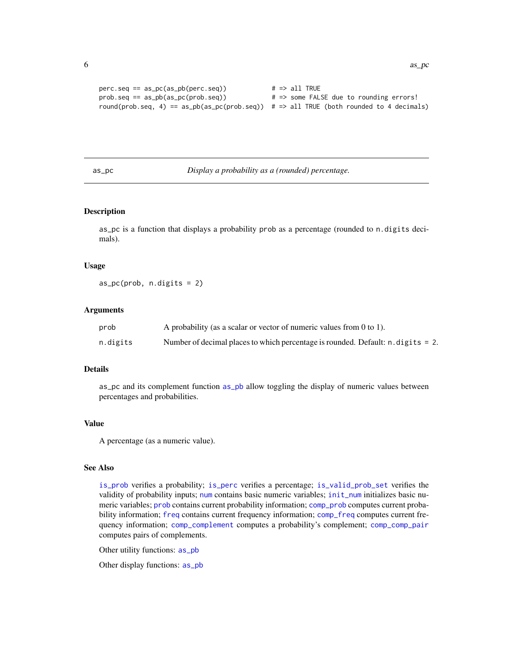```
perc.\,seq == as\_pc(as\_pb(perc.\,seq)) # => all TRUE
prob.seq == as_pb(as_pc(prob.seq)) # => some FALSE due to rounding errors!
round(prob.seq, 4) == as\_pb(as\_pc(prob.seq)) # => all TRUE (both rounded to 4 decimals)
```
<span id="page-5-1"></span>as\_pc *Display a probability as a (rounded) percentage.*

## Description

as\_pc is a function that displays a probability prob as a percentage (rounded to n.digits decimals).

#### Usage

as\_pc(prob, n.digits = 2)

## Arguments

| prob     | A probability (as a scalar or vector of numeric values from $0$ to 1).              |
|----------|-------------------------------------------------------------------------------------|
| n.digits | Number of decimal places to which percentage is rounded. Default: $n$ . digits = 2. |

# Details

as\_pc and its complement function [as\\_pb](#page-4-1) allow toggling the display of numeric values between percentages and probabilities.

# Value

A percentage (as a numeric value).

# See Also

[is\\_prob](#page-71-1) verifies a probability; [is\\_perc](#page-70-1) verifies a percentage; [is\\_valid\\_prob\\_set](#page-74-1) verifies the validity of probability inputs; [num](#page-82-1) contains basic numeric variables; [init\\_num](#page-61-1) initializes basic numeric variables; [prob](#page-106-1) contains current probability information; [comp\\_prob](#page-32-1) computes current probability information; [freq](#page-59-1) contains current frequency information; [comp\\_freq](#page-16-1) computes current frequency information; [comp\\_complement](#page-9-1) computes a probability's complement; [comp\\_comp\\_pair](#page-11-1) computes pairs of complements.

Other utility functions: [as\\_pb](#page-4-1)

Other display functions: [as\\_pb](#page-4-1)

<span id="page-5-0"></span>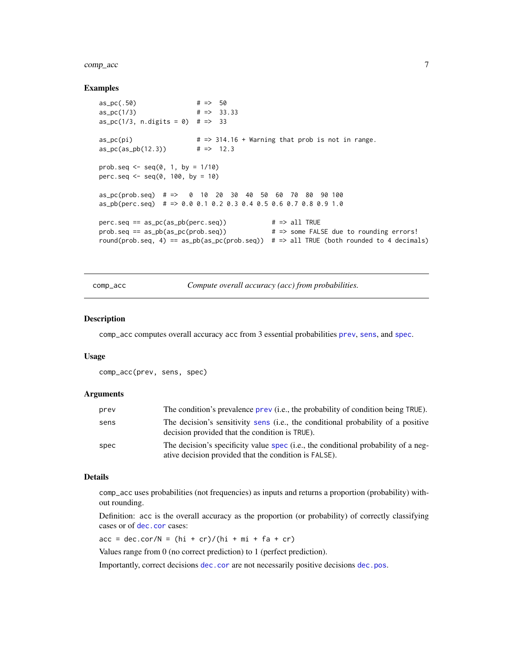#### <span id="page-6-0"></span>comp\_acc 7 and 3 and 3 and 3 and 3 and 3 and 3 and 3 and 3 and 3 and 3 and 3 and 3 and 3 and 3 and 3 and 3 and 3 and 3 and 3 and 3 and 3 and 3 and 3 and 3 and 3 and 3 and 3 and 3 and 3 and 3 and 3 and 3 and 3 and 3 and 3 a

#### Examples

```
as_pc(.50) # => 50
as_pc(1/3) # => 33.33
as_pc(1/3, n.digits = 0) # => 33
a = pc(pi) # => 314.16 + Warning that prob is not in range.
as_pc(as_pb(12.3)) # => 12.3
prob.seq \leq - seq(0, 1, by = 1/10)
perc.seq \leq seq(0, 100, by = 10)
as_pc(prob.seq) # => 0 10 20 30 40 50 60 70 80 90 100
as_pb(perc.seq) # => 0.0 0.1 0.2 0.3 0.4 0.5 0.6 0.7 0.8 0.9 1.0
perc.\,seq == as\_pc(as\_pb(perc.\,seq)) # => all TRUE
prob.seq == as_pb(as_pc(prob.seq))   # => some FALSE due to rounding errors!
round(prob.seq, 4) == as\_pb(as\_pc(prob.seq)) # => all TRUE (both rounded to 4 decimals)
```
<span id="page-6-1"></span>comp\_acc *Compute overall accuracy (acc) from probabilities.*

## Description

comp\_acc computes overall accuracy acc from 3 essential probabilities [prev](#page-104-1), [sens](#page-112-1), and [spec](#page-113-1).

#### Usage

```
comp_acc(prev, sens, spec)
```
## Arguments

| prev | The condition's prevalence prev (i.e., the probability of condition being TRUE).                                                            |
|------|---------------------------------------------------------------------------------------------------------------------------------------------|
| sens | The decision's sensitivity sens (i.e., the conditional probability of a positive<br>decision provided that the condition is TRUE).          |
| spec | The decision's specificity value spec (i.e., the conditional probability of a neg-<br>ative decision provided that the condition is FALSE). |

#### Details

comp\_acc uses probabilities (not frequencies) as inputs and returns a proportion (probability) without rounding.

Definition: acc is the overall accuracy as the proportion (or probability) of correctly classifying cases or of [dec.cor](#page-47-1) cases:

 $acc = dec.cor/N = (hi + cr)/(hi + mi + fa + cr)$ 

Values range from 0 (no correct prediction) to 1 (perfect prediction).

Importantly, correct decisions [dec.cor](#page-47-1) are not necessarily positive decisions [dec.pos](#page-50-1).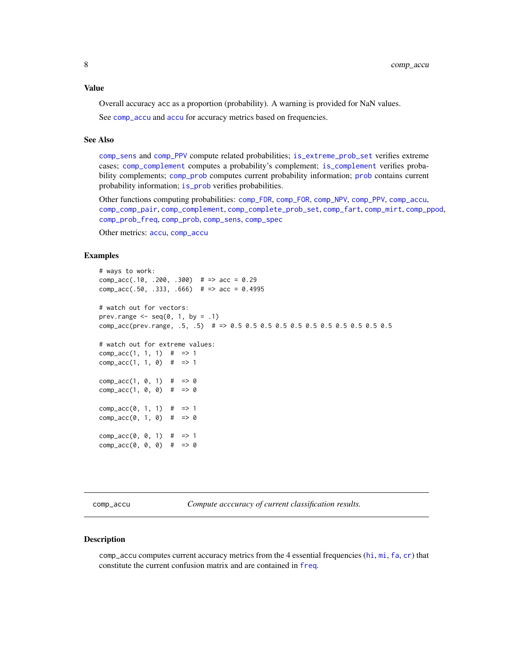<span id="page-7-0"></span>Value

Overall accuracy acc as a proportion (probability). A warning is provided for NaN values. See [comp\\_accu](#page-7-1) and [accu](#page-2-1) for accuracy metrics based on frequencies.

## See Also

[comp\\_sens](#page-41-1) and [comp\\_PPV](#page-30-1) compute related probabilities; [is\\_extreme\\_prob\\_set](#page-67-1) verifies extreme cases; [comp\\_complement](#page-9-1) computes a probability's complement; [is\\_complement](#page-65-1) verifies probability complements; [comp\\_prob](#page-32-1) computes current probability information; [prob](#page-106-1) contains current probability information; [is\\_prob](#page-71-1) verifies probabilities.

Other functions computing probabilities: [comp\\_FDR](#page-14-1), [comp\\_FOR](#page-15-1), [comp\\_NPV](#page-26-1), [comp\\_PPV](#page-30-1), [comp\\_accu](#page-7-1), [comp\\_comp\\_pair](#page-11-1), [comp\\_complement](#page-9-1), [comp\\_complete\\_prob\\_set](#page-10-1), [comp\\_fart](#page-13-1), [comp\\_mirt](#page-25-1), [comp\\_ppod](#page-29-1), [comp\\_prob\\_freq](#page-35-1), [comp\\_prob](#page-32-1), [comp\\_sens](#page-41-1), [comp\\_spec](#page-42-1)

Other metrics: [accu](#page-2-1), [comp\\_accu](#page-7-1)

#### Examples

```
# ways to work:
comp_acc(.10, .200, .300) # => acc = 0.29comp_acc(.50, .333, .666) # => acc = 0.4995
# watch out for vectors:
prev.range \leq seq(0, 1, by = .1)
comp_acc(prev.range, .5, .5) # => 0.5 0.5 0.5 0.5 0.5 0.5 0.5 0.5 0.5 0.5 0.5
# watch out for extreme values:
comp\_acc(1, 1, 1) # => 1
comp\_acc(1, 1, 0) # => 1
comp\_acc(1, 0, 1) # => 0
comp\_acc(1, 0, 0) # => 0
comp\_acc(0, 1, 1) # => 1
comp\_acc(0, 1, 0) # => 0
comp\_acc(0, 0, 1) # => 1
comp\_acc(0, 0, 0) # => 0
```
<span id="page-7-1"></span>comp\_accu *Compute acccuracy of current classification results.*

## **Description**

comp\_accu computes current accuracy metrics from the 4 essential frequencies ([hi](#page-60-1), [mi](#page-77-1), [fa](#page-54-1), [cr](#page-46-1)) that constitute the current confusion matrix and are contained in [freq](#page-59-1).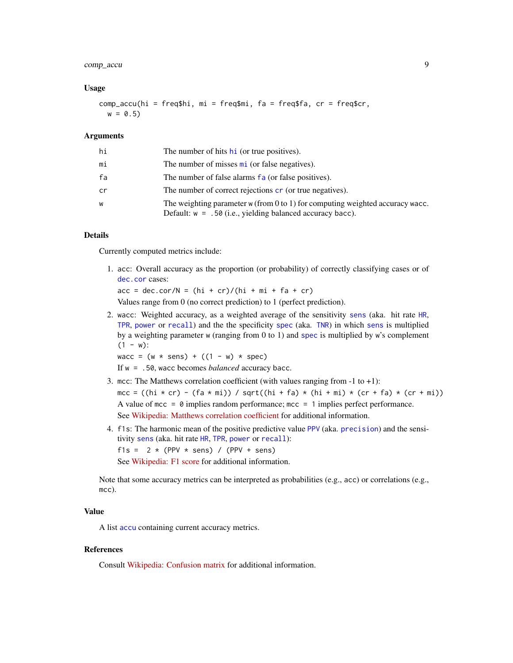# comp\_accu 9

## Usage

comp\_accu(hi =  $freq$hi$ , mi =  $freq$mi$ ,  $fa$  =  $freq$fa$ ,  $cr$  =  $freq$cr$ ,  $w = 0.5$ 

#### **Arguments**

| hi | The number of hits hi (or true positives).                                                                                                     |
|----|------------------------------------------------------------------------------------------------------------------------------------------------|
| mi | The number of misses mi (or false negatives).                                                                                                  |
| fa | The number of false alarms fa (or false positives).                                                                                            |
| cr | The number of correct rejections cr (or true negatives).                                                                                       |
| w  | The weighting parameter $w$ (from 0 to 1) for computing weighted accuracy wacc.<br>Default: $w = .50$ (i.e., yielding balanced accuracy bacc). |

# Details

Currently computed metrics include:

1. acc: Overall accuracy as the proportion (or probability) of correctly classifying cases or of [dec.cor](#page-47-1) cases:

 $acc = dec.cor/N = (hi + cr)/(hi + mi + fa + cr)$ 

Values range from 0 (no correct prediction) to 1 (perfect prediction).

2. wacc: Weighted accuracy, as a weighted average of the sensitivity [sens](#page-112-1) (aka. hit rate [HR](#page-112-2), [TPR](#page-112-2), [power](#page-112-2) or [recall](#page-112-2)) and the the specificity [spec](#page-113-1) (aka. [TNR](#page-113-2)) in which [sens](#page-112-1) is multiplied by a weighting parameter w (ranging from 0 to 1) and [spec](#page-113-1) is multiplied by w's complement  $(1 - w)$ :

wacc =  $(w * sens) + ((1 - w) * spec)$ 

If w = .50, wacc becomes *balanced* accuracy bacc.

- 3. mcc: The Matthews correlation coefficient (with values ranging from -1 to +1): mcc = ((hi  $\star$  cr) - (fa  $\star$  mi)) / sqrt((hi + fa)  $\star$  (hi + mi)  $\star$  (cr + fa)  $\star$  (cr + mi)) A value of mcc =  $\theta$  implies random performance; mcc = 1 implies perfect performance. See [Wikipedia: Matthews correlation coefficient](https://en.wikipedia.org/wiki/Matthews_correlation_coefficient) for additional information.
- 4. f1s: The harmonic mean of the positive predictive value [PPV](#page-103-1) (aka. [precision](#page-103-2)) and the sensitivity [sens](#page-112-1) (aka. hit rate [HR](#page-112-2), [TPR](#page-112-2), [power](#page-112-2) or [recall](#page-112-2)): f1s =  $2 * (PPV * sens) / (PPV + sens)$ See [Wikipedia: F1 score](https://en.wikipedia.org/wiki/F1_score) for additional information.

Note that some accuracy metrics can be interpreted as probabilities (e.g., acc) or correlations (e.g., mcc).

## Value

A list [accu](#page-2-1) containing current accuracy metrics.

# References

Consult [Wikipedia: Confusion matrix](https://en.wikipedia.org/wiki/Confusion_matrix) for additional information.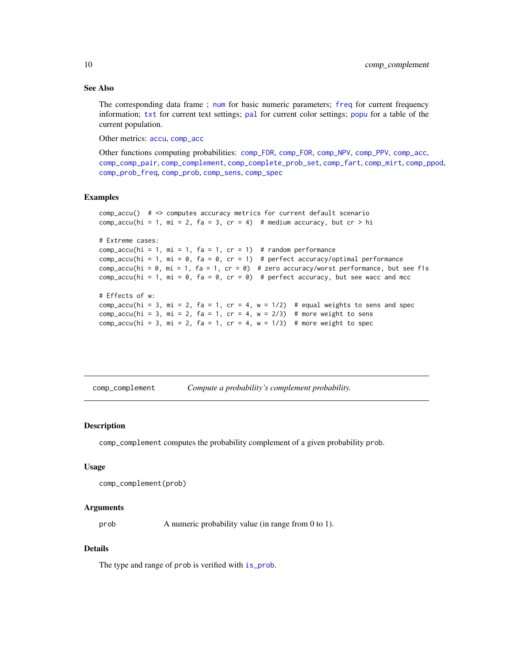## See Also

The corresponding data frame ; [num](#page-82-1) for basic numeric parameters; [freq](#page-59-1) for current frequency information; [txt](#page-115-1) for current text settings; [pal](#page-83-1) for current color settings; [popu](#page-101-1) for a table of the current population.

Other metrics: [accu](#page-2-1), [comp\\_acc](#page-6-1)

Other functions computing probabilities: [comp\\_FDR](#page-14-1), [comp\\_FOR](#page-15-1), [comp\\_NPV](#page-26-1), [comp\\_PPV](#page-30-1), [comp\\_acc](#page-6-1), [comp\\_comp\\_pair](#page-11-1), [comp\\_complement](#page-9-1), [comp\\_complete\\_prob\\_set](#page-10-1), [comp\\_fart](#page-13-1), [comp\\_mirt](#page-25-1), [comp\\_ppod](#page-29-1), [comp\\_prob\\_freq](#page-35-1), [comp\\_prob](#page-32-1), [comp\\_sens](#page-41-1), [comp\\_spec](#page-42-1)

## Examples

```
comp_accu() # => computes accuracy metrics for current default scenario
comp_accu(hi = 1, mi = 2, fa = 3, cr = 4) # medium accuracy, but cr > hi
# Extreme cases:
comp_accu(hi = 1, mi = 1, fa = 1, cr = 1) # random performance
comp_accu(hi = 1, mi = 0, fa = 0, cr = 1) # perfect accuracy/optimal performance
comp\_accu(hi = 0, mi = 1, fa = 1, cr = 0) # zero accuracy/worst performance, but see f1s
comp_accu(hi = 1, mi = 0, fa = 0, cr = 0) # perfect accuracy, but see wacc and mcc
# Effects of w:
comp_accu(hi = 3, mi = 2, fa = 1, cr = 4, w = 1/2) # equal weights to sens and spec
comp_accu(hi = 3, mi = 2, fa = 1, cr = 4, w = 2/3) # more weight to sens
comp\_accu(hi = 3, mi = 2, fa = 1, cr = 4, w = 1/3) # more weight to spec
```
<span id="page-9-1"></span>comp\_complement *Compute a probability's complement probability.*

#### **Description**

comp\_complement computes the probability complement of a given probability prob.

## Usage

```
comp_complement(prob)
```
#### Arguments

prob A numeric probability value (in range from 0 to 1).

## Details

The type and range of prob is verified with [is\\_prob](#page-71-1).

<span id="page-9-0"></span>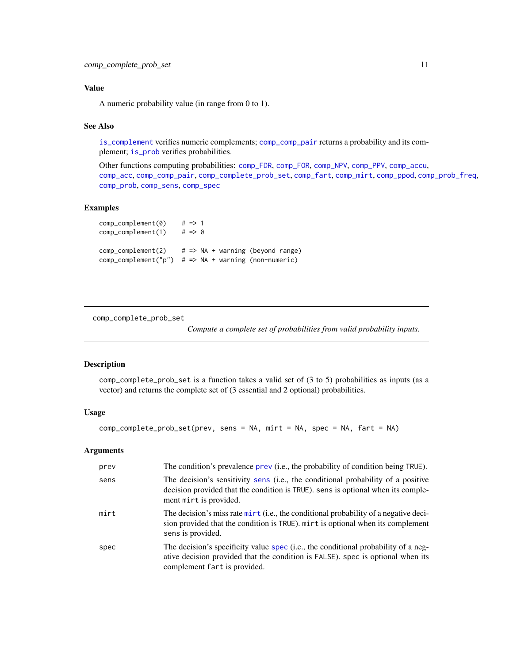## <span id="page-10-0"></span>Value

A numeric probability value (in range from 0 to 1).

## See Also

[is\\_complement](#page-65-1) verifies numeric complements; [comp\\_comp\\_pair](#page-11-1) returns a probability and its complement; [is\\_prob](#page-71-1) verifies probabilities.

Other functions computing probabilities: [comp\\_FDR](#page-14-1), [comp\\_FOR](#page-15-1), [comp\\_NPV](#page-26-1), [comp\\_PPV](#page-30-1), [comp\\_accu](#page-7-1), [comp\\_acc](#page-6-1), [comp\\_comp\\_pair](#page-11-1), [comp\\_complete\\_prob\\_set](#page-10-1), [comp\\_fart](#page-13-1), [comp\\_mirt](#page-25-1), [comp\\_ppod](#page-29-1), [comp\\_prob\\_freq](#page-35-1), [comp\\_prob](#page-32-1), [comp\\_sens](#page-41-1), [comp\\_spec](#page-42-1)

# Examples

```
comp\_complement(0) # => 1
comp\_complement(1) # => 0
comp\_complement(2) # => NA + warning (beyond range)
comp\_complement("p") # => NA + warning (non-numeric)
```
<span id="page-10-1"></span>comp\_complete\_prob\_set

*Compute a complete set of probabilities from valid probability inputs.*

## Description

comp\_complete\_prob\_set is a function takes a valid set of (3 to 5) probabilities as inputs (as a vector) and returns the complete set of (3 essential and 2 optional) probabilities.

## Usage

comp\_complete\_prob\_set(prev, sens = NA, mirt = NA, spec = NA, fart = NA)

## Arguments

| prev | The condition's prevalence prev (i.e., the probability of condition being TRUE).                                                                                                                      |
|------|-------------------------------------------------------------------------------------------------------------------------------------------------------------------------------------------------------|
| sens | The decision's sensitivity sens (i.e., the conditional probability of a positive<br>decision provided that the condition is TRUE). sens is optional when its comple-<br>ment mirt is provided.        |
| mirt | The decision's miss rate mirt (i.e., the conditional probability of a negative deci-<br>sion provided that the condition is TRUE). mirt is optional when its complement<br>sens is provided.          |
| spec | The decision's specificity value spec (i.e., the conditional probability of a neg-<br>ative decision provided that the condition is FALSE). spec is optional when its<br>complement fart is provided. |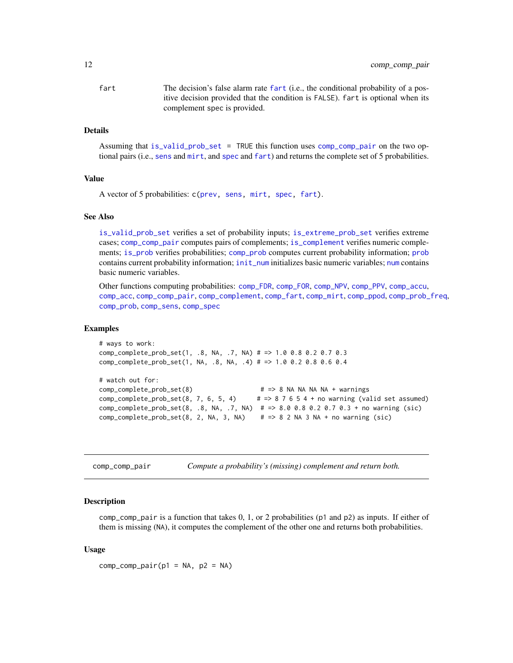<span id="page-11-0"></span>fart The decision's false alarm rate [fart](#page-55-1) (i.e., the conditional probability of a positive decision provided that the condition is FALSE). fart is optional when its complement spec is provided.

#### Details

Assuming that [is\\_valid\\_prob\\_set](#page-74-1) = TRUE this function uses [comp\\_comp\\_pair](#page-11-1) on the two optional pairs (i.e., [sens](#page-112-1) and [mirt](#page-78-1), and [spec](#page-113-1) and [fart](#page-55-1)) and returns the complete set of 5 probabilities.

### Value

A vector of 5 probabilities: c[\(prev,](#page-104-1) [sens,](#page-112-1) [mirt,](#page-78-1) [spec,](#page-113-1) [fart\)](#page-55-1).

# See Also

[is\\_valid\\_prob\\_set](#page-74-1) verifies a set of probability inputs; [is\\_extreme\\_prob\\_set](#page-67-1) verifies extreme cases; [comp\\_comp\\_pair](#page-11-1) computes pairs of complements; [is\\_complement](#page-65-1) verifies numeric complements; [is\\_prob](#page-71-1) verifies probabilities; [comp\\_prob](#page-32-1) computes current probability information; [prob](#page-106-1) contains current probability information; [init\\_num](#page-61-1) initializes basic numeric variables; [num](#page-82-1) contains basic numeric variables.

Other functions computing probabilities: [comp\\_FDR](#page-14-1), [comp\\_FOR](#page-15-1), [comp\\_NPV](#page-26-1), [comp\\_PPV](#page-30-1), [comp\\_accu](#page-7-1), [comp\\_acc](#page-6-1), [comp\\_comp\\_pair](#page-11-1), [comp\\_complement](#page-9-1), [comp\\_fart](#page-13-1), [comp\\_mirt](#page-25-1), [comp\\_ppod](#page-29-1), [comp\\_prob\\_freq](#page-35-1), [comp\\_prob](#page-32-1), [comp\\_sens](#page-41-1), [comp\\_spec](#page-42-1)

#### Examples

```
# ways to work:
comp_complete_prob_set(1, .8, NA, .7, NA) # => 1.0 0.8 0.2 0.7 0.3
comp_complete_prob_set(1, NA, .8, NA, .4) # => 1.0 0.2 0.8 0.6 0.4
# watch out for:
comp_complete_prob_set(8) # => 8 NA NA NA NA + warnings
comp\_complete\_prob\_set(8, 7, 6, 5, 4) # => 8 7 6 5 4 + no warning (valid set assumed)
comp_complete_prob_set(8, .8, NA, .7, NA) # => 8.0 0.8 0.2 0.7 0.3 + no warning (sic)
comp\_complete\_prob\_set(8, 2, NA, 3, NA) # => 8 2 NA 3 NA + no warning (sic)
```
<span id="page-11-1"></span>comp\_comp\_pair *Compute a probability's (missing) complement and return both.*

#### **Description**

comp\_comp\_pair is a function that takes  $0, 1,$  or 2 probabilities (p1 and p2) as inputs. If either of them is missing (NA), it computes the complement of the other one and returns both probabilities.

#### Usage

 $comp\_comp\_pair(p1 = NA, p2 = NA)$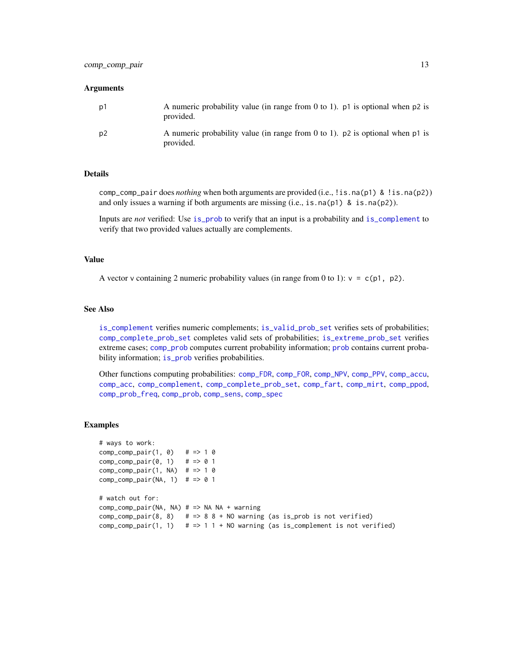#### Arguments

| p1 | A numeric probability value (in range from 0 to 1). $p_1$ is optional when $p_2$ is<br>provided. |
|----|--------------------------------------------------------------------------------------------------|
| p2 | A numeric probability value (in range from 0 to 1). $p2$ is optional when p1 is<br>provided.     |

## Details

comp\_comp\_pair does *nothing* when both arguments are provided (i.e., !is.na(p1) & !is.na(p2)) and only issues a warning if both arguments are missing  $(i.e., is.na(p1) \& is.na(p2))$ .

Inputs are *not* verified: Use [is\\_prob](#page-71-1) to verify that an input is a probability and [is\\_complement](#page-65-1) to verify that two provided values actually are complements.

## Value

A vector v containing 2 numeric probability values (in range from 0 to 1):  $v = c(p1, p2)$ .

#### See Also

[is\\_complement](#page-65-1) verifies numeric complements; [is\\_valid\\_prob\\_set](#page-74-1) verifies sets of probabilities; [comp\\_complete\\_prob\\_set](#page-10-1) completes valid sets of probabilities; [is\\_extreme\\_prob\\_set](#page-67-1) verifies extreme cases; [comp\\_prob](#page-32-1) computes current probability information; [prob](#page-106-1) contains current probability information; [is\\_prob](#page-71-1) verifies probabilities.

Other functions computing probabilities: [comp\\_FDR](#page-14-1), [comp\\_FOR](#page-15-1), [comp\\_NPV](#page-26-1), [comp\\_PPV](#page-30-1), [comp\\_accu](#page-7-1), [comp\\_acc](#page-6-1), [comp\\_complement](#page-9-1), [comp\\_complete\\_prob\\_set](#page-10-1), [comp\\_fart](#page-13-1), [comp\\_mirt](#page-25-1), [comp\\_ppod](#page-29-1), [comp\\_prob\\_freq](#page-35-1), [comp\\_prob](#page-32-1), [comp\\_sens](#page-41-1), [comp\\_spec](#page-42-1)

## Examples

```
# ways to work:
comp\_comp\_pair(1, 0) # => 1 0
comp\_comp\_pair(0, 1) # => 0 1
comp\_comp\_pair(1, NA) # => 1 0
comp\_comp\_pair(NA, 1) # => 0 1
# watch out for:
comp_comp_pair(NA, NA) # => NA NA + warning
comp\_comp\_pair(8, 8) # => 8 8 + NO warning (as is_prob is not verified)
comp\_comp\_pair(1, 1) # => 1 1 + NO warning (as is_complement is not verified)
```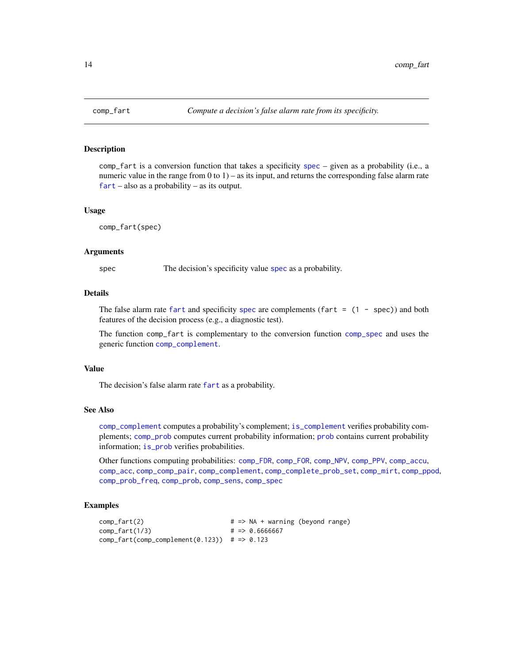<span id="page-13-1"></span><span id="page-13-0"></span>

comp\_fart is a conversion function that takes a specificity [spec](#page-113-1) – given as a probability (i.e., a numeric value in the range from 0 to 1) – as its input, and returns the corresponding false alarm rate [fart](#page-55-1) – also as a probability – as its output.

## Usage

comp\_fart(spec)

#### Arguments

[spec](#page-113-1) The decision's specificity value spec as a probability.

## Details

The false alarm rate [fart](#page-55-1) and [spec](#page-113-1)ificity spec are complements (fart  $= (1 - spec)$ ) and both features of the decision process (e.g., a diagnostic test).

The function comp\_fart is complementary to the conversion function [comp\\_spec](#page-42-1) and uses the generic function [comp\\_complement](#page-9-1).

#### Value

The decision's false alarm rate [fart](#page-55-1) as a probability.

## See Also

[comp\\_complement](#page-9-1) computes a probability's complement; [is\\_complement](#page-65-1) verifies probability complements; [comp\\_prob](#page-32-1) computes current probability information; [prob](#page-106-1) contains current probability information; [is\\_prob](#page-71-1) verifies probabilities.

Other functions computing probabilities: [comp\\_FDR](#page-14-1), [comp\\_FOR](#page-15-1), [comp\\_NPV](#page-26-1), [comp\\_PPV](#page-30-1), [comp\\_accu](#page-7-1), [comp\\_acc](#page-6-1), [comp\\_comp\\_pair](#page-11-1), [comp\\_complement](#page-9-1), [comp\\_complete\\_prob\\_set](#page-10-1), [comp\\_mirt](#page-25-1), [comp\\_ppod](#page-29-1), [comp\\_prob\\_freq](#page-35-1), [comp\\_prob](#page-32-1), [comp\\_sens](#page-41-1), [comp\\_spec](#page-42-1)

### Examples

```
comp_fart(2) \qquad \qquad # \Rightarrow NA + warning (beyond range)comp_fart(1/3) # => 0.6666667
comp_fart(comp_complement(0.123)) # => 0.123
```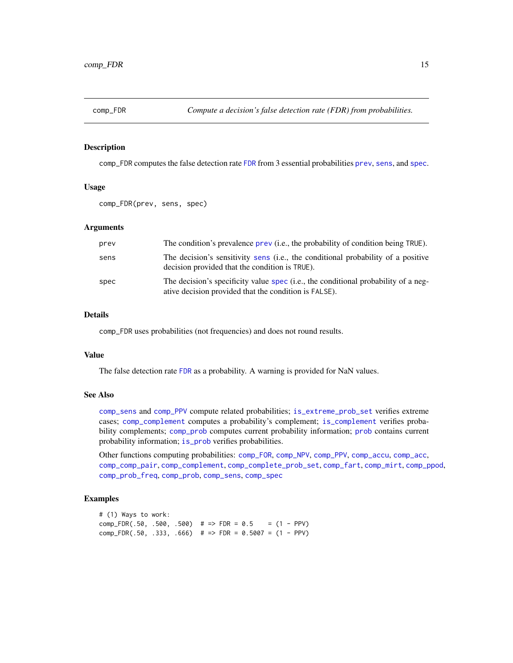<span id="page-14-1"></span><span id="page-14-0"></span>

comp\_FDR computes the false detection rate [FDR](#page-56-1) from 3 essential probabilities [prev](#page-104-1), [sens](#page-112-1), and [spec](#page-113-1).

## Usage

```
comp_FDR(prev, sens, spec)
```
## Arguments

| prev | The condition's prevalence prev (i.e., the probability of condition being TRUE).                                                            |
|------|---------------------------------------------------------------------------------------------------------------------------------------------|
| sens | The decision's sensitivity sens (i.e., the conditional probability of a positive<br>decision provided that the condition is TRUE).          |
| spec | The decision's specificity value spec (i.e., the conditional probability of a neg-<br>ative decision provided that the condition is FALSE). |

# Details

comp\_FDR uses probabilities (not frequencies) and does not round results.

# Value

The false detection rate [FDR](#page-56-1) as a probability. A warning is provided for NaN values.

# See Also

[comp\\_sens](#page-41-1) and [comp\\_PPV](#page-30-1) compute related probabilities; [is\\_extreme\\_prob\\_set](#page-67-1) verifies extreme cases; [comp\\_complement](#page-9-1) computes a probability's complement; [is\\_complement](#page-65-1) verifies probability complements; [comp\\_prob](#page-32-1) computes current [prob](#page-106-1)ability information; prob contains current probability information; [is\\_prob](#page-71-1) verifies probabilities.

Other functions computing probabilities: [comp\\_FOR](#page-15-1), [comp\\_NPV](#page-26-1), [comp\\_PPV](#page-30-1), [comp\\_accu](#page-7-1), [comp\\_acc](#page-6-1), [comp\\_comp\\_pair](#page-11-1), [comp\\_complement](#page-9-1), [comp\\_complete\\_prob\\_set](#page-10-1), [comp\\_fart](#page-13-1), [comp\\_mirt](#page-25-1), [comp\\_ppod](#page-29-1), [comp\\_prob\\_freq](#page-35-1), [comp\\_prob](#page-32-1), [comp\\_sens](#page-41-1), [comp\\_spec](#page-42-1)

## Examples

# (1) Ways to work: comp\_FDR(.50, .500, .500) # => FDR =  $0.5$  =  $(1 - PPV)$ comp\_FDR(.50, .333, .666) # => FDR = 0.5007 =  $(1 - PPV)$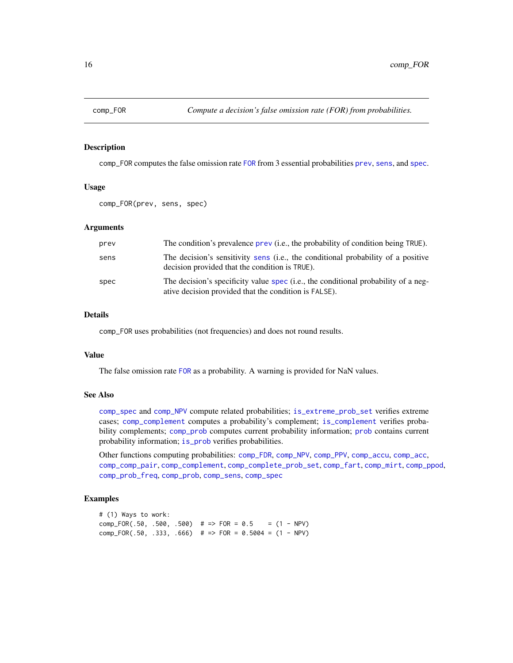<span id="page-15-1"></span><span id="page-15-0"></span>

comp\_FOR computes the false omission rate [FOR](#page-57-1) from 3 essential probabilities [prev](#page-104-1), [sens](#page-112-1), and [spec](#page-113-1).

## Usage

```
comp_FOR(prev, sens, spec)
```
## Arguments

| prev | The condition's prevalence prev (i.e., the probability of condition being TRUE).                                                            |
|------|---------------------------------------------------------------------------------------------------------------------------------------------|
| sens | The decision's sensitivity sens (i.e., the conditional probability of a positive<br>decision provided that the condition is TRUE).          |
| spec | The decision's specificity value spec (i.e., the conditional probability of a neg-<br>ative decision provided that the condition is FALSE). |

# Details

comp\_FOR uses probabilities (not frequencies) and does not round results.

# Value

The false omission rate [FOR](#page-57-1) as a probability. A warning is provided for NaN values.

# See Also

[comp\\_spec](#page-42-1) and [comp\\_NPV](#page-26-1) compute related probabilities; [is\\_extreme\\_prob\\_set](#page-67-1) verifies extreme cases; [comp\\_complement](#page-9-1) computes a probability's complement; [is\\_complement](#page-65-1) verifies probability complements; [comp\\_prob](#page-32-1) computes current [prob](#page-106-1)ability information; prob contains current probability information; [is\\_prob](#page-71-1) verifies probabilities.

Other functions computing probabilities: [comp\\_FDR](#page-14-1), [comp\\_NPV](#page-26-1), [comp\\_PPV](#page-30-1), [comp\\_accu](#page-7-1), [comp\\_acc](#page-6-1), [comp\\_comp\\_pair](#page-11-1), [comp\\_complement](#page-9-1), [comp\\_complete\\_prob\\_set](#page-10-1), [comp\\_fart](#page-13-1), [comp\\_mirt](#page-25-1), [comp\\_ppod](#page-29-1), [comp\\_prob\\_freq](#page-35-1), [comp\\_prob](#page-32-1), [comp\\_sens](#page-41-1), [comp\\_spec](#page-42-1)

## Examples

# (1) Ways to work: comp\_FOR(.50, .500, .500) # => FOR =  $0.5$  = (1 - NPV) comp\_FOR(.50, .333, .666) # => FOR = 0.5004 =  $(1 - NPV)$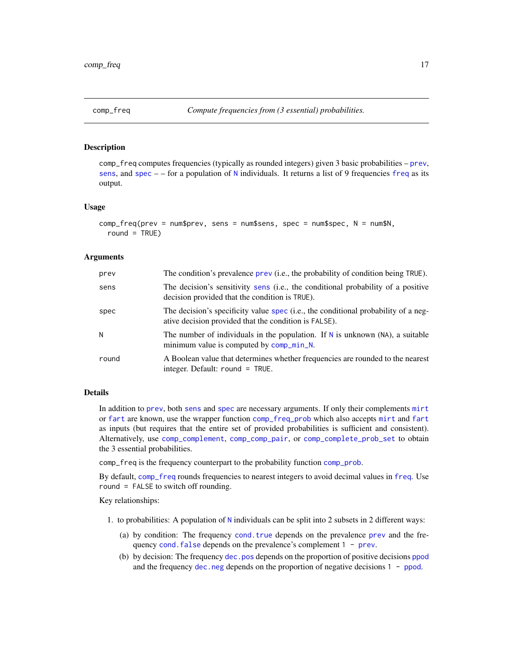<span id="page-16-1"></span><span id="page-16-0"></span>

comp\_freq computes frequencies (typically as rounded integers) given 3 basic probabilities – [prev](#page-104-1), [sens](#page-112-1), and [spec](#page-113-1)  $-$  – for a population of [N](#page-80-1) individuals. It returns a list of 9 [freq](#page-59-1)uencies freq as its output.

#### Usage

```
comp_freq(prev = num$prev, sens = num$sens, spec = num$spec, N = num$N,
  round = TRUE)
```
# Arguments

| prev  | The condition's prevalence prev (i.e., the probability of condition being TRUE).                                                            |
|-------|---------------------------------------------------------------------------------------------------------------------------------------------|
| sens  | The decision's sensitivity sens (i.e., the conditional probability of a positive<br>decision provided that the condition is TRUE).          |
| spec  | The decision's specificity value spec (i.e., the conditional probability of a neg-<br>ative decision provided that the condition is FALSE). |
| N     | The number of individuals in the population. If N is unknown (NA), a suitable<br>minimum value is computed by comp_min_N.                   |
| round | A Boolean value that determines whether frequencies are rounded to the nearest<br>integer. Default: round = TRUE.                           |

# Details

In addition to [prev](#page-104-1), both [sens](#page-112-1) and [spec](#page-113-1) are necessary arguments. If only their complements [mirt](#page-78-1) or [fart](#page-55-1) are known, use the wrapper function [comp\\_freq\\_prob](#page-20-1) which also accepts [mirt](#page-78-1) and [fart](#page-55-1) as inputs (but requires that the entire set of provided probabilities is sufficient and consistent). Alternatively, use [comp\\_complement](#page-9-1), [comp\\_comp\\_pair](#page-11-1), or [comp\\_complete\\_prob\\_set](#page-10-1) to obtain the 3 essential probabilities.

comp\_freq is the frequency counterpart to the probability function [comp\\_prob](#page-32-1).

By default, [comp\\_freq](#page-16-1) rounds frequencies to nearest integers to avoid decimal values in [freq](#page-59-1). Use round = FALSE to switch off rounding.

Key relationships:

- 1. to probabilities: A population of [N](#page-80-1) individuals can be split into 2 subsets in 2 different ways:
	- (a) by condition: The frequency [cond.true](#page-44-1) depends on the prevalence [prev](#page-104-1) and the frequency cond. false depends on the [prev](#page-104-1)alence's complement 1 - prev.
	- (b) by decision: The frequency [dec.pos](#page-50-1) depends on the proportion of positive decisions [ppod](#page-102-1) and the frequency [dec.neg](#page-49-1) depends on the proportion of negative decisions 1 - [ppod](#page-102-1).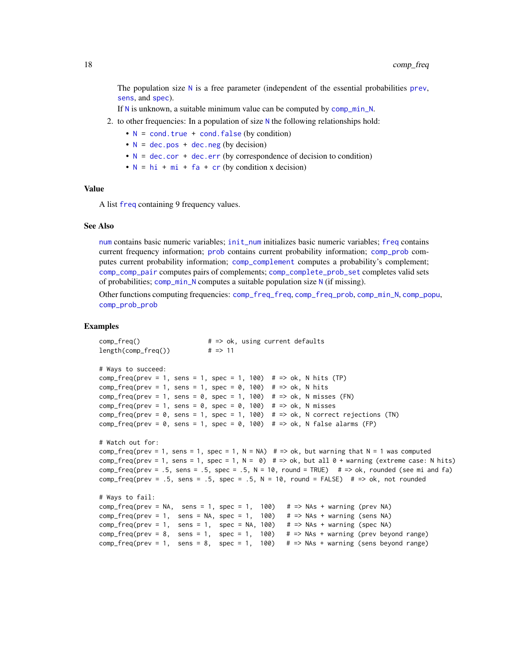The population size  $N$  is a free parameter (independent of the essential probabilities [prev](#page-104-1), [sens](#page-112-1), and [spec](#page-113-1)).

If [N](#page-80-1) is unknown, a suitable minimum value can be computed by [comp\\_min\\_N](#page-24-1).

- 2. to other frequencies: In a population of size [N](#page-80-1) the following relationships hold:
	- $N = \text{cond}$  $N = \text{cond}$ . true + cond. false (by condition)
	- $N = dec.pos + dec.neg (by decision)$  $N = dec.pos + dec.neg (by decision)$  $N = dec.pos + dec.neg (by decision)$  $N = dec.pos + dec.neg (by decision)$  $N = dec.pos + dec.neg (by decision)$  $N = dec.pos + dec.neg (by decision)$
	- $N = dec.cor + dec.err$  $N = dec.cor + dec.err$  $N = dec.cor + dec.err$  $N = dec.cor + dec.err$  $N = dec.cor + dec.err$  (by correspondence of decision to condition)
	- $N = hi + mi + fa + cr$  $N = hi + mi + fa + cr$  $N = hi + mi + fa + cr$  $N = hi + mi + fa + cr$  $N = hi + mi + fa + cr$  $N = hi + mi + fa + cr$  $N = hi + mi + fa + cr$  $N = hi + mi + fa + cr$  $N = hi + mi + fa + cr$  (by condition x decision)

# Value

A list [freq](#page-59-1) containing 9 frequency values.

## See Also

[num](#page-82-1) contains basic numeric variables; [init\\_num](#page-61-1) initializes basic numeric variables; [freq](#page-59-1) contains current frequency information; [prob](#page-106-1) contains current probability information; [comp\\_prob](#page-32-1) computes current probability information; [comp\\_complement](#page-9-1) computes a probability's complement; [comp\\_comp\\_pair](#page-11-1) computes pairs of complements; [comp\\_complete\\_prob\\_set](#page-10-1) completes valid sets of probabilities; [comp\\_min\\_N](#page-24-1) computes a suitable population size [N](#page-80-1) (if missing).

Other functions computing frequencies: [comp\\_freq\\_freq](#page-18-1), [comp\\_freq\\_prob](#page-20-1), [comp\\_min\\_N](#page-24-1), [comp\\_popu](#page-27-1), [comp\\_prob\\_prob](#page-38-1)

#### Examples

```
comp_freq() # => ok, using current defaults
length(comp_freq()) # => 11
# Ways to succeed:
comp_freq(prev = 1, sens = 1, spec = 1, 100) # \Rightarrow ok, N hits (TP)
comp_freq(prev = 1, sens = 1, spec = 0, 100) # = > ok, N hits
comp_freq(prev = 1, sens = 0, spec = 1, 100) # => ok, N misses (FN)comp_freq(prev = 1, sens = 0, spec = 0, 100) # = > ok, N misses
comp_freq(prev = 0, sens = 1, spec = 1, 100) # => ok, N correct rejections (TN)comp_freq(prev = 0, sens = 1, spec = 0, 100) # => ok, N false alarms (FP)# Watch out for:
comp_freq(prev = 1, sens = 1, spec = 1, N = NA) # => ok, but warning that N = 1 was computedcomp_freq(prev = 1, sens = 1, spec = 1, N = 0) # \Rightarrow ok, but all 0 + warning (extreme case: N hits)
comp_freq(prev = .5, sens = .5, spec = .5, N = 10, round = TRUE) # => ok, rounded (see mi and fa)
comp_freq(prev = .5, sens = .5, spec = .5, N = 10, round = FALSE) # => ok, not rounded
# Ways to fail:
comp_freq(prev = NA, sens = 1, spec = 1, 100) # => NAs + warning (prev NA)comp_freq(prev = 1, sens = NA, spec = 1, 100) # => NAS + warning (sens NA)comp_freq(prev = 1, sens = 1, spec = NA, 100) # \Rightarrow NAs + warning (spec NA)
comp_freq(prev = 8, sens = 1, spec = 1, 100) \# => NAs + warning (prev beyond range)
comp_freq(prev = 1, sens = 8, spec = 1, 100) # => NAs + warning (sens beyond range)
```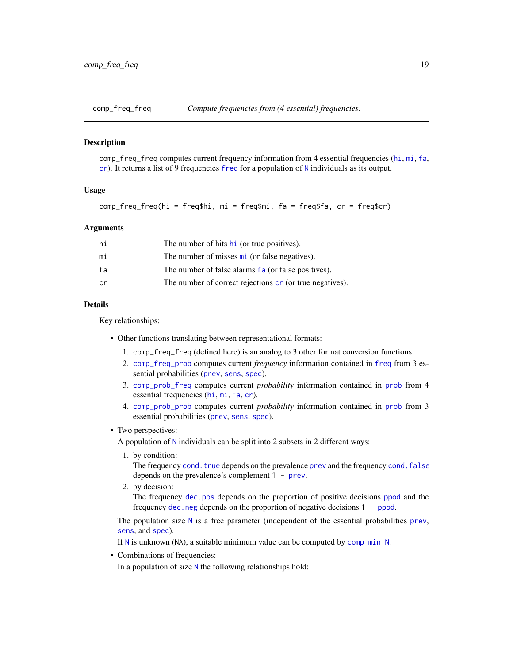<span id="page-18-1"></span><span id="page-18-0"></span>

comp\_freq\_freq computes current frequency information from 4 essential frequencies ([hi](#page-60-1), [mi](#page-77-1), [fa](#page-54-1), [cr](#page-46-1)). It returns a list of 9 frequencies [freq](#page-59-1) for a population of [N](#page-80-1) individuals as its output.

#### Usage

 $comp_freq_freq(hi = freq$hi, mi = freq$mi, fa = freq$fa, cr = freq$cr)$ 

## **Arguments**

| hi | The number of hits h <sub>i</sub> (or true positives).          |
|----|-----------------------------------------------------------------|
| mi | The number of misses mi (or false negatives).                   |
| fa | The number of false alarms fa (or false positives).             |
| cr | The number of correct rejections <b>cr</b> (or true negatives). |

#### Details

Key relationships:

- Other functions translating between representational formats:
	- 1. comp\_freq\_freq (defined here) is an analog to 3 other format conversion functions:
	- 2. [comp\\_freq\\_prob](#page-20-1) computes current *frequency* information contained in [freq](#page-59-1) from 3 essential probabilities ([prev](#page-104-1), [sens](#page-112-1), [spec](#page-113-1)).
	- 3. [comp\\_prob\\_freq](#page-35-1) computes current *probability* information contained in [prob](#page-106-1) from 4 essential frequencies ([hi](#page-60-1), [mi](#page-77-1), [fa](#page-54-1), [cr](#page-46-1)).
	- 4. [comp\\_prob\\_prob](#page-38-1) computes current *probability* information contained in [prob](#page-106-1) from 3 essential probabilities ([prev](#page-104-1), [sens](#page-112-1), [spec](#page-113-1)).

#### • Two perspectives:

A population of [N](#page-80-1) individuals can be split into 2 subsets in 2 different ways:

1. by condition:

The frequency [cond.true](#page-44-1) depends on the [prev](#page-104-1)alence prev and the frequency [cond.false](#page-43-1) depends on the prevalence's complement 1 - [prev](#page-104-1).

2. by decision:

The frequency [dec.pos](#page-50-1) depends on the proportion of positive decisions [ppod](#page-102-1) and the frequency [dec.neg](#page-49-1) depends on the proportion of negative decisions 1 - [ppod](#page-102-1).

The population size  $N$  is a free parameter (independent of the essential probabilities [prev](#page-104-1), [sens](#page-112-1), and [spec](#page-113-1)).

If [N](#page-80-1) is unknown (NA), a suitable minimum value can be computed by [comp\\_min\\_N](#page-24-1).

• Combinations of frequencies:

In a population of size  $N$  the following relationships hold: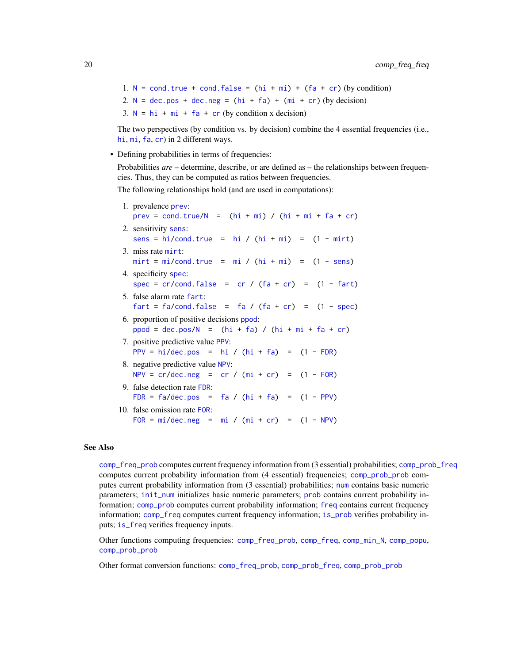1.  $N = \text{cond. true} + \text{cond. false} = (hi + mi) + (fa + cr)$  $N = \text{cond. true} + \text{cond. false} = (hi + mi) + (fa + cr)$  $N = \text{cond. true} + \text{cond. false} = (hi + mi) + (fa + cr)$  $N = \text{cond. true} + \text{cond. false} = (hi + mi) + (fa + cr)$  $N = \text{cond. true} + \text{cond. false} = (hi + mi) + (fa + cr)$  $N = \text{cond. true} + \text{cond. false} = (hi + mi) + (fa + cr)$  $N = \text{cond. true} + \text{cond. false} = (hi + mi) + (fa + cr)$  $N = \text{cond. true} + \text{cond. false} = (hi + mi) + (fa + cr)$  $N = \text{cond. true} + \text{cond. false} = (hi + mi) + (fa + cr)$  (by condition) 2.  $N = dec.pos + dec.neg = (hi + fa) + (mi + cr) (by decision)$  $N = dec.pos + dec.neg = (hi + fa) + (mi + cr) (by decision)$  $N = dec.pos + dec.neg = (hi + fa) + (mi + cr) (by decision)$  $N = dec.pos + dec.neg = (hi + fa) + (mi + cr) (by decision)$  $N = dec.pos + dec.neg = (hi + fa) + (mi + cr) (by decision)$  $N = dec.pos + dec.neg = (hi + fa) + (mi + cr) (by decision)$  $N = dec.pos + dec.neg = (hi + fa) + (mi + cr) (by decision)$  $N = dec.pos + dec.neg = (hi + fa) + (mi + cr) (by decision)$  $N = dec.pos + dec.neg = (hi + fa) + (mi + cr) (by decision)$  $N = dec.pos + dec.neg = (hi + fa) + (mi + cr) (by decision)$  $N = dec.pos + dec.neg = (hi + fa) + (mi + cr) (by decision)$  $N = dec.pos + dec.neg = (hi + fa) + (mi + cr) (by decision)$  $N = dec.pos + dec.neg = (hi + fa) + (mi + cr) (by decision)$  $N = dec.pos + dec.neg = (hi + fa) + (mi + cr) (by decision)$ 3.  $N = hi + mi + fa + cr$  $N = hi + mi + fa + cr$  $N = hi + mi + fa + cr$  $N = hi + mi + fa + cr$  $N = hi + mi + fa + cr$  $N = hi + mi + fa + cr$  $N = hi + mi + fa + cr$  $N = hi + mi + fa + cr$  $N = hi + mi + fa + cr$  (by condition x decision)

The two perspectives (by condition vs. by decision) combine the 4 essential frequencies (i.e., [hi](#page-60-1), [mi](#page-77-1), [fa](#page-54-1), [cr](#page-46-1)) in 2 different ways.

• Defining probabilities in terms of frequencies:

Probabilities *are* – determine, describe, or are defined as – the relationships between frequencies. Thus, they can be computed as ratios between frequencies.

The following relationships hold (and are used in computations):

| 1. prevalence prev:<br>$prev = cond.true/N = (hi + mi) / (hi + mi + fa + cr)$                     |
|---------------------------------------------------------------------------------------------------|
| 2. sensitivity sens:<br>sens = $hi/cond.true = hi / (hi + mi) = (1 - mirt)$                       |
| 3. miss rate mirt:<br>$mirt = mi/cond.true = mi / (hi + mi) = (1 - sens)$                         |
| 4. specificity spec:<br>spec = $cr/cond.false = cr / (fa + cr) = (1 - fart)$                      |
| 5. false alarm rate fart:<br>$fart = fa/cond.false = fa / (fa + cr) = (1 - spec)$                 |
| 6. proportion of positive decisions ppod:<br>$ppod = dec.pos/N = (hi + fa) / (hi + mi + fa + cr)$ |
| 7. positive predictive value PPV:<br>PPV = hi/dec.pos = hi / $(hi + fa)$ = $(1 - FDR)$            |
| 8. negative predictive value NPV:<br>$NPV = cr/dec.neg = cr / (mi + cr) = (1 - FOR)$              |
| 9. false detection rate FDR:<br>FDR = $fa/dec.pos = fa / (hi + fa) = (1 - PPV)$                   |
| 10. false omission rate FOR:<br>$FOR = mi/dec.neg = mi / (mi + cr) = (1 - NPV)$                   |
|                                                                                                   |

## See Also

[comp\\_freq\\_prob](#page-20-1) computes current frequency information from (3 essential) probabilities; [comp\\_prob\\_freq](#page-35-1) computes current probability information from (4 essential) frequencies; [comp\\_prob\\_prob](#page-38-1) computes current probability information from (3 essential) probabilities; [num](#page-82-1) contains basic numeric parameters; [init\\_num](#page-61-1) initializes basic numeric parameters; [prob](#page-106-1) contains current probability information; [comp\\_prob](#page-32-1) computes current probability information; [freq](#page-59-1) contains current frequency information; [comp\\_freq](#page-16-1) computes current frequency information; [is\\_prob](#page-71-1) verifies probability inputs; [is\\_freq](#page-69-1) verifies frequency inputs.

Other functions computing frequencies: [comp\\_freq\\_prob](#page-20-1), [comp\\_freq](#page-16-1), [comp\\_min\\_N](#page-24-1), [comp\\_popu](#page-27-1), [comp\\_prob\\_prob](#page-38-1)

Other format conversion functions: [comp\\_freq\\_prob](#page-20-1), [comp\\_prob\\_freq](#page-35-1), [comp\\_prob\\_prob](#page-38-1)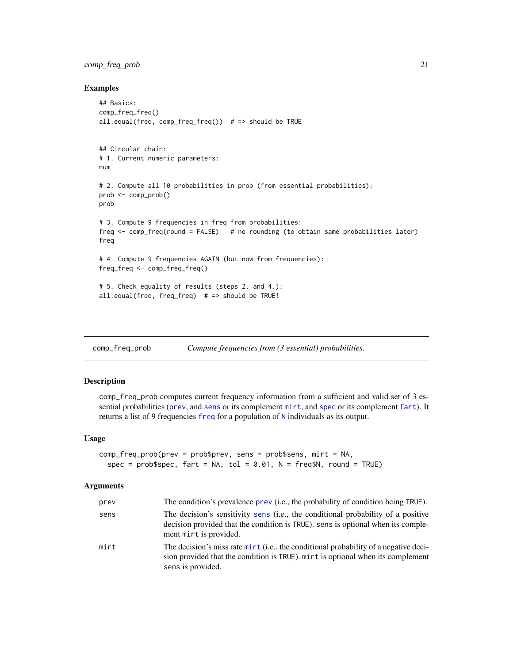# <span id="page-20-0"></span>comp\_freq\_prob 21

## Examples

```
## Basics:
comp_freq_freq()
all.equal(freq, comp_freq_freq()) # \Rightarrow should be TRUE
## Circular chain:
# 1. Current numeric parameters:
num
# 2. Compute all 10 probabilities in prob (from essential probabilities):
prob <- comp_prob()
prob
# 3. Compute 9 frequencies in freq from probabilities:
freq <- comp_freq(round = FALSE) # no rounding (to obtain same probabilities later)
freq
# 4. Compute 9 frequencies AGAIN (but now from frequencies):
freq_freq <- comp_freq_freq()
# 5. Check equality of results (steps 2. and 4.):
all.equal(freq, freq_freq) # \Rightarrow should be TRUE!
```
<span id="page-20-1"></span>comp\_freq\_prob *Compute frequencies from (3 essential) probabilities.*

## Description

comp\_freq\_prob computes current frequency information from a sufficient and valid set of 3 essential probabilities ([prev](#page-104-1), and [sens](#page-112-1) or its complement [mirt](#page-78-1), and [spec](#page-113-1) or its complement [fart](#page-55-1)). It returns a list of 9 frequencies [freq](#page-59-1) for a population of [N](#page-80-1) individuals as its output.

#### Usage

```
comp_freq_prob(prev = prob$prev, sens = prob$sens, mirt = NA,
  spec = prob$spec, fart = NA, tol = 0.01, N = freq$N, round = TRUE)
```
#### **Arguments**

| prev | The condition's prevalence prev (i.e., the probability of condition being TRUE).                                                                                                               |
|------|------------------------------------------------------------------------------------------------------------------------------------------------------------------------------------------------|
| sens | The decision's sensitivity sens (i.e., the conditional probability of a positive<br>decision provided that the condition is TRUE). sens is optional when its comple-<br>ment mirt is provided. |
| mirt | The decision's miss rate mirt (i.e., the conditional probability of a negative deci-<br>sion provided that the condition is TRUE). mirt is optional when its complement<br>sens is provided.   |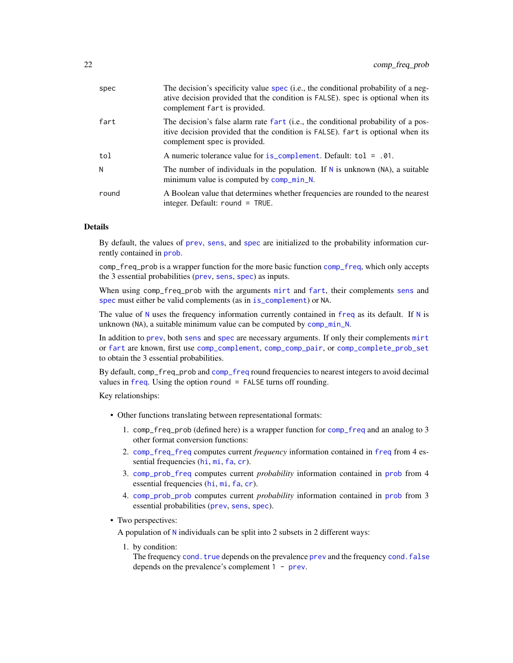| spec  | The decision's specificity value spec (i.e., the conditional probability of a neg-<br>ative decision provided that the condition is FALSE). spec is optional when its<br>complement fart is provided. |
|-------|-------------------------------------------------------------------------------------------------------------------------------------------------------------------------------------------------------|
| fart  | The decision's false alarm rate fart (i.e., the conditional probability of a pos-<br>itive decision provided that the condition is FALSE). fart is optional when its<br>complement spec is provided.  |
| tol   | A numeric tolerance value for is_complement. Default: tol = .01.                                                                                                                                      |
| N     | The number of individuals in the population. If $N$ is unknown (NA), a suitable<br>minimum value is computed by comp_min_N.                                                                           |
| round | A Boolean value that determines whether frequencies are rounded to the nearest<br>integer. Default: round = TRUE.                                                                                     |

# Details

By default, the values of [prev](#page-104-1), [sens](#page-112-1), and [spec](#page-113-1) are initialized to the probability information currently contained in [prob](#page-106-1).

comp\_freq\_prob is a wrapper function for the more basic function [comp\\_freq](#page-16-1), which only accepts the 3 essential probabilities ([prev](#page-104-1), [sens](#page-112-1), [spec](#page-113-1)) as inputs.

When using comp\_freq\_prob with the arguments [mirt](#page-78-1) and [fart](#page-55-1), their complements [sens](#page-112-1) and [spec](#page-113-1) must either be valid complements (as in [is\\_complement](#page-65-1)) or NA.

The value of [N](#page-80-1) uses the [freq](#page-59-1)uency information currently contained in freq as its default. If N is unknown (NA), a suitable minimum value can be computed by [comp\\_min\\_N](#page-24-1).

In addition to [prev](#page-104-1), both [sens](#page-112-1) and [spec](#page-113-1) are necessary arguments. If only their complements [mirt](#page-78-1) or [fart](#page-55-1) are known, first use [comp\\_complement](#page-9-1), [comp\\_comp\\_pair](#page-11-1), or [comp\\_complete\\_prob\\_set](#page-10-1) to obtain the 3 essential probabilities.

By default, comp\_freq\_prob and [comp\\_freq](#page-16-1) round frequencies to nearest integers to avoid decimal values in [freq](#page-59-1). Using the option round = FALSE turns off rounding.

Key relationships:

- Other functions translating between representational formats:
	- 1. comp\_freq\_prob (defined here) is a wrapper function for [comp\\_freq](#page-16-1) and an analog to 3 other format conversion functions:
	- 2. [comp\\_freq\\_freq](#page-18-1) computes current *frequency* information contained in [freq](#page-59-1) from 4 essential frequencies ([hi](#page-60-1), [mi](#page-77-1), [fa](#page-54-1), [cr](#page-46-1)).
	- 3. [comp\\_prob\\_freq](#page-35-1) computes current *probability* information contained in [prob](#page-106-1) from 4 essential frequencies ([hi](#page-60-1), [mi](#page-77-1), [fa](#page-54-1), [cr](#page-46-1)).
	- 4. [comp\\_prob\\_prob](#page-38-1) computes current *probability* information contained in [prob](#page-106-1) from 3 essential probabilities ([prev](#page-104-1), [sens](#page-112-1), [spec](#page-113-1)).
- Two perspectives:

A population of [N](#page-80-1) individuals can be split into 2 subsets in 2 different ways:

1. by condition:

The frequency cond. true depends on the [prev](#page-104-1)alence prev and the frequency cond. false depends on the prevalence's complement 1 - [prev](#page-104-1).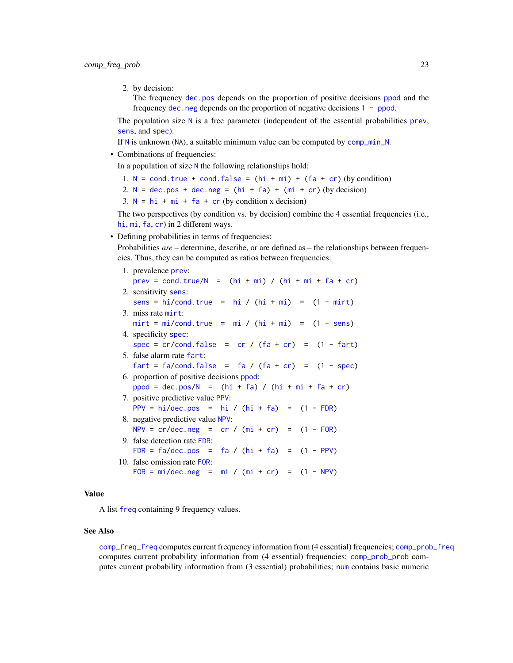2. by decision:

The frequency [dec.pos](#page-50-1) depends on the proportion of positive decisions [ppod](#page-102-1) and the frequency [dec.neg](#page-49-1) depends on the proportion of negative decisions 1 - [ppod](#page-102-1).

The population size  $N$  is a free parameter (independent of the essential probabilities [prev](#page-104-1), [sens](#page-112-1), and [spec](#page-113-1)).

If [N](#page-80-1) is unknown (NA), a suitable minimum value can be computed by [comp\\_min\\_N](#page-24-1).

• Combinations of frequencies:

In a population of size [N](#page-80-1) the following relationships hold:

1.  $N = \text{cond}$  $N = \text{cond}$ . true + cond. false =  $(hi + mi) + (fa + cr)$  $(hi + mi) + (fa + cr)$  $(hi + mi) + (fa + cr)$  $(hi + mi) + (fa + cr)$  $(hi + mi) + (fa + cr)$  $(hi + mi) + (fa + cr)$  $(hi + mi) + (fa + cr)$  (by condition)

2.  $N = dec.pos + dec.neg = (hi + fa) + (mi + cr) (by decision)$  $N = dec.pos + dec.neg = (hi + fa) + (mi + cr) (by decision)$  $N = dec.pos + dec.neg = (hi + fa) + (mi + cr) (by decision)$  $N = dec.pos + dec.neg = (hi + fa) + (mi + cr) (by decision)$  $N = dec.pos + dec.neg = (hi + fa) + (mi + cr) (by decision)$  $N = dec.pos + dec.neg = (hi + fa) + (mi + cr) (by decision)$  $N = dec.pos + dec.neg = (hi + fa) + (mi + cr) (by decision)$  $N = dec.pos + dec.neg = (hi + fa) + (mi + cr) (by decision)$  $N = dec.pos + dec.neg = (hi + fa) + (mi + cr) (by decision)$  $N = dec.pos + dec.neg = (hi + fa) + (mi + cr) (by decision)$  $N = dec.pos + dec.neg = (hi + fa) + (mi + cr) (by decision)$  $N = dec.pos + dec.neg = (hi + fa) + (mi + cr) (by decision)$  $N = dec.pos + dec.neg = (hi + fa) + (mi + cr) (by decision)$  $N = dec.pos + dec.neg = (hi + fa) + (mi + cr) (by decision)$ 

3.  $N = h i + m i + fa + cr$  $N = h i + m i + fa + cr$  $N = h i + m i + fa + cr$  $N = h i + m i + fa + cr$  $N = h i + m i + fa + cr$  (by condition x decision)

The two perspectives (by condition vs. by decision) combine the 4 essential frequencies (i.e., [hi](#page-60-1), [mi](#page-77-1), [fa](#page-54-1), [cr](#page-46-1)) in 2 different ways.

• Defining probabilities in terms of frequencies:

Probabilities *are* – determine, describe, or are defined as – the relationships between frequencies. Thus, they can be computed as ratios between frequencies:

1. prevalence [prev](#page-104-1): [prev](#page-104-1) = [cond.true/](#page-44-1)[N](#page-80-1) =  $(hi + mi)$  $(hi + mi)$  $(hi + mi)$  /  $(hi + mi + fa + cr)$  $(hi + mi + fa + cr)$  $(hi + mi + fa + cr)$  $(hi + mi + fa + cr)$  $(hi + mi + fa + cr)$  $(hi + mi + fa + cr)$ 2. sensitivity [sens](#page-112-1): [sens](#page-112-1) = [hi/](#page-60-1)[cond.true](#page-44-1) = [hi](#page-60-1) /  $(hi + mi)$  $(hi + mi)$  $(hi + mi)$  =  $(1 - mirt)$  $(1 - mirt)$ 3. miss rate [mirt](#page-78-1):  $mirt = mi/cond.true = mi / (hi + mi) = (1 - sens)$  $mirt = mi/cond.true = mi / (hi + mi) = (1 - sens)$  $mirt = mi/cond.true = mi / (hi + mi) = (1 - sens)$  $mirt = mi/cond.true = mi / (hi + mi) = (1 - sens)$  $mirt = mi/cond.true = mi / (hi + mi) = (1 - sens)$  $mirt = mi/cond.true = mi / (hi + mi) = (1 - sens)$  $mirt = mi/cond.true = mi / (hi + mi) = (1 - sens)$  $mirt = mi/cond.true = mi / (hi + mi) = (1 - sens)$  $mirt = mi/cond.true = mi / (hi + mi) = (1 - sens)$  $mirt = mi/cond.true = mi / (hi + mi) = (1 - sens)$  $mirt = mi/cond.true = mi / (hi + mi) = (1 - sens)$  $mirt = mi/cond.true = mi / (hi + mi) = (1 - sens)$ 4. specificity [spec](#page-113-1): [spec](#page-113-1) =  $cr/cond.false = cr / (fa + cr) = (1 - fart)$  $cr/cond.false = cr / (fa + cr) = (1 - fart)$  $cr/cond.false = cr / (fa + cr) = (1 - fart)$  $cr/cond.false = cr / (fa + cr) = (1 - fart)$  $cr/cond.false = cr / (fa + cr) = (1 - fart)$  $cr/cond.false = cr / (fa + cr) = (1 - fart)$  $cr/cond.false = cr / (fa + cr) = (1 - fart)$  $cr/cond.false = cr / (fa + cr) = (1 - fart)$  $cr/cond.false = cr / (fa + cr) = (1 - fart)$  $cr/cond.false = cr / (fa + cr) = (1 - fart)$ 5. false alarm rate [fart](#page-55-1): [fart](#page-55-1) = [fa/](#page-54-1)[cond.false](#page-43-1) = [fa](#page-54-1) /  $(fa + cr)$  $(fa + cr)$  $(fa + cr)$  =  $(1 - spec)$  $(1 - spec)$ 6. proportion of positive decisions [ppod](#page-102-1):  $ppod = dec.pos/N = (hi + fa) / (hi + mi + fa + cr)$  $ppod = dec.pos/N = (hi + fa) / (hi + mi + fa + cr)$  $ppod = dec.pos/N = (hi + fa) / (hi + mi + fa + cr)$  $ppod = dec.pos/N = (hi + fa) / (hi + mi + fa + cr)$  $ppod = dec.pos/N = (hi + fa) / (hi + mi + fa + cr)$  $ppod = dec.pos/N = (hi + fa) / (hi + mi + fa + cr)$  $ppod = dec.pos/N = (hi + fa) / (hi + mi + fa + cr)$  $ppod = dec.pos/N = (hi + fa) / (hi + mi + fa + cr)$  $ppod = dec.pos/N = (hi + fa) / (hi + mi + fa + cr)$  $ppod = dec.pos/N = (hi + fa) / (hi + mi + fa + cr)$  $ppod = dec.pos/N = (hi + fa) / (hi + mi + fa + cr)$  $ppod = dec.pos/N = (hi + fa) / (hi + mi + fa + cr)$  $ppod = dec.pos/N = (hi + fa) / (hi + mi + fa + cr)$  $ppod = dec.pos/N = (hi + fa) / (hi + mi + fa + cr)$ 7. positive predictive value [PPV](#page-103-1): [PPV](#page-103-1) = [hi/](#page-60-1)[dec.pos](#page-50-1) = [hi](#page-60-1) /  $(hi + fa)$  $(hi + fa)$  $(hi + fa)$  =  $(1 - FDR)$  $(1 - FDR)$ 8. negative predictive value [NPV](#page-81-1):  $NPV = cr/dec.neg = cr / (mi + cr) = (1 - FOR)$  $NPV = cr/dec.neg = cr / (mi + cr) = (1 - FOR)$  $NPV = cr/dec.neg = cr / (mi + cr) = (1 - FOR)$  $NPV = cr/dec.neg = cr / (mi + cr) = (1 - FOR)$  $NPV = cr/dec.neg = cr / (mi + cr) = (1 - FOR)$  $NPV = cr/dec.neg = cr / (mi + cr) = (1 - FOR)$  $NPV = cr/dec.neg = cr / (mi + cr) = (1 - FOR)$  $NPV = cr/dec.neg = cr / (mi + cr) = (1 - FOR)$  $NPV = cr/dec.neg = cr / (mi + cr) = (1 - FOR)$  $NPV = cr/dec.neg = cr / (mi + cr) = (1 - FOR)$  $NPV = cr/dec.neg = cr / (mi + cr) = (1 - FOR)$  $NPV = cr/dec.neg = cr / (mi + cr) = (1 - FOR)$ 9. false detection rate [FDR](#page-56-1): [FDR](#page-56-1) =  $fa/dec.pos = fa / (hi + fa) = (1 - PPV)$  $fa/dec.pos = fa / (hi + fa) = (1 - PPV)$  $fa/dec.pos = fa / (hi + fa) = (1 - PPV)$  $fa/dec.pos = fa / (hi + fa) = (1 - PPV)$  $fa/dec.pos = fa / (hi + fa) = (1 - PPV)$  $fa/dec.pos = fa / (hi + fa) = (1 - PPV)$  $fa/dec.pos = fa / (hi + fa) = (1 - PPV)$  $fa/dec.pos = fa / (hi + fa) = (1 - PPV)$  $fa/dec.pos = fa / (hi + fa) = (1 - PPV)$  $fa/dec.pos = fa / (hi + fa) = (1 - PPV)$ 10. false omission rate [FOR](#page-57-1): [FOR](#page-57-1) =  $mi/dec.neg$  $mi/dec.neg$  =  $mi / (mi + cr)$  $mi / (mi + cr)$  $mi / (mi + cr)$  $mi / (mi + cr)$  $mi / (mi + cr)$  =  $(1 - NPV)$  $(1 - NPV)$ 

# Value

A list [freq](#page-59-1) containing 9 frequency values.

#### See Also

[comp\\_freq\\_freq](#page-18-1) computes current frequency information from (4 essential) frequencies; [comp\\_prob\\_freq](#page-35-1) computes current probability information from (4 essential) frequencies; [comp\\_prob\\_prob](#page-38-1) computes current probability information from (3 essential) probabilities; [num](#page-82-1) contains basic numeric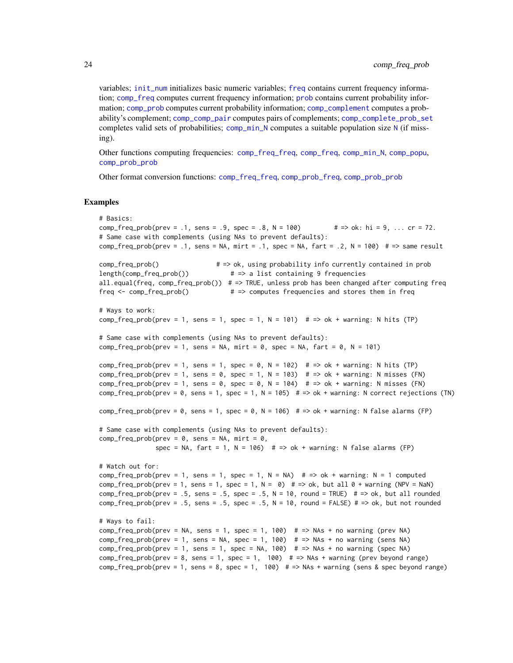variables; [init\\_num](#page-61-1) initializes basic numeric variables; [freq](#page-59-1) contains current frequency information; [comp\\_freq](#page-16-1) computes current frequency information; [prob](#page-106-1) contains current probability information; [comp\\_prob](#page-32-1) computes current probability information; [comp\\_complement](#page-9-1) computes a probability's complement; [comp\\_comp\\_pair](#page-11-1) computes pairs of complements; [comp\\_complete\\_prob\\_set](#page-10-1) completes valid sets of probabilities; [comp\\_min\\_N](#page-24-1) computes a suitable population size [N](#page-80-1) (if missing).

Other functions computing frequencies: [comp\\_freq\\_freq](#page-18-1), [comp\\_freq](#page-16-1), [comp\\_min\\_N](#page-24-1), [comp\\_popu](#page-27-1), [comp\\_prob\\_prob](#page-38-1)

Other format conversion functions: [comp\\_freq\\_freq](#page-18-1), [comp\\_prob\\_freq](#page-35-1), [comp\\_prob\\_prob](#page-38-1)

#### Examples

```
# Basics:
comp_freq_prob(prev = .1, sens = .9, spec = .8, N = 100) \# => ok: hi = 9, ... cr = 72.
# Same case with complements (using NAs to prevent defaults):
comp_freq_prob(prev = .1, sens = NA, mirt = .1, spec = NA, fart = .2, N = 100) # => same resultcomp_freq_prob() # => ok, using probability info currently contained in prob
length(comp_freq_prob()) # => a list containing 9 frequencies
all.equal(freq, comp_freq_prob()) # => TRUE, unless prob has been changed after computing freq
freq <- comp_freq_prob() # => computes frequencies and stores them in freq
# Ways to work:
comp_freq_prob(prev = 1, sens = 1, spec = 1, N = 101) # => ok + warning: N hits (TP)
# Same case with complements (using NAs to prevent defaults):
comp_freq_prob(prev = 1, sens = NA, mirt = 0, spec = NA, fart = 0, N = 101)
comp\_freq\_prob(prev = 1, sens = 1, spec = 0, N = 102) # => ok + warning: N hits (TP)
comp_freq_prob(prev = 1, sens = 0, spec = 1, N = 103) # \Rightarrow ok + warning: N misses (FN)
comp_freq_prob(prev = 1, sens = 0, spec = 0, N = 104) # => ok + warning: N misses (FN)
comp_freq_prob(prev = 0, sens = 1, spec = 1, N = 105) # => ok + warning: N correct rejections (TN)
comp_freq_prob(prev = 0, sens = 1, spec = 0, N = 106) # => ok + warning: N false alarms (FP)
# Same case with complements (using NAs to prevent defaults):
comp_freq_prob(prev = 0, sens = NA, mirt = 0,spec = NA, fart = 1, N = 106) # => ok + warning: N false alarms (FP)
# Watch out for:
comp_freq_prob(prev = 1, sens = 1, spec = 1, N = NA) # => ok + warning: N = 1 computed
comp_freq_prob(prev = 1, sens = 1, spec = 1, N = 0) # = ok, but all 0 + warning (NPV = NaN)
comp_freq_prob(prev = .5, sens = .5, spec = .5, N = 10, round = TRUE) # => ok, but all roundedcomp_freq_prob(prev = .5, sens = .5, spec = .5, N = 10, round = FALSE) # => ok, but not rounded# Ways to fail:
comp_freq_prob(prev = NA, sens = 1, spec = 1, 100) # => NAS + no warning (prev NA)comp_freq_prob(prev = 1, sens = NA, spec = 1, 100) # => NAS + no warning (sens NA)comp\_freq\_prob(prev = 1, sens = 1, spec = NA, 100) # => NAs + no warning (spec NA)
comp\_freq\_prob(prev = 8, sens = 1, spec = 1, 100) # => NAs + warning (prev beyond range)
comp_freq_prob(prev = 1, sens = 8, spec = 1, 100) # => NAs + warning (sens & spec beyond range)
```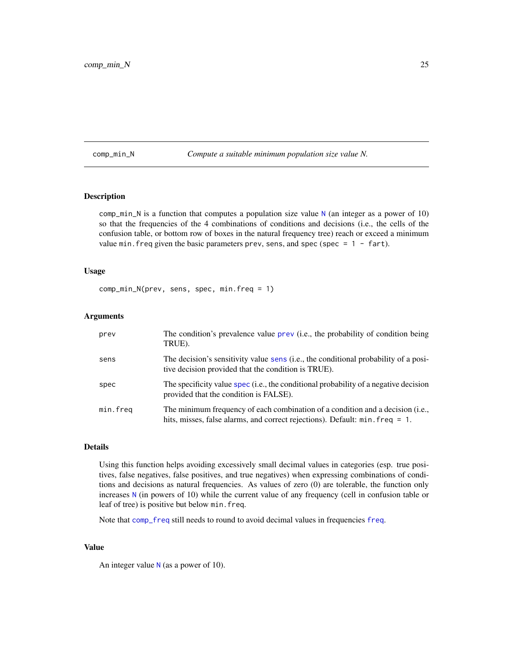<span id="page-24-1"></span><span id="page-24-0"></span>comp\_min\_N *Compute a suitable minimum population size value N.*

## Description

comp\_min\_[N](#page-80-1) is a function that computes a population size value  $N$  (an integer as a power of 10) so that the frequencies of the 4 combinations of conditions and decisions (i.e., the cells of the confusion table, or bottom row of boxes in the natural frequency tree) reach or exceed a minimum value min. freq given the basic parameters prev, sens, and spec (spec =  $1 -$  fart).

# Usage

comp\_min\_N(prev, sens, spec, min.freq = 1)

## Arguments

| prev     | The condition's prevalence value prev (i.e., the probability of condition being<br>TRUE).                                                                      |
|----------|----------------------------------------------------------------------------------------------------------------------------------------------------------------|
| sens     | The decision's sensitivity value sens (i.e., the conditional probability of a posi-<br>tive decision provided that the condition is TRUE).                     |
| spec     | The specificity value spec (i.e., the conditional probability of a negative decision<br>provided that the condition is FALSE).                                 |
| min.freq | The minimum frequency of each combination of a condition and a decision (i.e.,<br>hits, misses, false alarms, and correct rejections). Default: min. freq = 1. |

# Details

Using this function helps avoiding excessively small decimal values in categories (esp. true positives, false negatives, false positives, and true negatives) when expressing combinations of conditions and decisions as natural frequencies. As values of zero (0) are tolerable, the function only increases [N](#page-80-1) (in powers of 10) while the current value of any frequency (cell in confusion table or leaf of tree) is positive but below min.freq.

Note that [comp\\_freq](#page-16-1) still needs to round to avoid decimal values in frequencies [freq](#page-59-1).

# Value

An integer value  $N$  (as a power of 10).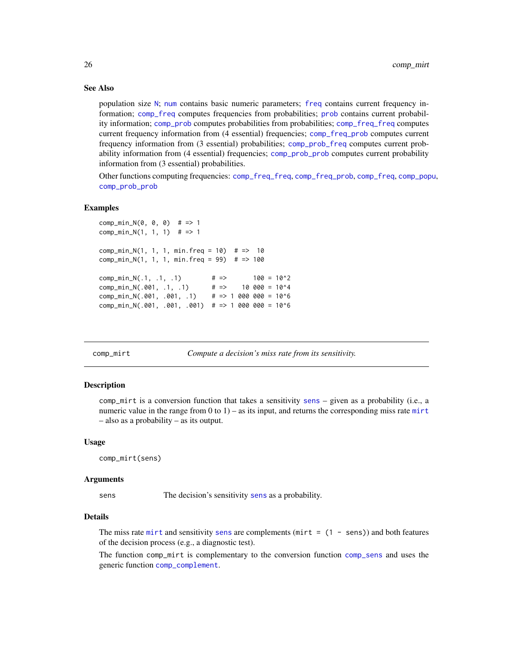## See Also

population size [N](#page-80-1); [num](#page-82-1) contains basic numeric parameters; [freq](#page-59-1) contains current frequency information; [comp\\_freq](#page-16-1) computes frequencies from probabilities; [prob](#page-106-1) contains current probability information; [comp\\_prob](#page-32-1) computes probabilities from probabilities; [comp\\_freq\\_freq](#page-18-1) computes current frequency information from (4 essential) frequencies; [comp\\_freq\\_prob](#page-20-1) computes current frequency information from (3 essential) probabilities; [comp\\_prob\\_freq](#page-35-1) computes current probability information from (4 essential) frequencies; [comp\\_prob\\_prob](#page-38-1) computes current probability information from (3 essential) probabilities.

Other functions computing frequencies: [comp\\_freq\\_freq](#page-18-1), [comp\\_freq\\_prob](#page-20-1), [comp\\_freq](#page-16-1), [comp\\_popu](#page-27-1), [comp\\_prob\\_prob](#page-38-1)

#### Examples

```
comp\_min_N(0, 0, 0) # => 1
comp\_min_N(1, 1, 1) # => 1
comp\_min_N(1, 1, 1, min.freq = 10) # => 10
comp\_min_N(1, 1, 1, min.freq = 99) # => 100
comp_min_N(.1, .1, .1) \qquad # \Rightarrow 100 = 10^2comp_min_N(.001, .1, .1) \# \implies 10 000 = 10^4
comp_min_N(.001, .001, .1) # => 1 000 000 = 10^6
comp\_min_N(.001, .001, .001) # => 1 000 000 = 10^6
```
<span id="page-25-1"></span>comp\_mirt *Compute a decision's miss rate from its sensitivity.*

#### Description

comp\_mirt is a conversion function that takes a sensitivity [sens](#page-112-1) – given as a probability (i.e., a numeric value in the range from  $(0 \text{ to } 1)$  – as its input, and returns the corresponding miss rate [mirt](#page-78-1) – also as a probability – as its output.

#### Usage

```
comp_mirt(sens)
```
#### Arguments

[sens](#page-112-1) The decision's sensitivity sens as a probability.

# Details

The miss rate [mirt](#page-78-1) and [sens](#page-112-1)itivity sens are complements (mirt =  $(1 - sens)$ ) and both features of the decision process (e.g., a diagnostic test).

The function comp\_mirt is complementary to the conversion function [comp\\_sens](#page-41-1) and uses the generic function [comp\\_complement](#page-9-1).

<span id="page-25-0"></span>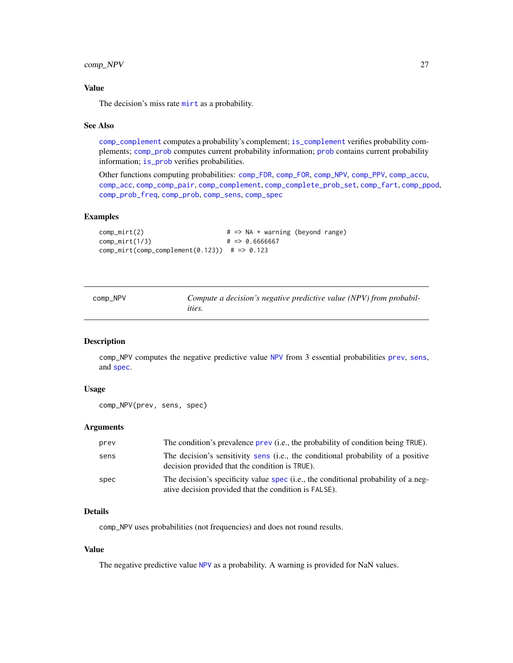# <span id="page-26-0"></span>comp\_NPV 27

## Value

The decision's miss rate [mirt](#page-78-1) as a probability.

#### See Also

[comp\\_complement](#page-9-1) computes a probability's complement; [is\\_complement](#page-65-1) verifies probability complements; [comp\\_prob](#page-32-1) computes current probability information; [prob](#page-106-1) contains current probability information; [is\\_prob](#page-71-1) verifies probabilities.

Other functions computing probabilities: [comp\\_FDR](#page-14-1), [comp\\_FOR](#page-15-1), [comp\\_NPV](#page-26-1), [comp\\_PPV](#page-30-1), [comp\\_accu](#page-7-1), [comp\\_acc](#page-6-1), [comp\\_comp\\_pair](#page-11-1), [comp\\_complement](#page-9-1), [comp\\_complete\\_prob\\_set](#page-10-1), [comp\\_fart](#page-13-1), [comp\\_ppod](#page-29-1), [comp\\_prob\\_freq](#page-35-1), [comp\\_prob](#page-32-1), [comp\\_sens](#page-41-1), [comp\\_spec](#page-42-1)

# Examples

```
comp\_mirt(2) \qquad \qquad # \Rightarrow NA + warning (beyond range)comp_mirt(1/3) # => 0.6666667
comp_mirt(comp_complement(0.123)) # => 0.123
```
<span id="page-26-1"></span>

| comp_NPV | Compute a decision's negative predictive value (NPV) from probabil- |
|----------|---------------------------------------------------------------------|
|          | <i>ities.</i>                                                       |

# Description

comp\_NPV computes the negative predictive value [NPV](#page-81-1) from 3 essential probabilities [prev](#page-104-1), [sens](#page-112-1), and [spec](#page-113-1).

## Usage

```
comp_NPV(prev, sens, spec)
```
# Arguments

| prev | The condition's prevalence prev (i.e., the probability of condition being TRUE).                                                            |
|------|---------------------------------------------------------------------------------------------------------------------------------------------|
| sens | The decision's sensitivity sens (i.e., the conditional probability of a positive<br>decision provided that the condition is TRUE).          |
| spec | The decision's specificity value spec (i.e., the conditional probability of a neg-<br>ative decision provided that the condition is FALSE). |

## Details

comp\_NPV uses probabilities (not frequencies) and does not round results.

# Value

The negative predictive value [NPV](#page-81-1) as a probability. A warning is provided for NaN values.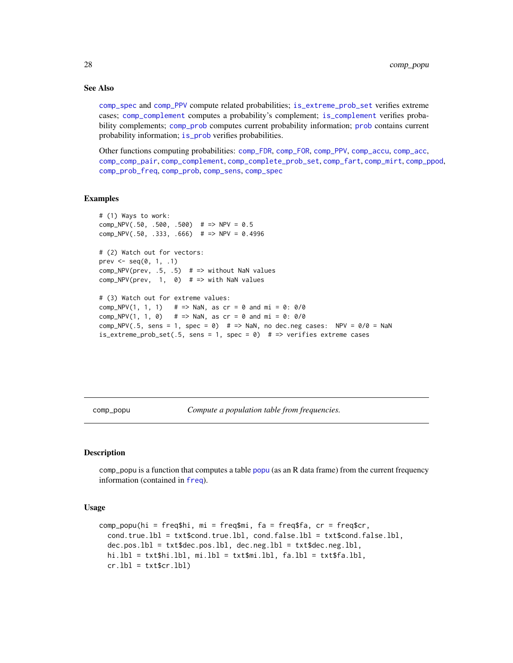# See Also

[comp\\_spec](#page-42-1) and [comp\\_PPV](#page-30-1) compute related probabilities; [is\\_extreme\\_prob\\_set](#page-67-1) verifies extreme cases; [comp\\_complement](#page-9-1) computes a probability's complement; [is\\_complement](#page-65-1) verifies probability complements; [comp\\_prob](#page-32-1) computes current probability information; [prob](#page-106-1) contains current probability information; [is\\_prob](#page-71-1) verifies probabilities.

Other functions computing probabilities: [comp\\_FDR](#page-14-1), [comp\\_FOR](#page-15-1), [comp\\_PPV](#page-30-1), [comp\\_accu](#page-7-1), [comp\\_acc](#page-6-1), [comp\\_comp\\_pair](#page-11-1), [comp\\_complement](#page-9-1), [comp\\_complete\\_prob\\_set](#page-10-1), [comp\\_fart](#page-13-1), [comp\\_mirt](#page-25-1), [comp\\_ppod](#page-29-1), [comp\\_prob\\_freq](#page-35-1), [comp\\_prob](#page-32-1), [comp\\_sens](#page-41-1), [comp\\_spec](#page-42-1)

#### Examples

```
# (1) Ways to work:
comp_NPV(.50, .500, .500) # => NPV = 0.5comp_NPV(.50, .333, .666) # => NPV = 0.4996
# (2) Watch out for vectors:
prev \leq seq(0, 1, .1)
comp_NPV(prev, .5, .5) # => without NaN values
comp_NPV(prev, 1, 0) # => with NaN values
# (3) Watch out for extreme values:
comp_NPV(1, 1, 1) # => NaN, as cr = 0 and mi = 0: 0/0
comp_NPV(1, 1, 0) # => NaN, as cr = 0 and mi = 0: 0/0
comp_NPV(.5, sens = 1, spec = 0) # => NaN, no dec.neg cases: NPV = 0/0 = NaN
is_extreme_prob_set(.5, sens = 1, spec = 0) # => verifies extreme cases
```
<span id="page-27-1"></span>comp\_popu *Compute a population table from frequencies.*

#### **Description**

comp\_popu is a function that computes a table [popu](#page-101-1) (as an R data frame) from the current frequency information (contained in [freq](#page-59-1)).

#### Usage

```
comp_popu(hi = freq$hi, mi = freq$mi, fa = freq$fa, cr = freq$cr,
  cond.true.lbl = txt$cond.true.lbl, cond.false.lbl = txt$cond.false.lbl,
  dec.pos.1bl = txt$dec.pos.1b1, dec.neg.1b1 = txt$dec.neg.1b1,
 hi.lbl = txt$hi.lbl, mi.lbl = txt$mi.lbl, fa.lbl = txt$fa.lbl,
  cr.1bl = txt$cr.1bl)
```
<span id="page-27-0"></span>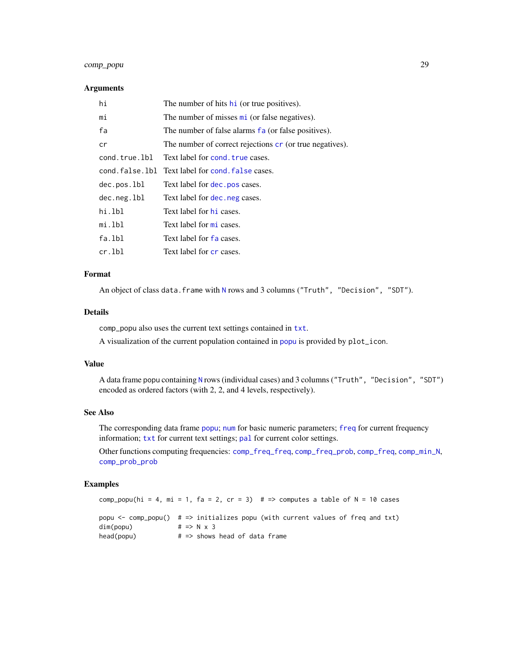# comp\_popu 29

#### Arguments

| hi            | The number of hits hi (or true positives).                        |
|---------------|-------------------------------------------------------------------|
| mi            | The number of misses $\overline{\text{mi}}$ (or false negatives). |
| fa            | The number of false alarms fa (or false positives).               |
| cr            | The number of correct rejections cr (or true negatives).          |
| cond.true.lbl | Text label for cond, true cases.                                  |
|               | cond. false. 1b1 Text label for cond. false cases.                |
| dec.pos.lbl   | Text label for dec. pos cases.                                    |
| dec.neg.lbl   | Text label for dec. neg cases.                                    |
| hi.lbl        | Text label for hi cases.                                          |
| mi.lbl        | Text label for mi cases.                                          |
| fa.lbl        | Text label for fa cases.                                          |
| cr.lbl        | Text label for cr cases.                                          |

## Format

An object of class data.frame with [N](#page-80-1) rows and 3 columns ("Truth", "Decision", "SDT").

## Details

comp\_popu also uses the current text settings contained in [txt](#page-115-1).

A visualization of the current population contained in [popu](#page-101-1) is provided by plot\_icon.

## Value

A data frame popu containing [N](#page-80-1) rows (individual cases) and 3 columns ("Truth", "Decision", "SDT") encoded as ordered factors (with 2, 2, and 4 levels, respectively).

# See Also

The corresponding data frame [popu](#page-101-1); [num](#page-82-1) for basic numeric parameters; [freq](#page-59-1) for current frequency information; [txt](#page-115-1) for current text settings; [pal](#page-83-1) for current color settings.

Other functions computing frequencies: [comp\\_freq\\_freq](#page-18-1), [comp\\_freq\\_prob](#page-20-1), [comp\\_freq](#page-16-1), [comp\\_min\\_N](#page-24-1), [comp\\_prob\\_prob](#page-38-1)

# Examples

```
comp_popu(hi = 4, mi = 1, fa = 2, cr = 3) # => computes a table of N = 10 cases
popu <- comp_popu() # => initializes popu (with current values of freq and txt)
dim(popu) # \Rightarrow N \times 3head(popu) # \Rightarrow shows head of data frame
```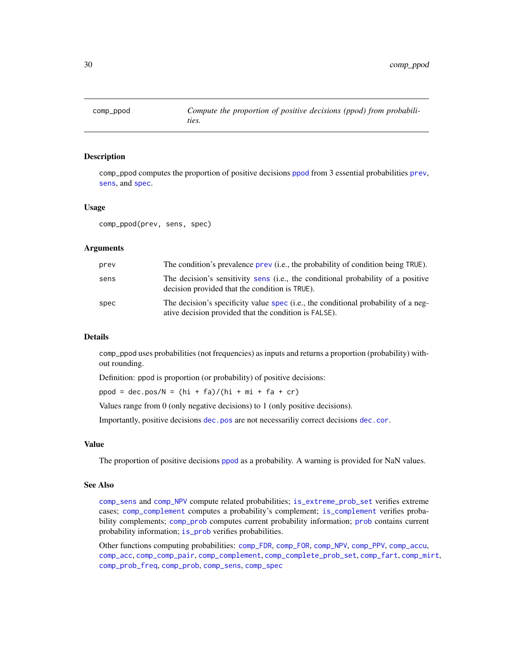<span id="page-29-1"></span><span id="page-29-0"></span>

comp\_ppod computes the proportion of positive decisions [ppod](#page-102-1) from 3 essential probabilities [prev](#page-104-1), [sens](#page-112-1), and [spec](#page-113-1).

## Usage

comp\_ppod(prev, sens, spec)

## Arguments

| prev | The condition's prevalence prev (i.e., the probability of condition being TRUE).                                                            |
|------|---------------------------------------------------------------------------------------------------------------------------------------------|
| sens | The decision's sensitivity sens (i.e., the conditional probability of a positive<br>decision provided that the condition is TRUE).          |
| spec | The decision's specificity value spec (i.e., the conditional probability of a neg-<br>ative decision provided that the condition is FALSE). |

## Details

comp\_ppod uses probabilities (not frequencies) as inputs and returns a proportion (probability) without rounding.

Definition: ppod is proportion (or probability) of positive decisions:

ppod = dec.pos/ $N = (hi + fa)/(hi + mi + fa + cr)$ 

Values range from 0 (only negative decisions) to 1 (only positive decisions).

Importantly, positive decisions [dec.pos](#page-50-1) are not necessariliy correct decisions [dec.cor](#page-47-1).

#### Value

The proportion of positive decisions [ppod](#page-102-1) as a probability. A warning is provided for NaN values.

## See Also

[comp\\_sens](#page-41-1) and [comp\\_NPV](#page-26-1) compute related probabilities; [is\\_extreme\\_prob\\_set](#page-67-1) verifies extreme cases; [comp\\_complement](#page-9-1) computes a probability's complement; [is\\_complement](#page-65-1) verifies probability complements; [comp\\_prob](#page-32-1) computes current probability information; [prob](#page-106-1) contains current probability information; [is\\_prob](#page-71-1) verifies probabilities.

Other functions computing probabilities: [comp\\_FDR](#page-14-1), [comp\\_FOR](#page-15-1), [comp\\_NPV](#page-26-1), [comp\\_PPV](#page-30-1), [comp\\_accu](#page-7-1), [comp\\_acc](#page-6-1), [comp\\_comp\\_pair](#page-11-1), [comp\\_complement](#page-9-1), [comp\\_complete\\_prob\\_set](#page-10-1), [comp\\_fart](#page-13-1), [comp\\_mirt](#page-25-1), [comp\\_prob\\_freq](#page-35-1), [comp\\_prob](#page-32-1), [comp\\_sens](#page-41-1), [comp\\_spec](#page-42-1)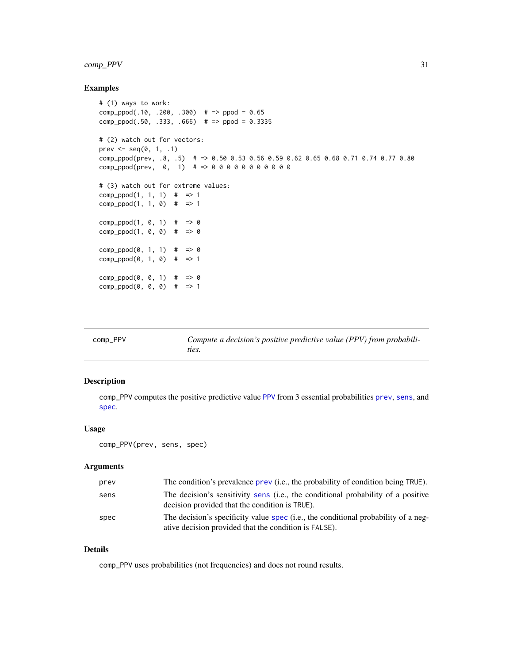# <span id="page-30-0"></span>comp\_PPV 31

# Examples

```
# (1) ways to work:
comp_ppod(.10, .200, .300) # => ppod = 0.65
comp_ppod(.50, .333, .666) # => ppod = 0.3335# (2) watch out for vectors:
prev \leq seq(0, 1, .1)
comp_ppod(prev, .8, .5) # => 0.50 0.53 0.56 0.59 0.62 0.65 0.68 0.71 0.74 0.77 0.80
comp\_ppod(prev, 0, 1) # = > 0 0 0 0 0 0 0 0 0 0 0
# (3) watch out for extreme values:
comp\_ppod(1, 1, 1) # => 1
comp\_ppod(1, 1, 0) # => 1
comp\_ppod(1, 0, 1) # => 0
comp\_ppod(1, 0, 0) # => 0
comp\_ppod(0, 1, 1) # => 0
comp\_ppod(0, 1, 0) # => 1
comp\_ppod(0, 0, 1) # => 0
comp\_ppod(0, 0, 0) # => 1
```
<span id="page-30-1"></span>

| comp_PPV | Compute a decision's positive predictive value (PPV) from probabili- |
|----------|----------------------------------------------------------------------|
|          |                                                                      |
|          | ties.                                                                |

# Description

comp\_PPV computes the positive predictive value [PPV](#page-103-1) from 3 essential probabilities [prev](#page-104-1), [sens](#page-112-1), and [spec](#page-113-1).

# Usage

comp\_PPV(prev, sens, spec)

## Arguments

| prev | The condition's prevalence prev (i.e., the probability of condition being TRUE).                                                            |
|------|---------------------------------------------------------------------------------------------------------------------------------------------|
| sens | The decision's sensitivity sens (i.e., the conditional probability of a positive<br>decision provided that the condition is TRUE).          |
| spec | The decision's specificity value spec (i.e., the conditional probability of a neg-<br>ative decision provided that the condition is FALSE). |

## Details

comp\_PPV uses probabilities (not frequencies) and does not round results.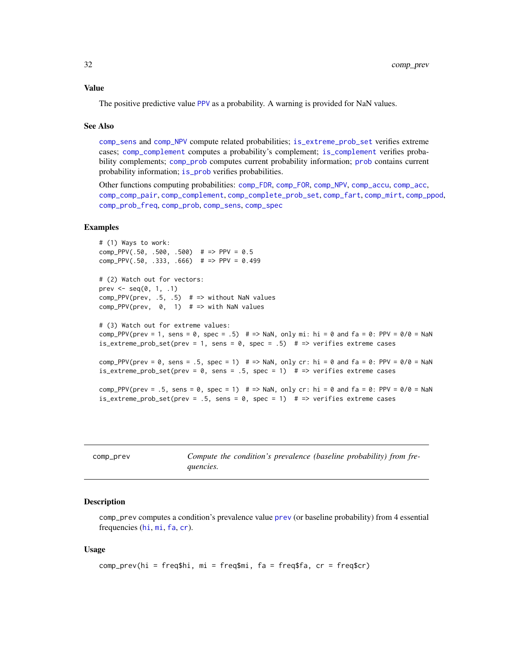## <span id="page-31-0"></span>Value

The positive predictive value [PPV](#page-103-1) as a probability. A warning is provided for NaN values.

#### See Also

[comp\\_sens](#page-41-1) and [comp\\_NPV](#page-26-1) compute related probabilities; [is\\_extreme\\_prob\\_set](#page-67-1) verifies extreme cases; [comp\\_complement](#page-9-1) computes a probability's complement; [is\\_complement](#page-65-1) verifies probability complements; [comp\\_prob](#page-32-1) computes current probability information; [prob](#page-106-1) contains current probability information; [is\\_prob](#page-71-1) verifies probabilities.

Other functions computing probabilities: [comp\\_FDR](#page-14-1), [comp\\_FOR](#page-15-1), [comp\\_NPV](#page-26-1), [comp\\_accu](#page-7-1), [comp\\_acc](#page-6-1), [comp\\_comp\\_pair](#page-11-1), [comp\\_complement](#page-9-1), [comp\\_complete\\_prob\\_set](#page-10-1), [comp\\_fart](#page-13-1), [comp\\_mirt](#page-25-1), [comp\\_ppod](#page-29-1), [comp\\_prob\\_freq](#page-35-1), [comp\\_prob](#page-32-1), [comp\\_sens](#page-41-1), [comp\\_spec](#page-42-1)

#### Examples

```
# (1) Ways to work:
comp_PPV(.50, .500, .500) # => PPV = 0.5comp_PPV(.50, .333, .666) # => PPV = 0.499# (2) Watch out for vectors:
prev \leq seq(0, 1, .1)comp_PPV(prev, .5, .5) # => without NaN values
comp_PPV(prev, 0, 1) # => with NaN values
# (3) Watch out for extreme values:
comp_PPV(prev = 1, sens = 0, spec = .5) # => NaN, only mi: hi = 0 and fa = 0: PPV = 0/0 = NaN
is_extreme_prob_set(prev = 1, sens = 0, spec = .5) # => verifies extreme cases
comp_PPV(prev = \theta, sens = .5, spec = 1) # => NaN, only cr: hi = \theta and fa = \theta: PPV = \theta/\theta = NaN
is_extreme_prob_set(prev = \theta, sens = .5, spec = 1) # => verifies extreme cases
comp_PPV(prev = .5, sens = \theta, spec = 1) # => NaN, only cr: hi = \theta and fa = \theta: PPV = \theta/\theta = NaN
is_extreme_prob_set(prev = .5, sens = 0, spec = 1) # => verifies extreme cases
```

| comp_prev | Compute the condition's prevalence (baseline probability) from fre- |
|-----------|---------------------------------------------------------------------|
|           | quencies.                                                           |

## Description

comp\_prev computes a condition's prevalence value [prev](#page-104-1) (or baseline probability) from 4 essential frequencies ([hi](#page-60-1), [mi](#page-77-1), [fa](#page-54-1), [cr](#page-46-1)).

#### Usage

```
comp_prev(hi = freq$hi, mi = freq$mi, fa = freq$fa, cr = freq$cr)
```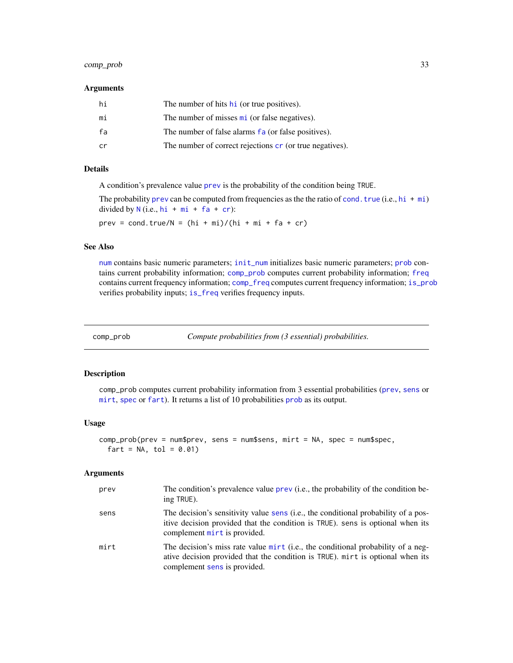# <span id="page-32-0"></span>comp\_prob 33

#### Arguments

| hi | The number of hits hi (or true positives).               |
|----|----------------------------------------------------------|
| mi | The number of misses mi (or false negatives).            |
| fa | The number of false alarms fa (or false positives).      |
| cr | The number of correct rejections cr (or true negatives). |

# Details

A condition's prevalence value [prev](#page-104-1) is the probability of the condition being TRUE.

The probability [prev](#page-104-1) can be computed from frequencies as the the ratio of [cond.true](#page-44-1) (i.e., [hi](#page-60-1) + [mi](#page-77-1)) divided by  $N$  (i.e.,  $hi + mi + fa + cr$  $hi + mi + fa + cr$  $hi + mi + fa + cr$  $hi + mi + fa + cr$  $hi + mi + fa + cr$  $hi + mi + fa + cr$  $hi + mi + fa + cr$ ):

 $prev = cond.true/N = (hi + mij)/(hi + mi + fa + cr)$ 

# See Also

[num](#page-82-1) contains basic numeric parameters; [init\\_num](#page-61-1) initializes basic numeric parameters; [prob](#page-106-1) contains current probability information; [comp\\_prob](#page-32-1) computes current probability information; [freq](#page-59-1) contains current frequency information; [comp\\_freq](#page-16-1) computes current frequency information; [is\\_prob](#page-71-1) verifies probability inputs; [is\\_freq](#page-69-1) verifies frequency inputs.

<span id="page-32-1"></span>comp\_prob *Compute probabilities from (3 essential) probabilities.*

## Description

comp\_prob computes current probability information from 3 essential probabilities ([prev](#page-104-1), [sens](#page-112-1) or [mirt](#page-78-1), [spec](#page-113-1) or [fart](#page-55-1)). It returns a list of 10 probabilities [prob](#page-106-1) as its output.

## Usage

```
comp_prob(prev = num$prev, sens = num$sens, mirt = NA, spec = num$spec,
  fart = NA, tol = 0.01)
```
#### Arguments

| prev | The condition's prevalence value prev (i.e., the probability of the condition be-<br>ing TRUE).                                                                                                      |
|------|------------------------------------------------------------------------------------------------------------------------------------------------------------------------------------------------------|
| sens | The decision's sensitivity value sens (i.e., the conditional probability of a pos-<br>itive decision provided that the condition is TRUE). sens is optional when its<br>complement mirt is provided. |
| mirt | The decision's miss rate value mirt (i.e., the conditional probability of a neg-<br>ative decision provided that the condition is TRUE). mirt is optional when its<br>complement sens is provided.   |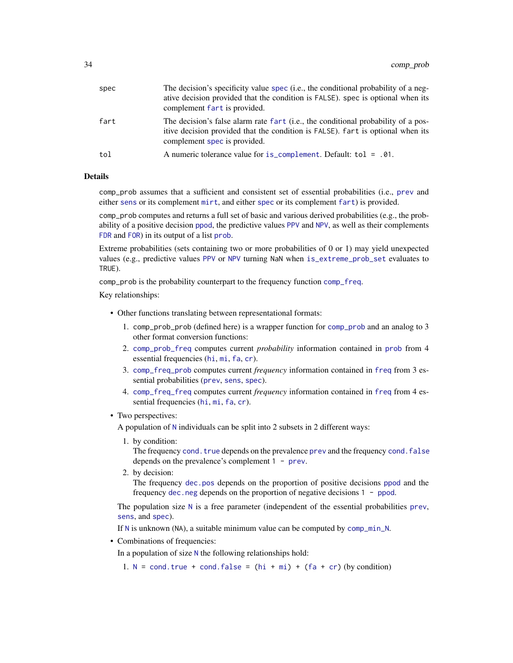| spec | The decision's specificity value spec (i.e., the conditional probability of a neg-<br>ative decision provided that the condition is FALSE). spec is optional when its<br>complement fart is provided. |
|------|-------------------------------------------------------------------------------------------------------------------------------------------------------------------------------------------------------|
| fart | The decision's false alarm rate fart (i.e., the conditional probability of a pos-<br>itive decision provided that the condition is FALSE). fart is optional when its<br>complement spec is provided.  |
| tol  | A numeric tolerance value for $is\_complement$ . Default: tol = .01.                                                                                                                                  |
|      |                                                                                                                                                                                                       |

## Details

comp\_prob assumes that a sufficient and consistent set of essential probabilities (i.e., [prev](#page-104-1) and either [sens](#page-112-1) or its complement [mirt](#page-78-1), and either [spec](#page-113-1) or its complement [fart](#page-55-1)) is provided.

comp\_prob computes and returns a full set of basic and various derived probabilities (e.g., the probability of a positive decision [ppod](#page-102-1), the predictive values [PPV](#page-103-1) and [NPV](#page-81-1), as well as their complements [FDR](#page-56-1) and [FOR](#page-57-1)) in its output of a list [prob](#page-106-1).

Extreme probabilities (sets containing two or more probabilities of 0 or 1) may yield unexpected values (e.g., predictive values [PPV](#page-103-1) or [NPV](#page-81-1) turning NaN when [is\\_extreme\\_prob\\_set](#page-67-1) evaluates to TRUE).

comp\_prob is the probability counterpart to the frequency function [comp\\_freq](#page-16-1).

Key relationships:

- Other functions translating between representational formats:
	- 1. comp\_prob\_prob (defined here) is a wrapper function for [comp\\_prob](#page-32-1) and an analog to 3 other format conversion functions:
	- 2. [comp\\_prob\\_freq](#page-35-1) computes current *probability* information contained in [prob](#page-106-1) from 4 essential frequencies ([hi](#page-60-1), [mi](#page-77-1), [fa](#page-54-1), [cr](#page-46-1)).
	- 3. [comp\\_freq\\_prob](#page-20-1) computes current *frequency* information contained in [freq](#page-59-1) from 3 essential probabilities ([prev](#page-104-1), [sens](#page-112-1), [spec](#page-113-1)).
	- 4. [comp\\_freq\\_freq](#page-18-1) computes current *frequency* information contained in [freq](#page-59-1) from 4 essential frequencies ([hi](#page-60-1), [mi](#page-77-1), [fa](#page-54-1), [cr](#page-46-1)).
- Two perspectives:

A population of [N](#page-80-1) individuals can be split into 2 subsets in 2 different ways:

1. by condition:

The frequency [cond.true](#page-44-1) depends on the [prev](#page-104-1)alence prev and the frequency [cond.false](#page-43-1) depends on the prevalence's complement 1 - [prev](#page-104-1).

2. by decision:

The frequency [dec.pos](#page-50-1) depends on the proportion of positive decisions [ppod](#page-102-1) and the frequency [dec.neg](#page-49-1) depends on the proportion of negative decisions 1 - [ppod](#page-102-1).

The population size  $N$  is a free parameter (independent of the essential probabilities [prev](#page-104-1), [sens](#page-112-1), and [spec](#page-113-1)).

If [N](#page-80-1) is unknown (NA), a suitable minimum value can be computed by [comp\\_min\\_N](#page-24-1).

• Combinations of frequencies:

In a population of size  $N$  the following relationships hold:

1.  $N = \text{cond.true} + \text{cond.false} = (hi + mi) + (fa + cr)$  $N = \text{cond.true} + \text{cond.false} = (hi + mi) + (fa + cr)$  $N = \text{cond.true} + \text{cond.false} = (hi + mi) + (fa + cr)$  $N = \text{cond.true} + \text{cond.false} = (hi + mi) + (fa + cr)$  $N = \text{cond.true} + \text{cond.false} = (hi + mi) + (fa + cr)$  $N = \text{cond.true} + \text{cond.false} = (hi + mi) + (fa + cr)$  $N = \text{cond.true} + \text{cond.false} = (hi + mi) + (fa + cr)$  $N = \text{cond.true} + \text{cond.false} = (hi + mi) + (fa + cr)$  $N = \text{cond.true} + \text{cond.false} = (hi + mi) + (fa + cr)$  $N = \text{cond.true} + \text{cond.false} = (hi + mi) + (fa + cr)$  $N = \text{cond.true} + \text{cond.false} = (hi + mi) + (fa + cr)$  $N = \text{cond.true} + \text{cond.false} = (hi + mi) + (fa + cr)$  $N = \text{cond.true} + \text{cond.false} = (hi + mi) + (fa + cr)$  (by condition)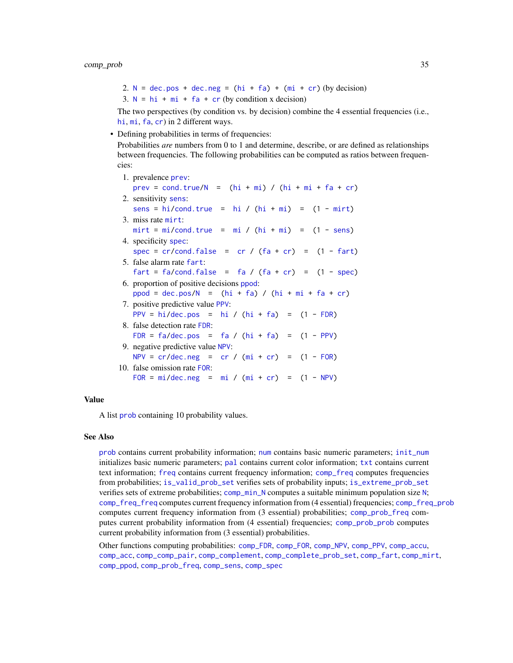2.  $N = dec.pos + dec.neg = (hi + fa) + (mi + cr) (by decision)$  $N = dec.pos + dec.neg = (hi + fa) + (mi + cr) (by decision)$  $N = dec.pos + dec.neg = (hi + fa) + (mi + cr) (by decision)$  $N = dec.pos + dec.neg = (hi + fa) + (mi + cr) (by decision)$  $N = dec.pos + dec.neg = (hi + fa) + (mi + cr) (by decision)$  $N = dec.pos + dec.neg = (hi + fa) + (mi + cr) (by decision)$  $N = dec.pos + dec.neg = (hi + fa) + (mi + cr) (by decision)$  $N = dec.pos + dec.neg = (hi + fa) + (mi + cr) (by decision)$  $N = dec.pos + dec.neg = (hi + fa) + (mi + cr) (by decision)$  $N = dec.pos + dec.neg = (hi + fa) + (mi + cr) (by decision)$  $N = dec.pos + dec.neg = (hi + fa) + (mi + cr) (by decision)$  $N = dec.pos + dec.neg = (hi + fa) + (mi + cr) (by decision)$  $N = dec.pos + dec.neg = (hi + fa) + (mi + cr) (by decision)$  $N = dec.pos + dec.neg = (hi + fa) + (mi + cr) (by decision)$ 3.  $N = h i + m i + fa + cr$  $N = h i + m i + fa + cr$  $N = h i + m i + fa + cr$  $N = h i + m i + fa + cr$  $N = h i + m i + fa + cr$  (by condition x decision)

The two perspectives (by condition vs. by decision) combine the 4 essential frequencies (i.e., [hi](#page-60-1), [mi](#page-77-1), [fa](#page-54-1), [cr](#page-46-1)) in 2 different ways.

• Defining probabilities in terms of frequencies:

Probabilities *are* numbers from 0 to 1 and determine, describe, or are defined as relationships between frequencies. The following probabilities can be computed as ratios between frequencies:

1. prevalence [prev](#page-104-1): [prev](#page-104-1) = [cond.true/](#page-44-1) $N = (hi + mi) / (hi + mi + fa + cr)$  $N = (hi + mi) / (hi + mi + fa + cr)$  $N = (hi + mi) / (hi + mi + fa + cr)$  $N = (hi + mi) / (hi + mi + fa + cr)$  $N = (hi + mi) / (hi + mi + fa + cr)$  $N = (hi + mi) / (hi + mi + fa + cr)$  $N = (hi + mi) / (hi + mi + fa + cr)$  $N = (hi + mi) / (hi + mi + fa + cr)$  $N = (hi + mi) / (hi + mi + fa + cr)$  $N = (hi + mi) / (hi + mi + fa + cr)$  $N = (hi + mi) / (hi + mi + fa + cr)$ 2. sensitivity [sens](#page-112-1): [sens](#page-112-1) = [hi/](#page-60-1)[cond.true](#page-44-1) = [hi](#page-60-1) /  $(hi + mi)$  $(hi + mi)$  $(hi + mi)$  =  $(1 - mirt)$  $(1 - mirt)$ 3. miss rate [mirt](#page-78-1):  $mirt = mi/cond.true = mi / (hi + mi) = (1 - sens)$  $mirt = mi/cond.true = mi / (hi + mi) = (1 - sens)$  $mirt = mi/cond.true = mi / (hi + mi) = (1 - sens)$  $mirt = mi/cond.true = mi / (hi + mi) = (1 - sens)$  $mirt = mi/cond.true = mi / (hi + mi) = (1 - sens)$  $mirt = mi/cond.true = mi / (hi + mi) = (1 - sens)$  $mirt = mi/cond.true = mi / (hi + mi) = (1 - sens)$  $mirt = mi/cond.true = mi / (hi + mi) = (1 - sens)$  $mirt = mi/cond.true = mi / (hi + mi) = (1 - sens)$  $mirt = mi/cond.true = mi / (hi + mi) = (1 - sens)$  $mirt = mi/cond.true = mi / (hi + mi) = (1 - sens)$  $mirt = mi/cond.true = mi / (hi + mi) = (1 - sens)$ 4. specificity [spec](#page-113-1): [spec](#page-113-1) =  $cr/cond.false = cr / (fa + cr) = (1 - fart)$  $cr/cond.false = cr / (fa + cr) = (1 - fart)$  $cr/cond.false = cr / (fa + cr) = (1 - fart)$  $cr/cond.false = cr / (fa + cr) = (1 - fart)$  $cr/cond.false = cr / (fa + cr) = (1 - fart)$  $cr/cond.false = cr / (fa + cr) = (1 - fart)$  $cr/cond.false = cr / (fa + cr) = (1 - fart)$  $cr/cond.false = cr / (fa + cr) = (1 - fart)$  $cr/cond.false = cr / (fa + cr) = (1 - fart)$  $cr/cond.false = cr / (fa + cr) = (1 - fart)$ 5. false alarm rate [fart](#page-55-1): [fart](#page-55-1) = [fa/](#page-54-1)[cond.false](#page-43-1) = [fa](#page-54-1) /  $(fa + cr)$  $(fa + cr)$  $(fa + cr)$  =  $(1 - spec)$  $(1 - spec)$ 6. proportion of positive decisions [ppod](#page-102-1): [ppod](#page-102-1) = [dec.pos/](#page-50-1) $N = (hi + fa) / (hi + mi + fa + cr)$  $N = (hi + fa) / (hi + mi + fa + cr)$  $N = (hi + fa) / (hi + mi + fa + cr)$  $N = (hi + fa) / (hi + mi + fa + cr)$  $N = (hi + fa) / (hi + mi + fa + cr)$  $N = (hi + fa) / (hi + mi + fa + cr)$  $N = (hi + fa) / (hi + mi + fa + cr)$  $N = (hi + fa) / (hi + mi + fa + cr)$  $N = (hi + fa) / (hi + mi + fa + cr)$  $N = (hi + fa) / (hi + mi + fa + cr)$  $N = (hi + fa) / (hi + mi + fa + cr)$ 7. positive predictive value [PPV](#page-103-1): [PPV](#page-103-1) = [hi/](#page-60-1)[dec.pos](#page-50-1) = [hi](#page-60-1) /  $(hi + fa)$  $(hi + fa)$  $(hi + fa)$  =  $(1 - FDR)$  $(1 - FDR)$ 8. false detection rate [FDR](#page-56-1): [FDR](#page-56-1) =  $fa/dec.pos = fa / (hi + fa) = (1 - PPV)$  $fa/dec.pos = fa / (hi + fa) = (1 - PPV)$  $fa/dec.pos = fa / (hi + fa) = (1 - PPV)$  $fa/dec.pos = fa / (hi + fa) = (1 - PPV)$  $fa/dec.pos = fa / (hi + fa) = (1 - PPV)$  $fa/dec.pos = fa / (hi + fa) = (1 - PPV)$  $fa/dec.pos = fa / (hi + fa) = (1 - PPV)$  $fa/dec.pos = fa / (hi + fa) = (1 - PPV)$  $fa/dec.pos = fa / (hi + fa) = (1 - PPV)$  $fa/dec.pos = fa / (hi + fa) = (1 - PPV)$ 9. negative predictive value [NPV](#page-81-1):  $NPV = cr/dec.neg = cr / (mi + cr) = (1 - FOR)$  $NPV = cr/dec.neg = cr / (mi + cr) = (1 - FOR)$  $NPV = cr/dec.neg = cr / (mi + cr) = (1 - FOR)$  $NPV = cr/dec.neg = cr / (mi + cr) = (1 - FOR)$  $NPV = cr/dec.neg = cr / (mi + cr) = (1 - FOR)$  $NPV = cr/dec.neg = cr / (mi + cr) = (1 - FOR)$  $NPV = cr/dec.neg = cr / (mi + cr) = (1 - FOR)$  $NPV = cr/dec.neg = cr / (mi + cr) = (1 - FOR)$  $NPV = cr/dec.neg = cr / (mi + cr) = (1 - FOR)$  $NPV = cr/dec.neg = cr / (mi + cr) = (1 - FOR)$  $NPV = cr/dec.neg = cr / (mi + cr) = (1 - FOR)$  $NPV = cr/dec.neg = cr / (mi + cr) = (1 - FOR)$ 10. false omission rate [FOR](#page-57-1):  $FOR = mi/dec.neg = mi / (mi + cr) = (1 - NPV)$  $FOR = mi/dec.neg = mi / (mi + cr) = (1 - NPV)$  $FOR = mi/dec.neg = mi / (mi + cr) = (1 - NPV)$  $FOR = mi/dec.neg = mi / (mi + cr) = (1 - NPV)$  $FOR = mi/dec.neg = mi / (mi + cr) = (1 - NPV)$  $FOR = mi/dec.neg = mi / (mi + cr) = (1 - NPV)$  $FOR = mi/dec.neg = mi / (mi + cr) = (1 - NPV)$  $FOR = mi/dec.neg = mi / (mi + cr) = (1 - NPV)$  $FOR = mi/dec.neg = mi / (mi + cr) = (1 - NPV)$  $FOR = mi/dec.neg = mi / (mi + cr) = (1 - NPV)$  $FOR = mi/dec.neg = mi / (mi + cr) = (1 - NPV)$  $FOR = mi/dec.neg = mi / (mi + cr) = (1 - NPV)$ 

#### Value

A list [prob](#page-106-1) containing 10 probability values.

#### See Also

[prob](#page-106-1) contains current probability information; [num](#page-82-1) contains basic numeric parameters; [init\\_num](#page-61-1) initializes basic numeric parameters; [pal](#page-83-1) contains current color information; [txt](#page-115-1) contains current text information; [freq](#page-59-1) contains current frequency information; [comp\\_freq](#page-16-1) computes frequencies from probabilities; [is\\_valid\\_prob\\_set](#page-74-1) verifies sets of probability inputs; [is\\_extreme\\_prob\\_set](#page-67-1) verifies sets of extreme probabilities; [comp\\_min\\_N](#page-24-1) computes a suitable minimum population size [N](#page-80-1); [comp\\_freq\\_freq](#page-18-1) computes current frequency information from (4 essential) frequencies; [comp\\_freq\\_prob](#page-20-1) computes current frequency information from (3 essential) probabilities; [comp\\_prob\\_freq](#page-35-1) computes current probability information from (4 essential) frequencies; [comp\\_prob\\_prob](#page-38-1) computes current probability information from (3 essential) probabilities.

Other functions computing probabilities: [comp\\_FDR](#page-14-1), [comp\\_FOR](#page-15-1), [comp\\_NPV](#page-26-1), [comp\\_PPV](#page-30-1), [comp\\_accu](#page-7-1), [comp\\_acc](#page-6-1), [comp\\_comp\\_pair](#page-11-1), [comp\\_complement](#page-9-1), [comp\\_complete\\_prob\\_set](#page-10-1), [comp\\_fart](#page-13-1), [comp\\_mirt](#page-25-1), [comp\\_ppod](#page-29-1), [comp\\_prob\\_freq](#page-35-1), [comp\\_sens](#page-41-1), [comp\\_spec](#page-42-1)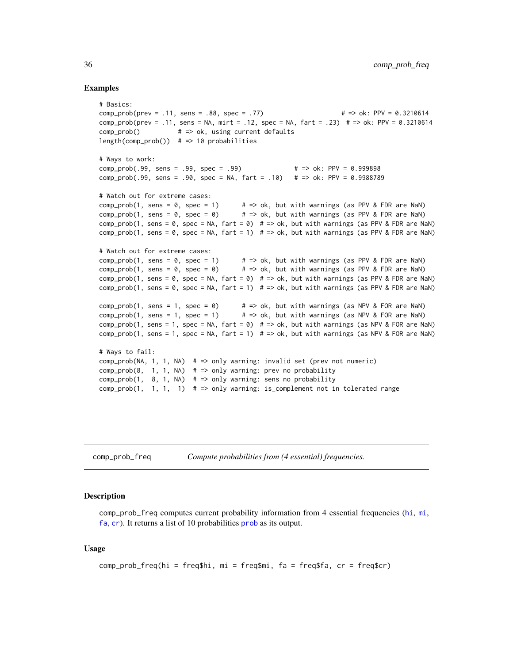#### Examples

```
# Basics:
comp_prob(prev = .11, sens = .88, spec = .77) # => ok: PPV = 0.3210614
comp_prob(prev = .11, sens = NA, mirt = .12, spec = NA, fart = .23) # => ok: PPV = 0.3210614
comp_prob() # => ok, using current defaults
length(comp_prob()) # => 10 probabilities
# Ways to work:
comp_prob(.99, sens = .99, spec = .99) # => ok: PPV = 0.999898
comp_prob(.99, sens = .90, spec = NA, fart = .10) # => ok: PPV = 0.9988789
# Watch out for extreme cases:
comp\_prob(1, sens = 0, spec = 1) # => ok, but with warnings (as PPV & FDR are NaN)
comp\_prob(1, sens = 0, spec = 0) # => ok, but with warnings (as PPV & FDR are NaN)
comp_prob(1, sens = 0, spec = NA, fart = 0) # => ok, but with warnings (as PPV & FDR are NaN)
comp_prob(1, sens = \theta, spec = NA, fart = 1) \# => ok, but with warnings (as PPV & FDR are NaN)
# Watch out for extreme cases:
comp\_prob(1, sens = 0, spec = 1) # => ok, but with warnings (as PPV & FDR are NaN)
comp\_prob(1, sens = 0, spec = 0) # => ok, but with warnings (as PPV & FDR are NaN)
comp_prob(1, sens = \theta, spec = NA, fart = \theta) # => ok, but with warnings (as PPV & FDR are NaN)
comp\_prob(1, sens = 0, spec = NA, fart = 1) # => ok, but with warnings (as PPV & FDR are NaN)comp\_prob(1, sens = 1, spec = 0) # => ok, but with warnings (as NPV & FOR are NaN)
comp\_prob(1, sens = 1, spec = 1) # => ok, but with warnings (as NPV & FOR are NaN)
comp\_prob(1, sens = 1, spec = NA, fart = 0) # => ok, but with warnings (as NPV & FOR are NaN)comp\_prob(1, sens = 1, spec = NA, fart = 1) # => ok, but with warnings (as NPV & FOR are NaN)# Ways to fail:
comp_prob(NA, 1, 1, NA) # => only warning: invalid set (prev not numeric)
comp\_prob(8, 1, 1, NA) # => only warning: prev no probability
comp\_prob(1, 8, 1, NA) # => only warning: sens no probability
comp\_prob(1, 1, 1, 1) # => only warning: is_complement not in tolerated range
```
<span id="page-35-1"></span>comp\_prob\_freq *Compute probabilities from (4 essential) frequencies.*

#### Description

comp\_prob\_freq computes current probability information from 4 essential frequencies ([hi](#page-60-1), [mi](#page-77-1), [fa](#page-54-1), [cr](#page-46-1)). It returns a list of 10 probabilities [prob](#page-106-1) as its output.

## Usage

```
comp\_prob\_freq(hi = freq$hi, mi = freq$mi, fa = freq$fa, cr = freq$cr)
```
<span id="page-35-0"></span>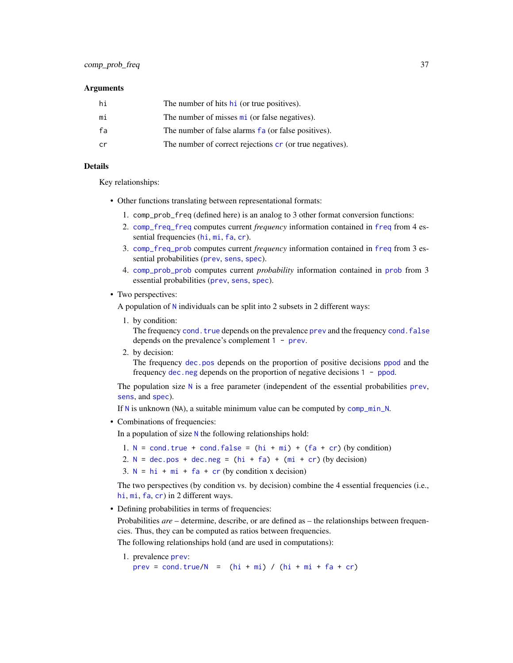#### **Arguments**

| hi | The number of hits h <sub>1</sub> (or true positives).            |
|----|-------------------------------------------------------------------|
| mi | The number of misses $\overline{\text{mi}}$ (or false negatives). |
| fa | The number of false alarms fa (or false positives).               |
| cr | The number of correct rejections cr (or true negatives).          |
|    |                                                                   |

# Details

Key relationships:

- Other functions translating between representational formats:
	- 1. comp\_prob\_freq (defined here) is an analog to 3 other format conversion functions:
	- 2. [comp\\_freq\\_freq](#page-18-0) computes current *frequency* information contained in [freq](#page-59-0) from 4 essential frequencies ([hi](#page-60-0), [mi](#page-77-0), [fa](#page-54-0), [cr](#page-46-0)).
	- 3. [comp\\_freq\\_prob](#page-20-0) computes current *frequency* information contained in [freq](#page-59-0) from 3 essential probabilities ([prev](#page-104-0), [sens](#page-112-0), [spec](#page-113-0)).
	- 4. [comp\\_prob\\_prob](#page-38-0) computes current *probability* information contained in [prob](#page-106-0) from 3 essential probabilities ([prev](#page-104-0), [sens](#page-112-0), [spec](#page-113-0)).
- Two perspectives:

A population of [N](#page-80-0) individuals can be split into 2 subsets in 2 different ways:

1. by condition:

The frequency [cond.true](#page-44-0) depends on the [prev](#page-104-0)alence prev and the frequency [cond.false](#page-43-0) depends on the prevalence's complement 1 - [prev](#page-104-0).

2. by decision:

The frequency [dec.pos](#page-50-0) depends on the proportion of positive decisions [ppod](#page-102-0) and the frequency [dec.neg](#page-49-0) depends on the proportion of negative decisions 1 - [ppod](#page-102-0).

The population size  $N$  is a free parameter (independent of the essential probabilities [prev](#page-104-0), [sens](#page-112-0), and [spec](#page-113-0)).

If [N](#page-80-0) is unknown (NA), a suitable minimum value can be computed by [comp\\_min\\_N](#page-24-0).

• Combinations of frequencies:

In a population of size [N](#page-80-0) the following relationships hold:

- 1. [N](#page-80-0) = [cond.true](#page-44-0) + [cond.false](#page-43-0) =  $(hi + mi) + (fa + cr)$  $(hi + mi) + (fa + cr)$  $(hi + mi) + (fa + cr)$  $(hi + mi) + (fa + cr)$  $(hi + mi) + (fa + cr)$  $(hi + mi) + (fa + cr)$  $(hi + mi) + (fa + cr)$  (by condition)
- 2.  $N = dec.pos + dec.neg = (hi + fa) + (mi + cr) (by decision)$  $N = dec.pos + dec.neg = (hi + fa) + (mi + cr) (by decision)$  $N = dec.pos + dec.neg = (hi + fa) + (mi + cr) (by decision)$  $N = dec.pos + dec.neg = (hi + fa) + (mi + cr) (by decision)$  $N = dec.pos + dec.neg = (hi + fa) + (mi + cr) (by decision)$  $N = dec.pos + dec.neg = (hi + fa) + (mi + cr) (by decision)$  $N = dec.pos + dec.neg = (hi + fa) + (mi + cr) (by decision)$  $N = dec.pos + dec.neg = (hi + fa) + (mi + cr) (by decision)$  $N = dec.pos + dec.neg = (hi + fa) + (mi + cr) (by decision)$  $N = dec.pos + dec.neg = (hi + fa) + (mi + cr) (by decision)$  $N = dec.pos + dec.neg = (hi + fa) + (mi + cr) (by decision)$  $N = dec.pos + dec.neg = (hi + fa) + (mi + cr) (by decision)$  $N = dec.pos + dec.neg = (hi + fa) + (mi + cr) (by decision)$  $N = dec.pos + dec.neg = (hi + fa) + (mi + cr) (by decision)$
- 3.  $N = hi + mi + fa + cr$  $N = hi + mi + fa + cr$  $N = hi + mi + fa + cr$  $N = hi + mi + fa + cr$  $N = hi + mi + fa + cr$  $N = hi + mi + fa + cr$  $N = hi + mi + fa + cr$  $N = hi + mi + fa + cr$  $N = hi + mi + fa + cr$  (by condition x decision)

The two perspectives (by condition vs. by decision) combine the 4 essential frequencies (i.e., [hi](#page-60-0), [mi](#page-77-0), [fa](#page-54-0), [cr](#page-46-0)) in 2 different ways.

• Defining probabilities in terms of frequencies:

Probabilities *are* – determine, describe, or are defined as – the relationships between frequencies. Thus, they can be computed as ratios between frequencies.

The following relationships hold (and are used in computations):

1. prevalence [prev](#page-104-0):

[prev](#page-104-0) = [cond.true/](#page-44-0)[N](#page-80-0) =  $(hi + mi) / (hi + mi + fa + cr)$  $(hi + mi) / (hi + mi + fa + cr)$  $(hi + mi) / (hi + mi + fa + cr)$  $(hi + mi) / (hi + mi + fa + cr)$  $(hi + mi) / (hi + mi + fa + cr)$  $(hi + mi) / (hi + mi + fa + cr)$  $(hi + mi) / (hi + mi + fa + cr)$  $(hi + mi) / (hi + mi + fa + cr)$  $(hi + mi) / (hi + mi + fa + cr)$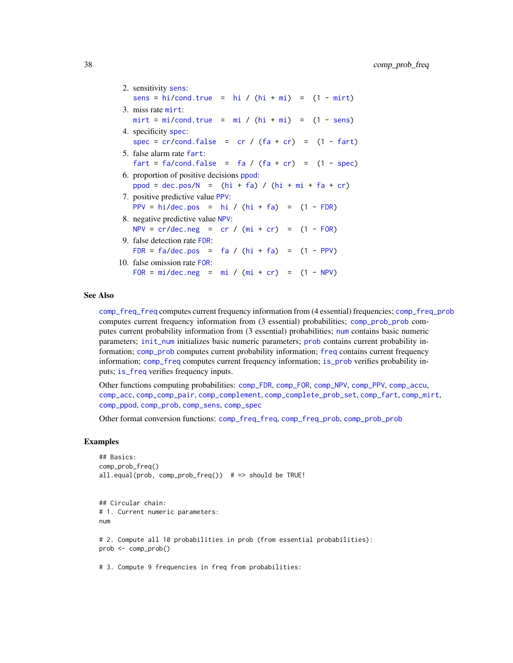| 2. sensitivity sens:                                                                                                 |
|----------------------------------------------------------------------------------------------------------------------|
| sens = $hi/cond. true$ = $hi / (hi + mi)$ = $(1 - mir)$                                                              |
| 3. miss rate mirt:                                                                                                   |
| $mirt = mi/cond.true = mi / (hi + mi) = (1 - sens)$                                                                  |
| 4. specificity spec:                                                                                                 |
| spec = $cr/cond.false = cr / (fa + cr) = (1 - fart)$                                                                 |
| 5. false alarm rate fart:                                                                                            |
| $\text{fart} = \text{fa}/\text{cond}\text{.} \text{false} = \text{fa} / (\text{fa} + \text{cr}) = (1 - \text{spec})$ |
| 6. proportion of positive decisions ppod:                                                                            |
| $ppod = dec.pos/N = (hi + fa) / (hi + mi + fa + cr)$                                                                 |
| 7. positive predictive value PPV:                                                                                    |
| PPV = hi/dec.pos = hi / $(hi + fa)$ = $(1 - FDR)$                                                                    |
| 8. negative predictive value NPV:                                                                                    |
| NPV = $cr/dec.neg = cr / (mi + cr) = (1 - FOR)$                                                                      |
| 9. false detection rate FDR:                                                                                         |
| FDR = $fa/dec.pos = fa / (hi + fa) = (1 - PPV)$                                                                      |
| 10. false omission rate FOR:                                                                                         |
| $FOR = mi/dec.neg = mi / (mi + cr) = (1 - NPV)$                                                                      |
|                                                                                                                      |

# See Also

[comp\\_freq\\_freq](#page-18-0) computes current frequency information from (4 essential) frequencies; [comp\\_freq\\_prob](#page-20-0) computes current frequency information from (3 essential) probabilities; [comp\\_prob\\_prob](#page-38-0) computes current probability information from (3 essential) probabilities; [num](#page-82-0) contains basic numeric parameters; [init\\_num](#page-61-0) initializes basic numeric parameters; [prob](#page-106-0) contains current probability information; [comp\\_prob](#page-32-0) computes current probability information; [freq](#page-59-0) contains current frequency information; [comp\\_freq](#page-16-0) computes current frequency information; [is\\_prob](#page-71-0) verifies probability inputs; [is\\_freq](#page-69-0) verifies frequency inputs.

Other functions computing probabilities: [comp\\_FDR](#page-14-0), [comp\\_FOR](#page-15-0), [comp\\_NPV](#page-26-0), [comp\\_PPV](#page-30-0), [comp\\_accu](#page-7-0), [comp\\_acc](#page-6-0), [comp\\_comp\\_pair](#page-11-0), [comp\\_complement](#page-9-0), [comp\\_complete\\_prob\\_set](#page-10-0), [comp\\_fart](#page-13-0), [comp\\_mirt](#page-25-0), [comp\\_ppod](#page-29-0), [comp\\_prob](#page-32-0), [comp\\_sens](#page-41-0), [comp\\_spec](#page-42-0)

Other format conversion functions: [comp\\_freq\\_freq](#page-18-0), [comp\\_freq\\_prob](#page-20-0), [comp\\_prob\\_prob](#page-38-0)

## Examples

```
## Basics:
comp_prob_freq()
all.equal(prob, comp_prob_freq()) # => should be TRUE!
## Circular chain:
# 1. Current numeric parameters:
num
# 2. Compute all 10 probabilities in prob (from essential probabilities):
prob <- comp_prob()
```
# 3. Compute 9 frequencies in freq from probabilities: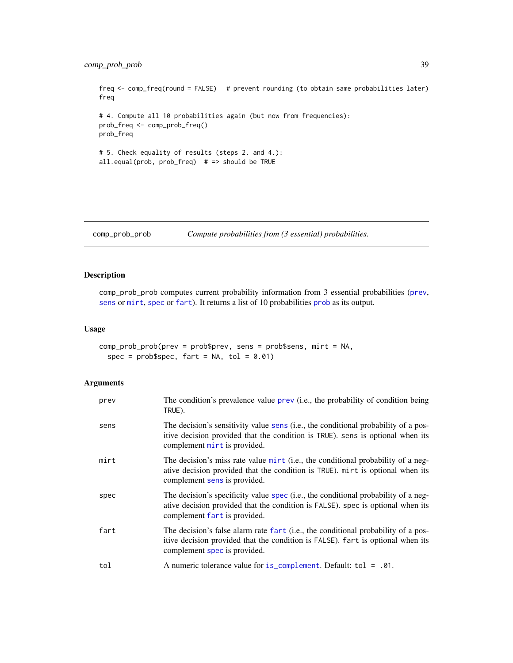# comp\_prob\_prob 39

freq <- comp\_freq(round = FALSE) # prevent rounding (to obtain same probabilities later) freq # 4. Compute all 10 probabilities again (but now from frequencies): prob\_freq <- comp\_prob\_freq() prob\_freq # 5. Check equality of results (steps 2. and 4.): all.equal(prob, prob\_freq) # => should be TRUE

<span id="page-38-0"></span>comp\_prob\_prob *Compute probabilities from (3 essential) probabilities.*

Compute probabilities from 
$$
(3 \text{ essential})
$$
 probabilities.

# Description

comp\_prob\_prob computes current probability information from 3 essential probabilities ([prev](#page-104-0), [sens](#page-112-0) or [mirt](#page-78-0), [spec](#page-113-0) or [fart](#page-55-0)). It returns a list of 10 probabilities [prob](#page-106-0) as its output.

## Usage

```
comp_prob_prob(prev = prob$prev, sens = prob$sens, mirt = NA,
  spec = prob$spec, fart = NA, tol = 0.01)
```
## Arguments

| prev | The condition's prevalence value prev (i.e., the probability of condition being<br>TRUE).                                                                                                             |
|------|-------------------------------------------------------------------------------------------------------------------------------------------------------------------------------------------------------|
| sens | The decision's sensitivity value sens (i.e., the conditional probability of a pos-<br>itive decision provided that the condition is TRUE). sens is optional when its<br>complement mirt is provided.  |
| mirt | The decision's miss rate value mirt (i.e., the conditional probability of a neg-<br>ative decision provided that the condition is TRUE). mirt is optional when its<br>complement sens is provided.    |
| spec | The decision's specificity value spec (i.e., the conditional probability of a neg-<br>ative decision provided that the condition is FALSE). spec is optional when its<br>complement fart is provided. |
| fart | The decision's false alarm rate fart (i.e., the conditional probability of a pos-<br>itive decision provided that the condition is FALSE). fart is optional when its<br>complement spec is provided.  |
| tol  | A numeric tolerance value for is_complement. Default: tol = .01.                                                                                                                                      |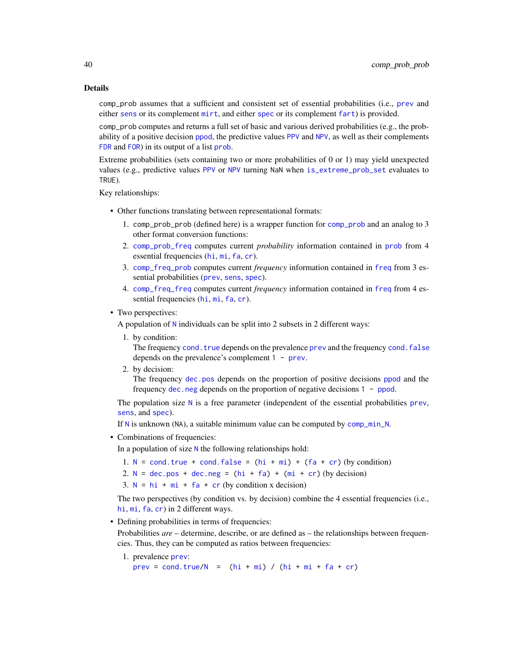#### Details

comp\_prob assumes that a sufficient and consistent set of essential probabilities (i.e., [prev](#page-104-0) and either [sens](#page-112-0) or its complement [mirt](#page-78-0), and either [spec](#page-113-0) or its complement [fart](#page-55-0)) is provided.

comp\_prob computes and returns a full set of basic and various derived probabilities (e.g., the probability of a positive decision [ppod](#page-102-0), the predictive values [PPV](#page-103-0) and [NPV](#page-81-0), as well as their complements [FDR](#page-56-0) and [FOR](#page-57-0)) in its output of a list [prob](#page-106-0).

Extreme probabilities (sets containing two or more probabilities of 0 or 1) may yield unexpected values (e.g., predictive values [PPV](#page-103-0) or [NPV](#page-81-0) turning NaN when [is\\_extreme\\_prob\\_set](#page-67-0) evaluates to TRUE).

Key relationships:

- Other functions translating between representational formats:
	- 1. comp\_prob\_prob (defined here) is a wrapper function for [comp\\_prob](#page-32-0) and an analog to 3 other format conversion functions:
	- 2. [comp\\_prob\\_freq](#page-35-0) computes current *probability* information contained in [prob](#page-106-0) from 4 essential frequencies ([hi](#page-60-0), [mi](#page-77-0), [fa](#page-54-0), [cr](#page-46-0)).
	- 3. [comp\\_freq\\_prob](#page-20-0) computes current *frequency* information contained in [freq](#page-59-0) from 3 essential probabilities ([prev](#page-104-0), [sens](#page-112-0), [spec](#page-113-0)).
	- 4. [comp\\_freq\\_freq](#page-18-0) computes current *frequency* information contained in [freq](#page-59-0) from 4 essential frequencies ([hi](#page-60-0), [mi](#page-77-0), [fa](#page-54-0), [cr](#page-46-0)).
- Two perspectives:

A population of [N](#page-80-0) individuals can be split into 2 subsets in 2 different ways:

1. by condition:

The frequency cond. true depends on the [prev](#page-104-0)alence prev and the frequency cond. false depends on the prevalence's complement 1 - [prev](#page-104-0).

2. by decision:

The frequency [dec.pos](#page-50-0) depends on the proportion of positive decisions [ppod](#page-102-0) and the frequency [dec.neg](#page-49-0) depends on the proportion of negative decisions 1 - [ppod](#page-102-0).

The population size [N](#page-80-0) is a free parameter (independent of the essential probabilities [prev](#page-104-0), [sens](#page-112-0), and [spec](#page-113-0)).

If [N](#page-80-0) is unknown (NA), a suitable minimum value can be computed by [comp\\_min\\_N](#page-24-0).

• Combinations of frequencies:

In a population of size [N](#page-80-0) the following relationships hold:

- 1.  $N = \text{cond. true} + \text{cond. false} = (hi + mi) + (fa + cr) (by condition)$  $N = \text{cond. true} + \text{cond. false} = (hi + mi) + (fa + cr) (by condition)$  $N = \text{cond. true} + \text{cond. false} = (hi + mi) + (fa + cr) (by condition)$  $N = \text{cond. true} + \text{cond. false} = (hi + mi) + (fa + cr) (by condition)$  $N = \text{cond. true} + \text{cond. false} = (hi + mi) + (fa + cr) (by condition)$  $N = \text{cond. true} + \text{cond. false} = (hi + mi) + (fa + cr) (by condition)$  $N = \text{cond. true} + \text{cond. false} = (hi + mi) + (fa + cr) (by condition)$  $N = \text{cond. true} + \text{cond. false} = (hi + mi) + (fa + cr) (by condition)$  $N = \text{cond. true} + \text{cond. false} = (hi + mi) + (fa + cr) (by condition)$  $N = \text{cond. true} + \text{cond. false} = (hi + mi) + (fa + cr) (by condition)$
- 2.  $N = dec.pos + dec.neg = (hi + fa) + (mi + cr) (by decision)$  $N = dec.pos + dec.neg = (hi + fa) + (mi + cr) (by decision)$  $N = dec.pos + dec.neg = (hi + fa) + (mi + cr) (by decision)$  $N = dec.pos + dec.neg = (hi + fa) + (mi + cr) (by decision)$  $N = dec.pos + dec.neg = (hi + fa) + (mi + cr) (by decision)$  $N = dec.pos + dec.neg = (hi + fa) + (mi + cr) (by decision)$  $N = dec.pos + dec.neg = (hi + fa) + (mi + cr) (by decision)$  $N = dec.pos + dec.neg = (hi + fa) + (mi + cr) (by decision)$  $N = dec.pos + dec.neg = (hi + fa) + (mi + cr) (by decision)$  $N = dec.pos + dec.neg = (hi + fa) + (mi + cr) (by decision)$  $N = dec.pos + dec.neg = (hi + fa) + (mi + cr) (by decision)$  $N = dec.pos + dec.neg = (hi + fa) + (mi + cr) (by decision)$  $N = dec.pos + dec.neg = (hi + fa) + (mi + cr) (by decision)$  $N = dec.pos + dec.neg = (hi + fa) + (mi + cr) (by decision)$
- 3.  $N = hi + mi + fa + cr$  $N = hi + mi + fa + cr$  $N = hi + mi + fa + cr$  $N = hi + mi + fa + cr$  $N = hi + mi + fa + cr$  $N = hi + mi + fa + cr$  $N = hi + mi + fa + cr$  $N = hi + mi + fa + cr$  $N = hi + mi + fa + cr$  (by condition x decision)

The two perspectives (by condition vs. by decision) combine the 4 essential frequencies (i.e., [hi](#page-60-0), [mi](#page-77-0), [fa](#page-54-0), [cr](#page-46-0)) in 2 different ways.

• Defining probabilities in terms of frequencies:

Probabilities *are* – determine, describe, or are defined as – the relationships between frequencies. Thus, they can be computed as ratios between frequencies:

1. prevalence [prev](#page-104-0):

 $prev = cond.true/N = (hi + mi) / (hi + mi + fa + cr)$  $prev = cond.true/N = (hi + mi) / (hi + mi + fa + cr)$  $prev = cond.true/N = (hi + mi) / (hi + mi + fa + cr)$  $prev = cond.true/N = (hi + mi) / (hi + mi + fa + cr)$  $prev = cond.true/N = (hi + mi) / (hi + mi + fa + cr)$  $prev = cond.true/N = (hi + mi) / (hi + mi + fa + cr)$  $prev = cond.true/N = (hi + mi) / (hi + mi + fa + cr)$  $prev = cond.true/N = (hi + mi) / (hi + mi + fa + cr)$  $prev = cond.true/N = (hi + mi) / (hi + mi + fa + cr)$  $prev = cond.true/N = (hi + mi) / (hi + mi + fa + cr)$  $prev = cond.true/N = (hi + mi) / (hi + mi + fa + cr)$  $prev = cond.true/N = (hi + mi) / (hi + mi + fa + cr)$  $prev = cond.true/N = (hi + mi) / (hi + mi + fa + cr)$  $prev = cond.true/N = (hi + mi) / (hi + mi + fa + cr)$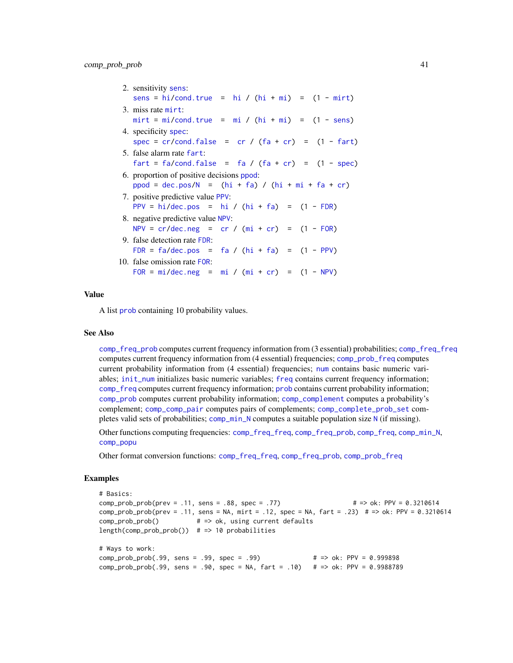| 2. sensitivity sens:                                                                                          |
|---------------------------------------------------------------------------------------------------------------|
| sens = $hi/cond.true$ = $hi / (hi + mi)$ = $(1 - mirt)$                                                       |
| 3. miss rate mirt:                                                                                            |
| $mirt = mi/cond.true = mi / (hi + mi) = (1 - sens)$                                                           |
| 4. specificity spec:                                                                                          |
| spec = $cr/cond.false = cr / (fa + cr) = (1 - fart)$                                                          |
| 5. false alarm rate fart:                                                                                     |
| $\text{fart} = \text{fa}/\text{cond}. \text{false} = \text{fa} / (\text{fa} + \text{cr}) = (1 - \text{spec})$ |
| 6. proportion of positive decisions ppod:                                                                     |
| $ppod = dec.pos/N = (hi + fa) / (hi + mi + fa + cr)$                                                          |
| 7. positive predictive value PPV:                                                                             |
| PPV = hi/dec.pos = hi / $(hi + fa)$ = $(1 - FDR)$                                                             |
| 8. negative predictive value NPV:                                                                             |
| $NPV = cr/dec.neg = cr / (mi + cr) = (1 - FOR)$                                                               |
| 9. false detection rate FDR:                                                                                  |
| FDR = $fa/dec.pos = fa / (hi + fa) = (1 - PPV)$                                                               |
| 10. false omission rate FOR:                                                                                  |
| $FOR = mi/dec.neg = mi / (mi + cr) = (1 - NPV)$                                                               |
|                                                                                                               |

## Value

A list [prob](#page-106-0) containing 10 probability values.

#### See Also

[comp\\_freq\\_prob](#page-20-0) computes current frequency information from (3 essential) probabilities; [comp\\_freq\\_freq](#page-18-0) computes current frequency information from (4 essential) frequencies; [comp\\_prob\\_freq](#page-35-0) computes current probability information from (4 essential) frequencies; [num](#page-82-0) contains basic numeric variables; [init\\_num](#page-61-0) initializes basic numeric variables; [freq](#page-59-0) contains current frequency information; [comp\\_freq](#page-16-0) computes current frequency information; [prob](#page-106-0) contains current probability information; [comp\\_prob](#page-32-0) computes current probability information; [comp\\_complement](#page-9-0) computes a probability's complement; [comp\\_comp\\_pair](#page-11-0) computes pairs of complements; [comp\\_complete\\_prob\\_set](#page-10-0) completes valid sets of probabilities; [comp\\_min\\_N](#page-24-0) computes a suitable population size [N](#page-80-0) (if missing).

Other functions computing frequencies: [comp\\_freq\\_freq](#page-18-0), [comp\\_freq\\_prob](#page-20-0), [comp\\_freq](#page-16-0), [comp\\_min\\_N](#page-24-0), [comp\\_popu](#page-27-0)

Other format conversion functions: [comp\\_freq\\_freq](#page-18-0), [comp\\_freq\\_prob](#page-20-0), [comp\\_prob\\_freq](#page-35-0)

```
# Basics:
comp_prob_prob(prev = .11, sens = .88, spec = .77) # => ok: PPV = 0.3210614
comp_prob_prob(prev = .11, sens = NA, mirt = .12, spec = NA, fart = .23) # => ok: PPV = 0.3210614
comp_prob_prob() # => ok, using current defaults
length(comp_prob_prob()) # => 10 probabilities
# Ways to work:
comp_prob_prob(.99, sens = .99, spec = .99) # => ok: PPV = 0.999898
comp_prob_prob(.99, sens = .90, spec = NA, fart = .10) # => ok: PPV = 0.9988789
```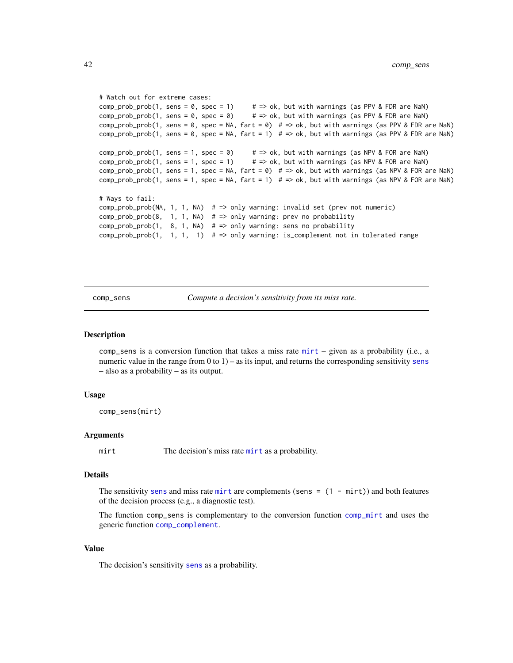```
# Watch out for extreme cases:
comp\_prob_1, sens = 0, spec = 1) # => ok, but with warnings (as PPV & FDR are NaN)
comp\_prob_1, sens = 0, spec = 0) # => ok, but with warnings (as PPV & FDR are NaN)
comp_prob_prob(1, sens = 0, spec = NA, fart = 0) # \Rightarrow ok, but with warnings (as PPV & FDR are NaN)
comp_prob_prob(1, sens = 0, spec = NA, fart = 1) # \Rightarrow ok, but with warnings (as PPV & FDR are NaN)
comp\_prob_1, sens = 1, spec = 0) # => ok, but with warnings (as NPV & FOR are NaN)
comp\_prob_1, sens = 1, spec = 1) # => ok, but with warnings (as NPV & FOR are NaN)
comp_prob_prob(1, sens = 1, spec = NA, fart = \theta) # => ok, but with warnings (as NPV & FOR are NaN)
comp\_prob(1, sens = 1, spec = NA, fart = 1) # => ok, but with warnings (as NPV & FOR are Nan)# Ways to fail:
comp_prob_prob(NA, 1, 1, NA) # => only warning: invalid set (prev not numeric)
comp\_prob\_prob(8, 1, 1, NA) # => only warning: prev no probability
comp_prob_prob(1, 8, 1, NA) # => only warning: sens no probability
comp_prob_prob(1, 1, 1, 1) # => only warning: is_complement not in tolerated range
```
<span id="page-41-0"></span>comp\_sens *Compute a decision's sensitivity from its miss rate.*

#### Description

comp\_sens is a conversion function that takes a miss rate [mirt](#page-78-0) – given as a probability (i.e., a numeric value in the range from  $0$  to  $1$ ) – as its input, and returns the corresponding [sens](#page-112-0)itivity sens – also as a probability – as its output.

#### Usage

```
comp_sens(mirt)
```
#### Arguments

[mirt](#page-78-0) The decision's miss rate mirt as a probability.

#### Details

The [sens](#page-112-0)itivity sens and miss rate [mirt](#page-78-0) are complements (sens  $= (1 - \text{mirt})$ ) and both features of the decision process (e.g., a diagnostic test).

The function comp\_sens is complementary to the conversion function [comp\\_mirt](#page-25-0) and uses the generic function [comp\\_complement](#page-9-0).

# Value

The decision's [sens](#page-112-0)itivity sens as a probability.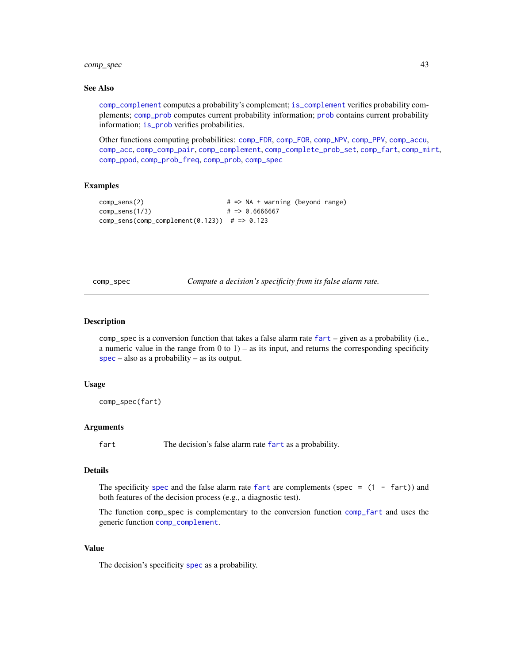# comp\_spec 43

## See Also

[comp\\_complement](#page-9-0) computes a probability's complement; [is\\_complement](#page-65-0) verifies probability complements; [comp\\_prob](#page-32-0) computes current probability information; [prob](#page-106-0) contains current probability information; [is\\_prob](#page-71-0) verifies probabilities.

Other functions computing probabilities: [comp\\_FDR](#page-14-0), [comp\\_FOR](#page-15-0), [comp\\_NPV](#page-26-0), [comp\\_PPV](#page-30-0), [comp\\_accu](#page-7-0), [comp\\_acc](#page-6-0), [comp\\_comp\\_pair](#page-11-0), [comp\\_complement](#page-9-0), [comp\\_complete\\_prob\\_set](#page-10-0), [comp\\_fart](#page-13-0), [comp\\_mirt](#page-25-0), [comp\\_ppod](#page-29-0), [comp\\_prob\\_freq](#page-35-0), [comp\\_prob](#page-32-0), [comp\\_spec](#page-42-0)

#### Examples

```
comp_sens(2) # => NA + warning (beyond range)
comp_sens(1/3) # => 0.6666667
comp\_sens(comp\_complement(0.123)) # => 0.123
```
<span id="page-42-0"></span>comp\_spec *Compute a decision's specificity from its false alarm rate.*

### Description

comp\_spec is a conversion function that takes a false alarm rate [fart](#page-55-0) – given as a probability (i.e., a numeric value in the range from  $0$  to  $1$ ) – as its input, and returns the corresponding specificity [spec](#page-113-0) – also as a probability – as its output.

#### Usage

comp\_spec(fart)

# Arguments

[fart](#page-55-0) The decision's false alarm rate fart as a probability.

#### Details

The [spec](#page-113-0)ificity spec and the false alarm rate [fart](#page-55-0) are complements (spec =  $(1 - \text{fart})$ ) and both features of the decision process (e.g., a diagnostic test).

The function comp\_spec is complementary to the conversion function [comp\\_fart](#page-13-0) and uses the generic function [comp\\_complement](#page-9-0).

## Value

The decision's [spec](#page-113-0)ificity spec as a probability.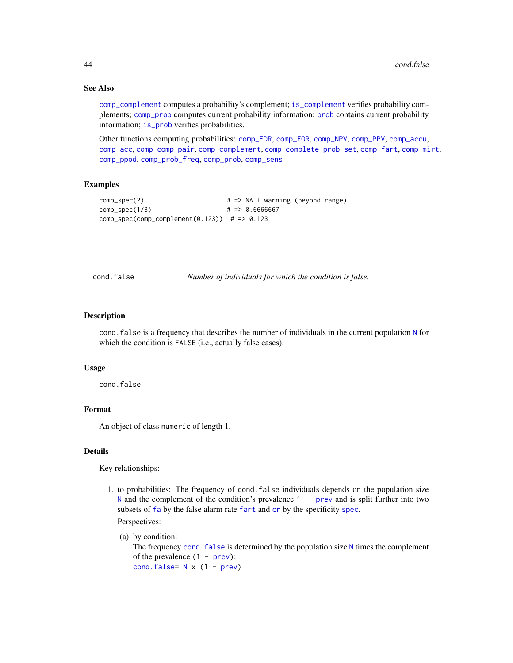## See Also

[comp\\_complement](#page-9-0) computes a probability's complement; [is\\_complement](#page-65-0) verifies probability complements; [comp\\_prob](#page-32-0) computes current probability information; [prob](#page-106-0) contains current probability information; [is\\_prob](#page-71-0) verifies probabilities.

Other functions computing probabilities: [comp\\_FDR](#page-14-0), [comp\\_FOR](#page-15-0), [comp\\_NPV](#page-26-0), [comp\\_PPV](#page-30-0), [comp\\_accu](#page-7-0), [comp\\_acc](#page-6-0), [comp\\_comp\\_pair](#page-11-0), [comp\\_complement](#page-9-0), [comp\\_complete\\_prob\\_set](#page-10-0), [comp\\_fart](#page-13-0), [comp\\_mirt](#page-25-0), [comp\\_ppod](#page-29-0), [comp\\_prob\\_freq](#page-35-0), [comp\\_prob](#page-32-0), [comp\\_sens](#page-41-0)

# Examples

```
comp_spec(2) # => NA + warning (beyond range)
comp\_spec(1/3) \# \Rightarrow 0.6666667
comp\_spec(comp\_complement(0.123)) # => 0.123
```
<span id="page-43-0"></span>cond.false *Number of individuals for which the condition is false.*

## **Description**

cond.false is a frequency that describes the number of individuals in the current population [N](#page-80-0) for which the condition is FALSE (i.e., actually false cases).

#### Usage

cond.false

# Format

An object of class numeric of length 1.

## Details

Key relationships:

1. to probabilities: The frequency of cond.false individuals depends on the population size [N](#page-80-0) and the complement of the condition's [prev](#page-104-0)alence  $1 - \text{prev}$  and is split further into two subsets of [fa](#page-54-0) by the false alarm rate [fart](#page-55-0) and [cr](#page-46-0) by the specificity [spec](#page-113-0).

Perspectives:

```
(a) by condition:
  N times the complement
  of the prevalence prev):
  cond.false= N x (1 - prev)
```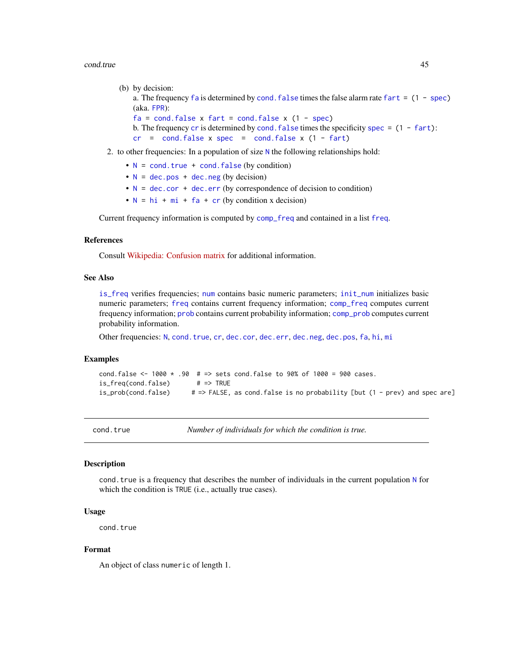#### cond.true 45

```
(b) by decision:
```
a. The frequency [fa](#page-54-0) is determined by cond. false times the false alarm rate [fart](#page-55-0)  $= (1 - spec)$  $= (1 - spec)$ (aka. [FPR](#page-55-1)):

```
facond.false x fart = cond.false x spec)crspecificity spec = (1 - \text{fart}):
crcond.falsespecfart)
```
- 2. to other frequencies: In a population of size [N](#page-80-0) the following relationships hold:
	- $N = \text{cond}$  $N = \text{cond}$ . true + cond. false (by condition)
	- $N = dec.pos + dec.neg (by decision)$  $N = dec.pos + dec.neg (by decision)$  $N = dec.pos + dec.neg (by decision)$  $N = dec.pos + dec.neg (by decision)$  $N = dec.pos + dec.neg (by decision)$  $N = dec.pos + dec.neg (by decision)$
	- $N = dec.cor + dec.err$  $N = dec.cor + dec.err$  $N = dec.cor + dec.err$  $N = dec.cor + dec.err$  $N = dec.cor + dec.err$  (by correspondence of decision to condition)
	- $N = h i + m i + fa + cr$  $N = h i + m i + fa + cr$  $N = h i + m i + fa + cr$  $N = h i + m i + fa + cr$  $N = h i + m i + fa + cr$  (by condition x decision)

Current frequency information is computed by [comp\\_freq](#page-16-0) and contained in a list [freq](#page-59-0).

## References

Consult [Wikipedia: Confusion matrix](https://en.wikipedia.org/wiki/Confusion_matrix) for additional information.

## See Also

[is\\_freq](#page-69-0) verifies frequencies; [num](#page-82-0) contains basic numeric parameters; [init\\_num](#page-61-0) initializes basic numeric parameters; [freq](#page-59-0) contains current frequency information; [comp\\_freq](#page-16-0) computes current frequency information; [prob](#page-106-0) contains current probability information; [comp\\_prob](#page-32-0) computes current probability information.

Other frequencies: [N](#page-80-0), [cond.true](#page-44-0), [cr](#page-46-0), [dec.cor](#page-47-0), [dec.err](#page-48-0), [dec.neg](#page-49-0), [dec.pos](#page-50-0), [fa](#page-54-0), [hi](#page-60-0), [mi](#page-77-0)

# Examples

```
cond.false <- 1000 \times .90 # => sets cond.false to 90% of 1000 = 900 cases.
is_freq(cond.false) # => TRUE
is_prob(cond.false) # => FALSE, as cond.false is no probability [but (1 - prev) and spec are]
```
cond.true *Number of individuals for which the condition is true.*

## **Description**

cond.true is a frequency that describes the number of individuals in the current population [N](#page-80-0) for which the condition is TRUE (i.e., actually true cases).

## Usage

cond.true

# Format

An object of class numeric of length 1.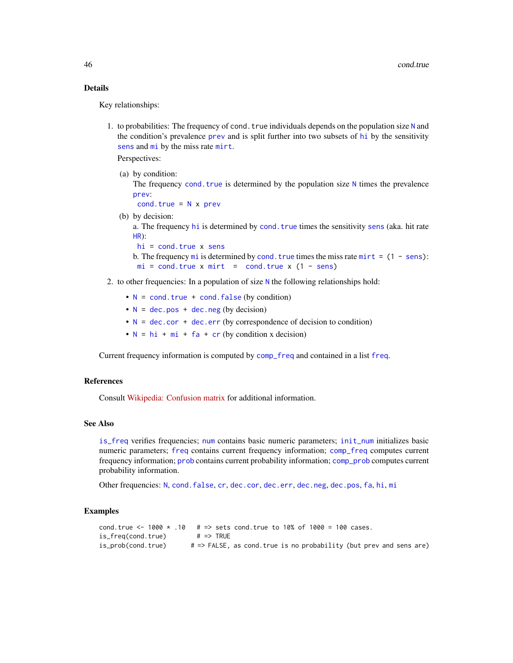# Details

Key relationships:

1. to probabilities: The frequency of cond. true individuals depends on the population size  $N$  and the condition's prevalence [prev](#page-104-0) and is split further into two subsets of [hi](#page-60-0) by the sensitivity [sens](#page-112-0) and [mi](#page-77-0) by the miss rate [mirt](#page-78-0).

Perspectives:

(a) by condition:

The frequency cond.  $true$  is determined by the population size  $N$  times the prevalence [prev](#page-104-0):

 $cond,true = N \times prev$  $cond,true = N \times prev$  $cond,true = N \times prev$  $cond,true = N \times prev$ 

(b) by decision:

a. The frequency [hi](#page-60-0) is determined by [cond.true](#page-44-0) times the sensitivity [sens](#page-112-0) (aka. hit rate [HR](#page-112-1)):

- $hi = cond,true x$  $hi = cond,true x$  [sens](#page-112-0)
- b. The frequency [mi](#page-77-0) is determined by cond. true times the miss rate [mirt](#page-78-0)  $= (1 \text{sens})$ :  $mi = cond.true x mit = cond.true x (1 - sens)$  $mi = cond.true x mit = cond.true x (1 - sens)$  $mi = cond.true x mit = cond.true x (1 - sens)$  $mi = cond.true x mit = cond.true x (1 - sens)$  $mi = cond.true x mit = cond.true x (1 - sens)$
- 2. to other frequencies: In a population of size  $N$  the following relationships hold:
	- $N = \text{cond}$  $N = \text{cond}$ . true + cond. false (by condition)
	- $N = dec.pos + dec.neg (by decision)$  $N = dec.pos + dec.neg (by decision)$  $N = dec.pos + dec.neg (by decision)$  $N = dec.pos + dec.neg (by decision)$  $N = dec.pos + dec.neg (by decision)$  $N = dec.pos + dec.neg (by decision)$
	- $N = dec.cor + dec.err$  $N = dec.cor + dec.err$  $N = dec.cor + dec.err$  $N = dec.cor + dec.err$  $N = dec.cor + dec.err$  (by correspondence of decision to condition)
	- $N = hi + mi + fa + cr$  $N = hi + mi + fa + cr$  $N = hi + mi + fa + cr$  $N = hi + mi + fa + cr$  $N = hi + mi + fa + cr$  $N = hi + mi + fa + cr$  $N = hi + mi + fa + cr$  $N = hi + mi + fa + cr$  $N = hi + mi + fa + cr$  (by condition x decision)

Current frequency information is computed by [comp\\_freq](#page-16-0) and contained in a list [freq](#page-59-0).

# References

Consult [Wikipedia: Confusion matrix](https://en.wikipedia.org/wiki/Confusion_matrix) for additional information.

## See Also

[is\\_freq](#page-69-0) verifies frequencies; [num](#page-82-0) contains basic numeric parameters; [init\\_num](#page-61-0) initializes basic numeric parameters; [freq](#page-59-0) contains current frequency information; [comp\\_freq](#page-16-0) computes current frequency information; [prob](#page-106-0) contains current probability information; [comp\\_prob](#page-32-0) computes current probability information.

Other frequencies: [N](#page-80-0), [cond.false](#page-43-0), [cr](#page-46-0), [dec.cor](#page-47-0), [dec.err](#page-48-0), [dec.neg](#page-49-0), [dec.pos](#page-50-0), [fa](#page-54-0), [hi](#page-60-0), [mi](#page-77-0)

```
cond.true <-1000 \times .10 # => sets cond.true to 10% of 1000 = 100 cases.
is_freq(cond.true) # => TRUE
is_prob(cond.true) # => FALSE, as cond.true is no probability (but prev and sens are)
```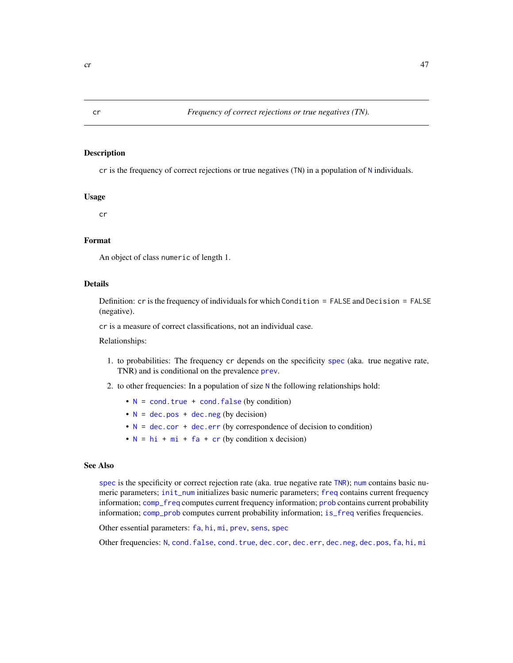<span id="page-46-0"></span>

cr is the frequency of correct rejections or true negatives (TN) in a population of [N](#page-80-0) individuals.

#### Usage

cr

## Format

An object of class numeric of length 1.

## Details

Definition: cr is the frequency of individuals for which Condition = FALSE and Decision = FALSE (negative).

cr is a measure of correct classifications, not an individual case.

Relationships:

- 1. to probabilities: The frequency cr depends on the specificity [spec](#page-113-0) (aka. true negative rate, TNR) and is conditional on the prevalence [prev](#page-104-0).
- 2. to other frequencies: In a population of size [N](#page-80-0) the following relationships hold:
	- $N = \text{cond}.\text{true} + \text{cond}.\text{false}$  $N = \text{cond}.\text{true} + \text{cond}.\text{false}$  (by condition)
	- $N = dec.pos + dec.neg (by decision)$  $N = dec.pos + dec.neg (by decision)$  $N = dec.pos + dec.neg (by decision)$  $N = dec.pos + dec.neg (by decision)$  $N = dec.pos + dec.neg (by decision)$  $N = dec.pos + dec.neg (by decision)$
	- $N = dec.cor + dec.err$  $N = dec.cor + dec.err$  $N = dec.cor + dec.err$  $N = dec.cor + dec.err$  $N = dec.cor + dec.err$  (by correspondence of decision to condition)
	- $N = h i + m i + fa + cr$  $N = h i + m i + fa + cr$  $N = h i + m i + fa + cr$  $N = h i + m i + fa + cr$  $N = h i + m i + fa + cr$  (by condition x decision)

# See Also

[spec](#page-113-0) is the specificity or correct rejection rate (aka. true negative rate [TNR](#page-113-1)); [num](#page-82-0) contains basic numeric parameters; [init\\_num](#page-61-0) initializes basic numeric parameters; [freq](#page-59-0) contains current frequency information; [comp\\_freq](#page-16-0) computes current frequency information; [prob](#page-106-0) contains current probability information; [comp\\_prob](#page-32-0) computes current probability information; [is\\_freq](#page-69-0) verifies frequencies.

Other essential parameters: [fa](#page-54-0), [hi](#page-60-0), [mi](#page-77-0), [prev](#page-104-0), [sens](#page-112-0), [spec](#page-113-0)

Other frequencies: [N](#page-80-0), [cond.false](#page-43-0), [cond.true](#page-44-0), [dec.cor](#page-47-0), [dec.err](#page-48-0), [dec.neg](#page-49-0), [dec.pos](#page-50-0), [fa](#page-54-0), [hi](#page-60-0), [mi](#page-77-0)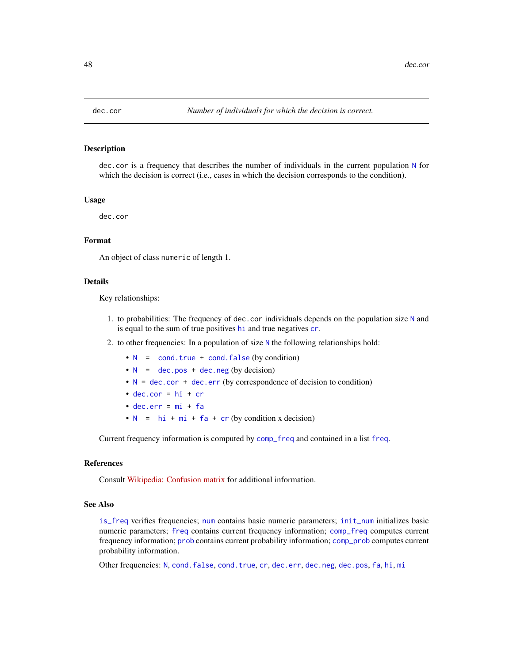<span id="page-47-0"></span>

dec.cor is a frequency that describes the number of individuals in the current population [N](#page-80-0) for which the decision is correct (i.e., cases in which the decision corresponds to the condition).

#### Usage

dec.cor

## Format

An object of class numeric of length 1.

# Details

Key relationships:

- 1. to probabilities: The frequency of dec.cor individuals depends on the population size [N](#page-80-0) and is equal to the sum of true positives [hi](#page-60-0) and true negatives [cr](#page-46-0).
- 2. to other frequencies: In a population of size [N](#page-80-0) the following relationships hold:
	- $N = \text{cond. true} + \text{cond. false (by condition)}$  $N = \text{cond. true} + \text{cond. false (by condition)}$
	- $N = dec.pos + dec.neg (by decision)$  $N = dec.pos + dec.neg (by decision)$  $N = dec.pos + dec.neg (by decision)$  $N = dec.pos + dec.neg (by decision)$  $N = dec.pos + dec.neg (by decision)$  $N = dec.pos + dec.neg (by decision)$
	- $N = dec.cor + dec.err$  $N = dec.cor + dec.err$  $N = dec.cor + dec.err$  $N = dec.cor + dec.err$  $N = dec.cor + dec.err$  (by correspondence of decision to condition)
	- $\bullet$  [dec.cor](#page-47-0) = [hi](#page-60-0) + [cr](#page-46-0)
	- $\bullet$  [dec.err](#page-48-0) =  $mi + fa$  $mi + fa$  $mi + fa$
	- $N = hi + mi + fa + cr$  $N = hi + mi + fa + cr$  $N = hi + mi + fa + cr$  $N = hi + mi + fa + cr$  $N = hi + mi + fa + cr$  $N = hi + mi + fa + cr$  $N = hi + mi + fa + cr$  $N = hi + mi + fa + cr$  $N = hi + mi + fa + cr$  (by condition x decision)

Current frequency information is computed by [comp\\_freq](#page-16-0) and contained in a list [freq](#page-59-0).

## References

Consult [Wikipedia: Confusion matrix](https://en.wikipedia.org/wiki/Confusion_matrix) for additional information.

#### See Also

[is\\_freq](#page-69-0) verifies frequencies; [num](#page-82-0) contains basic numeric parameters; [init\\_num](#page-61-0) initializes basic numeric parameters; [freq](#page-59-0) contains current frequency information; [comp\\_freq](#page-16-0) computes current frequency information; [prob](#page-106-0) contains current probability information; [comp\\_prob](#page-32-0) computes current probability information.

Other frequencies: [N](#page-80-0), [cond.false](#page-43-0), [cond.true](#page-44-0), [cr](#page-46-0), [dec.err](#page-48-0), [dec.neg](#page-49-0), [dec.pos](#page-50-0), [fa](#page-54-0), [hi](#page-60-0), [mi](#page-77-0)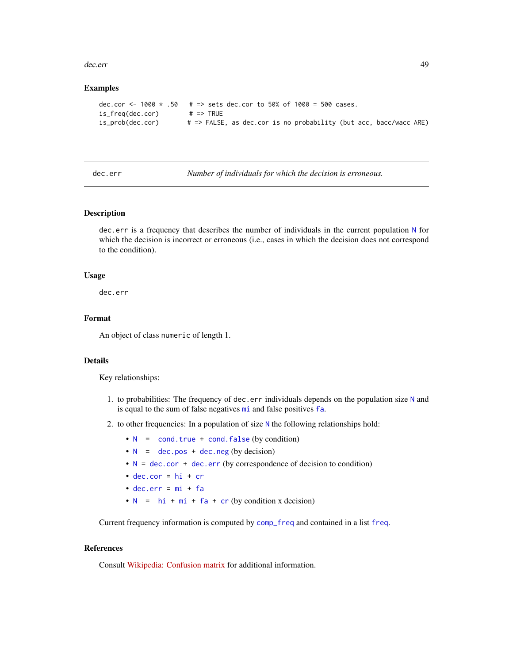#### dec.err **49**

## Examples

```
dec.cor <- 1000 * .50 # => sets dec.cor to 50% of 1000 = 500 cases.<br>is_freq(dec.cor) # => TRUE
is\_freq(dec.cor)is_prob(dec.cor) # => FALSE, as dec.cor is no probability (but acc, bacc/wacc ARE)
```
<span id="page-48-0"></span>

dec.err *Number of individuals for which the decision is erroneous.*

## Description

dec.err is a frequency that describes the number of individuals in the current population [N](#page-80-0) for which the decision is incorrect or erroneous (i.e., cases in which the decision does not correspond to the condition).

## Usage

dec.err

## Format

An object of class numeric of length 1.

## Details

Key relationships:

- 1. to probabilities: The frequency of dec.err individuals depends on the population size  $N$  and is equal to the sum of false negatives [mi](#page-77-0) and false positives [fa](#page-54-0).
- 2. to other frequencies: In a population of size [N](#page-80-0) the following relationships hold:
	- $N = \text{cond. true} + \text{cond. false (by condition)}$  $N = \text{cond. true} + \text{cond. false (by condition)}$
	- $N = dec.pos + dec.neg (by decision)$  $N = dec.pos + dec.neg (by decision)$  $N = dec.pos + dec.neg (by decision)$  $N = dec.pos + dec.neg (by decision)$  $N = dec.pos + dec.neg (by decision)$  $N = dec.pos + dec.neg (by decision)$
	- $N = dec.cor + dec.err$  $N = dec.cor + dec.err$  $N = dec.cor + dec.err$  $N = dec.cor + dec.err$  $N = dec.cor + dec.err$  (by correspondence of decision to condition)
	- $\bullet$  [dec.cor](#page-47-0) = [hi](#page-60-0) + [cr](#page-46-0)
	- $\bullet$  [dec.err](#page-48-0) =  $mi + fa$  $mi + fa$  $mi + fa$
	- $N = h i + m i + fa + cr$  $N = h i + m i + fa + cr$  $N = h i + m i + fa + cr$  $N = h i + m i + fa + cr$  $N = h i + m i + fa + cr$  (by condition x decision)

Current frequency information is computed by [comp\\_freq](#page-16-0) and contained in a list [freq](#page-59-0).

## References

Consult [Wikipedia: Confusion matrix](https://en.wikipedia.org/wiki/Confusion_matrix) for additional information.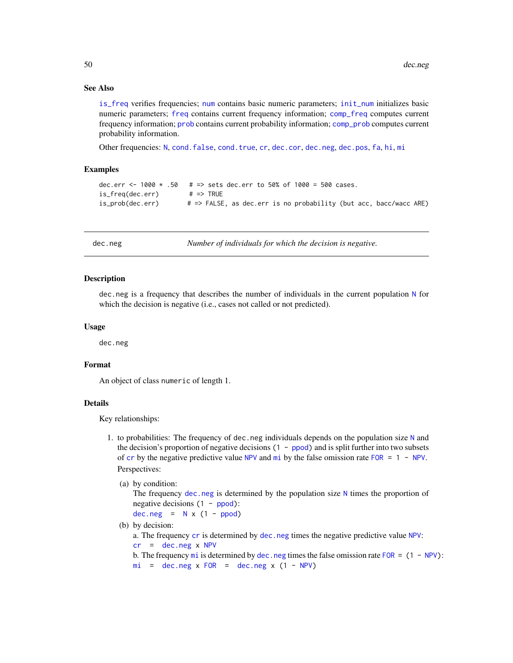# See Also

[is\\_freq](#page-69-0) verifies frequencies; [num](#page-82-0) contains basic numeric parameters; [init\\_num](#page-61-0) initializes basic numeric parameters; [freq](#page-59-0) contains current frequency information; [comp\\_freq](#page-16-0) computes current frequency information; [prob](#page-106-0) contains current probability information; [comp\\_prob](#page-32-0) computes current probability information.

Other frequencies: [N](#page-80-0), [cond.false](#page-43-0), [cond.true](#page-44-0), [cr](#page-46-0), [dec.cor](#page-47-0), [dec.neg](#page-49-0), [dec.pos](#page-50-0), [fa](#page-54-0), [hi](#page-60-0), [mi](#page-77-0)

## Examples

```
dec.err <- 1000 * .50 * = > sets dec.err to 50% of 1000 = 500 cases.
is_freq(dec.err) # => TRUE
is_prob(dec.err) # => FALSE, as dec.err is no probability (but acc, bacc/wacc ARE)
```
<span id="page-49-0"></span>

dec.neg *Number of individuals for which the decision is negative.*

## **Description**

dec.neg is a frequency that describes the number of individuals in the current population [N](#page-80-0) for which the decision is negative (i.e., cases not called or not predicted).

## Usage

dec.neg

#### Format

An object of class numeric of length 1.

#### Details

Key relationships:

1. to probabilities: The frequency of dec.neg individuals depends on the population size  $N$  and the decision's proportion of negative decisions  $(1 - p)$  and is split further into two subsets of [cr](#page-46-0) by the negative predictive value [NPV](#page-81-0) and  $m$  is by the false o[mi](#page-77-0)ssion rate [FOR](#page-57-0) = 1 - NPV. Perspectives:

```
(a) by condition:
```
The frequency [dec.neg](#page-49-0) is determined by the population size  $N$  times the proportion of negative decisions  $(1 - \text{ppod})$ :

```
dec.negNppod)
```
- (b) by decision:
	- a. The frequency [cr](#page-46-0) is determined by [dec.neg](#page-49-0) times the negative predictive value [NPV](#page-81-0):
	- $cr = dec.neg x NPV$  $cr = dec.neg x NPV$  $cr = dec.neg x NPV$  $cr = dec.neg x NPV$  $cr = dec.neg x NPV$
	- b. The frequency [mi](#page-77-0) is determined by [dec.neg](#page-49-0) times the false omission rate [FOR](#page-57-0) =  $(1 NPV)$  $(1 NPV)$ :  $mi = dec.neg x FOR = dec.neg x (1 - NPV)$  $mi = dec.neg x FOR = dec.neg x (1 - NPV)$  $mi = dec.neg x FOR = dec.neg x (1 - NPV)$  $mi = dec.neg x FOR = dec.neg x (1 - NPV)$  $mi = dec.neg x FOR = dec.neg x (1 - NPV)$  $mi = dec.neg x FOR = dec.neg x (1 - NPV)$  $mi = dec.neg x FOR = dec.neg x (1 - NPV)$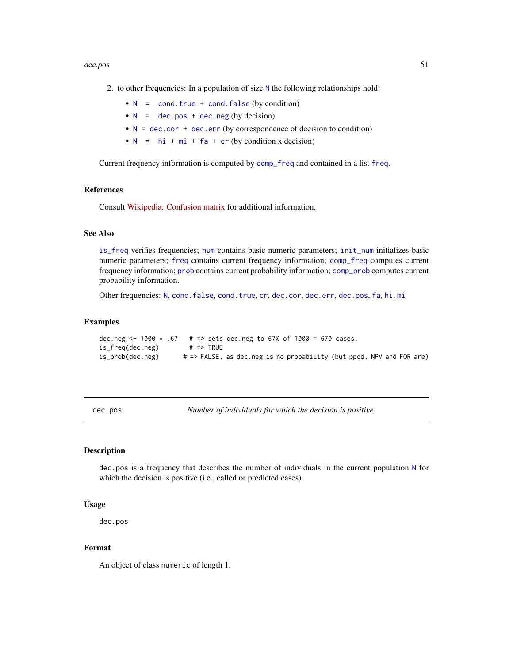#### dec.pos 51

- 2. to other frequencies: In a population of size  $N$  the following relationships hold:
	- $N = \text{cond. true} + \text{cond. false (by condition)}$  $N = \text{cond. true} + \text{cond. false (by condition)}$
	- $N =$  $N =$  [dec.pos](#page-50-0) + [dec.neg](#page-49-0) (by decision)
	- $N = dec.cor + dec.err$  $N = dec.cor + dec.err$  $N = dec.cor + dec.err$  $N = dec.cor + dec.err$  $N = dec.cor + dec.err$  (by correspondence of decision to condition)
	- $N = hi + mi + fa + cr$  $N = hi + mi + fa + cr$  $N = hi + mi + fa + cr$  $N = hi + mi + fa + cr$  $N = hi + mi + fa + cr$  $N = hi + mi + fa + cr$  $N = hi + mi + fa + cr$  $N = hi + mi + fa + cr$  $N = hi + mi + fa + cr$  (by condition x decision)

Current frequency information is computed by [comp\\_freq](#page-16-0) and contained in a list [freq](#page-59-0).

## References

Consult [Wikipedia: Confusion matrix](https://en.wikipedia.org/wiki/Confusion_matrix) for additional information.

# See Also

[is\\_freq](#page-69-0) verifies frequencies; [num](#page-82-0) contains basic numeric parameters; [init\\_num](#page-61-0) initializes basic numeric parameters; [freq](#page-59-0) contains current frequency information; [comp\\_freq](#page-16-0) computes current frequency information; [prob](#page-106-0) contains current probability information; [comp\\_prob](#page-32-0) computes current probability information.

Other frequencies: [N](#page-80-0), [cond.false](#page-43-0), [cond.true](#page-44-0), [cr](#page-46-0), [dec.cor](#page-47-0), [dec.err](#page-48-0), [dec.pos](#page-50-0), [fa](#page-54-0), [hi](#page-60-0), [mi](#page-77-0)

#### Examples

```
dec.neg <- 1000 \times .67 # => sets dec.neg to 67\% of 1000 = 670 cases.
is_freq(dec.neg) # => TRUE
is_prob(dec.neg) # => FALSE, as dec.neg is no probability (but ppod, NPV and FOR are)
```
<span id="page-50-0"></span>dec.pos *Number of individuals for which the decision is positive.*

# Description

dec.pos is a frequency that describes the number of individuals in the current population [N](#page-80-0) for which the decision is positive (i.e., called or predicted cases).

#### Usage

dec.pos

## Format

An object of class numeric of length 1.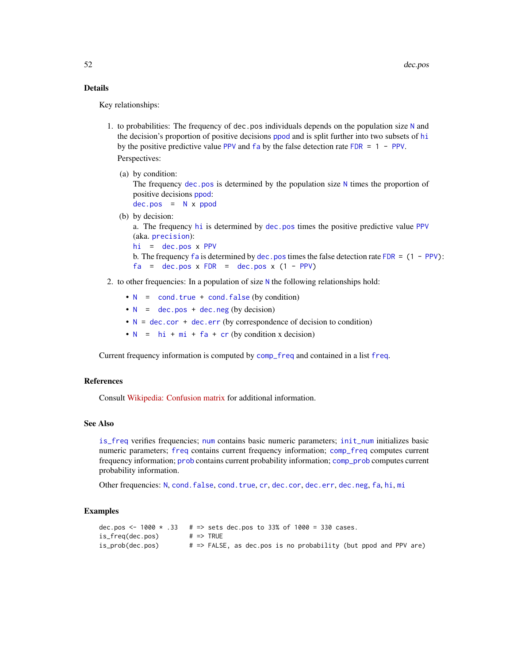# Details

Key relationships:

1. to probabilities: The frequency of dec.pos individuals depends on the population size [N](#page-80-0) and the decision's proportion of positive decisions [ppod](#page-102-0) and is split further into two subsets of [hi](#page-60-0) by the positive predictive value [PPV](#page-103-0) and  $fa$  by the false detection rate [FDR](#page-56-0) = 1 - PPV.

Perspectives:

(a) by condition:

The frequency  $\text{dec.}$  pos is determined by the population size [N](#page-80-0) times the proportion of positive decisions [ppod](#page-102-0):

 $dec.pos = N \times ppod$  $dec.pos = N \times ppod$  $dec.pos = N \times ppod$  $dec.pos = N \times ppod$  $dec.pos = N \times ppod$ 

(b) by decision:

a. The frequency [hi](#page-60-0) is determined by [dec.pos](#page-50-0) times the positive predictive value [PPV](#page-103-0) (aka. [precision](#page-103-1)):

[hi](#page-60-0) = [dec.pos](#page-50-0) x [PPV](#page-103-0)

b. The frequency [fa](#page-54-0) is determined by dec. pos times the false detection rate [FDR](#page-56-0) =  $(1 - PPV)$  $(1 - PPV)$ :  $fa = dec.pos x FDR = dec.pos x (1 - PPV)$  $fa = dec.pos x FDR = dec.pos x (1 - PPV)$  $fa = dec.pos x FDR = dec.pos x (1 - PPV)$  $fa = dec.pos x FDR = dec.pos x (1 - PPV)$  $fa = dec.pos x FDR = dec.pos x (1 - PPV)$  $fa = dec.pos x FDR = dec.pos x (1 - PPV)$  $fa = dec.pos x FDR = dec.pos x (1 - PPV)$ 

# 2. to other frequencies: In a population of size [N](#page-80-0) the following relationships hold:

- $\bullet$  [N](#page-80-0) = [cond.true](#page-44-0) + [cond.false](#page-43-0) (by condition)
- $N =$  $N =$  [dec.pos](#page-50-0) + [dec.neg](#page-49-0) (by decision)
- $N = dec.cor + dec.err$  $N = dec.cor + dec.err$  $N = dec.cor + dec.err$  $N = dec.cor + dec.err$  $N = dec.cor + dec.err$  (by correspondence of decision to condition)
- $N = hi + mi + fa + cr$  $N = hi + mi + fa + cr$  $N = hi + mi + fa + cr$  $N = hi + mi + fa + cr$  $N = hi + mi + fa + cr$  $N = hi + mi + fa + cr$  $N = hi + mi + fa + cr$  $N = hi + mi + fa + cr$  $N = hi + mi + fa + cr$  (by condition x decision)

Current frequency information is computed by [comp\\_freq](#page-16-0) and contained in a list [freq](#page-59-0).

# References

Consult [Wikipedia: Confusion matrix](https://en.wikipedia.org/wiki/Confusion_matrix) for additional information.

## See Also

[is\\_freq](#page-69-0) verifies frequencies; [num](#page-82-0) contains basic numeric parameters; [init\\_num](#page-61-0) initializes basic numeric parameters; [freq](#page-59-0) contains current frequency information; [comp\\_freq](#page-16-0) computes current frequency information; [prob](#page-106-0) contains current probability information; [comp\\_prob](#page-32-0) computes current probability information.

Other frequencies: [N](#page-80-0), [cond.false](#page-43-0), [cond.true](#page-44-0), [cr](#page-46-0), [dec.cor](#page-47-0), [dec.err](#page-48-0), [dec.neg](#page-49-0), [fa](#page-54-0), [hi](#page-60-0), [mi](#page-77-0)

```
dec.pos <- 1000 \times .33 # => sets dec.pos to 33% of 1000 = 330 cases.
is_freq(dec.pos) # => TRUE
is_prob(dec.pos) # => FALSE, as dec.pos is no probability (but ppod and PPV are)
```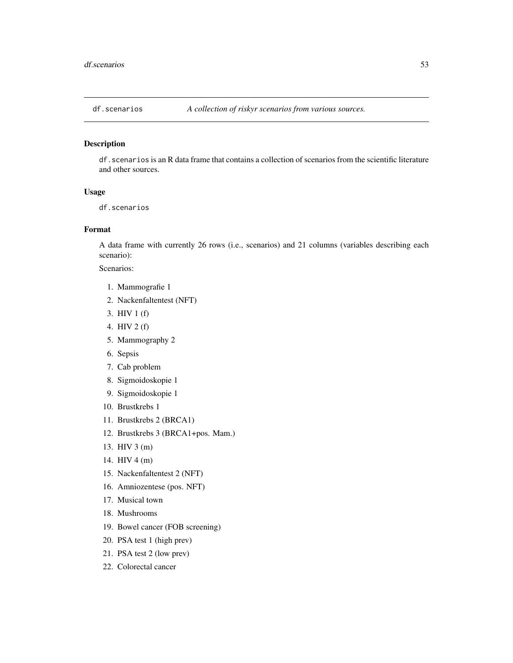df.scenarios is an R data frame that contains a collection of scenarios from the scientific literature and other sources.

## Usage

df.scenarios

# Format

A data frame with currently 26 rows (i.e., scenarios) and 21 columns (variables describing each scenario):

Scenarios:

- 1. Mammografie 1
- 2. Nackenfaltentest (NFT)
- 3. HIV 1 (f)
- 4. HIV 2 (f)
- 5. Mammography 2
- 6. Sepsis
- 7. Cab problem
- 8. Sigmoidoskopie 1
- 9. Sigmoidoskopie 1
- 10. Brustkrebs 1
- 11. Brustkrebs 2 (BRCA1)
- 12. Brustkrebs 3 (BRCA1+pos. Mam.)
- 13. HIV 3 (m)
- 14. HIV 4 (m)
- 15. Nackenfaltentest 2 (NFT)
- 16. Amniozentese (pos. NFT)
- 17. Musical town
- 18. Mushrooms
- 19. Bowel cancer (FOB screening)
- 20. PSA test 1 (high prev)
- 21. PSA test 2 (low prev)
- 22. Colorectal cancer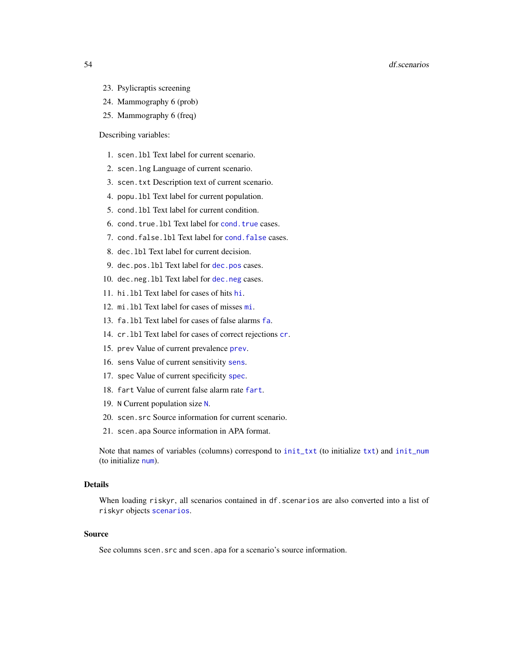#### 54 df.scenarios

- 23. Psylicraptis screening
- 24. Mammography 6 (prob)
- 25. Mammography 6 (freq)

## Describing variables:

- 1. scen.lbl Text label for current scenario.
- 2. scen.lng Language of current scenario.
- 3. scen.txt Description text of current scenario.
- 4. popu.lbl Text label for current population.
- 5. cond.lbl Text label for current condition.
- 6. cond.true.lbl Text label for [cond.true](#page-44-0) cases.
- 7. cond.false.lbl Text label for [cond.false](#page-43-0) cases.
- 8. dec.lbl Text label for current decision.
- 9. dec.pos.lbl Text label for [dec.pos](#page-50-0) cases.
- 10. dec.neg.lbl Text label for [dec.neg](#page-49-0) cases.
- 11. hi.lbl Text label for cases of hits [hi](#page-60-0).
- 12. mi.lbl Text label for cases of misses [mi](#page-77-0).
- 13. fa.lbl Text label for cases of false alarms [fa](#page-54-0).
- 14. cr.lbl Text label for cases of correct rejections [cr](#page-46-0).
- 15. prev Value of current prevalence [prev](#page-104-0).
- 16. sens Value of current sensitivity [sens](#page-112-0).
- 17. spec Value of current specificity [spec](#page-113-0).
- 18. fart Value of current false alarm rate [fart](#page-55-0).
- 19. N Current population size [N](#page-80-0).
- 20. scen.src Source information for current scenario.
- 21. scen.apa Source information in APA format.

Note that names of variables (columns) correspond to [init\\_txt](#page-64-0) (to initialize [txt](#page-115-0)) and [init\\_num](#page-61-0) (to initialize [num](#page-82-0)).

## Details

When loading riskyr, all scenarios contained in df.scenarios are also converted into a list of riskyr objects [scenarios](#page-110-0).

#### Source

See columns scen. src and scen. apa for a scenario's source information.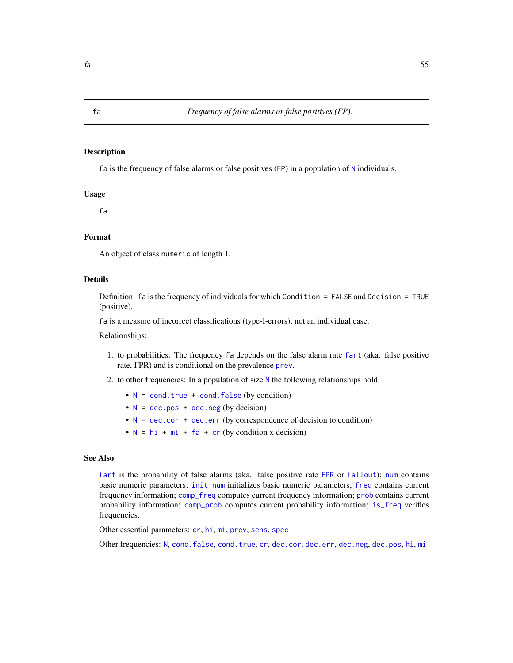fa is the frequency of false alarms or false positives (FP) in a population of [N](#page-80-0) individuals.

## Usage

fa

# Format

An object of class numeric of length 1.

## Details

Definition: fa is the frequency of individuals for which Condition = FALSE and Decision = TRUE (positive).

fa is a measure of incorrect classifications (type-I-errors), not an individual case.

Relationships:

- 1. to probabilities: The frequency fa depends on the false alarm rate [fart](#page-55-0) (aka. false positive rate, FPR) and is conditional on the prevalence [prev](#page-104-0).
- 2. to other frequencies: In a population of size  $N$  the following relationships hold:
	- $N = \text{cond}$  $N = \text{cond}$ . true + cond. false (by condition)
	- $N = dec.pos + dec.neg (by decision)$  $N = dec.pos + dec.neg (by decision)$  $N = dec.pos + dec.neg (by decision)$  $N = dec.pos + dec.neg (by decision)$  $N = dec.pos + dec.neg (by decision)$  $N = dec.pos + dec.neg (by decision)$
	- $N = dec.cor + dec.err$  $N = dec.cor + dec.err$  $N = dec.cor + dec.err$  $N = dec.cor + dec.err$  $N = dec.cor + dec.err$  (by correspondence of decision to condition)
	- $N = hi + mi + fa + cr$  $N = hi + mi + fa + cr$  $N = hi + mi + fa + cr$  $N = hi + mi + fa + cr$  $N = hi + mi + fa + cr$  $N = hi + mi + fa + cr$  $N = hi + mi + fa + cr$  $N = hi + mi + fa + cr$  $N = hi + mi + fa + cr$  (by condition x decision)

## See Also

[fart](#page-55-0) is the probability of false alarms (aka. false positive rate [FPR](#page-55-1) or [fallout](#page-55-1)); [num](#page-82-0) contains basic numeric parameters; [init\\_num](#page-61-0) initializes basic numeric parameters; [freq](#page-59-0) contains current frequency information; [comp\\_freq](#page-16-0) computes current frequency information; [prob](#page-106-0) contains current probability information; [comp\\_prob](#page-32-0) computes current probability information; [is\\_freq](#page-69-0) verifies frequencies.

Other essential parameters: [cr](#page-46-0), [hi](#page-60-0), [mi](#page-77-0), [prev](#page-104-0), [sens](#page-112-0), [spec](#page-113-0)

Other frequencies: [N](#page-80-0), [cond.false](#page-43-0), [cond.true](#page-44-0), [cr](#page-46-0), [dec.cor](#page-47-0), [dec.err](#page-48-0), [dec.neg](#page-49-0), [dec.pos](#page-50-0), [hi](#page-60-0), [mi](#page-77-0)

<span id="page-54-0"></span>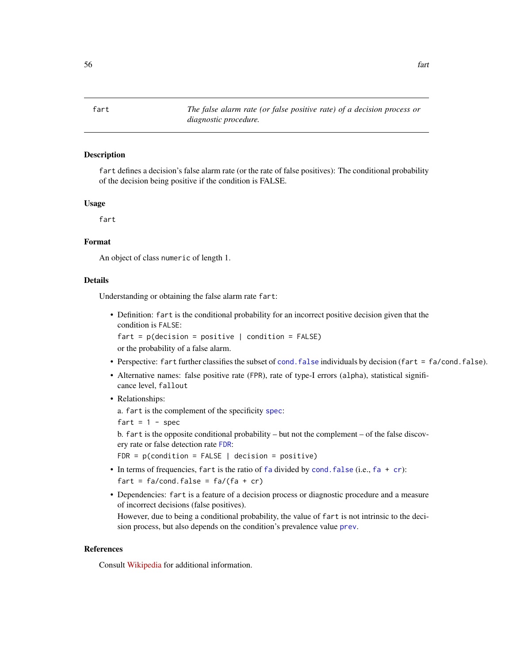<span id="page-55-1"></span>fart defines a decision's false alarm rate (or the rate of false positives): The conditional probability of the decision being positive if the condition is FALSE.

## Usage

fart

## Format

An object of class numeric of length 1.

## Details

Understanding or obtaining the false alarm rate fart:

• Definition: fart is the conditional probability for an incorrect positive decision given that the condition is FALSE:

```
fart = p(decision = positive | condition = FALSE)or the probability of a false alarm.
```
- Perspective: fart further classifies the subset of [cond.false](#page-43-0) individuals by decision (fart = fa/cond.false).
- Alternative names: false positive rate (FPR), rate of type-I errors (alpha), statistical significance level, fallout

# • Relationships:

a. fart is the complement of the specificity [spec](#page-113-0):

fart =  $1 - spec$ 

b. fart is the opposite conditional probability – but not the complement – of the false discovery rate or false detection rate [FDR](#page-56-0):

FDR =  $p$ (condition = FALSE | decision =  $positive$ )

- In terms of frequencies, [fa](#page-54-0)rt is the ratio of fa divided by cond. false (i.e.,  $fa + cr$  $fa + cr$ ): fart =  $fa/cond.false = fa/(fa + cr)$
- Dependencies: fart is a feature of a decision process or diagnostic procedure and a measure of incorrect decisions (false positives).

However, due to being a conditional probability, the value of fart is not intrinsic to the decision process, but also depends on the condition's prevalence value [prev](#page-104-0).

# References

Consult [Wikipedia](https://en.wikipedia.org/wiki/Sensitivity_and_specificity) for additional information.

<span id="page-55-0"></span>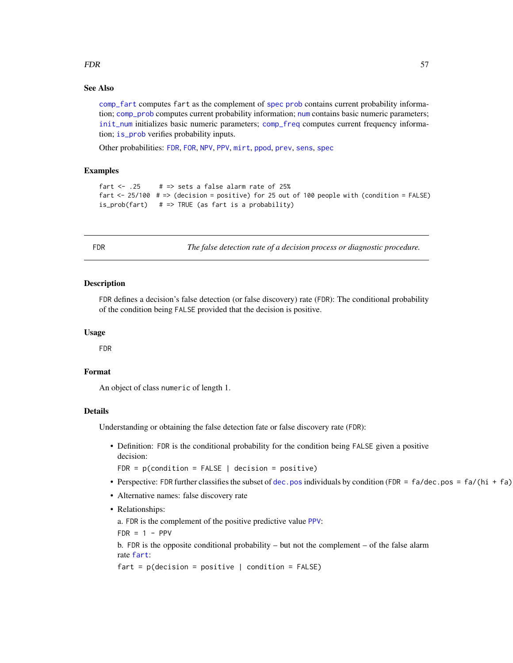#### FDR 57

## See Also

[comp\\_fart](#page-13-0) computes fart as the complement of [spec](#page-113-0) [prob](#page-106-0) contains current probability information; [comp\\_prob](#page-32-0) computes current probability information; [num](#page-82-0) contains basic numeric parameters; [init\\_num](#page-61-0) initializes basic numeric parameters; [comp\\_freq](#page-16-0) computes current frequency information; [is\\_prob](#page-71-0) verifies probability inputs.

Other probabilities: [FDR](#page-56-0), [FOR](#page-57-0), [NPV](#page-81-0), [PPV](#page-103-0), [mirt](#page-78-0), [ppod](#page-102-0), [prev](#page-104-0), [sens](#page-112-0), [spec](#page-113-0)

## Examples

```
fart <- .25 # => sets a false alarm rate of 25%
fart <-25/100 # => (decision = positive) for 25 out of 100 people with (condition = FALSE)
is_prob(fart) # => TRUE (as fart is a probability)
```
<span id="page-56-0"></span>

FDR *The false detection rate of a decision process or diagnostic procedure.*

## Description

FDR defines a decision's false detection (or false discovery) rate (FDR): The conditional probability of the condition being FALSE provided that the decision is positive.

## Usage

FDR

# Format

An object of class numeric of length 1.

## Details

Understanding or obtaining the false detection fate or false discovery rate (FDR):

• Definition: FDR is the conditional probability for the condition being FALSE given a positive decision:

 $FDR = p$ (condition = FALSE | decision = positive)

- Perspective: FDR further classifies the subset of [dec.pos](#page-50-0) individuals by condition (FDR = fa/dec.pos = fa/(hi + fa)
- Alternative names: false discovery rate
- Relationships:

a. FDR is the complement of the positive predictive value [PPV](#page-103-0):

 $FDR = 1 - PPV$ 

b. FDR is the opposite conditional probability – but not the complement – of the false alarm rate [fart](#page-55-0):

 $fart = p(decision = positive | condition = FALSE)$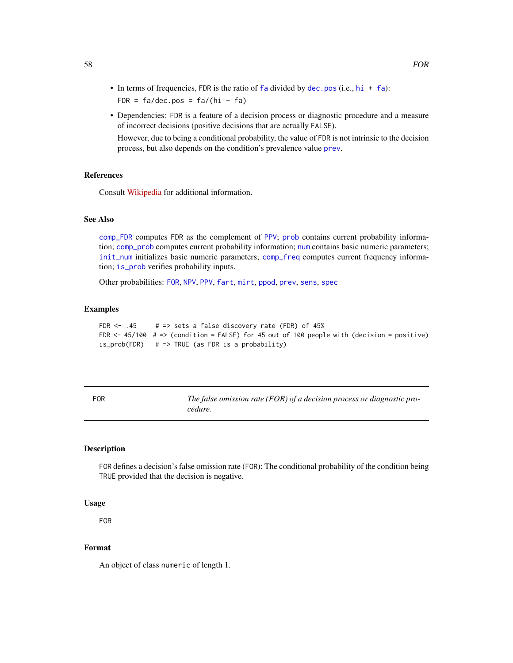- In terms of frequencies, FDR is the ratio of  $fa$  divided by [dec.pos](#page-50-0) (i.e.,  $hi + fa$  $hi + fa$ ): FDR =  $fa/dec.pos = fa/(hi + fa)$
- Dependencies: FDR is a feature of a decision process or diagnostic procedure and a measure of incorrect decisions (positive decisions that are actually FALSE).

However, due to being a conditional probability, the value of FDR is not intrinsic to the decision process, but also depends on the condition's prevalence value [prev](#page-104-0).

# References

Consult [Wikipedia](https://en.wikipedia.org/wiki/Positive_and_negative_predictive_values) for additional information.

# See Also

[comp\\_FDR](#page-14-0) computes FDR as the complement of [PPV](#page-103-0); [prob](#page-106-0) contains current probability information; [comp\\_prob](#page-32-0) computes current probability information; [num](#page-82-0) contains basic numeric parameters; [init\\_num](#page-61-0) initializes basic numeric parameters; [comp\\_freq](#page-16-0) computes current frequency information; [is\\_prob](#page-71-0) verifies probability inputs.

Other probabilities: [FOR](#page-57-0), [NPV](#page-81-0), [PPV](#page-103-0), [fart](#page-55-0), [mirt](#page-78-0), [ppod](#page-102-0), [prev](#page-104-0), [sens](#page-112-0), [spec](#page-113-0)

#### Examples

FDR  $<-$  .45 # => sets a false discovery rate (FDR) of 45% FDR  $\le$  45/100 # => (condition = FALSE) for 45 out of 100 people with (decision = positive) is\_prob(FDR) # => TRUE (as FDR is a probability)

<span id="page-57-0"></span>

| FOR | The false omission rate (FOR) of a decision process or diagnostic pro- |
|-----|------------------------------------------------------------------------|
|     | cedure.                                                                |

## Description

FOR defines a decision's false omission rate (FOR): The conditional probability of the condition being TRUE provided that the decision is negative.

## Usage

FOR

## Format

An object of class numeric of length 1.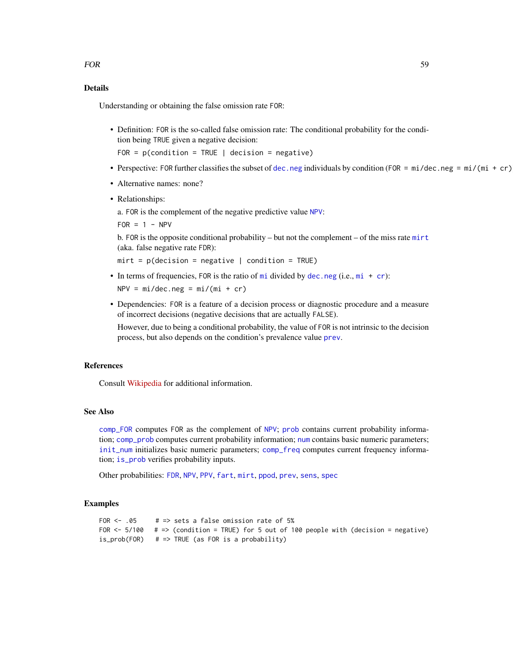# Details

Understanding or obtaining the false omission rate FOR:

• Definition: FOR is the so-called false omission rate: The conditional probability for the condition being TRUE given a negative decision:

 $FOR = p(condition = TRUE | decision = negative)$ 

- Perspective: FOR further classifies the subset of [dec.neg](#page-49-0) individuals by condition (FOR =  $mi/dec.neg$  =  $mi/(mi + cr)$ ).
- Alternative names: none?
- Relationships:

a. FOR is the complement of the negative predictive value [NPV](#page-81-0):

 $FOR = 1 - NPV$ 

b. FOR is the opposite conditional probability – but not the complement – of the miss rate [mirt](#page-78-0) (aka. false negative rate FDR):

 $mirt = p(decision = negative | condition = TRUE)$ 

• In terms of frequencies, FOR is the ratio of  $m$  idivided by [dec.neg](#page-49-0) (i.e.,  $m$  + [cr](#page-46-0)):

 $NPV = mi/dec.neg = mi/(mi + cr)$ 

• Dependencies: FOR is a feature of a decision process or diagnostic procedure and a measure of incorrect decisions (negative decisions that are actually FALSE).

However, due to being a conditional probability, the value of FOR is not intrinsic to the decision process, but also depends on the condition's prevalence value [prev](#page-104-0).

## **References**

Consult [Wikipedia](https://en.wikipedia.org/wiki/Positive_and_negative_predictive_values) for additional information.

# See Also

[comp\\_FOR](#page-15-0) computes FOR as the complement of [NPV](#page-81-0); [prob](#page-106-0) contains current probability information; [comp\\_prob](#page-32-0) computes current probability information; [num](#page-82-0) contains basic numeric parameters; [init\\_num](#page-61-0) initializes basic numeric parameters; [comp\\_freq](#page-16-0) computes current frequency information; [is\\_prob](#page-71-0) verifies probability inputs.

Other probabilities: [FDR](#page-56-0), [NPV](#page-81-0), [PPV](#page-103-0), [fart](#page-55-0), [mirt](#page-78-0), [ppod](#page-102-0), [prev](#page-104-0), [sens](#page-112-0), [spec](#page-113-0)

```
FOR <- .05 # => sets a false omission rate of 5%
FOR \le 5/100 # => (condition = TRUE) for 5 out of 100 people with (decision = negative)
is_prob(FOR) # => TRUE (as FOR is a probability)
```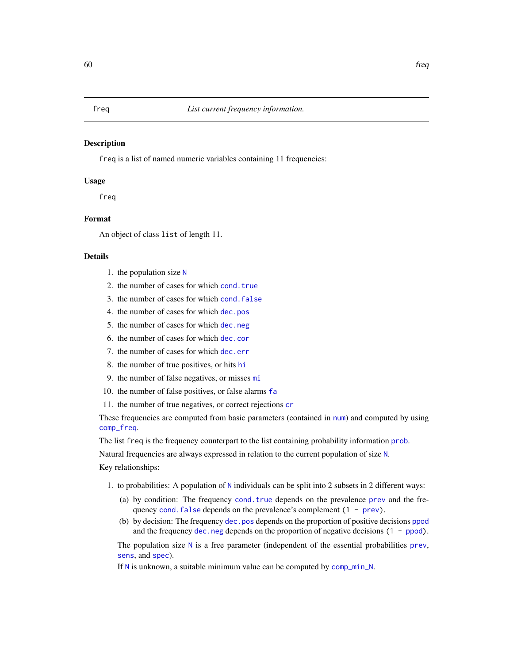<span id="page-59-0"></span>freq is a list of named numeric variables containing 11 frequencies:

## Usage

freq

# Format

An object of class list of length 11.

#### Details

- 1. the population size [N](#page-80-0)
- 2. the number of cases for which [cond.true](#page-44-0)
- 3. the number of cases for which [cond.false](#page-43-0)
- 4. the number of cases for which [dec.pos](#page-50-0)
- 5. the number of cases for which [dec.neg](#page-49-0)
- 6. the number of cases for which [dec.cor](#page-47-0)
- 7. the number of cases for which [dec.err](#page-48-0)
- 8. the number of true positives, or hits [hi](#page-60-0)
- 9. the number of false negatives, or misses [mi](#page-77-0)
- 10. the number of false positives, or false alarms [fa](#page-54-0)
- 11. the number of true negatives, or correct rejections [cr](#page-46-0)

These frequencies are computed from basic parameters (contained in [num](#page-82-0)) and computed by using [comp\\_freq](#page-16-0).

The list freq is the frequency counterpart to the list containing probability information [prob](#page-106-0).

[N](#page-80-0)atural frequencies are always expressed in relation to the current population of size N. Key relationships:

- 1. to probabilities: A population of [N](#page-80-0) individuals can be split into 2 subsets in 2 different ways:
	- (a) by condition: The frequency [cond.true](#page-44-0) depends on the prevalence [prev](#page-104-0) and the frequency cond. false depends on the prevalence's complement  $(1 - prev)$  $(1 - prev)$ .
	- (b) by decision: The frequency [dec.pos](#page-50-0) depends on the proportion of positive decisions [ppod](#page-102-0) and the frequency  $\text{dec.}$  neg depends on the proportion of negative decisions  $(1 - \text{ppod})$ .

The population size  $N$  is a free parameter (independent of the essential probabilities [prev](#page-104-0), [sens](#page-112-0), and [spec](#page-113-0)).

If [N](#page-80-0) is unknown, a suitable minimum value can be computed by [comp\\_min\\_N](#page-24-0).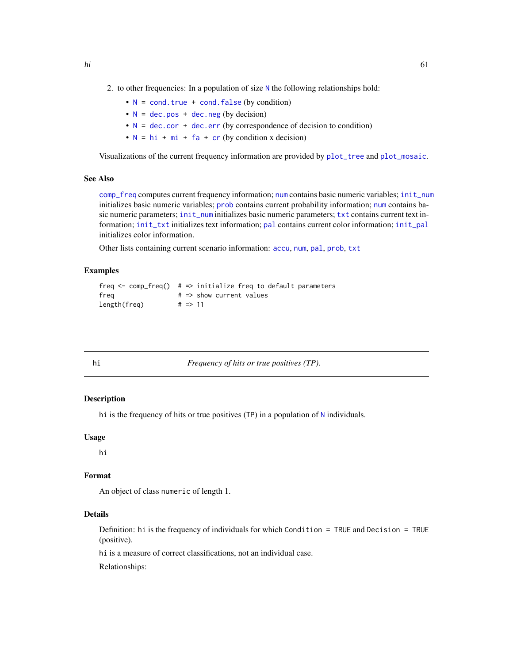2. to other frequencies: In a population of size  $N$  the following relationships hold:

- $N = \text{cond. true} + \text{cond. false (by condition)}$  $N = \text{cond. true} + \text{cond. false (by condition)}$
- $N = dec.pos + dec.neg (by decision)$  $N = dec.pos + dec.neg (by decision)$  $N = dec.pos + dec.neg (by decision)$  $N = dec.pos + dec.neg (by decision)$  $N = dec.pos + dec.neg (by decision)$  $N = dec.pos + dec.neg (by decision)$
- $N = dec.cor + dec.err$  $N = dec.cor + dec.err$  $N = dec.cor + dec.err$  $N = dec.cor + dec.err$  $N = dec.cor + dec.err$  (by correspondence of decision to condition)
- $N = hi + mi + fa + cr$  $N = hi + mi + fa + cr$  $N = hi + mi + fa + cr$  $N = hi + mi + fa + cr$  $N = hi + mi + fa + cr$  $N = hi + mi + fa + cr$  $N = hi + mi + fa + cr$  $N = hi + mi + fa + cr$  $N = hi + mi + fa + cr$  (by condition x decision)

Visualizations of the current frequency information are provided by [plot\\_tree](#page-97-0) and [plot\\_mosaic](#page-94-0).

## See Also

[comp\\_freq](#page-16-0) computes current frequency information; [num](#page-82-0) contains basic numeric variables; [init\\_num](#page-61-0) initializes basic numeric variables; [prob](#page-106-0) contains current probability information; [num](#page-82-0) contains basic numeric parameters; [init\\_num](#page-61-0) initializes basic numeric parameters; [txt](#page-115-0) contains current text information; [init\\_txt](#page-64-0) initializes text information; [pal](#page-83-0) contains current color information; [init\\_pal](#page-62-0) initializes color information.

Other lists containing current scenario information: [accu](#page-2-0), [num](#page-82-0), [pal](#page-83-0), [prob](#page-106-0), [txt](#page-115-0)

## Examples

```
freq \leq comp_freq() # => initialize freq to default parameters
freq # \Rightarrow show current values
length(freq) # => 11
```
<span id="page-60-0"></span>

hi *Frequency of hits or true positives (TP).*

## Description

hi is the frequency of hits or true positives (TP) in a population of [N](#page-80-0) individuals.

#### Usage

hi

## Format

An object of class numeric of length 1.

# Details

Definition: hi is the frequency of individuals for which Condition = TRUE and Decision = TRUE (positive).

hi is a measure of correct classifications, not an individual case.

Relationships: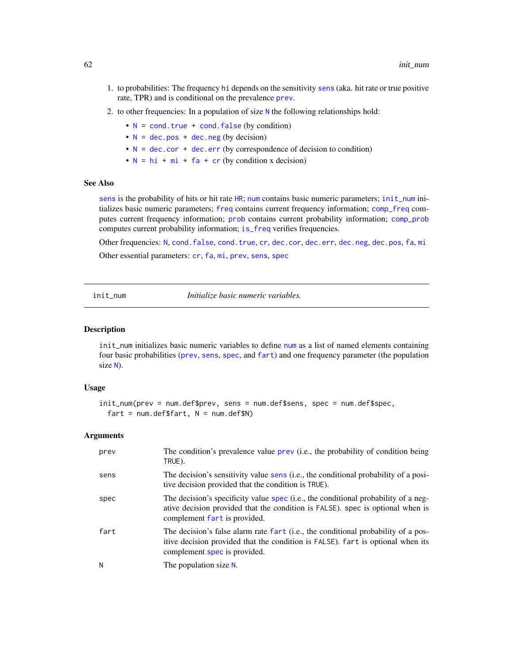- 1. to probabilities: The frequency hi depends on the sensitivity [sens](#page-112-0) (aka. hit rate or true positive rate, TPR) and is conditional on the prevalence [prev](#page-104-0).
- 2. to other frequencies: In a population of size [N](#page-80-0) the following relationships hold:
	- $N = \text{cond. true} + \text{cond. false (by condition)}$  $N = \text{cond. true} + \text{cond. false (by condition)}$
	- $N = dec.pos + dec.neg (by decision)$  $N = dec.pos + dec.neg (by decision)$  $N = dec.pos + dec.neg (by decision)$  $N = dec.pos + dec.neg (by decision)$  $N = dec.pos + dec.neg (by decision)$  $N = dec.pos + dec.neg (by decision)$
	- $N = dec.cor + dec.err$  $N = dec.cor + dec.err$  $N = dec.cor + dec.err$  $N = dec.cor + dec.err$  $N = dec.cor + dec.err$  (by correspondence of decision to condition)
	- $N = hi + mi + fa + cr$  $N = hi + mi + fa + cr$  $N = hi + mi + fa + cr$  $N = hi + mi + fa + cr$  $N = hi + mi + fa + cr$  $N = hi + mi + fa + cr$  $N = hi + mi + fa + cr$  $N = hi + mi + fa + cr$  $N = hi + mi + fa + cr$  (by condition x decision)

## See Also

[sens](#page-112-0) is the probability of hits or hit rate [HR](#page-112-1); [num](#page-82-0) contains basic numeric parameters; [init\\_num](#page-61-0) initializes basic numeric parameters; [freq](#page-59-0) contains current frequency information; [comp\\_freq](#page-16-0) computes current frequency information; [prob](#page-106-0) contains current probability information; [comp\\_prob](#page-32-0) computes current probability information; [is\\_freq](#page-69-0) verifies frequencies.

Other frequencies: [N](#page-80-0), [cond.false](#page-43-0), [cond.true](#page-44-0), [cr](#page-46-0), [dec.cor](#page-47-0), [dec.err](#page-48-0), [dec.neg](#page-49-0), [dec.pos](#page-50-0), [fa](#page-54-0), [mi](#page-77-0) Other essential parameters: [cr](#page-46-0), [fa](#page-54-0), [mi](#page-77-0), [prev](#page-104-0), [sens](#page-112-0), [spec](#page-113-0)

<span id="page-61-0"></span>init\_num *Initialize basic numeric variables.*

## **Description**

init\_num initializes basic numeric variables to define [num](#page-82-0) as a list of named elements containing four basic probabilities ([prev](#page-104-0), [sens](#page-112-0), [spec](#page-113-0), and [fart](#page-55-0)) and one frequency parameter (the population size [N](#page-80-0)).

#### Usage

```
init_num(prev = num.def$prev, sens = num.def$sens, spec = num.def$spec,
 fart = num.deffstrt, N = num.deffN)
```
## **Arguments**

| prev | The condition's prevalence value prev (i.e., the probability of condition being<br>TRUE).                                                                                                            |
|------|------------------------------------------------------------------------------------------------------------------------------------------------------------------------------------------------------|
| sens | The decision's sensitivity value sens (i.e., the conditional probability of a posi-<br>tive decision provided that the condition is TRUE).                                                           |
| spec | The decision's specificity value spec (i.e., the conditional probability of a neg-<br>ative decision provided that the condition is FALSE). spec is optional when is<br>complement fart is provided. |
| fart | The decision's false alarm rate fart (i.e., the conditional probability of a pos-<br>itive decision provided that the condition is FALSE). fart is optional when its<br>complement spec is provided. |
| N    | The population size N.                                                                                                                                                                               |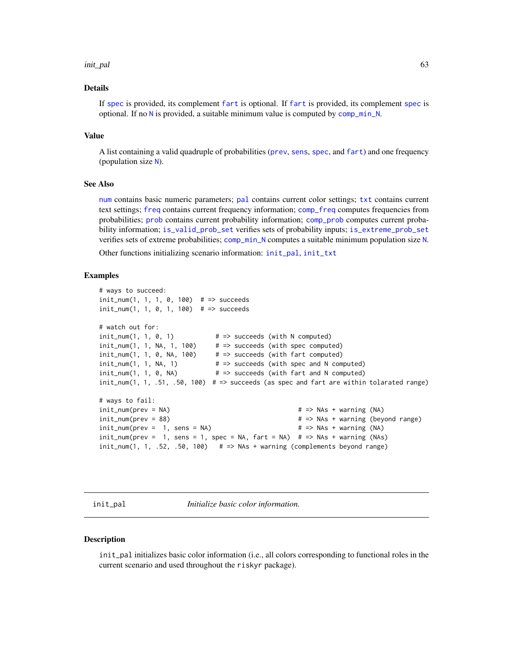#### init\_pal 63

## Details

If [spec](#page-113-0) is provided, its complement [fart](#page-55-0) is optional. If [fart](#page-55-0) is provided, its complement [spec](#page-113-0) is optional. If no [N](#page-80-0) is provided, a suitable minimum value is computed by [comp\\_min\\_N](#page-24-0).

#### Value

A list containing a valid quadruple of probabilities ([prev](#page-104-0), [sens](#page-112-0), [spec](#page-113-0), and [fart](#page-55-0)) and one frequency (population size [N](#page-80-0)).

# See Also

[num](#page-82-0) contains basic numeric parameters; [pal](#page-83-0) contains current color settings; [txt](#page-115-0) contains current text settings; [freq](#page-59-0) contains current frequency information; [comp\\_freq](#page-16-0) computes frequencies from probabilities; [prob](#page-106-0) contains current probability information; [comp\\_prob](#page-32-0) computes current probability information; [is\\_valid\\_prob\\_set](#page-74-0) verifies sets of probability inputs; [is\\_extreme\\_prob\\_set](#page-67-0) verifies sets of extreme probabilities; [comp\\_min\\_N](#page-24-0) computes a suitable minimum population size [N](#page-80-0).

Other functions initializing scenario information: [init\\_pal](#page-62-0), [init\\_txt](#page-64-0)

## Examples

```
# ways to succeed:
init_num(1, 1, 1, 0, 100) # => succeeds
init_num(1, 1, 0, 1, 100) # => succeeds
# watch out for:
init\_num(1, 1, 0, 1) \qquad # \Rightarrow succeeds (with N computed)
init\_num(1, 1, NA, 1, 100) # => succeeds (with spec computed)
init_num(1, 1, 0, NA, 100) \# \Rightarrow succeeds (with fart computed)<br>init_num(1, 1, NA, 1) \# \Rightarrow succeeds (with spec and N com<br>init_num(1, 1, 0, NA) \# \Rightarrow succeeds (with fart and N com
                                # => succeeds (with spec and N computed)
                                # => succeeds (with fart and N computed)
init\_num(1, 1, .51, .50, 100) # => succeeds (as spec and fart are within tolarated range)
# ways to fail:
init\_num(prev = NA) \qquad \qquad \qquad # \Rightarrow NAS + warning (NA)init_num(prev = 88) # => NAs + warning (beyond range)
init\_num(prev = 1, sens = NA) \qquad # \Rightarrow NAS + warning (NA)init\_num(prev = 1, sens = 1, spec = NA, fart = NA) # => NAS + warning (NAS)init\_num(1, 1, .52, .50, 100) # => NAs + warning (complements beyond range)
```
<span id="page-62-0"></span>init\_pal *Initialize basic color information.*

#### **Description**

init\_pal initializes basic color information (i.e., all colors corresponding to functional roles in the current scenario and used throughout the riskyr package).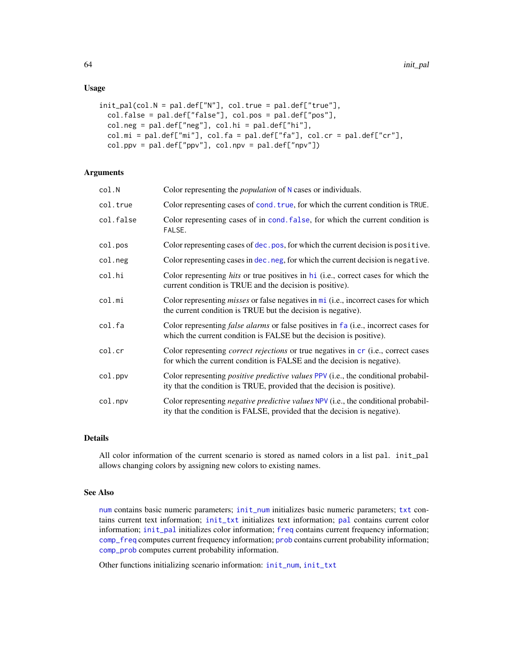## Usage

```
init_pal(col.N = pal.def["N"], col.true = pal.def["true"],
  col.false = pal.def["false"], col.pos = pal.def["pos"],
  col.neg = pal.deff['neg''], col.hi = pal.deff['hi''],
 col.mi = pal.def["mi"], col.fa = pal.def["fa"], col.cr = pal.def["cr"],
  col.pyv = pal.deff['ppv''], col.npv = pal.deff['npv'']
```
## Arguments

| col.N     | Color representing the <i>population</i> of N cases or individuals.                                                                                                    |
|-----------|------------------------------------------------------------------------------------------------------------------------------------------------------------------------|
| col.true  | Color representing cases of cond. true, for which the current condition is TRUE.                                                                                       |
| col.false | Color representing cases of in cond. false, for which the current condition is<br>FALSE.                                                                               |
| col.pos   | Color representing cases of dec. pos, for which the current decision is positive.                                                                                      |
| col.neg   | Color representing cases in dec. neg, for which the current decision is negative.                                                                                      |
| col.hi    | Color representing hits or true positives in hi (i.e., correct cases for which the<br>current condition is TRUE and the decision is positive).                         |
| col.mi    | Color representing <i>misses</i> or false negatives in mi (i.e., incorrect cases for which<br>the current condition is TRUE but the decision is negative).             |
| col.fa    | Color representing <i>false alarms</i> or false positives in fa (i.e., incorrect cases for<br>which the current condition is FALSE but the decision is positive).      |
| col.cr    | Color representing <i>correct rejections</i> or true negatives in cr (i.e., correct cases<br>for which the current condition is FALSE and the decision is negative).   |
| col.ppv   | Color representing <i>positive predictive values</i> PPV (i.e., the conditional probabil-<br>ity that the condition is TRUE, provided that the decision is positive).  |
| col.npv   | Color representing <i>negative predictive values</i> NPV (i.e., the conditional probabil-<br>ity that the condition is FALSE, provided that the decision is negative). |

## Details

All color information of the current scenario is stored as named colors in a list pal. init\_pal allows changing colors by assigning new colors to existing names.

# See Also

[num](#page-82-0) contains basic numeric parameters; [init\\_num](#page-61-0) initializes basic numeric parameters; [txt](#page-115-0) contains current text information; [init\\_txt](#page-64-0) initializes text information; [pal](#page-83-0) contains current color information; [init\\_pal](#page-62-0) initializes color information; [freq](#page-59-0) contains current frequency information; [comp\\_freq](#page-16-0) computes current frequency information; [prob](#page-106-0) contains current probability information; [comp\\_prob](#page-32-0) computes current probability information.

Other functions initializing scenario information: [init\\_num](#page-61-0), [init\\_txt](#page-64-0)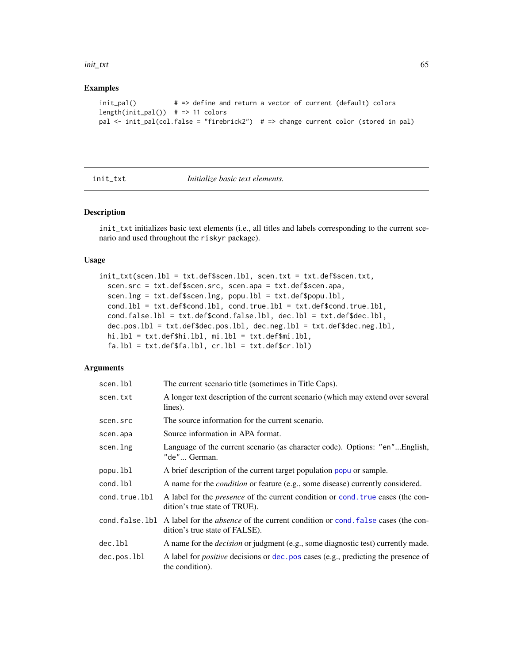#### init\_txt 65

## Examples

```
init_pal() # => define and return a vector of current (default) colors
length(int\_pal()) # => 11 colors
pal <- init_pal(col.false = "firebrick2") # => change current color (stored in pal)
```
<span id="page-64-0"></span>

init\_txt *Initialize basic text elements.*

# Description

init\_txt initializes basic text elements (i.e., all titles and labels corresponding to the current scenario and used throughout the riskyr package).

## Usage

```
init_txt(scen.lbl = txt.def$scen.lbl, scen.txt = txt.def$scen.txt,
  scen.src = txt.def$scen.src, scen.apa = txt.def$scen.apa,
  scen.lng = txt.def$scen.lng, popu.lbl = txt.def$popu.lbl,
  cond.lbl = txt.def$cond.lbl, cond.true.lbl = txt.def$cond.true.lbl,
  cond.false.lbl = txt.def$cond.false.lbl, dec.lbl = txt.def$dec.lbl,
  dec.pos.lbl = txt.def$dec.pos.lbl, dec.neg.lbl = txt.def$dec.neg.lbl,
 hi.lbl = txt.def$hi.lbl, mi.lbl = txt.def$mi.lbl,
  fa.1bl = txt.def$fa.1bl, cr.1bl = txt.def$cr.1bl
```
## Arguments

| scen.lbl      | The current scenario title (sometimes in Title Caps).                                                                                     |
|---------------|-------------------------------------------------------------------------------------------------------------------------------------------|
| scen.txt      | A longer text description of the current scenario (which may extend over several<br>lines).                                               |
| scen.src      | The source information for the current scenario.                                                                                          |
| scen.apa      | Source information in APA format.                                                                                                         |
| scen.lng      | Language of the current scenario (as character code). Options: "en"English,<br>"de" German.                                               |
| popu.lbl      | A brief description of the current target population popu or sample.                                                                      |
| cond.lbl      | A name for the <i>condition</i> or feature (e.g., some disease) currently considered.                                                     |
| cond.true.lbl | A label for the <i>presence</i> of the current condition or cond. true cases (the con-<br>dition's true state of TRUE).                   |
|               | cond. false. 1b1 A label for the <i>absence</i> of the current condition or cond. false cases (the con-<br>dition's true state of FALSE). |
| dec.lbl       | A name for the <i>decision</i> or judgment (e.g., some diagnostic test) currently made.                                                   |
| dec.pos.lbl   | A label for <i>positive</i> decisions or dec. pos cases (e.g., predicting the presence of<br>the condition).                              |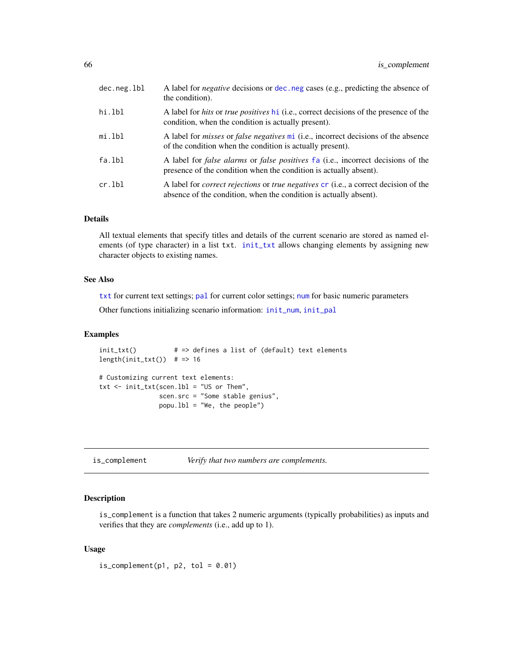| dec.neg.lbl | A label for <i>negative</i> decisions or dec. neg cases (e.g., predicting the absence of<br>the condition).                                                             |
|-------------|-------------------------------------------------------------------------------------------------------------------------------------------------------------------------|
| hi.lbl      | A label for <i>hits</i> or <i>true positives</i> hi (i.e., correct decisions of the presence of the<br>condition, when the condition is actually present).              |
| mi.lbl      | A label for <i>misses</i> or <i>false negatives</i> mi (i.e., incorrect decisions of the absence<br>of the condition when the condition is actually present).           |
| fa.lbl      | A label for <i>false alarms</i> or <i>false positives</i> fa (i.e., incorrect decisions of the<br>presence of the condition when the condition is actually absent).     |
| cr.lbl      | A label for <i>correct rejections</i> or <i>true negatives</i> cr (i.e., a correct decision of the<br>absence of the condition, when the condition is actually absent). |

## Details

All textual elements that specify titles and details of the current scenario are stored as named elements (of type character) in a list txt. [init\\_txt](#page-64-0) allows changing elements by assigning new character objects to existing names.

## See Also

[txt](#page-115-0) for current text settings; [pal](#page-83-0) for current color settings; [num](#page-82-0) for basic numeric parameters

Other functions initializing scenario information: [init\\_num](#page-61-0), [init\\_pal](#page-62-0)

## Examples

```
init_txt() # => defines a list of (default) text elements
length(int.txt()) # => 16
# Customizing current text elements:
txt <- init_txt(scen.lbl = "US or Them",
               scen.src = "Some stable genius",
               popu.lbl = "We, the people")
```
<span id="page-65-0"></span>is\_complement *Verify that two numbers are complements.*

# Description

is\_complement is a function that takes 2 numeric arguments (typically probabilities) as inputs and verifies that they are *complements* (i.e., add up to 1).

# Usage

 $is\_complement(p1, p2, tol = 0.01)$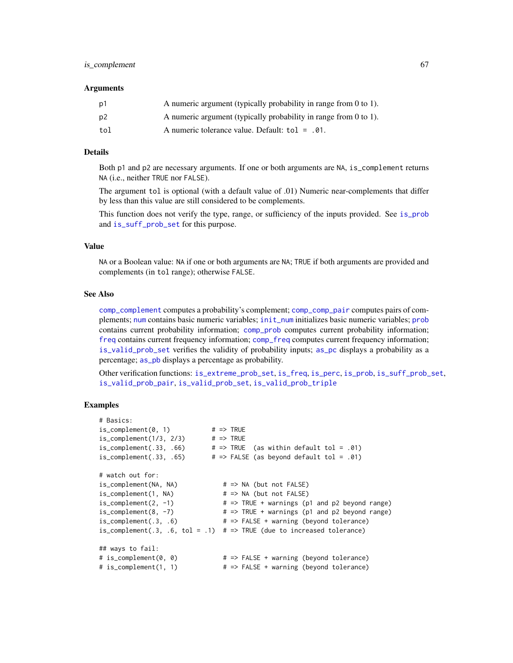#### Arguments

| p1             | A numeric argument (typically probability in range from 0 to 1). |
|----------------|------------------------------------------------------------------|
| p <sub>2</sub> | A numeric argument (typically probability in range from 0 to 1). |
| tol            | A numeric tolerance value. Default: $tol = .01$ .                |

## Details

Both p1 and p2 are necessary arguments. If one or both arguments are NA, is\_complement returns NA (i.e., neither TRUE nor FALSE).

The argument tol is optional (with a default value of .01) Numeric near-complements that differ by less than this value are still considered to be complements.

This function does not verify the type, range, or sufficiency of the inputs provided. See [is\\_prob](#page-71-0) and [is\\_suff\\_prob\\_set](#page-72-0) for this purpose.

## Value

NA or a Boolean value: NA if one or both arguments are NA; TRUE if both arguments are provided and complements (in tol range); otherwise FALSE.

## See Also

[comp\\_complement](#page-9-0) computes a probability's complement; [comp\\_comp\\_pair](#page-11-0) computes pairs of complements; [num](#page-82-0) contains basic numeric variables; [init\\_num](#page-61-0) initializes basic numeric variables; [prob](#page-106-0) contains current probability information; [comp\\_prob](#page-32-0) computes current probability information; [freq](#page-59-0) contains current frequency information; [comp\\_freq](#page-16-0) computes current frequency information; [is\\_valid\\_prob\\_set](#page-74-0) verifies the validity of probability inputs; [as\\_pc](#page-5-0) displays a probability as a percentage; as pb displays a percentage as probability.

Other verification functions: [is\\_extreme\\_prob\\_set](#page-67-0), [is\\_freq](#page-69-0), [is\\_perc](#page-70-0), [is\\_prob](#page-71-0), [is\\_suff\\_prob\\_set](#page-72-0), [is\\_valid\\_prob\\_pair](#page-73-0), [is\\_valid\\_prob\\_set](#page-74-0), [is\\_valid\\_prob\\_triple](#page-76-0)

```
# Basics:
is\_complement(0, 1) # => TRUE<br>is\_complement(1/3, 2/3) # => TRUE
is\_complement(1/3, 2/3)is_complement(.33, .66) \qquad # => TRUE (as within default tol = .01)
is_complement(.33, .65) # \Rightarrow FALSE (as beyond default tol = .01)
# watch out for:
is_complement(NA, NA) # => NA (but not FALSE)
is\_complement(1, NA) \# \Rightarrow NA (but not FALSE)
is\_complement(2, -1) \qquad # \Rightarrow TRUE + warnings (p1 and p2 beyond range)is\_complement(8, -7) \qquad \qquad # \Rightarrow TRUE + warnings (p1 and p2 beyond range)is_complement(.3, .6) # => FALSE + warning (beyond tolerance)
is_complement(.3, .6, tol = .1) # \Rightarrow TRUE (due to increased tolerance)
## ways to fail:
# is_complement(0, 0) # => FALSE + warning (beyond tolerance)
# is_complement(1, 1) # => FALSE + warning (beyond tolerance)
```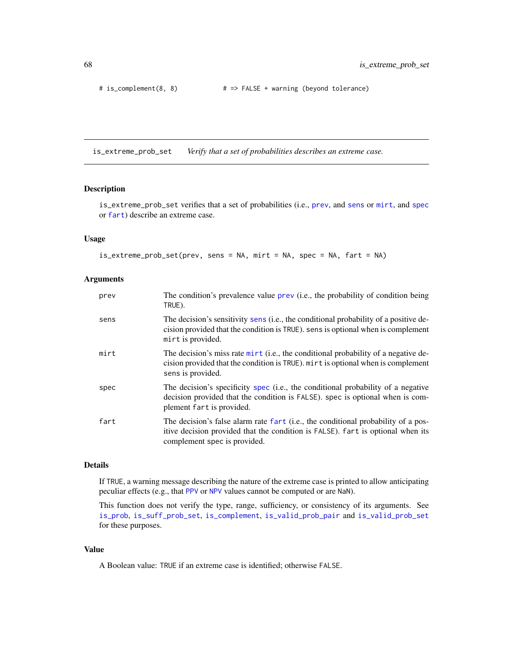```
# is_complement(8, 8) # => FALSE + warning (beyond tolerance)
```
<span id="page-67-0"></span>is\_extreme\_prob\_set *Verify that a set of probabilities describes an extreme case.*

# Description

is\_extreme\_prob\_set verifies that a set of probabilities (i.e., [prev](#page-104-0), and [sens](#page-112-0) or [mirt](#page-78-0), and [spec](#page-113-0) or [fart](#page-55-0)) describe an extreme case.

# Usage

is\_extreme\_prob\_set(prev, sens = NA, mirt = NA, spec = NA, fart = NA)

## Arguments

| prev | The condition's prevalence value prev (i.e., the probability of condition being<br>TRUE).                                                                                                            |
|------|------------------------------------------------------------------------------------------------------------------------------------------------------------------------------------------------------|
| sens | The decision's sensitivity sens (i.e., the conditional probability of a positive de-<br>cision provided that the condition is TRUE). sens is optional when is complement<br>mirt is provided.        |
| mirt | The decision's miss rate $mirt$ (i.e., the conditional probability of a negative de-<br>cision provided that the condition is TRUE). mirt is optional when is complement<br>sens is provided.        |
| spec | The decision's specificity spec (i.e., the conditional probability of a negative<br>decision provided that the condition is FALSE), spec is optional when is com-<br>plement fart is provided.       |
| fart | The decision's false alarm rate fart (i.e., the conditional probability of a pos-<br>itive decision provided that the condition is FALSE). fart is optional when its<br>complement spec is provided. |

# Details

If TRUE, a warning message describing the nature of the extreme case is printed to allow anticipating peculiar effects (e.g., that [PPV](#page-103-0) or [NPV](#page-81-0) values cannot be computed or are NaN).

This function does not verify the type, range, sufficiency, or consistency of its arguments. See [is\\_prob](#page-71-0), [is\\_suff\\_prob\\_set](#page-72-0), [is\\_complement](#page-65-0), [is\\_valid\\_prob\\_pair](#page-73-0) and [is\\_valid\\_prob\\_set](#page-74-0) for these purposes.

# Value

A Boolean value: TRUE if an extreme case is identified; otherwise FALSE.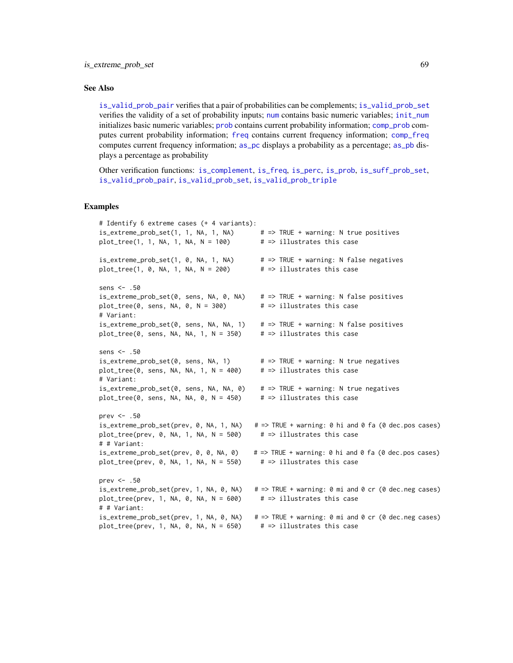## See Also

[is\\_valid\\_prob\\_pair](#page-73-0) verifies that a pair of probabilities can be complements; [is\\_valid\\_prob\\_set](#page-74-0) verifies the validity of a set of probability inputs; [num](#page-82-0) contains basic numeric variables; [init\\_num](#page-61-0) initializes basic numeric variables; [prob](#page-106-0) contains current probability information; [comp\\_prob](#page-32-0) computes current probability information; [freq](#page-59-0) contains current frequency information; [comp\\_freq](#page-16-0) computes current frequency information; [as\\_pc](#page-5-0) displays a probability as a percentage; [as\\_pb](#page-4-0) displays a percentage as probability

Other verification functions: [is\\_complement](#page-65-0), [is\\_freq](#page-69-0), [is\\_perc](#page-70-0), [is\\_prob](#page-71-0), [is\\_suff\\_prob\\_set](#page-72-0), [is\\_valid\\_prob\\_pair](#page-73-0), [is\\_valid\\_prob\\_set](#page-74-0), [is\\_valid\\_prob\\_triple](#page-76-0)

```
# Identify 6 extreme cases (+ 4 variants):
is\_extreme\_prob\_set(1, 1, NA, 1, NA) # => TRUE + warning: N true positives
plot_tree(1, 1, NA, 1, NA, N = 100) \qquad # \Rightarrow illustrates this case
is_extreme_prob_set(1, 0, NA, 1, NA) # => TRUE + warning: N false negatives
plot_tree(1, 0, NA, 1, NA, N = 200) \qquad # => illustrates this case
sens <- .50
is_extreme_prob_set(0, sens, NA, 0, NA) \# \Rightarrow TRUE + warning: N false positives<br>plot_tree(0, sens, NA, 0, N = 300) \# \Rightarrow illustrates this case
plot\_tree(0, sens, NA, 0, N = 300)# Variant:
is_extreme_prob_set(0, sens, NA, NA, 1) # => TRUE + warning: N false positives
plot_tree(0, sens, NA, NA, 1, N = 350) # => illustrates this case
sens <- .50
is_extreme_prob_set(0, sens, NA, 1) # => TRUE + warning: N true negatives
plot_tree(0, sens, NA, NA, 1, N = 400) # \Rightarrow illustrates this case
# Variant:
is_extreme_prob_set(0, sens, NA, NA, 0) # => TRUE + warning: N true negatives
plot_tree(0, sens, NA, NA, 0, N = 450) # => illustrates this case
prev <- .50
is_extreme_prob_set(prev, 0, NA, 1, NA) # => TRUE + warning: 0 hi and 0 fa (0 dec.pos cases)
plot_tree(prev, 0, NA, 1, NA, N = 500) \# \Rightarrow illustrates this case
# # Variant:
is_extreme_prob_set(prev, 0, 0, NA, 0) \# \Rightarrow TRUE + warning: 0 hi and 0 fa (0 dec.pos cases)
plot_tree(prev, 0, NA, 1, NA, N = 550) # => illustrates this case
prev <- .50
is_extreme_prob_set(prev, 1, NA, 0, NA) # => TRUE + warning: 0 mi and 0 cr (0 dec.neg cases)
plot\_tree(prev, 1, NA, 0, NA, N = 600) # => illustrates this case
# # Variant:
is_extreme_prob_set(prev, 1, NA, 0, NA) # \Rightarrow TRUE + warning: 0 mi and 0 cr (0 dec.neg cases)
plot_tree(prev, 1, NA, 0, NA, N = 650) # => illustrates this case
```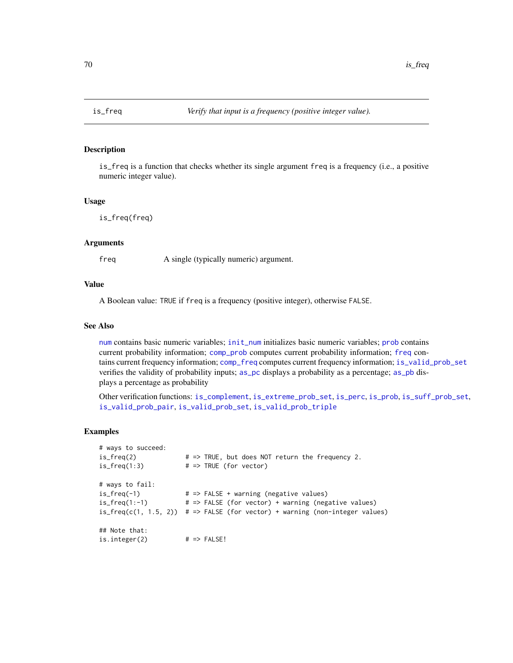<span id="page-69-0"></span>

is\_freq is a function that checks whether its single argument freq is a frequency (i.e., a positive numeric integer value).

#### Usage

is\_freq(freq)

## Arguments

freq A single (typically numeric) argument.

## Value

A Boolean value: TRUE if freq is a frequency (positive integer), otherwise FALSE.

# See Also

[num](#page-82-0) contains basic numeric variables; [init\\_num](#page-61-0) initializes basic numeric variables; [prob](#page-106-0) contains current probability information; [comp\\_prob](#page-32-0) computes current probability information; [freq](#page-59-0) contains current frequency information; [comp\\_freq](#page-16-0) computes current frequency information; [is\\_valid\\_prob\\_set](#page-74-0) verifies the validity of probability inputs; [as\\_pc](#page-5-0) displays a probability as a percentage; [as\\_pb](#page-4-0) displays a percentage as probability

Other verification functions: [is\\_complement](#page-65-0), [is\\_extreme\\_prob\\_set](#page-67-0), [is\\_perc](#page-70-0), [is\\_prob](#page-71-0), [is\\_suff\\_prob\\_set](#page-72-0), [is\\_valid\\_prob\\_pair](#page-73-0), [is\\_valid\\_prob\\_set](#page-74-0), [is\\_valid\\_prob\\_triple](#page-76-0)

```
# ways to succeed:
is_freq(2) \# \Rightarrow TRUE, but does NOT return the frequency 2.
is_freq(1:3) \# \Rightarrow \text{TRUE} (for vector)
# ways to fail:
is\_freq(-1) \qquad \qquad # \Rightarrow FALSE + warning (negative values)is_freq(1:-1) # => FALSE (for vector) + warning (negative values)
is_freq(c(1, 1.5, 2)) # => FALSE (for vector) + warning (non-integer values)
## Note that:
is.integer(2) # => FALSE!
```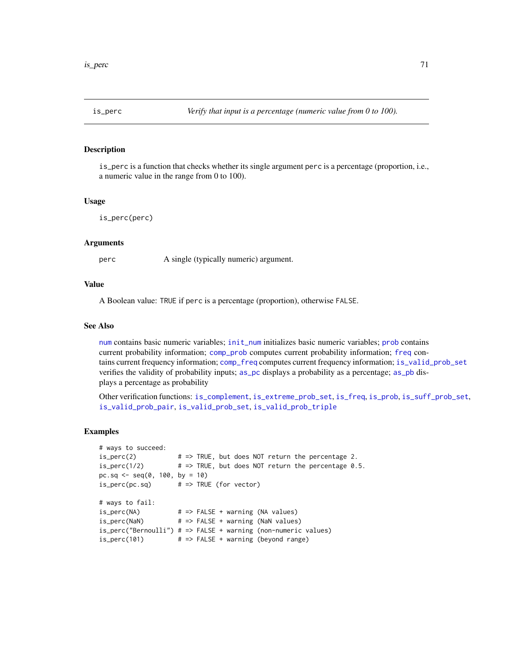<span id="page-70-0"></span>

is\_perc is a function that checks whether its single argument perc is a percentage (proportion, i.e., a numeric value in the range from 0 to 100).

#### Usage

```
is_perc(perc)
```
## Arguments

perc A single (typically numeric) argument.

#### Value

A Boolean value: TRUE if perc is a percentage (proportion), otherwise FALSE.

# See Also

[num](#page-82-0) contains basic numeric variables; [init\\_num](#page-61-0) initializes basic numeric variables; [prob](#page-106-0) contains current probability information; [comp\\_prob](#page-32-0) computes current probability information; [freq](#page-59-0) contains current frequency information; [comp\\_freq](#page-16-0) computes current frequency information; [is\\_valid\\_prob\\_set](#page-74-0) verifies the validity of probability inputs; [as\\_pc](#page-5-0) displays a probability as a percentage; [as\\_pb](#page-4-0) displays a percentage as probability

Other verification functions: [is\\_complement](#page-65-0), [is\\_extreme\\_prob\\_set](#page-67-0), [is\\_freq](#page-69-0), [is\\_prob](#page-71-0), [is\\_suff\\_prob\\_set](#page-72-0), [is\\_valid\\_prob\\_pair](#page-73-0), [is\\_valid\\_prob\\_set](#page-74-0), [is\\_valid\\_prob\\_triple](#page-76-0)

```
# ways to succeed:
is\_perc(2) \# \Rightarrow TRUE, but does NOT return the percentage 2.
is\_perc(1/2) # => TRUE, but does NOT return the percentage 0.5.
pc.sq <- seq(0, 100, by = 10)
is\_perc(pc.sq) # => TRUE (for vector)
# ways to fail:
is_perc(NA) # => FALSE + warning (NA values)
is_perc(NaN) # => FALSE + warning (NaN values)
is_perc("Bernoulli") # => FALSE + warning (non-numeric values)
is\_perc(101) \qquad # => FALSE + warning (beyond range)
```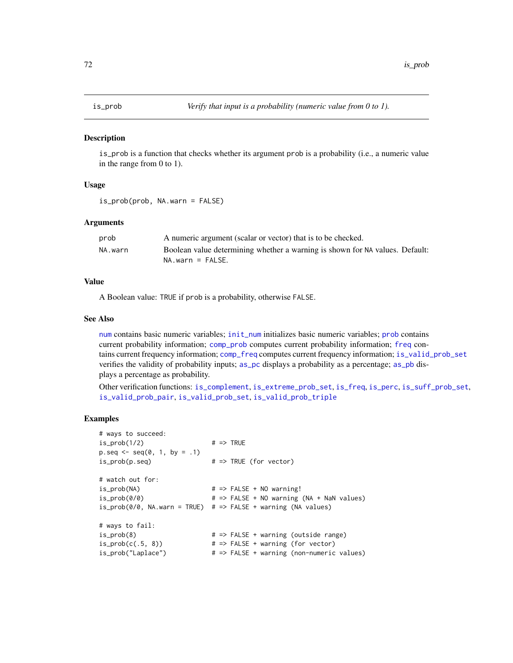<span id="page-71-0"></span>

is\_prob is a function that checks whether its argument prob is a probability (i.e., a numeric value in the range from 0 to 1).

## Usage

is\_prob(prob, NA.warn = FALSE)

#### **Arguments**

| prob    | A numeric argument (scalar or vector) that is to be checked.                 |
|---------|------------------------------------------------------------------------------|
| NA.warn | Boolean value determining whether a warning is shown for NA values. Default: |
|         | $NA$ , warn = FALSE.                                                         |

# Value

A Boolean value: TRUE if prob is a probability, otherwise FALSE.

## See Also

[num](#page-82-0) contains basic numeric variables; [init\\_num](#page-61-0) initializes basic numeric variables; [prob](#page-106-0) contains current probability information; [comp\\_prob](#page-32-0) computes current probability information; [freq](#page-59-0) contains current frequency information; [comp\\_freq](#page-16-0) computes current frequency information; [is\\_valid\\_prob\\_set](#page-74-0) verifies the validity of probability inputs; [as\\_pc](#page-5-0) displays a probability as a percentage; [as\\_pb](#page-4-0) displays a percentage as probability.

Other verification functions: [is\\_complement](#page-65-0), [is\\_extreme\\_prob\\_set](#page-67-0), [is\\_freq](#page-69-0), [is\\_perc](#page-70-0), [is\\_suff\\_prob\\_set](#page-72-0), [is\\_valid\\_prob\\_pair](#page-73-0), [is\\_valid\\_prob\\_set](#page-74-0), [is\\_valid\\_prob\\_triple](#page-76-0)

```
# ways to succeed:
is\_prob(1/2) \qquad \qquad # \Rightarrow TRUEp.\text{seq} \leq -\text{seq}(0, 1, \text{ by } = .1)is\_prob(p, seq) \# \Rightarrow \text{TRUE} (for vector)
# watch out for:
is\_prob(NA) \qquad \qquad # \Rightarrow FALSE + NO warning!is\_prob(0/0) \qquad \qquad \qquad \qquad \qquad \qquad \qquad \qquad \qquad \qquad \qquad \qquad \qquad \qquad \qquad \qquad \qquad \qquad \qquad \qquad \qquad \qquad \qquad \qquad \qquad \qquad \qquad \qquad \qquad \qquad \qquad \qquad \qquad \qquad \qquad 
is\_prob(0/0, NA.warn = TRUE) # => FALSE + warning (NA values)# ways to fail:
is_prob(8) # => FALSE + warning (outside range)
is\_prob(c(.5, 8)) \# \Rightarrow FALSE + warning (for vector)
is_prob("Laplace") # => FALSE + warning (non-numeric values)
```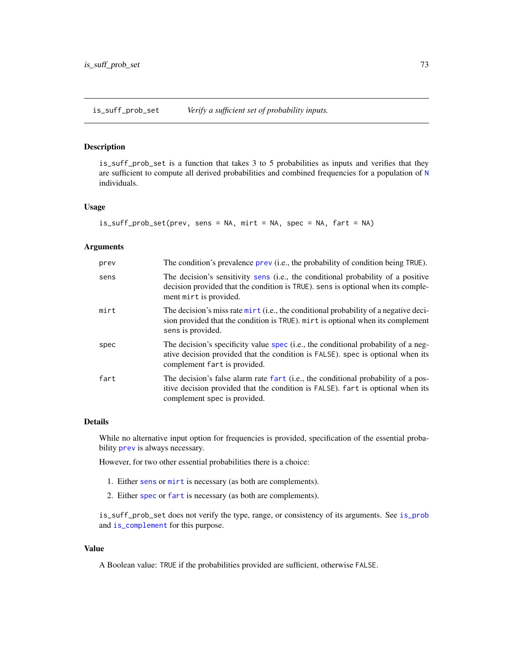<span id="page-72-0"></span>is\_suff\_prob\_set *Verify a sufficient set of probability inputs.*

# Description

is\_suff\_prob\_set is a function that takes 3 to 5 probabilities as inputs and verifies that they are sufficient to compute all derived probabilities and combined frequencies for a population of [N](#page-80-0) individuals.

# Usage

```
is_suff_prob_set(prev, sens = NA, mirt = NA, spec = NA, fart = NA)
```
#### Arguments

| prev | The condition's prevalence prev (i.e., the probability of condition being TRUE).                                                                                                                      |
|------|-------------------------------------------------------------------------------------------------------------------------------------------------------------------------------------------------------|
| sens | The decision's sensitivity sens (i.e., the conditional probability of a positive<br>decision provided that the condition is TRUE). sens is optional when its comple-<br>ment mirt is provided.        |
| mirt | The decision's miss rate $\text{mit}(i.e.,$ the conditional probability of a negative deci-<br>sion provided that the condition is TRUE). mirt is optional when its complement<br>sens is provided.   |
| spec | The decision's specificity value spec (i.e., the conditional probability of a neg-<br>ative decision provided that the condition is FALSE), spec is optional when its<br>complement fart is provided. |
| fart | The decision's false alarm rate fart (i.e., the conditional probability of a pos-<br>itive decision provided that the condition is FALSE). fart is optional when its<br>complement spec is provided.  |

## Details

While no alternative input option for frequencies is provided, specification of the essential probability [prev](#page-104-0) is always necessary.

However, for two other essential probabilities there is a choice:

- 1. Either [sens](#page-112-0) or [mirt](#page-78-0) is necessary (as both are complements).
- 2. Either [spec](#page-113-0) or [fart](#page-55-0) is necessary (as both are complements).

is\_suff\_prob\_set does not verify the type, range, or consistency of its arguments. See [is\\_prob](#page-71-0) and [is\\_complement](#page-65-0) for this purpose.

# Value

A Boolean value: TRUE if the probabilities provided are sufficient, otherwise FALSE.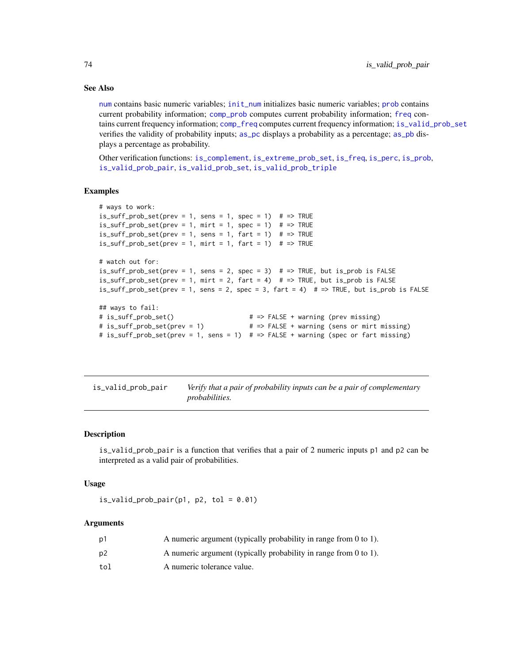# See Also

[num](#page-82-0) contains basic numeric variables; [init\\_num](#page-61-0) initializes basic numeric variables; [prob](#page-106-0) contains current probability information; [comp\\_prob](#page-32-0) computes current probability information; [freq](#page-59-0) contains current frequency information; [comp\\_freq](#page-16-0) computes current frequency information; [is\\_valid\\_prob\\_set](#page-74-0) verifies the validity of probability inputs; [as\\_pc](#page-5-0) displays a probability as a percentage; [as\\_pb](#page-4-0) displays a percentage as probability.

Other verification functions: [is\\_complement](#page-65-0), [is\\_extreme\\_prob\\_set](#page-67-0), [is\\_freq](#page-69-0), [is\\_perc](#page-70-0), [is\\_prob](#page-71-0), [is\\_valid\\_prob\\_pair](#page-73-0), [is\\_valid\\_prob\\_set](#page-74-0), [is\\_valid\\_prob\\_triple](#page-76-0)

# Examples

```
# ways to work:
is_suff_prob_set(prev = 1, sens = 1, spec = 1) # => TRUE
is_suff_prob_set(prev = 1, mirt = 1, spec = 1) # => TRUE
is\_suff\_prob\_set(prev = 1, sens = 1, fart = 1) # => TRUEis_suff_prob_set(prev = 1, mirt = 1, fart = 1) # => TRUE
# watch out for:
is_suff_prob_set(prev = 1, sens = 2, spec = 3) # \Rightarrow TRUE, but is_prob is FALSE
is_suff_prob_set(prev = 1, mirt = 2, fart = 4) # => TRUE, but is_prob is FALSE
is_suff_prob_set(prev = 1, sens = 2, spec = 3, fart = 4) # \Rightarrow TRUE, but is_prob is FALSE
## ways to fail:
# is_suff_prob_set() # => FALSE + warning (prev missing)
# is_suff_prob_set(prev = 1) # => FALSE + warning (sens or mirt missing)
# is_suff_prob_set(prev = 1, sens = 1) # => FALSE + warning (spec or fart missing)
```
<span id="page-73-0"></span>is\_valid\_prob\_pair *Verify that a pair of probability inputs can be a pair of complementary probabilities.*

## Description

is\_valid\_prob\_pair is a function that verifies that a pair of 2 numeric inputs p1 and p2 can be interpreted as a valid pair of probabilities.

# Usage

```
is\_valid\_prob\_pair(p1, p2, tol = 0.01)
```

| p1  | A numeric argument (typically probability in range from 0 to 1).   |
|-----|--------------------------------------------------------------------|
| p2  | A numeric argument (typically probability in range from $0$ to 1). |
| tol | A numeric tolerance value.                                         |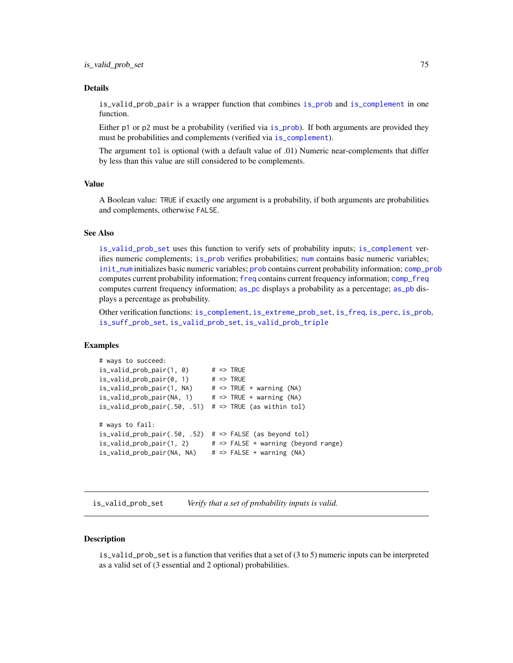is\_valid\_prob\_pair is a wrapper function that combines [is\\_prob](#page-71-0) and [is\\_complement](#page-65-0) in one function.

Either p1 or p2 must be a probability (verified via [is\\_prob](#page-71-0)). If both arguments are provided they must be probabilities and complements (verified via [is\\_complement](#page-65-0)).

The argument tol is optional (with a default value of .01) Numeric near-complements that differ by less than this value are still considered to be complements.

# Value

A Boolean value: TRUE if exactly one argument is a probability, if both arguments are probabilities and complements, otherwise FALSE.

# See Also

[is\\_valid\\_prob\\_set](#page-74-0) uses this function to verify sets of probability inputs; [is\\_complement](#page-65-0) verifies numeric complements; [is\\_prob](#page-71-0) verifies probabilities; [num](#page-82-0) contains basic numeric variables; [init\\_num](#page-61-0) initializes basic numeric variables; [prob](#page-106-0) contains current probability information; [comp\\_prob](#page-32-0) computes current probability information; [freq](#page-59-0) contains current frequency information; [comp\\_freq](#page-16-0) computes current frequency information; [as\\_pc](#page-5-0) displays a probability as a percentage; [as\\_pb](#page-4-0) displays a percentage as probability.

Other verification functions: [is\\_complement](#page-65-0), [is\\_extreme\\_prob\\_set](#page-67-0), [is\\_freq](#page-69-0), [is\\_perc](#page-70-0), [is\\_prob](#page-71-0), [is\\_suff\\_prob\\_set](#page-72-0), [is\\_valid\\_prob\\_set](#page-74-0), [is\\_valid\\_prob\\_triple](#page-76-0)

## Examples

```
# ways to succeed:
is\_valid\_prob\_pair(1, 0) # => TRUE
is\_valid\_prob\_pair(0, 1) # => TRUE
is\_valid\_prob\_pair(1, NA) # => TRUE + warning (NA)
is\_valid\_prob\_pair(NA, 1) # => TRUE + warning (NA)
is_valid_prob_pair(.50, .51) # \Rightarrow TRUE (as within tol)
# ways to fail:
is\_valid\_prob\_pair(.50, .52) # => FALSE (as beyond tol)
is\_valid\_prob\_pair(1, 2) # => FALSE + warning (beyond range)
is\_valid\_prob\_pair(NA, NA) # => FALSE + warning (NA)
```
<span id="page-74-0"></span>is\_valid\_prob\_set *Verify that a set of probability inputs is valid.*

## **Description**

is\_valid\_prob\_set is a function that verifies that a set of  $(3 \text{ to } 5)$  numeric inputs can be interpreted as a valid set of (3 essential and 2 optional) probabilities.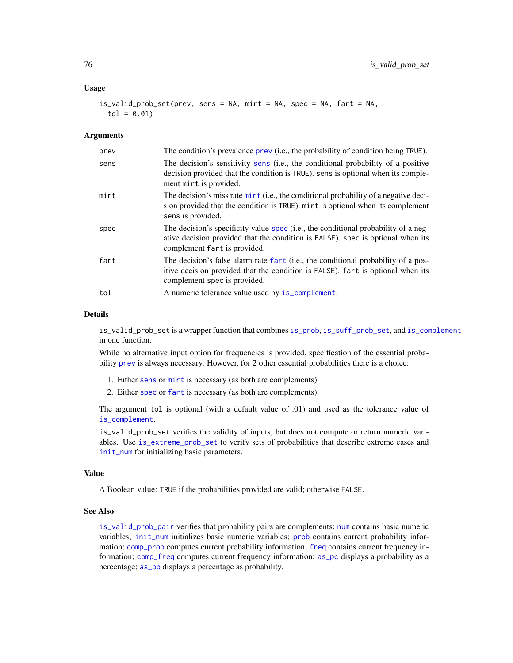## Usage

is\_valid\_prob\_set(prev, sens = NA, mirt = NA, spec = NA, fart = NA,  $tol = 0.01$ 

#### Arguments

| prev | The condition's prevalence prev (i.e., the probability of condition being TRUE).                                                                                                                      |
|------|-------------------------------------------------------------------------------------------------------------------------------------------------------------------------------------------------------|
| sens | The decision's sensitivity sens (i.e., the conditional probability of a positive<br>decision provided that the condition is TRUE). sens is optional when its comple-<br>ment mirt is provided.        |
| mirt | The decision's miss rate mirt (i.e., the conditional probability of a negative deci-<br>sion provided that the condition is TRUE). mirt is optional when its complement<br>sens is provided.          |
| spec | The decision's specificity value spec (i.e., the conditional probability of a neg-<br>ative decision provided that the condition is FALSE), spec is optional when its<br>complement fart is provided. |
| fart | The decision's false alarm rate fart (i.e., the conditional probability of a pos-<br>itive decision provided that the condition is FALSE). Fart is optional when its<br>complement spec is provided.  |
| tol  | A numeric tolerance value used by is_complement.                                                                                                                                                      |

## Details

is\_valid\_prob\_set is a wrapper function that combines [is\\_prob](#page-71-0), [is\\_suff\\_prob\\_set](#page-72-0), and [is\\_complement](#page-65-0) in one function.

While no alternative input option for frequencies is provided, specification of the essential probability [prev](#page-104-0) is always necessary. However, for 2 other essential probabilities there is a choice:

- 1. Either [sens](#page-112-0) or [mirt](#page-78-0) is necessary (as both are complements).
- 2. Either [spec](#page-113-0) or [fart](#page-55-0) is necessary (as both are complements).

The argument tol is optional (with a default value of .01) and used as the tolerance value of [is\\_complement](#page-65-0).

is\_valid\_prob\_set verifies the validity of inputs, but does not compute or return numeric variables. Use [is\\_extreme\\_prob\\_set](#page-67-0) to verify sets of probabilities that describe extreme cases and [init\\_num](#page-61-0) for initializing basic parameters.

## Value

A Boolean value: TRUE if the probabilities provided are valid; otherwise FALSE.

# See Also

[is\\_valid\\_prob\\_pair](#page-73-0) verifies that probability pairs are complements; [num](#page-82-0) contains basic numeric variables; [init\\_num](#page-61-0) initializes basic numeric variables; [prob](#page-106-0) contains current probability information; [comp\\_prob](#page-32-0) computes current probability information; [freq](#page-59-0) contains current frequency information; [comp\\_freq](#page-16-0) computes current frequency information; [as\\_pc](#page-5-0) displays a probability as a percentage; [as\\_pb](#page-4-0) displays a percentage as probability.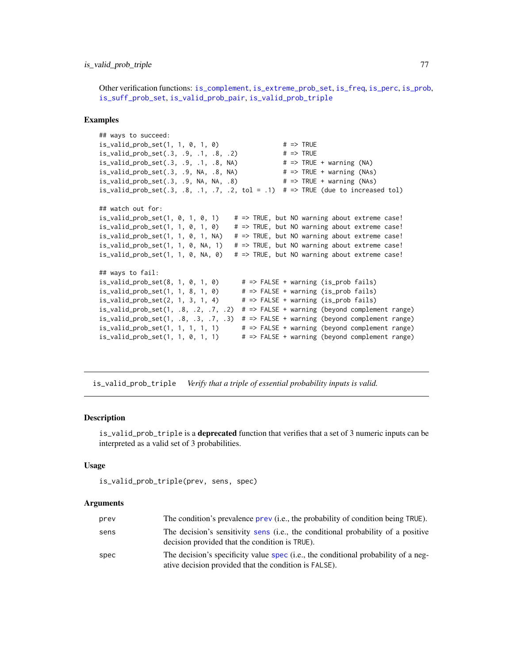# is\_valid\_prob\_triple 77

Other verification functions: [is\\_complement](#page-65-0), [is\\_extreme\\_prob\\_set](#page-67-0), [is\\_freq](#page-69-0), [is\\_perc](#page-70-0), [is\\_prob](#page-71-0), [is\\_suff\\_prob\\_set](#page-72-0), [is\\_valid\\_prob\\_pair](#page-73-0), [is\\_valid\\_prob\\_triple](#page-76-0)

#### Examples

```
## ways to succeed:
is\_valid\_prob\_set(1, 1, 0, 1, 0) # => TRUE
is\_valid\_prob\_set(.3, .9, .1, .8, .2) # => TRUE
is\_valid\_prob\_set(.3, .9, .1, .8, NA) # => TRUE + warning (NA)
is_valid_prob_set(.3, .9, NA, .8, NA) # => TRUE + warning (NAs)
is_valid_prob_set(.3, .9, NA, NA, .8) # => TRUE + warning (NAs)
is_valid_prob_set(.3, .8, .1, .7, .2, tol = .1) # => TRUE (due to increased tol)
## watch out for:
is\_valid\_prob\_set(1, 0, 1, 0, 1) # => TRUE, but NO warning about extreme case!
is\_valid\_prob\_set(1, 1, 0, 1, 0) # => TRUE, but NO warning about extreme case!
is_valid_prob_set(1, 1, 0, 1, NA) # \Rightarrow TRUE, but NO warning about extreme case!
is\_valid\_prob\_set(1, 1, 0, NA, 1) # => TRUE, but NO warning about extreme case!
is\_valid\_prob\_set(1, 1, 0, NA, 0) # => TRUE, but NO warning about extreme case!
## ways to fail:
is_valid_prob_set(8, 1, 0, 1, 0) \qquad # => FALSE + warning (is_prob fails)
is\_valid\_prob\_set(1, 1, 8, 1, 0) # => FALSE + warning (is_prob fails)
is\_valid\_prob\_set(2, 1, 3, 1, 4) # => FALSE + warning (is\_prob fails)is_valid_prob_set(1, .8, .2, .7, .2) # \Rightarrow FALSE + warning (beyond complement range)
is\_valid\_prob\_set(1, .8, .3, .7, .3) # => FALSE + warning (beyond complement range)
is\_valid\_prob\_set(1, 1, 1, 1, 1) # => FALSE + warning (beyond complement range)
is\_valid\_prob\_set(1, 1, 0, 1, 1) # => FALSE + warning (beyond complement range)
```
<span id="page-76-0"></span>is\_valid\_prob\_triple *Verify that a triple of essential probability inputs is valid.*

#### Description

is\_valid\_prob\_triple is a deprecated function that verifies that a set of 3 numeric inputs can be interpreted as a valid set of 3 probabilities.

## Usage

```
is_valid_prob_triple(prev, sens, spec)
```

| prev | The condition's prevalence prev (i.e., the probability of condition being TRUE).                                                            |
|------|---------------------------------------------------------------------------------------------------------------------------------------------|
| sens | The decision's sensitivity sens (i.e., the conditional probability of a positive<br>decision provided that the condition is TRUE).          |
| spec | The decision's specificity value spec (i.e., the conditional probability of a neg-<br>ative decision provided that the condition is FALSE). |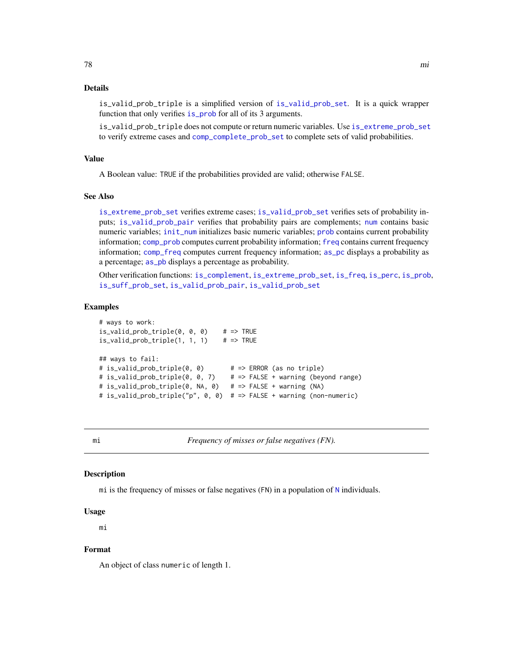is\_valid\_prob\_triple is a simplified version of [is\\_valid\\_prob\\_set](#page-74-0). It is a quick wrapper function that only verifies is prob for all of its 3 arguments.

is\_valid\_prob\_triple does not compute or return numeric variables. Use [is\\_extreme\\_prob\\_set](#page-67-0) to verify extreme cases and [comp\\_complete\\_prob\\_set](#page-10-0) to complete sets of valid probabilities.

## Value

A Boolean value: TRUE if the probabilities provided are valid; otherwise FALSE.

#### See Also

[is\\_extreme\\_prob\\_set](#page-67-0) verifies extreme cases; [is\\_valid\\_prob\\_set](#page-74-0) verifies sets of probability inputs; [is\\_valid\\_prob\\_pair](#page-73-0) verifies that probability pairs are complements; [num](#page-82-0) contains basic numeric variables; [init\\_num](#page-61-0) initializes basic numeric variables; [prob](#page-106-0) contains current probability information; [comp\\_prob](#page-32-0) computes current probability information; [freq](#page-59-0) contains current frequency information; [comp\\_freq](#page-16-0) computes current frequency information; [as\\_pc](#page-5-0) displays a probability as a percentage; as pb displays a percentage as probability.

Other verification functions: [is\\_complement](#page-65-0), [is\\_extreme\\_prob\\_set](#page-67-0), [is\\_freq](#page-69-0), [is\\_perc](#page-70-0), [is\\_prob](#page-71-0), [is\\_suff\\_prob\\_set](#page-72-0), [is\\_valid\\_prob\\_pair](#page-73-0), [is\\_valid\\_prob\\_set](#page-74-0)

#### Examples

```
# ways to work:
is\_valid\_prob\_triple(0, 0, 0) # => TRUE
is\_valid\_prob\_triple(1, 1, 1) # => TRUE
## ways to fail:
# is_valid_prob_triple(0, 0) # => ERROR (as no triple)
# is_valid_prob_triple(0, 0, 7) # => FALSE + warning (beyond range)
# is_valid_prob_triple(0, NA, 0) # => FALSE + warning (NA)
# is_valid_prob_triple("p", 0, 0) # => FALSE + warning (non-numeric)
```
<span id="page-77-0"></span>

mi *Frequency of misses or false negatives (FN).*

# Description

mi is the frequency of misses or false negatives (FN) in a population of [N](#page-80-0) individuals.

#### Usage

mi

# Format

An object of class numeric of length 1.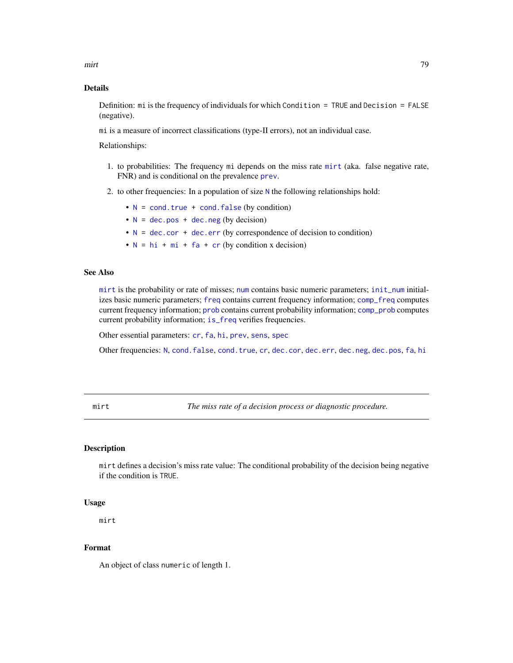mirt **1986** – 1996 – 1997 – 1998 – 1998 – 1998 – 1998 – 1998 – 1998 – 1998 – 1998 – 1998 – 1998 – 1998 – 1998 – 1

# Details

Definition: mi is the frequency of individuals for which Condition = TRUE and Decision = FALSE (negative).

mi is a measure of incorrect classifications (type-II errors), not an individual case.

Relationships:

- 1. to probabilities: The frequency mi depends on the miss rate [mirt](#page-78-0) (aka. false negative rate, FNR) and is conditional on the prevalence [prev](#page-104-0).
- 2. to other frequencies: In a population of size  $N$  the following relationships hold:
	- $\bullet$  [N](#page-80-0) = [cond.true](#page-44-0) + [cond.false](#page-43-0) (by condition)
	- $N = dec.pos + dec.neg (by decision)$  $N = dec.pos + dec.neg (by decision)$  $N = dec.pos + dec.neg (by decision)$  $N = dec.pos + dec.neg (by decision)$  $N = dec.pos + dec.neg (by decision)$  $N = dec.pos + dec.neg (by decision)$
	- $N = dec.cor + dec.err$  $N = dec.cor + dec.err$  $N = dec.cor + dec.err$  $N = dec.cor + dec.err$  $N = dec.cor + dec.err$  (by correspondence of decision to condition)
	- $N = h i + m i + fa + cr$  $N = h i + m i + fa + cr$  $N = h i + m i + fa + cr$  $N = h i + m i + fa + cr$  $N = h i + m i + fa + cr$  (by condition x decision)

# See Also

[mirt](#page-78-0) is the probability or rate of misses; [num](#page-82-0) contains basic numeric parameters; [init\\_num](#page-61-0) initializes basic numeric parameters; [freq](#page-59-0) contains current frequency information; [comp\\_freq](#page-16-0) computes current frequency information; [prob](#page-106-0) contains current probability information; [comp\\_prob](#page-32-0) computes current probability information; [is\\_freq](#page-69-0) verifies frequencies.

Other essential parameters: [cr](#page-46-0), [fa](#page-54-0), [hi](#page-60-0), [prev](#page-104-0), [sens](#page-112-0), [spec](#page-113-0)

Other frequencies: [N](#page-80-0), [cond.false](#page-43-0), [cond.true](#page-44-0), [cr](#page-46-0), [dec.cor](#page-47-0), [dec.err](#page-48-0), [dec.neg](#page-49-0), [dec.pos](#page-50-0), [fa](#page-54-0), [hi](#page-60-0)

<span id="page-78-0"></span>mirt *The miss rate of a decision process or diagnostic procedure.*

# **Description**

mirt defines a decision's miss rate value: The conditional probability of the decision being negative if the condition is TRUE.

## Usage

mirt

# Format

An object of class numeric of length 1.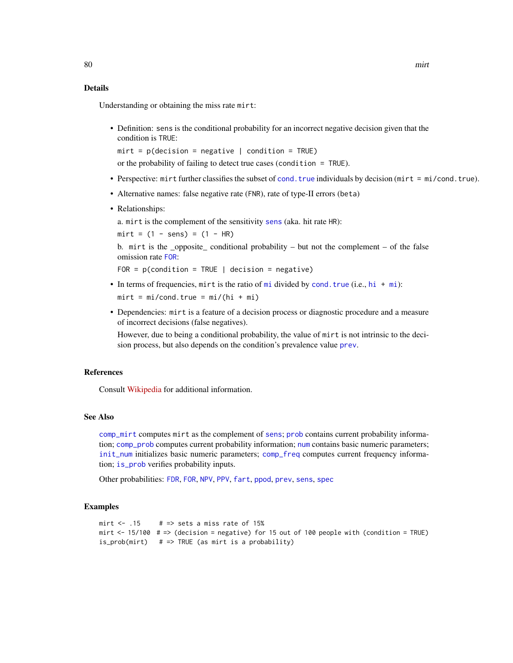Understanding or obtaining the miss rate mirt:

• Definition: sens is the conditional probability for an incorrect negative decision given that the condition is TRUE:

 $mirt = p(decision = negative | condition = TRUE)$ 

or the probability of failing to detect true cases (condition = TRUE).

- Perspective: mirt further classifies the subset of [cond.true](#page-44-0) individuals by decision (mirt = mi/cond.true).
- Alternative names: false negative rate (FNR), rate of type-II errors (beta)
- Relationships:

a. mirt is the complement of the sensitivity [sens](#page-112-0) (aka. hit rate HR):

 $mirt = (1 - sens) = (1 - HR)$ 

b. mirt is the \_opposite\_ conditional probability – but not the complement – of the false omission rate [FOR](#page-57-0):

FOR =  $p$ (condition = TRUE | decision = negative)

• In terms of frequencies, [mi](#page-77-0)rt is the ratio of mi divided by [cond.true](#page-44-0) (i.e., [hi](#page-60-0) + mi):

 $mirt = mi/cond.true = mi/(hi + mi)$ 

• Dependencies: mirt is a feature of a decision process or diagnostic procedure and a measure of incorrect decisions (false negatives).

However, due to being a conditional probability, the value of mirt is not intrinsic to the decision process, but also depends on the condition's prevalence value [prev](#page-104-0).

# References

Consult [Wikipedia](https://en.wikipedia.org/wiki/Sensitivity_and_specificity) for additional information.

#### See Also

[comp\\_mirt](#page-25-0) computes mirt as the complement of [sens](#page-112-0); [prob](#page-106-0) contains current probability information; [comp\\_prob](#page-32-0) computes current probability information; [num](#page-82-0) contains basic numeric parameters; [init\\_num](#page-61-0) initializes basic numeric parameters; [comp\\_freq](#page-16-0) computes current frequency information; [is\\_prob](#page-71-0) verifies probability inputs.

Other probabilities: [FDR](#page-56-0), [FOR](#page-57-0), [NPV](#page-81-0), [PPV](#page-103-0), [fart](#page-55-0), [ppod](#page-102-0), [prev](#page-104-0), [sens](#page-112-0), [spec](#page-113-0)

```
mirt \le .15 # => sets a miss rate of 15%
mirt \le 15/100 # => (decision = negative) for 15 out of 100 people with (condition = TRUE)
is_prob(mirt) # \Rightarrow TRUE (as mirt is a probability)
```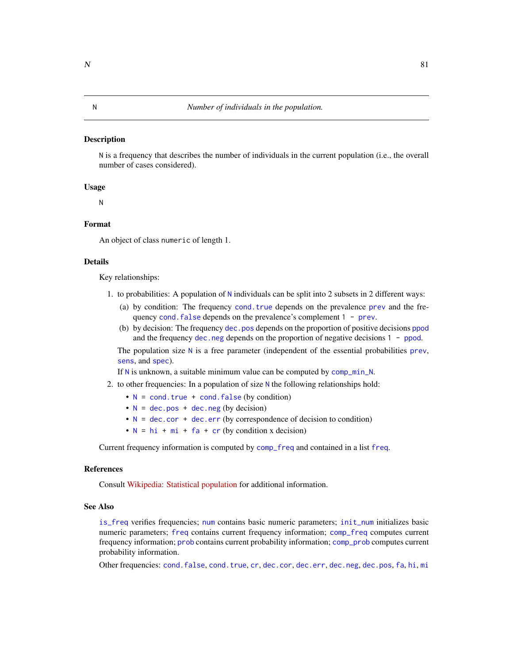#### <span id="page-80-0"></span>Description

N is a frequency that describes the number of individuals in the current population (i.e., the overall number of cases considered).

#### Usage

N

## Format

An object of class numeric of length 1.

# Details

Key relationships:

- 1. to probabilities: A population of [N](#page-80-0) individuals can be split into 2 subsets in 2 different ways:
	- (a) by condition: The frequency [cond.true](#page-44-0) depends on the prevalence [prev](#page-104-0) and the frequency cond. false depends on the [prev](#page-104-0)alence's complement 1 - prev.
	- (b) by decision: The frequency [dec.pos](#page-50-0) depends on the proportion of positive decisions [ppod](#page-102-0) and the frequency [dec.neg](#page-49-0) depends on the proportion of negative decisions 1 - [ppod](#page-102-0).

The population size  $N$  is a free parameter (independent of the essential probabilities [prev](#page-104-0), [sens](#page-112-0), and [spec](#page-113-0)).

If [N](#page-80-0) is unknown, a suitable minimum value can be computed by [comp\\_min\\_N](#page-24-0).

- 2. to other frequencies: In a population of size [N](#page-80-0) the following relationships hold:
	- $\bullet$  [N](#page-80-0) = [cond.true](#page-44-0) + [cond.false](#page-43-0) (by condition)
	- $N = dec.pos + dec.neg (by decision)$  $N = dec.pos + dec.neg (by decision)$  $N = dec.pos + dec.neg (by decision)$  $N = dec.pos + dec.neg (by decision)$  $N = dec.pos + dec.neg (by decision)$  $N = dec.pos + dec.neg (by decision)$
	- $N = dec.cor + dec.err$  $N = dec.cor + dec.err$  $N = dec.cor + dec.err$  $N = dec.cor + dec.err$  $N = dec.cor + dec.err$  (by correspondence of decision to condition)
	- $N = h i + m i + fa + cr$  $N = h i + m i + fa + cr$  $N = h i + m i + fa + cr$  $N = h i + m i + fa + cr$  $N = h i + m i + fa + cr$  (by condition x decision)

Current frequency information is computed by [comp\\_freq](#page-16-0) and contained in a list [freq](#page-59-0).

# References

Consult [Wikipedia: Statistical population](https://en.wikipedia.org/wiki/Statistical_population) for additional information.

#### See Also

[is\\_freq](#page-69-0) verifies frequencies; [num](#page-82-0) contains basic numeric parameters; [init\\_num](#page-61-0) initializes basic numeric parameters; [freq](#page-59-0) contains current frequency information; [comp\\_freq](#page-16-0) computes current frequency information; [prob](#page-106-0) contains current probability information; [comp\\_prob](#page-32-0) computes current probability information.

Other frequencies: [cond.false](#page-43-0), [cond.true](#page-44-0), [cr](#page-46-0), [dec.cor](#page-47-0), [dec.err](#page-48-0), [dec.neg](#page-49-0), [dec.pos](#page-50-0), [fa](#page-54-0), [hi](#page-60-0), [mi](#page-77-0)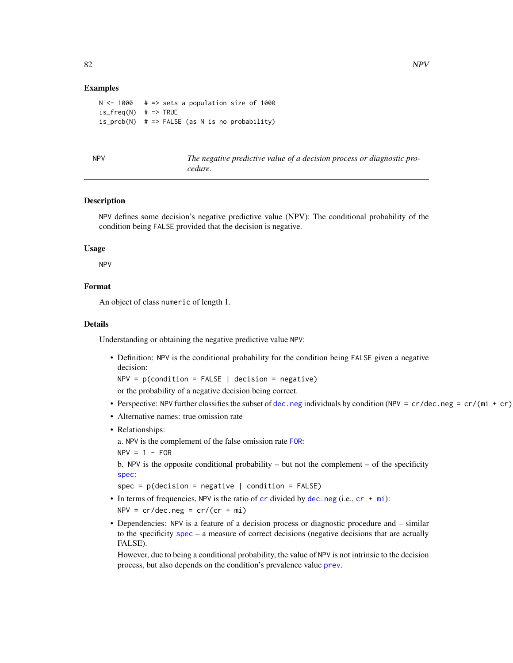## Examples

```
N < -1000 # => sets a population size of 1000
is_freq(N) # => TRUE
is\_prob(N) # => FALSE (as N is no probability)
```
<span id="page-81-0"></span>NPV *The negative predictive value of a decision process or diagnostic procedure.*

# Description

NPV defines some decision's negative predictive value (NPV): The conditional probability of the condition being FALSE provided that the decision is negative.

## Usage

NPV

# Format

An object of class numeric of length 1.

#### Details

Understanding or obtaining the negative predictive value NPV:

• Definition: NPV is the conditional probability for the condition being FALSE given a negative decision:

 $NPV = p$ (condition = FALSE | decision = negative)

or the probability of a negative decision being correct.

- Perspective: NPV further classifies the subset of [dec.neg](#page-49-0) individuals by condition (NPV = cr/dec.neg = cr/(mi + cr)
- Alternative names: true omission rate
- Relationships:

a. NPV is the complement of the false omission rate [FOR](#page-57-0):

 $NPV = 1 - FOR$ 

b. NPV is the opposite conditional probability – but not the complement – of the specificity [spec](#page-113-0):

spec =  $p$ (decision = negative | condition = FALSE)

- In terms of frequencies, NPV is the ratio of  $cr$  divided by [dec.neg](#page-49-0) (i.e.,  $cr + mi$  $cr + mi$ ):  $NPV = cr/dec.neg = cr/(cr + mi)$
- Dependencies: NPV is a feature of a decision process or diagnostic procedure and similar to the specificity [spec](#page-113-0) – a measure of correct decisions (negative decisions that are actually FALSE).

However, due to being a conditional probability, the value of NPV is not intrinsic to the decision process, but also depends on the condition's prevalence value [prev](#page-104-0).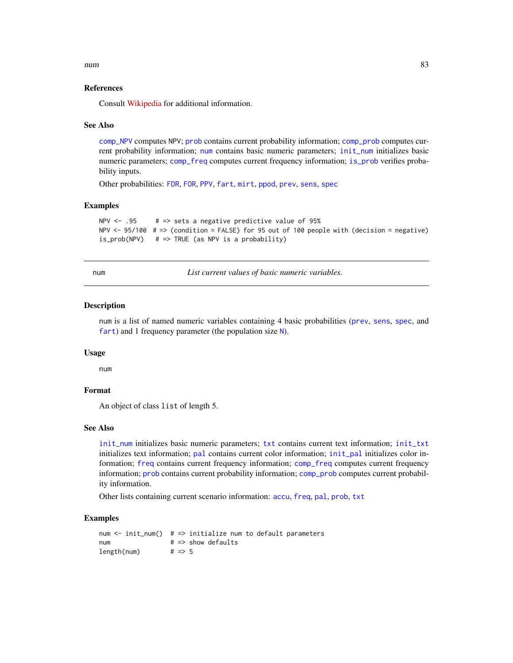num and the state of the state of the state of the state of the state of the state of the state of the state o

# References

Consult [Wikipedia](https://en.wikipedia.org/wiki/Positive_and_negative_predictive_values) for additional information.

## See Also

[comp\\_NPV](#page-26-0) computes NPV; [prob](#page-106-0) contains current probability information; [comp\\_prob](#page-32-0) computes current probability information; [num](#page-82-0) contains basic numeric parameters; [init\\_num](#page-61-0) initializes basic numeric parameters; [comp\\_freq](#page-16-0) computes current frequency information; [is\\_prob](#page-71-0) verifies probability inputs.

Other probabilities: [FDR](#page-56-0), [FOR](#page-57-0), [PPV](#page-103-0), [fart](#page-55-0), [mirt](#page-78-0), [ppod](#page-102-0), [prev](#page-104-0), [sens](#page-112-0), [spec](#page-113-0)

# Examples

```
NPV <- .95 # => sets a negative predictive value of 95%
NPV \le 95/100 # => (condition = FALSE) for 95 out of 100 people with (decision = negative)
is_prob(NPV) # => TRUE (as NPV is a probability)
```
<span id="page-82-0"></span>num *List current values of basic numeric variables.*

# **Description**

num is a list of named numeric variables containing 4 basic probabilities ([prev](#page-104-0), [sens](#page-112-0), [spec](#page-113-0), and [fart](#page-55-0)) and 1 frequency parameter (the population size [N](#page-80-0)).

#### Usage

num

# Format

An object of class list of length 5.

# See Also

[init\\_num](#page-61-0) initializes basic numeric parameters; [txt](#page-115-0) contains current text information; [init\\_txt](#page-64-0) initializes text information; [pal](#page-83-0) contains current color information; [init\\_pal](#page-62-0) initializes color information; [freq](#page-59-0) contains current frequency information; [comp\\_freq](#page-16-0) computes current frequency information; [prob](#page-106-0) contains current probability information; [comp\\_prob](#page-32-0) computes current probability information.

Other lists containing current scenario information: [accu](#page-2-0), [freq](#page-59-0), [pal](#page-83-0), [prob](#page-106-0), [txt](#page-115-0)

```
num \le init_num() # => initialize num to default parameters
num # \implies show defaults
length(num)   \# => 5
```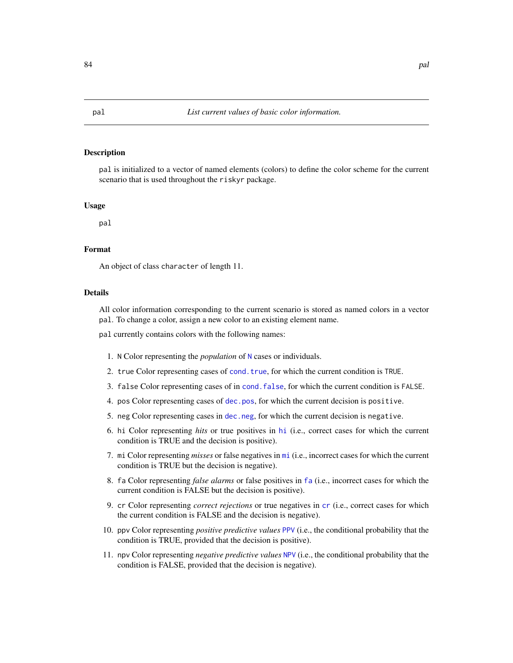# Description

pal is initialized to a vector of named elements (colors) to define the color scheme for the current scenario that is used throughout the riskyr package.

#### Usage

pal

## Format

An object of class character of length 11.

## **Details**

All color information corresponding to the current scenario is stored as named colors in a vector pal. To change a color, assign a new color to an existing element name.

pal currently contains colors with the following names:

- 1. N Color representing the *population* of [N](#page-80-0) cases or individuals.
- 2. true Color representing cases of [cond.true](#page-44-0), for which the current condition is TRUE.
- 3. false Color representing cases of in [cond.false](#page-43-0), for which the current condition is FALSE.
- 4. pos Color representing cases of [dec.pos](#page-50-0), for which the current decision is positive.
- 5. neg Color representing cases in [dec.neg](#page-49-0), for which the current decision is negative.
- 6. hi Color representing *hits* or true positives in [hi](#page-60-0) (i.e., correct cases for which the current condition is TRUE and the decision is positive).
- 7. mi Color representing *misses* or false negatives in [mi](#page-77-0) (i.e., incorrect cases for which the current condition is TRUE but the decision is negative).
- 8. fa Color representing *false alarms* or false positives in [fa](#page-54-0) (i.e., incorrect cases for which the current condition is FALSE but the decision is positive).
- 9. cr Color representing *correct rejections* or true negatives in [cr](#page-46-0) (i.e., correct cases for which the current condition is FALSE and the decision is negative).
- 10. ppv Color representing *positive predictive values* [PPV](#page-103-0) (i.e., the conditional probability that the condition is TRUE, provided that the decision is positive).
- 11. npv Color representing *negative predictive values* [NPV](#page-81-0) (i.e., the conditional probability that the condition is FALSE, provided that the decision is negative).

<span id="page-83-0"></span>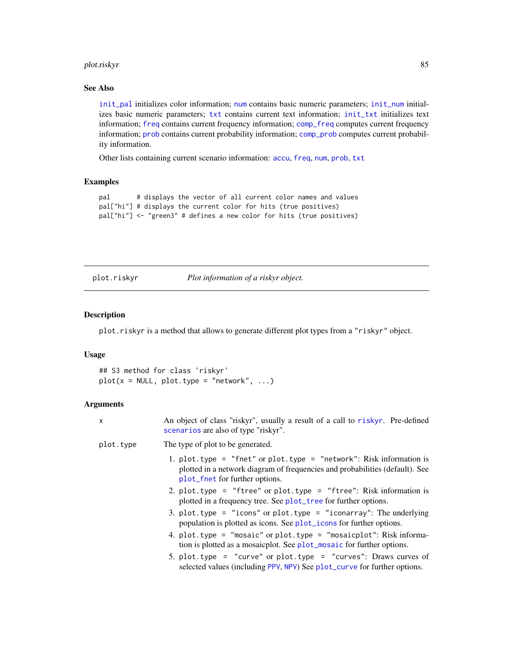# plot.riskyr 85

# See Also

[init\\_pal](#page-62-0) initializes color information; [num](#page-82-0) contains basic numeric parameters; [init\\_num](#page-61-0) initializes basic numeric parameters; [txt](#page-115-0) contains current text information; [init\\_txt](#page-64-0) initializes text information; [freq](#page-59-0) contains current frequency information; [comp\\_freq](#page-16-0) computes current frequency information; [prob](#page-106-0) contains current probability information; [comp\\_prob](#page-32-0) computes current probability information.

Other lists containing current scenario information: [accu](#page-2-0), [freq](#page-59-0), [num](#page-82-0), [prob](#page-106-0), [txt](#page-115-0)

# Examples

```
pal # displays the vector of all current color names and values
pal["hi"] # displays the current color for hits (true positives)
pal["hi"] <- "green3" # defines a new color for hits (true positives)
```
<span id="page-84-0"></span>plot.riskyr *Plot information of a riskyr object.*

# Description

plot.riskyr is a method that allows to generate different plot types from a "riskyr" object.

# Usage

## S3 method for class 'riskyr'  $plot(x = NULL, plot-type = "network", ...)$ 

| X         | An object of class "riskyr", usually a result of a call to riskyr. Pre-defined<br>scenarios are also of type "riskyr".                                                                |
|-----------|---------------------------------------------------------------------------------------------------------------------------------------------------------------------------------------|
| plot.type | The type of plot to be generated.                                                                                                                                                     |
|           | 1. plot.type = "fnet" or plot.type = "network": Risk information is<br>plotted in a network diagram of frequencies and probabilities (default). See<br>plot_fnet for further options. |
|           | 2. plot.type = "ftree" or plot.type = "ftree": Risk information is<br>plotted in a frequency tree. See plot_tree for further options.                                                 |
|           | 3. plot.type = "icons" or plot.type = "iconarray": The underlying<br>population is plotted as icons. See plot_icons for further options.                                              |
|           | 4. plot.type = "mosaic" or plot.type = "mosaicplot": Risk informa-<br>tion is plotted as a mosaicplot. See plot_mosaic for further options.                                           |
|           | 5. plot.type = "curve" or plot.type = "curves": Draws curves of<br>selected values (including PPV, NPV) See plot_curve for further options.                                           |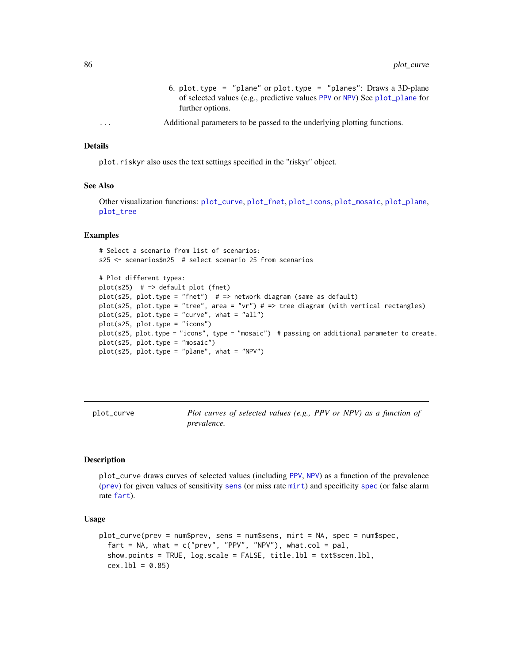- 6. plot.type = "plane" or plot.type = "planes": Draws a 3D-plane of selected values (e.g., predictive values [PPV](#page-103-0) or [NPV](#page-81-0)) See [plot\\_plane](#page-96-0) for further options.
- ... Additional parameters to be passed to the underlying plotting functions.

plot.riskyr also uses the text settings specified in the "riskyr" object.

### See Also

Other visualization functions: [plot\\_curve](#page-85-0), [plot\\_fnet](#page-87-0), [plot\\_icons](#page-91-0), [plot\\_mosaic](#page-94-0), [plot\\_plane](#page-96-0), [plot\\_tree](#page-97-0)

# Examples

# Select a scenario from list of scenarios: s25 <- scenarios\$n25 # select scenario 25 from scenarios

```
# Plot different types:
plot(s25) # => default plot (fnet)
plot(s25, plot.type = "fnet") # => network diagram (same as default)
plot(s25, plot.type = "tree", area = "vr") # => tree diagram (with vertical rectangles)
plot(s25, plot_type = "curve", what = "all")plot(s25, plot.type = "icons")
plot(s25, plot.type = "icons", type = "mosaic") # passing on additional parameter to create.
plot(s25, plot.type = "mosaic")
plot(s25, plot_type = "plane", what = "NPV")
```
<span id="page-85-0"></span>plot\_curve *Plot curves of selected values (e.g., PPV or NPV) as a function of prevalence.*

# Description

plot\_curve draws curves of selected values (including [PPV](#page-103-0), [NPV](#page-81-0)) as a function of the prevalence ([prev](#page-104-0)) for given values of sensitivity [sens](#page-112-0) (or miss rate [mirt](#page-78-0)) and specificity [spec](#page-113-0) (or false alarm rate [fart](#page-55-0)).

#### Usage

```
plot_curve(prev = num$prev, sens = num$sens, mirt = NA, spec = num$spec,
  fart = NA, what = c("prev", "PPV", "NPV"), what.col = pal,
  show.points = TRUE, log.scale = FALSE, title.lbl = txt$scen.lbl,
  cex.1b1 = 0.85
```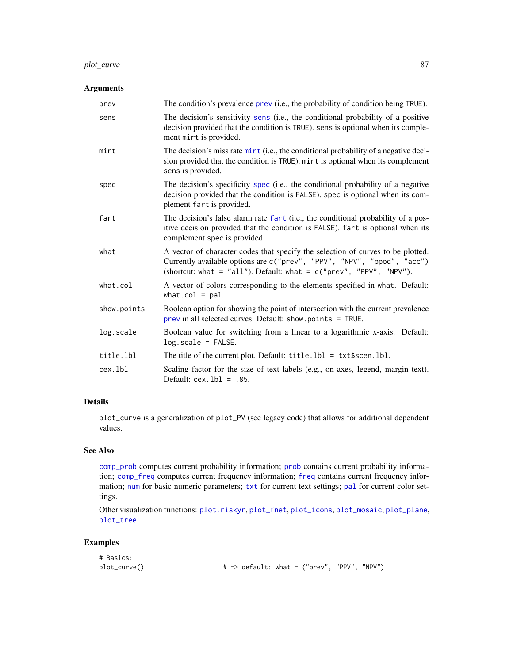# plot\_curve 87

# Arguments

| prev        | The condition's prevalence prev (i.e., the probability of condition being TRUE).                                                                                                                                                  |
|-------------|-----------------------------------------------------------------------------------------------------------------------------------------------------------------------------------------------------------------------------------|
| sens        | The decision's sensitivity sens (i.e., the conditional probability of a positive<br>decision provided that the condition is TRUE). sens is optional when its comple-<br>ment mirt is provided.                                    |
| mirt        | The decision's miss rate mirt (i.e., the conditional probability of a negative deci-<br>sion provided that the condition is TRUE). mirt is optional when its complement<br>sens is provided.                                      |
| spec        | The decision's specificity spec (i.e., the conditional probability of a negative<br>decision provided that the condition is FALSE). spec is optional when its com-<br>plement fart is provided.                                   |
| fart        | The decision's false alarm rate fart (i.e., the conditional probability of a pos-<br>itive decision provided that the condition is FALSE). fart is optional when its<br>complement spec is provided.                              |
| what        | A vector of character codes that specify the selection of curves to be plotted.<br>Currently available options are c("prev", "PPV", "NPV", "ppod", "acc")<br>(shortcut: what = "all"). Default: what = $c("prev", "PPV", "NPV").$ |
| what.col    | A vector of colors corresponding to the elements specified in what. Default:<br>what.col = $pal.$                                                                                                                                 |
| show.points | Boolean option for showing the point of intersection with the current prevalence<br>$prev$ in all selected curves. Default: show.points = TRUE.                                                                                   |
| log.scale   | Boolean value for switching from a linear to a logarithmic x-axis. Default:<br>$log.scale = FALSE.$                                                                                                                               |
| title.lbl   | The title of the current plot. Default: $title.1b1 = txt$scen.1b1.$                                                                                                                                                               |
| cex.lbl     | Scaling factor for the size of text labels (e.g., on axes, legend, margin text).<br>Default: $cex.1b1 = .85$ .                                                                                                                    |

# Details

plot\_curve is a generalization of plot\_PV (see legacy code) that allows for additional dependent values.

# See Also

[comp\\_prob](#page-32-0) computes current probability information; [prob](#page-106-0) contains current probability information; [comp\\_freq](#page-16-0) computes current [freq](#page-59-0)uency information; freq contains current frequency information; [num](#page-82-0) for basic numeric parameters; [txt](#page-115-0) for current text settings; [pal](#page-83-0) for current color settings.

Other visualization functions: [plot.riskyr](#page-84-0), [plot\\_fnet](#page-87-0), [plot\\_icons](#page-91-0), [plot\\_mosaic](#page-94-0), [plot\\_plane](#page-96-0), [plot\\_tree](#page-97-0)

| # Basics:    |                                                         |  |  |
|--------------|---------------------------------------------------------|--|--|
| plot_curve() | $\# \Rightarrow$ default: what = ("prev", "PPV", "NPV") |  |  |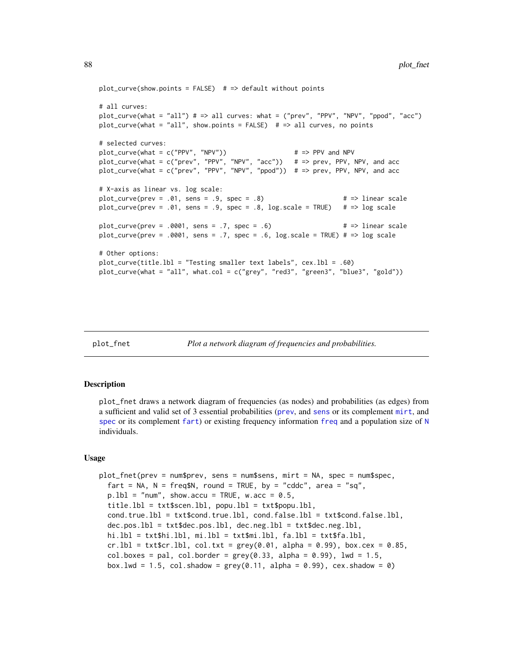```
plot\_curve(show.points = FALSE) # => default without points
# all curves:
plot_curve(what = "all") # => all curves: what = ("prev", "PPV", "NPV", "ppod", "acc")
plot_curve(what = "all", show.points = FALSE) # \Rightarrow all curves, no points
# selected curves:
plot\_curve(what = c("PPV", "NPV")) \qquad \qquad # \Rightarrow PPV \text{ and NPV}plot_curve(what = c("prev", "PPV", "NPV", "acc")) # => prev, PPV, NPV, and acc
plot_curve(what = c("prev", "PPV", "NPV", "ppod")) # => prev, PPV, NPV, and acc
# X-axis as linear vs. log scale:
plot_curve(prev = .01, sens = .9, spec = .8) \# => linear scale
plot_curve(prev = .01, sens = .9, spec = .8, log.scale = TRUE) \# => log scale
plot_curve(prev = .0001, sens = .7, spec = .6) \qquad # => linear scale
plot_curve(prev = .0001, sens = .7, spec = .6, log.scale = TRUE) # => log scale
# Other options:
plot_curve(title.lbl = "Testing smaller text labels", cex.lbl = .60)
plot_curve(what = "all", what.col = c("grey", "red3", "green3", "blue3", "gold"))
```
<span id="page-87-0"></span>

```
plot_fnet Plot a network diagram of frequencies and probabilities.
```
#### Description

plot\_fnet draws a network diagram of frequencies (as nodes) and probabilities (as edges) from a sufficient and valid set of 3 essential probabilities ([prev](#page-104-0), and [sens](#page-112-0) or its complement [mirt](#page-78-0), and [spec](#page-113-0) or its complement [fart](#page-55-0)) or existing [freq](#page-59-0)uency information freq and a population size of  $N$ individuals.

#### Usage

```
plot_fnet(prev = num$prev, sens = num$sens, mirt = NA, spec = num$spec,
  fart = NA, N = \text{freq$N, round} = \text{TRUE}, by = "cddc", area = "sq",p.1b1 = "num", showaccu = TRUE, wacc = 0.5,title.lbl = txt$scen.lbl, popu.lbl = txt$popu.lbl,
  cond.true.lbl = txt$cond.true.lbl, cond.false.lbl = txt$cond.false.lbl,
  dec.pos.lbl = txt$dec.pos.lbl, dec.neg.lbl = txt$dec.neg.lbl,
  hi.lbl = txt$hi.lbl, mi.lbl = txt$mi.lbl, fa.lbl = txt$fa.lbl,
  cr.lbl = txt$cr.lbl, col.txt = grey(0.01, alpha = 0.99), box.cex = 0.85,
  col.boxes = pal, col.border = grey(0.33, alpha = 0.99), lwd = 1.5,
  box.lwd = 1.5, col.shadow = grey(0.11, alpha = 0.99), cex.shadow = 0)
```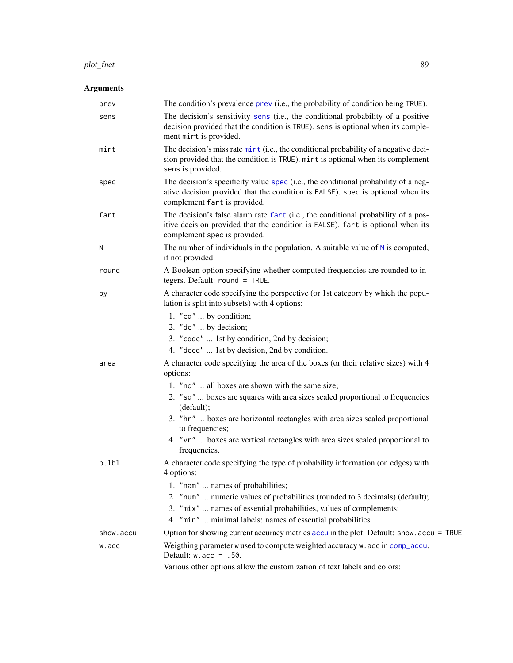#### plot\_fnet 89

| prev      | The condition's prevalence prev (i.e., the probability of condition being TRUE).                                                                                                                      |
|-----------|-------------------------------------------------------------------------------------------------------------------------------------------------------------------------------------------------------|
| sens      | The decision's sensitivity sens (i.e., the conditional probability of a positive<br>decision provided that the condition is TRUE). sens is optional when its comple-<br>ment mirt is provided.        |
| mirt      | The decision's miss rate mirt (i.e., the conditional probability of a negative deci-<br>sion provided that the condition is TRUE). mirt is optional when its complement<br>sens is provided.          |
| spec      | The decision's specificity value spec (i.e., the conditional probability of a neg-<br>ative decision provided that the condition is FALSE). spec is optional when its<br>complement fart is provided. |
| fart      | The decision's false alarm rate fart (i.e., the conditional probability of a pos-<br>itive decision provided that the condition is FALSE). fart is optional when its<br>complement spec is provided.  |
| N         | The number of individuals in the population. A suitable value of $N$ is computed,<br>if not provided.                                                                                                 |
| round     | A Boolean option specifying whether computed frequencies are rounded to in-<br>tegers. Default: round = TRUE.                                                                                         |
| by        | A character code specifying the perspective (or 1st category by which the popu-<br>lation is split into subsets) with 4 options:                                                                      |
|           | 1. "cd"  by condition;                                                                                                                                                                                |
|           | 2. " $dc$ "  by decision;                                                                                                                                                                             |
|           | 3. "cddc"  1st by condition, 2nd by decision;                                                                                                                                                         |
|           | 4. "dccd"  1st by decision, 2nd by condition.                                                                                                                                                         |
| area      | A character code specifying the area of the boxes (or their relative sizes) with 4<br>options:                                                                                                        |
|           | 1. "no"  all boxes are shown with the same size;                                                                                                                                                      |
|           | 2. "sq"  boxes are squares with area sizes scaled proportional to frequencies<br>(default);                                                                                                           |
|           | 3. "hr"  boxes are horizontal rectangles with area sizes scaled proportional<br>to frequencies;                                                                                                       |
|           | 4. "vr"  boxes are vertical rectangles with area sizes scaled proportional to<br>frequencies.                                                                                                         |
| p.lbl     | A character code specifying the type of probability information (on edges) with<br>4 options:                                                                                                         |
|           | 1. "nam"  names of probabilities;                                                                                                                                                                     |
|           | 2. "num"  numeric values of probabilities (rounded to 3 decimals) (default);                                                                                                                          |
|           | 3. "mix"  names of essential probabilities, values of complements;                                                                                                                                    |
|           | 4. "min"  minimal labels: names of essential probabilities.                                                                                                                                           |
| show.accu | Option for showing current accuracy metrics accu in the plot. Default: show. accu = TRUE.                                                                                                             |
| w.acc     | Weigthing parameter w used to compute weighted accuracy w. acc in comp_accu.<br>Default: $w \cdot acc = .50$ .                                                                                        |
|           | Various other options allow the customization of text labels and colors:                                                                                                                              |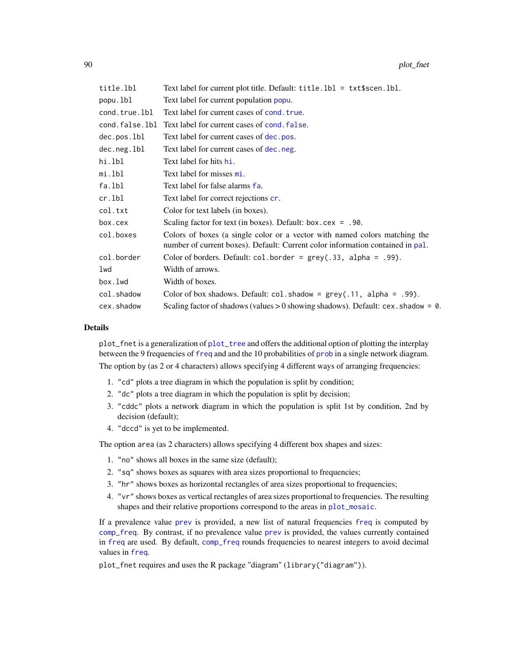| title.lbl      | Text label for current plot title. Default: title. 1b1 = txt\$scen. 1b1.                                                                                     |
|----------------|--------------------------------------------------------------------------------------------------------------------------------------------------------------|
| popu.lbl       | Text label for current population popu.                                                                                                                      |
| cond.true.lbl  | Text label for current cases of cond. true.                                                                                                                  |
| cond.false.lbl | Text label for current cases of cond. false.                                                                                                                 |
| dec.pos.lbl    | Text label for current cases of dec. pos.                                                                                                                    |
| dec.neg.lbl    | Text label for current cases of dec. neg.                                                                                                                    |
| hi.lbl         | Text label for hits hi.                                                                                                                                      |
| mi.lbl         | Text label for misses mi.                                                                                                                                    |
| fa.lbl         | Text label for false alarms fa.                                                                                                                              |
| cr.lbl         | Text label for correct rejections cr.                                                                                                                        |
| col.txt        | Color for text labels (in boxes).                                                                                                                            |
| box.cex        | Scaling factor for text (in boxes). Default: $box.cex = .90$ .                                                                                               |
| col.boxes      | Colors of boxes (a single color or a vector with named colors matching the<br>number of current boxes). Default: Current color information contained in pal. |
| col.border     | Color of borders. Default: $col.border = grey(.33, alpha = .99)$ .                                                                                           |
| lwd            | Width of arrows.                                                                                                                                             |
| box.lwd        | Width of boxes.                                                                                                                                              |
| col.shadow     | Color of box shadows. Default: $col$ . shadow = $grey(.11, alpha = .99)$ .                                                                                   |
| cex.shadow     | Scaling factor of shadows (values $> 0$ showing shadows). Default: cex. shadow = 0.                                                                          |

plot\_fnet is a generalization of [plot\\_tree](#page-97-0) and offers the additional option of plotting the interplay between the 9 frequencies of [freq](#page-59-0) and and the 10 probabilities of [prob](#page-106-0) in a single network diagram.

The option by (as 2 or 4 characters) allows specifying 4 different ways of arranging frequencies:

- 1. "cd" plots a tree diagram in which the population is split by condition;
- 2. "dc" plots a tree diagram in which the population is split by decision;
- 3. "cddc" plots a network diagram in which the population is split 1st by condition, 2nd by decision (default);
- 4. "dccd" is yet to be implemented.

The option area (as 2 characters) allows specifying 4 different box shapes and sizes:

- 1. "no" shows all boxes in the same size (default);
- 2. "sq" shows boxes as squares with area sizes proportional to frequencies;
- 3. "hr" shows boxes as horizontal rectangles of area sizes proportional to frequencies;
- 4. "vr" shows boxes as vertical rectangles of area sizes proportional to frequencies. The resulting shapes and their relative proportions correspond to the areas in [plot\\_mosaic](#page-94-0).

If a prevalence value [prev](#page-104-0) is provided, a new list of natural frequencies [freq](#page-59-0) is computed by [comp\\_freq](#page-16-0). By contrast, if no prevalence value [prev](#page-104-0) is provided, the values currently contained in [freq](#page-59-0) are used. By default, [comp\\_freq](#page-16-0) rounds frequencies to nearest integers to avoid decimal values in [freq](#page-59-0).

plot\_fnet requires and uses the R package "diagram" (library("diagram")).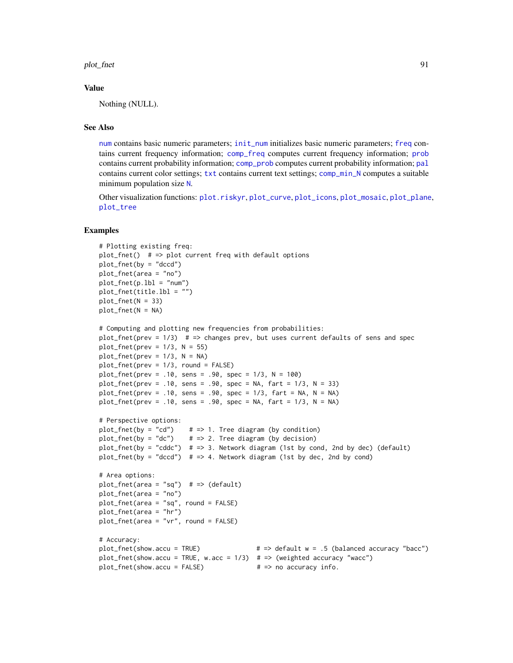plot\_fnet 91

#### Value

Nothing (NULL).

# See Also

[num](#page-82-0) contains basic numeric parameters; [init\\_num](#page-61-0) initializes basic numeric parameters; [freq](#page-59-0) contains current frequency information; [comp\\_freq](#page-16-0) computes current frequency information; [prob](#page-106-0) contains current probability information; [comp\\_prob](#page-32-0) computes current probability information; [pal](#page-83-0) contains current color settings; [txt](#page-115-0) contains current text settings; [comp\\_min\\_N](#page-24-0) computes a suitable minimum population size [N](#page-80-0).

Other visualization functions: [plot.riskyr](#page-84-0), [plot\\_curve](#page-85-0), [plot\\_icons](#page-91-0), [plot\\_mosaic](#page-94-0), [plot\\_plane](#page-96-0), [plot\\_tree](#page-97-0)

```
# Plotting existing freq:
plot_fnet() # => plot current freq with default options
plot_fnet(by = "dccd")
plot_fnet(area = "no")
plot_fnet(p.1bl = "num")plot_fnet(title.lbl = "")
plot_fnet(N = 33)plot_fnet(N = NA)
# Computing and plotting new frequencies from probabilities:
plot_fnet(prev = 1/3) # => changes prev, but uses current defaults of sens and spec
plot_fnet(prev = 1/3, N = 55)
plot_fnet(prev = 1/3, N = NA)plot_fnet(prev = 1/3, round = FALSE)
plot_fnet(prev = .10, sens = .90, spec = 1/3, N = 100)plot_fnet(prev = .10, sens = .90, spec = NA, fart = 1/3, N = 33)
plot_fnet(prev = .10, sens = .90, spec = 1/3, fart = NA, N = NA)plot_fnet(prev = .10, sens = .90, spec = NA, fart = 1/3, N = NA)
# Perspective options:
plot_fnet(by = "cd") # => 1. Tree diagram (by condition)
plot_fnet(by = "dc") # \Rightarrow 2. Tree diagram (by decision)
plot_fnet(by = "cddc") # \Rightarrow 3. Network diagram (1st by cond, 2nd by dec) (default)
plot_fnet(by = "dccd") # => 4. Network diagram (1st by dec, 2nd by cond)
# Area options:
plot_fnet(area = "sq") # => (default)plot_fnet(area = "no")
plot_fnet(area = "sq", round = FALSE)
plot_fnet(area = "hr")
plot_fnet(area = "vr", round = FALSE)
# Accuracy:
plot_fnet(show.accu = TRUE) # => default w = .5 (balanced accuracy "bacc")
plot_fnet(show.accu = TRUE, w.acc = 1/3) # => (weighted accuracy "wacc")
plot_fnet(show.accu = FALSE) \# \Rightarrow no accuracy info.
```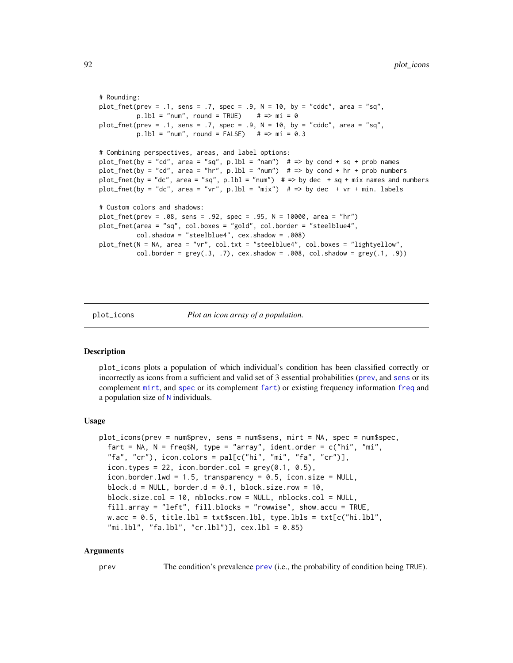```
# Rounding:
plot_fnet(prev = .1, sens = .7, spec = .9, N = 10, by = "cddc", area = "sq",
         p.1b1 = "num", round = TRUE) # => mi = 0
plot_fnet(prev = .1, sens = .7, spec = .9, N = 10, by = "cddc", area = "sq",
          p.1b1 = "num", round = FALSE) # => mi = 0.3# Combining perspectives, areas, and label options:
plot_fnet(by = "cd", area = "sq", p.1bl = "nam") # \Rightarrow by cond + sq + prob names
plot_fnet(by = "cd", area = "hr", p.lb1 = "num") # => by cond + hr + prob numbersplot_fnet(by = "dc", area = "sq", p.1b1 = "num") # \Rightarrow by dec + sq + mix names and numbers
plot_fnet(by = "dc", area = "vr", p.1b1 = "mix") # => by dec + vr + min. labels
# Custom colors and shadows:
plot_fnet(prev = .08, sens = .92, spec = .95, N = 10000, area = "hr")
plot_fnet(area = "sq", col.boxes = "gold", col.border = "steelblue4",
          col.shadow = "steelblue4", cex.shadow = .008)
plot_fnet(N = NA, area = "vr", col.txt = "steelblue4", col.boxes = "lightyellow",
          col.border = grey(.3, .7), cex.shadow = .008, col.shadow = grey(.1, .9))
```
<span id="page-91-0"></span>plot\_icons *P* 

# **Description**

plot\_icons plots a population of which individual's condition has been classified correctly or incorrectly as icons from a sufficient and valid set of 3 essential probabilities ([prev](#page-104-0), and [sens](#page-112-0) or its complement [mirt](#page-78-0), and [spec](#page-113-0) or its complement [fart](#page-55-0)) or existing frequency information [freq](#page-59-0) and a population size of [N](#page-80-0) individuals.

#### Usage

```
plot_icons(prev = num$prev, sens = num$sens, mirt = NA, spec = num$spec,
  fart = NA, N = \text{freq$N}, \text{ type} = \text{"array"}, ident.order = c("hi", "mi",
  "fa", "cr"), icon.colors = pal[c("hi", "mi", "fa", "cr")],icon.types = 22, icon.border.col = grey(0.1, 0.5),icon.border.lwd = 1.5, transparency = 0.5, icon.size = NULL,
  block.d = NULL, border.d = 0.1, block.size.row = 10,
  block.size.col = 10, nblocks.row = NULL, nblocks.col = NULL,
  fill.array = "left", fill.blocks = "rowwise", show.accu = TRUE,
  w.acc = 0.5, title.lbl = txt$scen.lbl, type.lbls = txt[c("hi.lbl",
  "mi.lbl", "fa.lbl", "cr.lbl"], cex.lbl = 0.85)
```
## Arguments

prev The condition's prevalence [prev](#page-104-0) (i.e., the probability of condition being TRUE).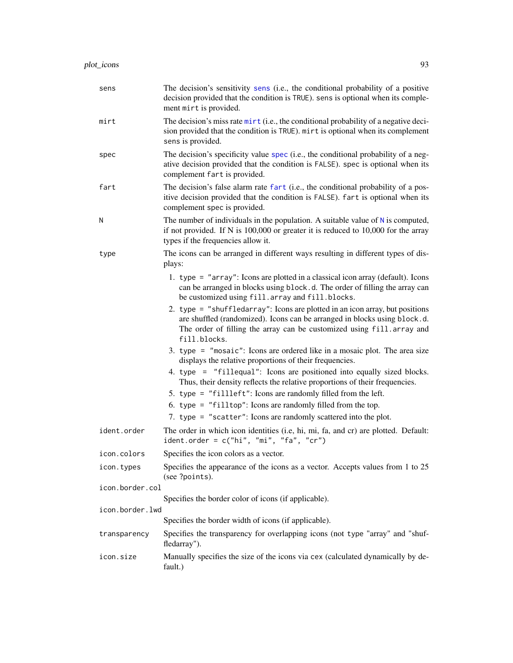| sens            | The decision's sensitivity sens (i.e., the conditional probability of a positive<br>decision provided that the condition is TRUE). sens is optional when its comple-<br>ment mirt is provided.                                                     |
|-----------------|----------------------------------------------------------------------------------------------------------------------------------------------------------------------------------------------------------------------------------------------------|
| mirt            | The decision's miss rate mirt (i.e., the conditional probability of a negative deci-<br>sion provided that the condition is TRUE). mirt is optional when its complement<br>sens is provided.                                                       |
| spec            | The decision's specificity value spec (i.e., the conditional probability of a neg-<br>ative decision provided that the condition is FALSE). spec is optional when its<br>complement fart is provided.                                              |
| fart            | The decision's false alarm rate fart (i.e., the conditional probability of a pos-<br>itive decision provided that the condition is FALSE). fart is optional when its<br>complement spec is provided.                                               |
| N               | The number of individuals in the population. A suitable value of $N$ is computed,<br>if not provided. If N is $100,000$ or greater it is reduced to $10,000$ for the array<br>types if the frequencies allow it.                                   |
| type            | The icons can be arranged in different ways resulting in different types of dis-<br>plays:                                                                                                                                                         |
|                 | 1. type = "array": Icons are plotted in a classical icon array (default). Icons<br>can be arranged in blocks using block.d. The order of filling the array can<br>be customized using fill.array and fill.blocks.                                  |
|                 | 2. type = "shuffledarray": Icons are plotted in an icon array, but positions<br>are shuffled (randomized). Icons can be arranged in blocks using block.d.<br>The order of filling the array can be customized using fill.array and<br>fill.blocks. |
|                 | 3. type = $\degree$ "mosaic": Icons are ordered like in a mosaic plot. The area size<br>displays the relative proportions of their frequencies.                                                                                                    |
|                 | 4. type = "fillequal": Icons are positioned into equally sized blocks.<br>Thus, their density reflects the relative proportions of their frequencies.                                                                                              |
|                 | 5. type = "fillleft": Icons are randomly filled from the left.<br>6. type = "filltop": Icons are randomly filled from the top.<br>7. type = "scatter": Icons are randomly scattered into the plot.                                                 |
| ident.order     | The order in which icon identities (i.e, hi, mi, fa, and cr) are plotted. Default:<br>ident.order = $c("hi", "mi", "fa", "cr")$                                                                                                                    |
| icon.colors     | Specifies the icon colors as a vector.                                                                                                                                                                                                             |
| icon.types      | Specifies the appearance of the icons as a vector. Accepts values from 1 to 25<br>(see ?points).                                                                                                                                                   |
| icon.border.col |                                                                                                                                                                                                                                                    |
| icon.border.lwd | Specifies the border color of icons (if applicable).                                                                                                                                                                                               |
|                 | Specifies the border width of icons (if applicable).                                                                                                                                                                                               |
| transparency    | Specifies the transparency for overlapping icons (not type "array" and "shuf-<br>fledarray").                                                                                                                                                      |
| icon.size       | Manually specifies the size of the icons via cex (calculated dynamically by de-<br>fault.)                                                                                                                                                         |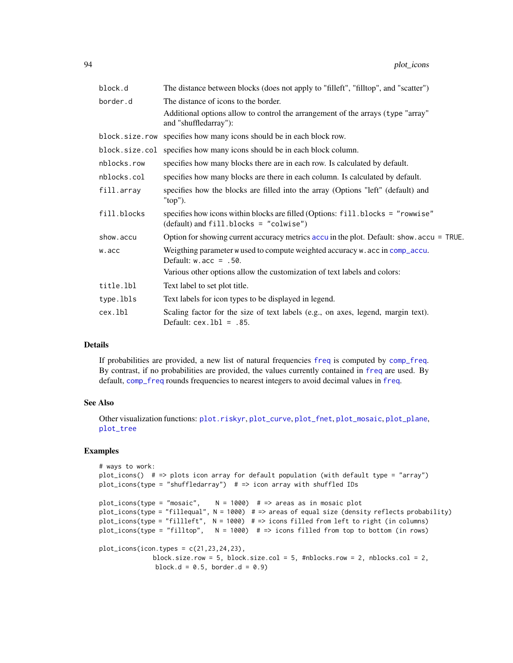| block.d        | The distance between blocks (does not apply to "filleft", "filltop", and "scatter")                                        |
|----------------|----------------------------------------------------------------------------------------------------------------------------|
| border.d       | The distance of icons to the border.                                                                                       |
|                | Additional options allow to control the arrangement of the arrays (type "array"<br>and "shuffledarray"):                   |
| block.size.row | specifies how many icons should be in each block row.                                                                      |
| block.size.col | specifies how many icons should be in each block column.                                                                   |
| nblocks.row    | specifies how many blocks there are in each row. Is calculated by default.                                                 |
| nblocks.col    | specifies how many blocks are there in each column. Is calculated by default.                                              |
| fill.array     | specifies how the blocks are filled into the array (Options "left" (default) and<br>"top").                                |
| fill.blocks    | specifies how icons within blocks are filled (Options: fill.blocks = "rowwise"<br>$(default)$ and fill.blocks = "colwise") |
| show.accu      | Option for showing current accuracy metrics accu in the plot. Default: show. accu = TRUE.                                  |
| w.acc          | Weigthing parameter w used to compute weighted accuracy w. acc in comp_accu.<br>Default: $w \cdot acc = .50$ .             |
|                | Various other options allow the customization of text labels and colors:                                                   |
| title.lbl      | Text label to set plot title.                                                                                              |
| type.lbls      | Text labels for icon types to be displayed in legend.                                                                      |
| cex.lbl        | Scaling factor for the size of text labels (e.g., on axes, legend, margin text).<br>Default: $cex.1b1 = .85$ .             |

If probabilities are provided, a new list of natural frequencies [freq](#page-59-0) is computed by [comp\\_freq](#page-16-0). By contrast, if no probabilities are provided, the values currently contained in [freq](#page-59-0) are used. By default, [comp\\_freq](#page-16-0) rounds frequencies to nearest integers to avoid decimal values in [freq](#page-59-0).

## See Also

Other visualization functions: [plot.riskyr](#page-84-0), [plot\\_curve](#page-85-0), [plot\\_fnet](#page-87-0), [plot\\_mosaic](#page-94-0), [plot\\_plane](#page-96-0), [plot\\_tree](#page-97-0)

```
# ways to work:
plot_icons() # => plots icon array for default population (with default type = "array")
plot\_icons(type = "shuffledarray") # => icon array with shuffled IDs
plot\_icons(type = "mosaic", \t N = 1000) # => areas as in mosaic plotplot_icons(type = "fillequal", N = 1000) # => areas of equal size (density reflects probability)
plot_icons(type = "fillleft", N = 1000) # => icons filled from left to right (in columns)
plot_icons(type = "filltop", N = 1000) # => icons filled from top to bottom (in rows)
plot\_icons(icon.types = c(21, 23, 24, 23),block.size.row = 5, block.size.col = 5, #nblocks.row = 2, nblocks.col = 2,
              block.d = 0.5, border.d = 0.9)
```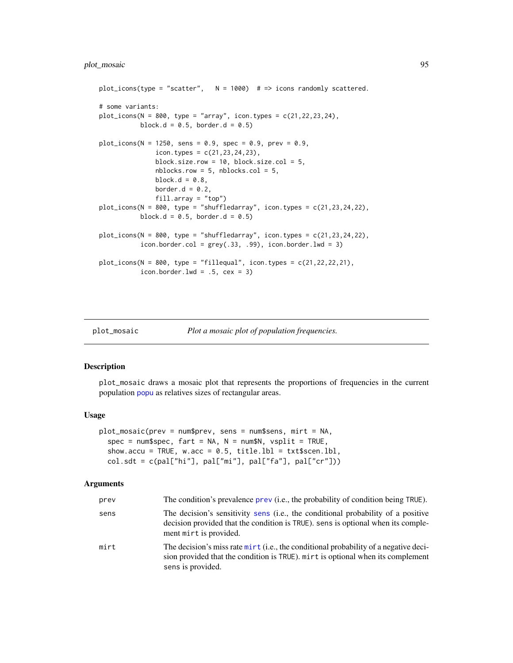# plot\_mosaic 95

```
plot_icons(type = "scatter", N = 1000) # => icons randomly scattered.
# some variants:
plot\_icons(N = 800, type = "array", icon. types = c(21, 22, 23, 24),block.d = 0.5, border.d = 0.5)
plot\_icons(N = 1250, sens = 0.9, spec = 0.9, prev = 0.9,icon.types = c(21, 23, 24, 23),
               block.size.row = 10, block.size.col = 5,
               nblocks.row = 5, nblocks.col = 5,
               block.d = 0.8,
               border.d = 0.2,
               fill.array = "top")
plot\_icons(N = 800, type = "shuffledarray", icon. types = c(21, 23, 24, 22),block.d = 0.5, border.d = 0.5)
plot\_icons(N = 800, type = "shuffledarray", icon types = c(21, 23, 24, 22),icon.border.col = grey(.33, .99), icon.border.1wd = 3)plot\_icons(N = 800, type = "fillequal", icon. types = c(21, 22, 22, 21),icon.border.1wd = .5, cex = 3)
```
<span id="page-94-0"></span>

```
plot_mosaic Plot a mosaic plot of population frequencies.
```
#### Description

plot\_mosaic draws a mosaic plot that represents the proportions of frequencies in the current population [popu](#page-101-0) as relatives sizes of rectangular areas.

#### Usage

```
plot_mosaic(prev = num$prev, sens = num$sens, mirt = NA,
  spec = num$pec, fart = NA, N = num$N, vsplit = TRUE,
  show.accu = TRUE, w.acc = 0.5, title.1bl = txt$scen.1bl,
  col. sdt = c(pal["hi"], pal["mi"], pal["fa"], pal["cr"])
```

| prev | The condition's prevalence prev (i.e., the probability of condition being TRUE).                                                                                                               |
|------|------------------------------------------------------------------------------------------------------------------------------------------------------------------------------------------------|
| sens | The decision's sensitivity sens (i.e., the conditional probability of a positive<br>decision provided that the condition is TRUE), sens is optional when its comple-<br>ment mirt is provided. |
| mirt | The decision's miss rate mirt (i.e., the conditional probability of a negative deci-<br>sion provided that the condition is TRUE). mirt is optional when its complement<br>sens is provided.   |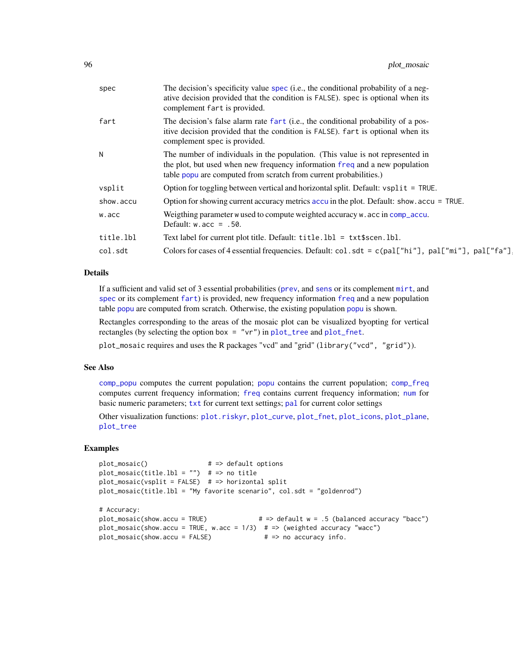| spec      | The decision's specificity value spec (i.e., the conditional probability of a neg-<br>ative decision provided that the condition is FALSE). spec is optional when its<br>complement fart is provided.                              |
|-----------|------------------------------------------------------------------------------------------------------------------------------------------------------------------------------------------------------------------------------------|
| fart      | The decision's false alarm rate fart (i.e., the conditional probability of a pos-<br>itive decision provided that the condition is FALSE). fart is optional when its<br>complement spec is provided.                               |
| N         | The number of individuals in the population. (This value is not represented in<br>the plot, but used when new frequency information freq and a new population<br>table popu are computed from scratch from current probabilities.) |
| vsplit    | Option for toggling between vertical and horizontal split. Default: vsplit = TRUE.                                                                                                                                                 |
| show.accu | Option for showing current accuracy metrics accu in the plot. Default: show. accu = TRUE.                                                                                                                                          |
| w.acc     | Weigthing parameter w used to compute weighted accuracy w. acc in comp_accu.<br>Default: $w \cdot acc = .50$ .                                                                                                                     |
| title.lbl | Text label for current plot title. Default: title. 1b1 = txt\$scen. 1b1.                                                                                                                                                           |
| col.sdt   | Colors for cases of 4 essential frequencies. Default: col.sdt = c(pal["hi"], pal["mi"], pal["fa"]                                                                                                                                  |
|           |                                                                                                                                                                                                                                    |

If a sufficient and valid set of 3 essential probabilities ([prev](#page-104-0), and [sens](#page-112-0) or its complement [mirt](#page-78-0), and [spec](#page-113-0) or its complement [fart](#page-55-0)) is provided, new frequency information [freq](#page-59-0) and a new population table [popu](#page-101-0) are computed from scratch. Otherwise, the existing population [popu](#page-101-0) is shown.

Rectangles corresponding to the areas of the mosaic plot can be visualized byopting for vertical rectangles (by selecting the option box = "vr") in [plot\\_tree](#page-97-0) and [plot\\_fnet](#page-87-0).

plot\_mosaic requires and uses the R packages "vcd" and "grid" (library("vcd", "grid")).

# See Also

[comp\\_popu](#page-27-0) computes the current population; [popu](#page-101-0) contains the current population; [comp\\_freq](#page-16-0) computes current frequency information; [freq](#page-59-0) contains current frequency information; [num](#page-82-0) for basic numeric parameters; [txt](#page-115-0) for current text settings; [pal](#page-83-0) for current color settings

Other visualization functions: [plot.riskyr](#page-84-0), [plot\\_curve](#page-85-0), [plot\\_fnet](#page-87-0), [plot\\_icons](#page-91-0), [plot\\_plane](#page-96-0), [plot\\_tree](#page-97-0)

```
plot_mosaic() # \Rightarrow default options
plot_mosaic(title.lbl = "") # => no title
plot_mosaic(vsplit = FALSE) # => horizontal split
plot_mosaic(title.lbl = "My favorite scenario", col.sdt = "goldenrod")
# Accuracy:
plot_mosaic(show.accu = TRUE) \qquad # \Rightarrow default w = .5 (balanced accuracy "bacc")
plot_mosaic(show.accu = TRUE, w.acc = 1/3) # => (weighted accuracy "wacc")
plot_{\text{}} mosaic(show.accu = FALSE) # => no accuracy info.
```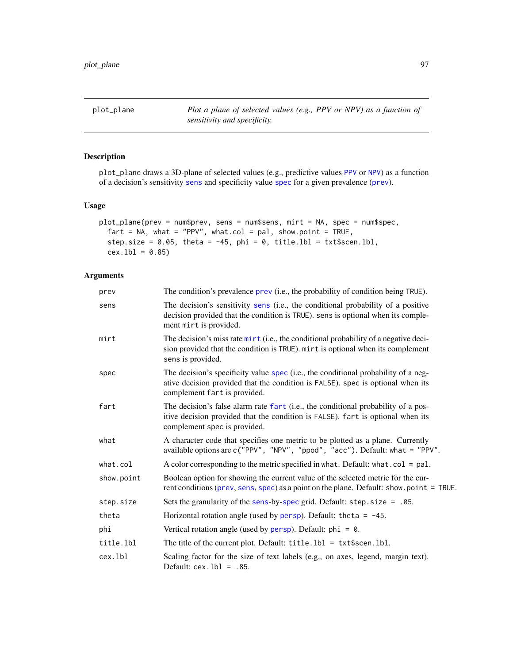<span id="page-96-0"></span>

# Description

plot\_plane draws a 3D-plane of selected values (e.g., predictive values [PPV](#page-103-0) or [NPV](#page-81-0)) as a function of a decision's sensitivity [sens](#page-112-0) and specificity value [spec](#page-113-0) for a given prevalence ([prev](#page-104-0)).

#### Usage

```
plot_plane(prev = num$prev, sens = num$sens, mirt = NA, spec = num$spec,
 fart = NA, what = "PPV", what.col = pal, show.point = TRUE,
  step.size = 0.05, theta = -45, phi = 0, title.lbl = txt$scen.lbl,
  cex.1b1 = 0.85
```

| prev       | The condition's prevalence prev (i.e., the probability of condition being TRUE).                                                                                                                      |  |
|------------|-------------------------------------------------------------------------------------------------------------------------------------------------------------------------------------------------------|--|
| sens       | The decision's sensitivity sens (i.e., the conditional probability of a positive<br>decision provided that the condition is TRUE). sens is optional when its comple-<br>ment mirt is provided.        |  |
| mirt       | The decision's miss rate mirt (i.e., the conditional probability of a negative deci-<br>sion provided that the condition is TRUE). mirt is optional when its complement<br>sens is provided.          |  |
| spec       | The decision's specificity value spec (i.e., the conditional probability of a neg-<br>ative decision provided that the condition is FALSE). spec is optional when its<br>complement fart is provided. |  |
| fart       | The decision's false alarm rate fart (i.e., the conditional probability of a pos-<br>itive decision provided that the condition is FALSE). fart is optional when its<br>complement spec is provided.  |  |
| what       | A character code that specifies one metric to be plotted as a plane. Currently<br>available options are c("PPV", "NPV", "ppod", "acc"). Default: what = "PPV".                                        |  |
| what.col   | A color corresponding to the metric specified in what. Default: what.col = $pal.$                                                                                                                     |  |
| show.point | Boolean option for showing the current value of the selected metric for the cur-<br>rent conditions (prev, sens, spec) as a point on the plane. Default: show.point = TRUE.                           |  |
| step.size  | Sets the granularity of the sens-by-spec grid. Default: $step.size = .05$ .                                                                                                                           |  |
| theta      | Horizontal rotation angle (used by persp). Default: theta = $-45$ .                                                                                                                                   |  |
| phi        | Vertical rotation angle (used by persp). Default: $phi = 0$ .                                                                                                                                         |  |
| title.lbl  | The title of the current plot. Default: $title.1b1 = txt$scen.1b1.$                                                                                                                                   |  |
| cex.lbl    | Scaling factor for the size of text labels (e.g., on axes, legend, margin text).<br>Default: $cex.1b1 = .85$ .                                                                                        |  |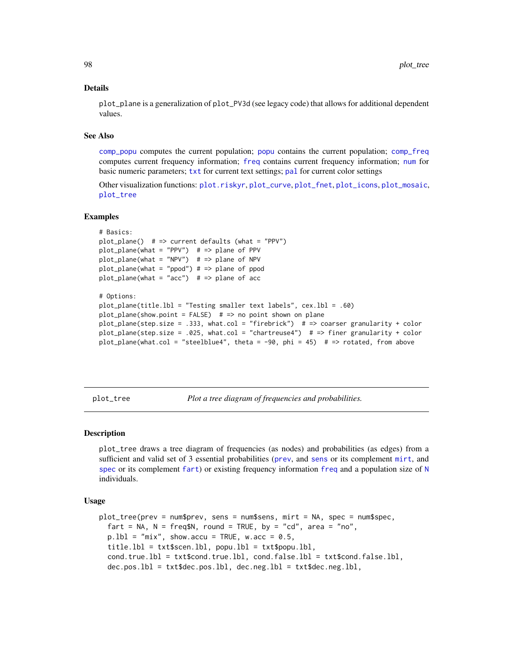plot\_plane is a generalization of plot\_PV3d (see legacy code) that allows for additional dependent values.

## See Also

[comp\\_popu](#page-27-0) computes the current population; [popu](#page-101-0) contains the current population; [comp\\_freq](#page-16-0) computes current frequency information; [freq](#page-59-0) contains current frequency information; [num](#page-82-0) for basic numeric parameters; [txt](#page-115-0) for current text settings; [pal](#page-83-0) for current color settings

Other visualization functions: [plot.riskyr](#page-84-0), [plot\\_curve](#page-85-0), [plot\\_fnet](#page-87-0), [plot\\_icons](#page-91-0), [plot\\_mosaic](#page-94-0), [plot\\_tree](#page-97-0)

## Examples

```
# Basics:
plot\_plane() # => current defaults (what = "PPV")
plot\_plane(what = "PPV") # => plane of PPV
plot\_plane(what = "NPV") # => plane of NPV
plot_plane(what = "ppod") # => plane of ppod
plot\_plane(what = "acc") # => plane of acc# Options:
plot_plane(title.lbl = "Testing smaller text labels", cex.lbl = .60)
plot_plane(show.point = FALSE) # => no point shown on plane
plot_plane(step.size = .333, what.col = "firebrick") # => coarser granularity + color
plot_plane(step.size = .025, what.col = "chartreuse4") # => finer granularity + color
plot_plane(what.col = "steelblue4", theta = -90, phi = 45) # => rotated, from above
```
<span id="page-97-0"></span>plot\_tree *Plot a tree diagram of frequencies and probabilities.*

#### Description

plot\_tree draws a tree diagram of frequencies (as nodes) and probabilities (as edges) from a sufficient and valid set of 3 essential probabilities ([prev](#page-104-0), and [sens](#page-112-0) or its complement [mirt](#page-78-0), and [spec](#page-113-0) or its complement [fart](#page-55-0)) or existing [freq](#page-59-0)uency information freq and a population size of [N](#page-80-0) individuals.

## Usage

```
plot_tree(prev = num$prev, sens = num$sens, mirt = NA, spec = num$spec,
  fart = NA, N = freqSN, round = TRUE, by = "cd", area = "no",
 p.1b1 = "mix", show.accu = TRUE, w.acc = 0.5,title.lbl = txt$scen.lbl, popu.lbl = txt$popu.lbl,
  cond.true.lbl = txt$cond.true.lbl, cond.false.lbl = txt$cond.false.lbl,
  dec.pos.lbl = txt$dec.pos.lbl, dec.neg.lbl = txt$dec.neg.lbl,
```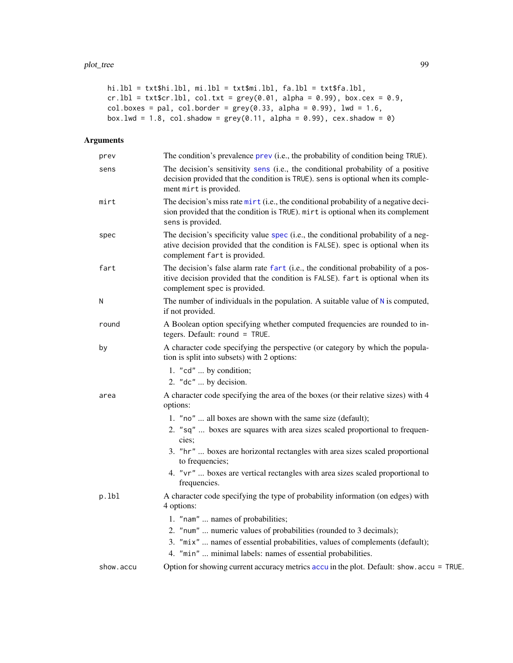```
hi.lbl = txt$hi.lbl, mi.lbl = txt$mi.lbl, fa.lbl = txt$fa.lbl,
cr.1bl = txt$cr.1bl, col.txt = grey(0.01, alpha = 0.99), box.cex = 0.9,
col.boxes = pal, col.border = grey(0.33, alpha = 0.99), lwd = 1.6,
box.lwd = 1.8, col.shadow = grey(0.11, alpha = 0.99), cex.shadow = 0)
```

| prev      | The condition's prevalence prev (i.e., the probability of condition being TRUE).                                                                                                                        |
|-----------|---------------------------------------------------------------------------------------------------------------------------------------------------------------------------------------------------------|
| sens      | The decision's sensitivity sens (i.e., the conditional probability of a positive<br>decision provided that the condition is TRUE). sens is optional when its comple-<br>ment mirt is provided.          |
| mirt      | The decision's miss rate $\text{mit } t$ (i.e., the conditional probability of a negative deci-<br>sion provided that the condition is TRUE). mirt is optional when its complement<br>sens is provided. |
| spec      | The decision's specificity value spec (i.e., the conditional probability of a neg-<br>ative decision provided that the condition is FALSE). spec is optional when its<br>complement fart is provided.   |
| fart      | The decision's false alarm rate fart (i.e., the conditional probability of a pos-<br>itive decision provided that the condition is FALSE). fart is optional when its<br>complement spec is provided.    |
| N         | The number of individuals in the population. A suitable value of $N$ is computed,<br>if not provided.                                                                                                   |
| round     | A Boolean option specifying whether computed frequencies are rounded to in-<br>tegers. Default: round = TRUE.                                                                                           |
| by        | A character code specifying the perspective (or category by which the popula-<br>tion is split into subsets) with 2 options:                                                                            |
|           | 1. "cd"  by condition;<br>2. "dc"  by decision.                                                                                                                                                         |
| area      | A character code specifying the area of the boxes (or their relative sizes) with 4<br>options:                                                                                                          |
|           | 1. "no"  all boxes are shown with the same size (default);                                                                                                                                              |
|           | 2. "sq"  boxes are squares with area sizes scaled proportional to frequen-<br>cies:                                                                                                                     |
|           | 3. "hr"  boxes are horizontal rectangles with area sizes scaled proportional<br>to frequencies;                                                                                                         |
|           | 4. "vr"  boxes are vertical rectangles with area sizes scaled proportional to<br>frequencies.                                                                                                           |
| p.1bl     | A character code specifying the type of probability information (on edges) with<br>4 options:                                                                                                           |
|           | 1. "nam"  names of probabilities;                                                                                                                                                                       |
|           | 2. "num"  numeric values of probabilities (rounded to 3 decimals);                                                                                                                                      |
|           | 3. "mix"  names of essential probabilities, values of complements (default);<br>4. "min"  minimal labels: names of essential probabilities.                                                             |
| show.accu | Option for showing current accuracy metrics accu in the plot. Default: show. accu = TRUE.                                                                                                               |
|           |                                                                                                                                                                                                         |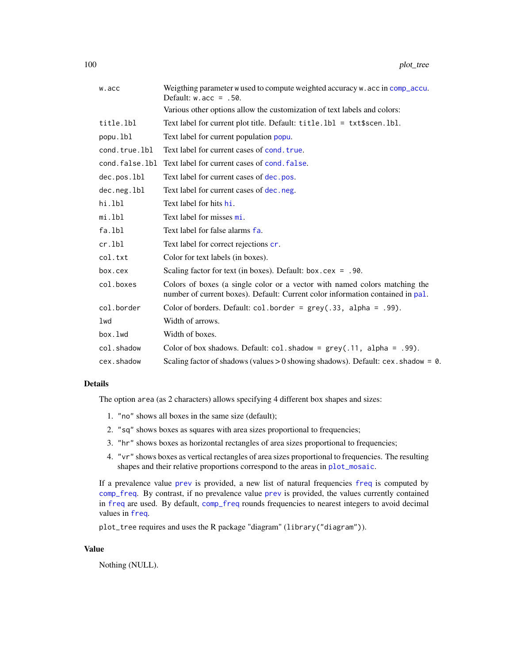| w.acc          | Weigthing parameter w used to compute weighted accuracy w. acc in comp_accu.<br>Default: $w \cdot acc = .50$ .                                               |  |
|----------------|--------------------------------------------------------------------------------------------------------------------------------------------------------------|--|
|                | Various other options allow the customization of text labels and colors:                                                                                     |  |
| title.lbl      | Text label for current plot title. Default: $title.1b1 = txt$ \$scen. lbl.                                                                                   |  |
| popu.lbl       | Text label for current population popu.                                                                                                                      |  |
| cond.true.lbl  | Text label for current cases of cond, true.                                                                                                                  |  |
| cond.false.lbl | Text label for current cases of cond, false.                                                                                                                 |  |
| dec.pos.lbl    | Text label for current cases of dec. pos.                                                                                                                    |  |
| dec.neg.lbl    | Text label for current cases of dec.neg.                                                                                                                     |  |
| hi.lbl         | Text label for hits hi.                                                                                                                                      |  |
| mi.lbl         | Text label for misses mi.                                                                                                                                    |  |
| fa.lbl         | Text label for false alarms fa.                                                                                                                              |  |
| $cr.$ lbl      | Text label for correct rejections cr.                                                                                                                        |  |
| col.txt        | Color for text labels (in boxes).                                                                                                                            |  |
| box.cex        | Scaling factor for text (in boxes). Default: $box.cex = .90$ .                                                                                               |  |
| col.boxes      | Colors of boxes (a single color or a vector with named colors matching the<br>number of current boxes). Default: Current color information contained in pal. |  |
| col.border     | Color of borders. Default: $col.border = grey(.33, alpha = .99)$ .                                                                                           |  |
| lwd            | Width of arrows.                                                                                                                                             |  |
| box.lwd        | Width of boxes.                                                                                                                                              |  |
| col.shadow     | Color of box shadows. Default: $col.s$ hadow = $grey(.11, alpha = .99)$ .                                                                                    |  |
| cex.shadow     | Scaling factor of shadows (values $> 0$ showing shadows). Default: cex. shadow = 0.                                                                          |  |

The option area (as 2 characters) allows specifying 4 different box shapes and sizes:

- 1. "no" shows all boxes in the same size (default);
- 2. "sq" shows boxes as squares with area sizes proportional to frequencies;
- 3. "hr" shows boxes as horizontal rectangles of area sizes proportional to frequencies;
- 4. "vr" shows boxes as vertical rectangles of area sizes proportional to frequencies. The resulting shapes and their relative proportions correspond to the areas in [plot\\_mosaic](#page-94-0).

If a prevalence value [prev](#page-104-0) is provided, a new list of natural frequencies [freq](#page-59-0) is computed by [comp\\_freq](#page-16-0). By contrast, if no prevalence value [prev](#page-104-0) is provided, the values currently contained in [freq](#page-59-0) are used. By default, [comp\\_freq](#page-16-0) rounds frequencies to nearest integers to avoid decimal values in [freq](#page-59-0).

plot\_tree requires and uses the R package "diagram" (library("diagram")).

# Value

Nothing (NULL).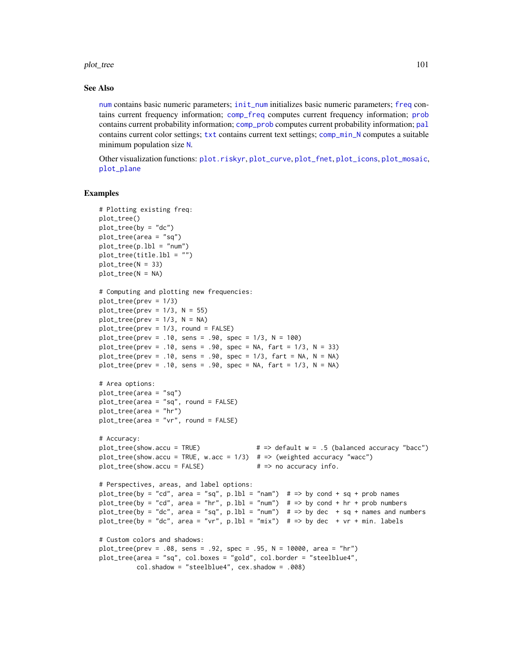plot\_tree 101

## See Also

[num](#page-82-0) contains basic numeric parameters; [init\\_num](#page-61-0) initializes basic numeric parameters; [freq](#page-59-0) contains current frequency information; [comp\\_freq](#page-16-0) computes current frequency information; [prob](#page-106-0) contains current probability information; [comp\\_prob](#page-32-0) computes current probability information; [pal](#page-83-0) contains current color settings; [txt](#page-115-0) contains current text settings; [comp\\_min\\_N](#page-24-0) computes a suitable minimum population size [N](#page-80-0).

Other visualization functions: [plot.riskyr](#page-84-0), [plot\\_curve](#page-85-0), [plot\\_fnet](#page-87-0), [plot\\_icons](#page-91-0), [plot\\_mosaic](#page-94-0), [plot\\_plane](#page-96-0)

```
# Plotting existing freq:
plot_tree()
plot_{tree}(by = "dc")plot_tree(area = "sq")
plot\_tree(p.1b1 = "num")plot_tree(title.lbl = "")
plot\_tree(N = 33)plot_tree(N = NA)
# Computing and plotting new frequencies:
plot_tree(prev = 1/3)
plot\_tree(prev = 1/3, N = 55)plot\_tree(prev = 1/3, N = NA)plot_tree(prev = 1/3, round = FALSE)
plot\_tree(prev = .10, sens = .90, spec = 1/3, N = 100)plot_{r}tree(prev = .10, sens = .90, spec = NA, fart = 1/3, N = 33)plot_tree(prev = .10, sens = .90, spec = 1/3, fart = NA, N = NA)
plot\_tree(prev = .10, sens = .90, spec = NA, fart = 1/3, N = NA)# Area options:
plot_tree(area = "sq")
plot_tree(area = "sq", round = FALSE)
plot_tree(area = "hr")
plot_tree(area = "vr", round = FALSE)
# Accuracy:
plot_tree(show.accu = TRUE) # => default w = .5 (balanced accuracy "bacc")
plot\_tree(show.accu = TRUE, w.acc = 1/3) # => (weighted accuracy "wacc")
plot\_tree(show.accu = FALSE) \# \Rightarrow no accuracy info.# Perspectives, areas, and label options:
plot_tree(by = "cd", area = "sq", p.1b1 = "nam") # => by cond + sq + prob names
plot_tree(by = "cd", area = "hr", p.1b1 = "num") # => by cond + hr + prob numbers
plot_tree(by = "dc", area = "sq", p.1bl = "num") # \Rightarrow by dec + sq + names and numbers
plot_tree(by = "dc", area = "vr", p.lbl = "mix") # => by dec + vr + min. labels
# Custom colors and shadows:
plot_tree(prev = .08, sens = .92, spec = .95, N = 10000, area = "hr")
plot_tree(area = "sq", col.boxes = "gold", col.border = "steelblue4",
          col.shadow = "steelblue4", cex.shadow = .008)
```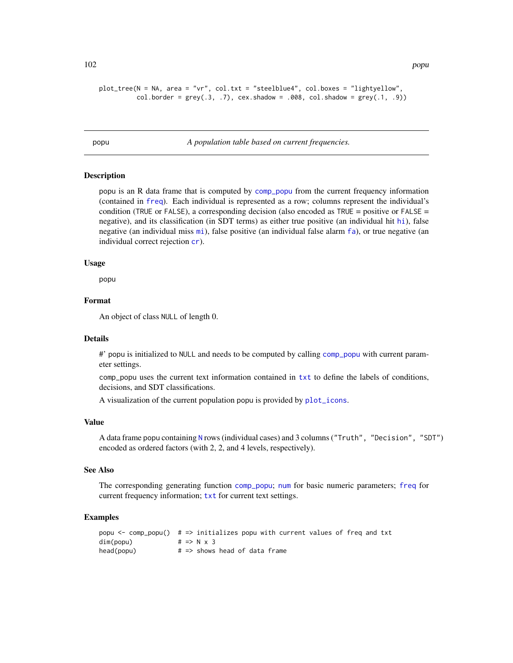```
plot_tree(N = NA, area = "vr", col.txt = "steelblue4", col.boxes = "lightyellow",
         col.border = grey(.3, .7), cex.shadow = .008, col.shadow = grey(.1, .9))
```
<span id="page-101-0"></span>popu *A population table based on current frequencies.*

#### **Description**

popu is an R data frame that is computed by [comp\\_popu](#page-27-0) from the current frequency information (contained in [freq](#page-59-0)). Each individual is represented as a row; columns represent the individual's condition (TRUE or FALSE), a corresponding decision (also encoded as TRUE = positive or FALSE = negative), and its classification (in SDT terms) as either true positive (an individual hit [hi](#page-60-0)), false negative (an individual miss [mi](#page-77-0)), false positive (an individual false alarm [fa](#page-54-0)), or true negative (an individual correct rejection [cr](#page-46-0)).

### Usage

popu

# Format

An object of class NULL of length 0.

#### Details

#' popu is initialized to NULL and needs to be computed by calling [comp\\_popu](#page-27-0) with current parameter settings.

comp\_popu uses the current text information contained in [txt](#page-115-0) to define the labels of conditions, decisions, and SDT classifications.

A visualization of the current population popu is provided by [plot\\_icons](#page-91-0).

#### Value

A data frame popu containing [N](#page-80-0) rows (individual cases) and 3 columns ("Truth", "Decision", "SDT") encoded as ordered factors (with 2, 2, and 4 levels, respectively).

#### See Also

The corresponding generating function [comp\\_popu](#page-27-0); [num](#page-82-0) for basic numeric parameters; [freq](#page-59-0) for current frequency information; [txt](#page-115-0) for current text settings.

```
popu <- comp_popu() # => initializes popu with current values of freq and txt
dim(popu) # \Rightarrow N \times 3head(popu) # \Rightarrow shows head of data frame
```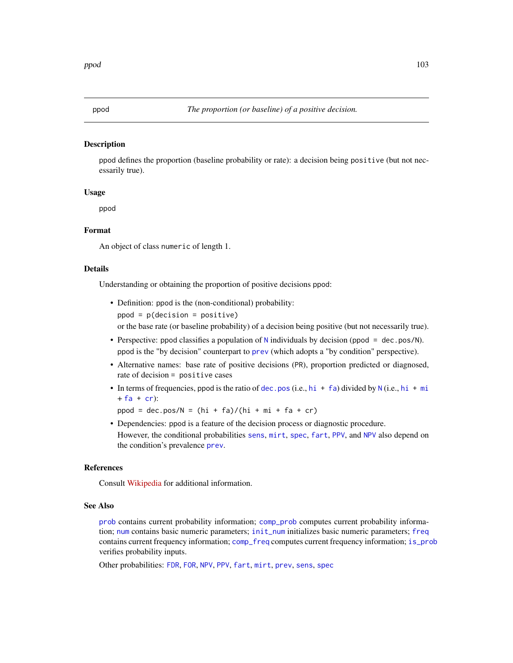<span id="page-102-0"></span>

### Description

ppod defines the proportion (baseline probability or rate): a decision being positive (but not necessarily true).

# Usage

ppod

# Format

An object of class numeric of length 1.

# Details

Understanding or obtaining the proportion of positive decisions ppod:

- Definition: ppod is the (non-conditional) probability:  $ppod = p(decision = positive)$ or the base rate (or baseline probability) of a decision being positive (but not necessarily true).
- Perspective: ppod classifies a population of [N](#page-80-0) individuals by decision (ppod = dec.pos/N). ppod is the "by decision" counterpart to [prev](#page-104-0) (which adopts a "by condition" perspective).
- Alternative names: base rate of positive decisions (PR), proportion predicted or diagnosed, rate of decision = positive cases
- In terms of frequencies, ppod is the ratio of [dec.pos](#page-50-0) (i.e., [hi](#page-60-0) + [fa](#page-54-0)) divided by [N](#page-80-0) (i.e., hi + [mi](#page-77-0)  $+ fa + cr$  $+ fa + cr$  $+ fa + cr$  $+ fa + cr$ :
	- $ppod = dec.pos/N = (hi + fa)/(hi + mi + fa + cr)$
- Dependencies: ppod is a feature of the decision process or diagnostic procedure. However, the conditional probabilities [sens](#page-112-0), [mirt](#page-78-0), [spec](#page-113-0), [fart](#page-55-0), [PPV](#page-103-0), and [NPV](#page-81-0) also depend on the condition's prevalence [prev](#page-104-0).

## References

Consult [Wikipedia](https://en.wikipedia.org/wiki/Positive_and_negative_predictive_values) for additional information.

#### See Also

[prob](#page-106-0) contains current probability information; [comp\\_prob](#page-32-0) computes current probability information; [num](#page-82-0) contains basic numeric parameters; [init\\_num](#page-61-0) initializes basic numeric parameters; [freq](#page-59-0) contains current frequency information; [comp\\_freq](#page-16-0) computes current frequency information; [is\\_prob](#page-71-0) verifies probability inputs.

Other probabilities: [FDR](#page-56-0), [FOR](#page-57-0), [NPV](#page-81-0), [PPV](#page-103-0), [fart](#page-55-0), [mirt](#page-78-0), [prev](#page-104-0), [sens](#page-112-0), [spec](#page-113-0)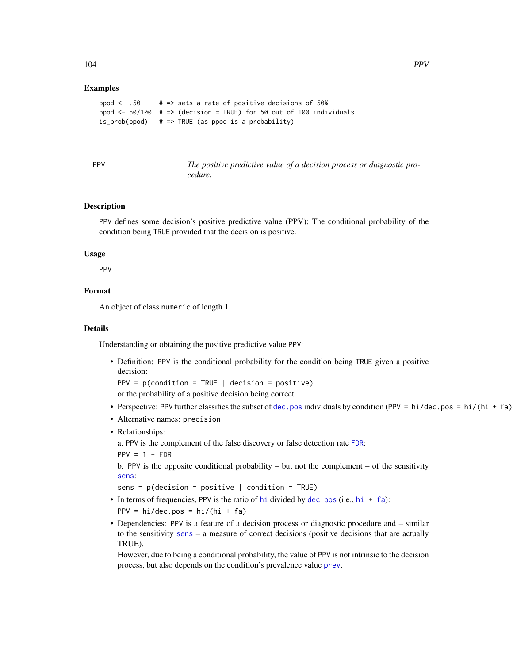# Examples

```
ppod \leq .50 # => sets a rate of positive decisions of 50%
ppod \le 50/100 # => (decision = TRUE) for 50 out of 100 individuals
is\_prob(ppod) # => TRUE (as ppod is a probability)
```
<span id="page-103-0"></span>

| ۰.<br>۰.<br>× |  |
|---------------|--|
|---------------|--|

The positive predictive value of a decision process or diagnostic pro*cedure.*

# Description

PPV defines some decision's positive predictive value (PPV): The conditional probability of the condition being TRUE provided that the decision is positive.

# Usage

PPV

# Format

An object of class numeric of length 1.

## Details

Understanding or obtaining the positive predictive value PPV:

• Definition: PPV is the conditional probability for the condition being TRUE given a positive decision:  $PPV = p$ (condition = TRUE | decision = positive)

or the probability of a positive decision being correct.

- Perspective: PPV further classifies the subset of [dec.pos](#page-50-0) individuals by condition (PPV = hi/dec.pos = hi/(hi + fa)
- Alternative names: precision
- Relationships:

a. PPV is the complement of the false discovery or false detection rate [FDR](#page-56-0):

 $PPV = 1 - FDR$ 

b. PPV is the opposite conditional probability – but not the complement – of the sensitivity [sens](#page-112-0):

```
sens = p(decision = positive | condition = TRUE)
```
- In terms of frequencies, PPV is the ratio of [hi](#page-60-0) divided by [dec.pos](#page-50-0) (i.e.,  $hi + fa$  $hi + fa$ ): PPV =  $hi/dec.pos = hi/(hi + fa)$
- Dependencies: PPV is a feature of a decision process or diagnostic procedure and similar to the sensitivity [sens](#page-112-0) – a measure of correct decisions (positive decisions that are actually TRUE).

However, due to being a conditional probability, the value of PPV is not intrinsic to the decision process, but also depends on the condition's prevalence value [prev](#page-104-0).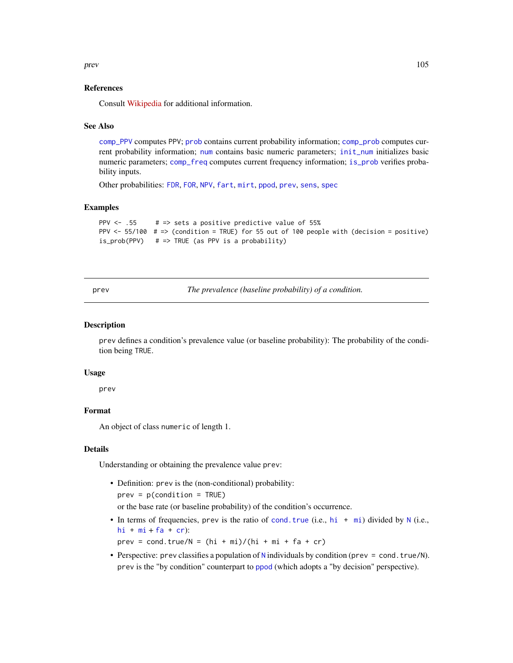prev and the state of the state of the state of the state of the state of the state of the state of the state of the state of the state of the state of the state of the state of the state of the state of the state of the s

# References

Consult [Wikipedia](https://en.wikipedia.org/wiki/Positive_and_negative_predictive_values) for additional information.

## See Also

[comp\\_PPV](#page-30-0) computes PPV; [prob](#page-106-0) contains current probability information; [comp\\_prob](#page-32-0) computes current probability information; [num](#page-82-0) contains basic numeric parameters; [init\\_num](#page-61-0) initializes basic numeric parameters; [comp\\_freq](#page-16-0) computes current frequency information; [is\\_prob](#page-71-0) verifies probability inputs.

Other probabilities: [FDR](#page-56-0), [FOR](#page-57-0), [NPV](#page-81-0), [fart](#page-55-0), [mirt](#page-78-0), [ppod](#page-102-0), [prev](#page-104-0), [sens](#page-112-0), [spec](#page-113-0)

#### Examples

```
PPV \leq .55 # => sets a positive predictive value of 55%
PPV <- 55/100 # => (condition = TRUE) for 55 out of 100 people with (decision = positive)
is_prob(PPV) # => TRUE (as PPV is a probability)
```
<span id="page-104-0"></span>prev *The prevalence (baseline probability) of a condition.*

#### **Description**

prev defines a condition's prevalence value (or baseline probability): The probability of the condition being TRUE.

#### Usage

prev

## Format

An object of class numeric of length 1.

#### Details

Understanding or obtaining the prevalence value prev:

- Definition: prev is the (non-conditional) probability:  $prev = p$ (condition = TRUE) or the base rate (or baseline probability) of the condition's occurrence.
- In terms of frequencies, prev is the ratio of cond. true (i.e.,  $hi + mi$  $hi + mi$  $hi + mi$ ) divided by [N](#page-80-0) (i.e., [hi](#page-60-0) +  $mi + fa + cr$  $mi + fa + cr$  $mi + fa + cr$  $mi + fa + cr$  $mi + fa + cr$ ):

prev = cond.true/ $N = (hi + mi)/(hi + mi + fa + cr)$ 

• Perspective: prev classifies a population of [N](#page-80-0) individuals by condition (prev = cond.true/N). prev is the "by condition" counterpart to [ppod](#page-102-0) (which adopts a "by decision" perspective).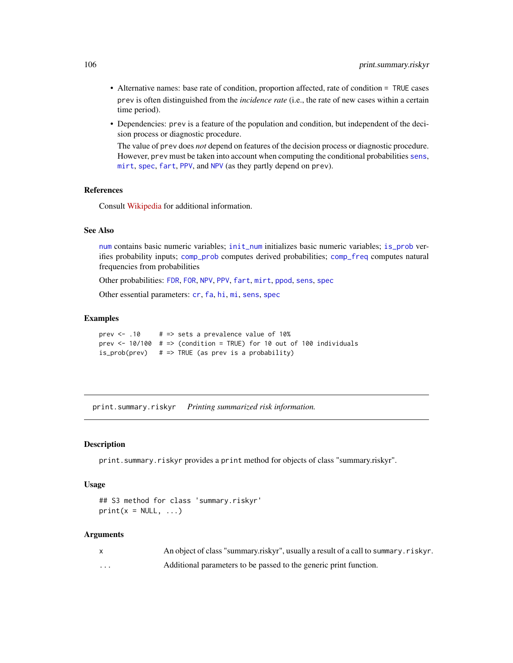- Alternative names: base rate of condition, proportion affected, rate of condition = TRUE cases prev is often distinguished from the *incidence rate* (i.e., the rate of new cases within a certain time period).
- Dependencies: prev is a feature of the population and condition, but independent of the decision process or diagnostic procedure.

The value of prev does *not* depend on features of the decision process or diagnostic procedure. However, prev must be taken into account when computing the conditional probabilities [sens](#page-112-0), [mirt](#page-78-0), [spec](#page-113-0), [fart](#page-55-0), [PPV](#page-103-0), and [NPV](#page-81-0) (as they partly depend on prev).

## References

Consult [Wikipedia](https://en.wikipedia.org/wiki/Prevalence) for additional information.

# See Also

[num](#page-82-0) contains basic numeric variables; [init\\_num](#page-61-0) initializes basic numeric variables; [is\\_prob](#page-71-0) verifies probability inputs; [comp\\_prob](#page-32-0) computes derived probabilities; [comp\\_freq](#page-16-0) computes natural frequencies from probabilities

Other probabilities: [FDR](#page-56-0), [FOR](#page-57-0), [NPV](#page-81-0), [PPV](#page-103-0), [fart](#page-55-0), [mirt](#page-78-0), [ppod](#page-102-0), [sens](#page-112-0), [spec](#page-113-0)

Other essential parameters: [cr](#page-46-0), [fa](#page-54-0), [hi](#page-60-0), [mi](#page-77-0), [sens](#page-112-0), [spec](#page-113-0)

## Examples

```
prev \le .10 # => sets a prevalence value of 10%
prev \le 10/100 # => (condition = TRUE) for 10 out of 100 individuals
is\_prob(prev) # => TRUE (as prev is a probability)
```
print.summary.riskyr *Printing summarized risk information.*

#### **Description**

print.summary.riskyr provides a print method for objects of class "summary.riskyr".

# Usage

```
## S3 method for class 'summary.riskyr'
print(x = NULL, ...)
```

|          | An object of class "summary.riskyr", usually a result of a call to summary.riskyr. |
|----------|------------------------------------------------------------------------------------|
| $\cdots$ | Additional parameters to be passed to the generic print function.                  |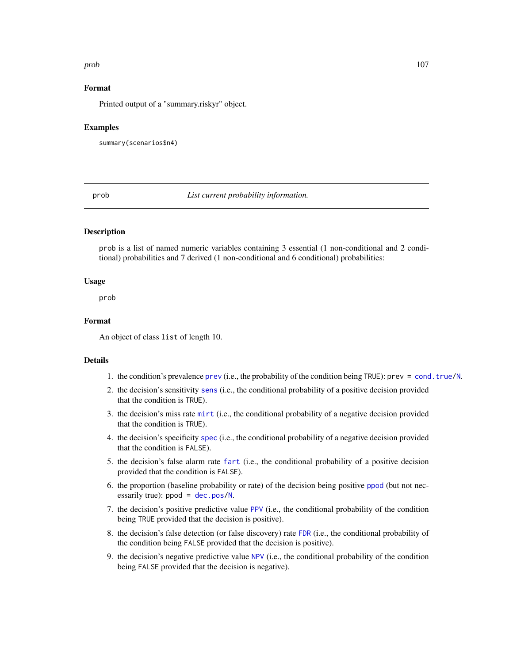#### prob the state of the state of the state of the state of the state of the state of the state of the state of the state of the state of the state of the state of the state of the state of the state of the state of the state

# Format

Printed output of a "summary.riskyr" object.

#### Examples

summary(scenarios\$n4)

<span id="page-106-0"></span>prob *List current probability information.*

# Description

prob is a list of named numeric variables containing 3 essential (1 non-conditional and 2 conditional) probabilities and 7 derived (1 non-conditional and 6 conditional) probabilities:

# Usage

prob

# Format

An object of class list of length 10.

# Details

- 1. the condition's prevalence [prev](#page-104-0) (i.e., the probability of the condition being TRUE): prev = [cond.true/](#page-44-0)[N](#page-80-0).
- 2. the decision's sensitivity [sens](#page-112-0) (i.e., the conditional probability of a positive decision provided that the condition is TRUE).
- 3. the decision's miss rate [mirt](#page-78-0) (i.e., the conditional probability of a negative decision provided that the condition is TRUE).
- 4. the decision's specificity [spec](#page-113-0) (i.e., the conditional probability of a negative decision provided that the condition is FALSE).
- 5. the decision's false alarm rate [fart](#page-55-0) (i.e., the conditional probability of a positive decision provided that the condition is FALSE).
- 6. the proportion (baseline probability or rate) of the decision being positive [ppod](#page-102-0) (but not necessarily true):  $ppod = dec.pos/N$  $ppod = dec.pos/N$  $ppod = dec.pos/N$ .
- 7. the decision's positive predictive value [PPV](#page-103-0) (i.e., the conditional probability of the condition being TRUE provided that the decision is positive).
- 8. the decision's false detection (or false discovery) rate [FDR](#page-56-0) (i.e., the conditional probability of the condition being FALSE provided that the decision is positive).
- 9. the decision's negative predictive value [NPV](#page-81-0) (i.e., the conditional probability of the condition being FALSE provided that the decision is negative).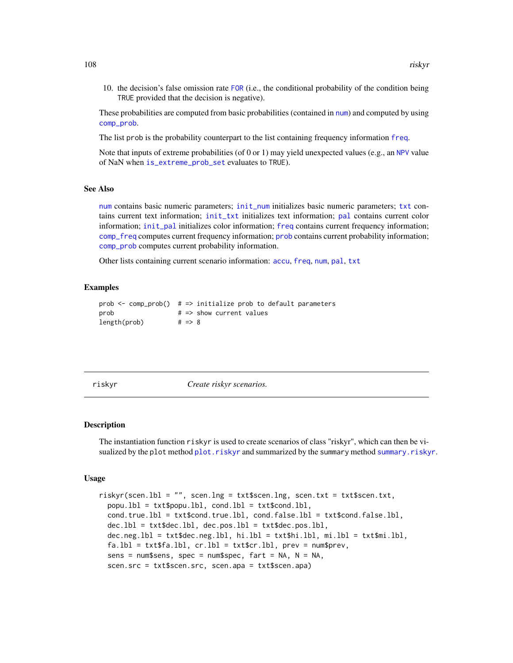10. the decision's false omission rate [FOR](#page-57-0) (i.e., the conditional probability of the condition being TRUE provided that the decision is negative).

These probabilities are computed from basic probabilities (contained in [num](#page-82-0)) and computed by using [comp\\_prob](#page-32-0).

The list prob is the probability counterpart to the list containing frequency information [freq](#page-59-0).

Note that inputs of extreme probabilities (of 0 or 1) may yield unexpected values (e.g., an [NPV](#page-81-0) value of NaN when [is\\_extreme\\_prob\\_set](#page-67-0) evaluates to TRUE).

# See Also

[num](#page-82-0) contains basic numeric parameters; [init\\_num](#page-61-0) initializes basic numeric parameters; [txt](#page-115-0) contains current text information; [init\\_txt](#page-64-0) initializes text information; [pal](#page-83-0) contains current color information; [init\\_pal](#page-62-0) initializes color information; [freq](#page-59-0) contains current frequency information; [comp\\_freq](#page-16-0) computes current frequency information; [prob](#page-106-0) contains current probability information; [comp\\_prob](#page-32-0) computes current probability information.

Other lists containing current scenario information: [accu](#page-2-0), [freq](#page-59-0), [num](#page-82-0), [pal](#page-83-0), [txt](#page-115-0)

## Examples

```
prob \leq comp_prob() # => initialize prob to default parameters
prob # \Rightarrow show current values
length(prob) # => 8
```
<span id="page-107-0"></span>

riskyr *Create riskyr scenarios.*

#### **Description**

The instantiation function riskyr is used to create scenarios of class "riskyr", which can then be visualized by the plot method [plot.riskyr](#page-84-0) and summarized by the summary method [summary.riskyr](#page-114-0).

#### Usage

```
riskyr(scen.lbl = "", scen.lng = txt$scen.lng, scen.txt = txt$scen.txt,
 popu.lbl = txt$popu.lbl, cond.lbl = txt$cond.lbl,
 cond.true.lbl = txt$cond.true.lbl, cond.false.lbl = txt$cond.false.lbl,
 dec.lbl = txt$dec.lbl, dec.pos.lbl = txt$dec.pos.lbl,
 dec.neg.lbl = txt$dec.neg.lbl, hi.lbl = txt$hi.lbl, mi.lbl = txt$mi.lbl,
 fa.1b1 = txt$fa.1b1, cr.1b1 = txt$cr.1b1, prev = num$prev,
 sens = num$$ens, spec = num$$pec, fart = NA, N = NA,scen.src = txt$scen.src, scen.apa = txt$scen.apa)
```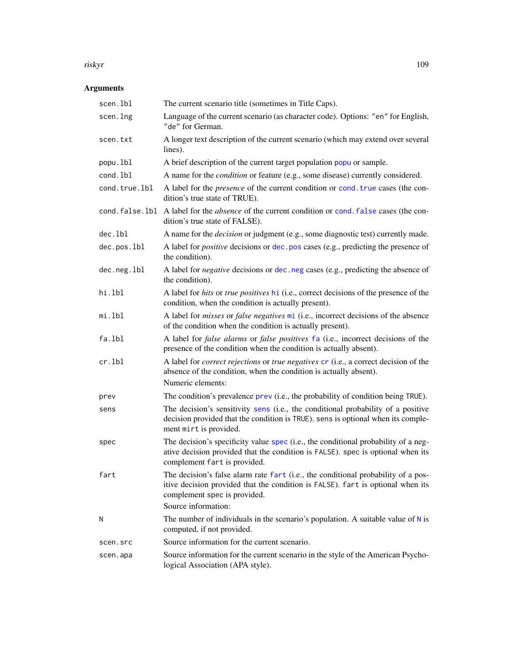#### <span id="page-108-0"></span>riskyr 109

# Arguments

| scen.lbl      | The current scenario title (sometimes in Title Caps).                                                                                                                                                                       |
|---------------|-----------------------------------------------------------------------------------------------------------------------------------------------------------------------------------------------------------------------------|
| scen.lng      | Language of the current scenario (as character code). Options: "en" for English,<br>"de" for German.                                                                                                                        |
| scen.txt      | A longer text description of the current scenario (which may extend over several<br>lines).                                                                                                                                 |
| popu.lbl      | A brief description of the current target population popu or sample.                                                                                                                                                        |
| cond.lbl      | A name for the <i>condition</i> or feature (e.g., some disease) currently considered.                                                                                                                                       |
| cond.true.lbl | A label for the <i>presence</i> of the current condition or cond. true cases (the con-<br>dition's true state of TRUE).                                                                                                     |
|               | cond. false. 1b1 A label for the absence of the current condition or cond. false cases (the con-<br>dition's true state of FALSE).                                                                                          |
| dec.1b1       | A name for the <i>decision</i> or judgment (e.g., some diagnostic test) currently made.                                                                                                                                     |
| dec.pos.lbl   | A label for <i>positive</i> decisions or dec. pos cases (e.g., predicting the presence of<br>the condition).                                                                                                                |
| dec.neg.lbl   | A label for <i>negative</i> decisions or dec. neg cases (e.g., predicting the absence of<br>the condition).                                                                                                                 |
| hi.lbl        | A label for hits or true positives hi (i.e., correct decisions of the presence of the<br>condition, when the condition is actually present).                                                                                |
| mi.lbl        | A label for <i>misses</i> or <i>false negatives</i> mi (i.e., incorrect decisions of the absence<br>of the condition when the condition is actually present).                                                               |
| fa.lbl        | A label for <i>false alarms</i> or <i>false positives</i> fa (i.e., incorrect decisions of the<br>presence of the condition when the condition is actually absent).                                                         |
| $cr.$ lbl     | A label for <i>correct rejections</i> or <i>true negatives</i> cr (i.e., a correct decision of the<br>absence of the condition, when the condition is actually absent).<br>Numeric elements:                                |
| prev          | The condition's prevalence prev (i.e., the probability of condition being TRUE).                                                                                                                                            |
| sens          | The decision's sensitivity sens (i.e., the conditional probability of a positive<br>decision provided that the condition is TRUE). sens is optional when its comple-<br>ment mirt is provided.                              |
| spec          | The decision's specificity value spec (i.e., the conditional probability of a neg-<br>ative decision provided that the condition is FALSE). spec is optional when its<br>complement fart is provided.                       |
| fart          | The decision's false alarm rate fart (i.e., the conditional probability of a pos-<br>itive decision provided that the condition is FALSE). fart is optional when its<br>complement spec is provided.<br>Source information: |
| Ν             | The number of individuals in the scenario's population. A suitable value of $N$ is                                                                                                                                          |
|               | computed, if not provided.                                                                                                                                                                                                  |
| scen.src      | Source information for the current scenario.                                                                                                                                                                                |
| scen.apa      | Source information for the current scenario in the style of the American Psycho-<br>logical Association (APA style).                                                                                                        |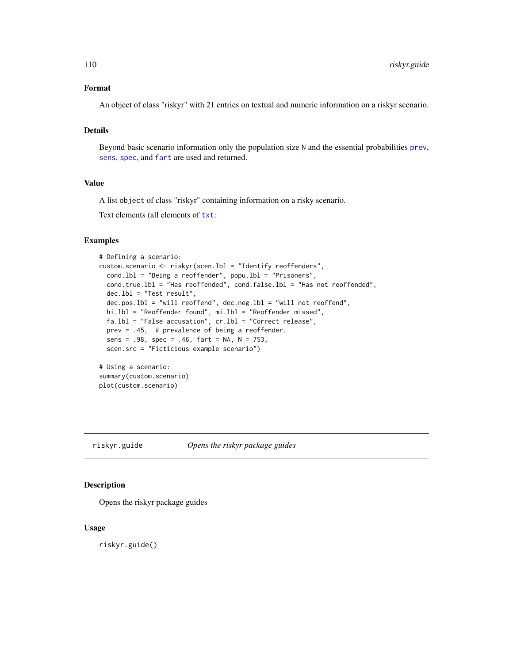# <span id="page-109-0"></span>Format

An object of class "riskyr" with 21 entries on textual and numeric information on a riskyr scenario.

# Details

Beyond basic scenario information only the population size [N](#page-80-0) and the essential probabilities [prev](#page-104-0), [sens](#page-112-0), [spec](#page-113-0), and [fart](#page-55-0) are used and returned.

## Value

A list object of class "riskyr" containing information on a risky scenario.

Text elements (all elements of  $txt:$  $txt:$ 

## Examples

```
# Defining a scenario:
custom.scenario <- riskyr(scen.lbl = "Identify reoffenders",
 cond.lbl = "Being a reoffender", popu.lbl = "Prisoners",
 cond.true.lbl = "Has reoffended", cond.false.lbl = "Has not reoffended",
 dec.lbl = "Test result",
 dec.pos.lbl = "will reoffend", dec.neg.lbl = "will not reoffend",
 hi.lbl = "Reoffender found", mi.lbl = "Reoffender missed",
 fa.lbl = "False accusation", cr.lbl = "Correct release",
 prev = .45, # prevalence of being a reoffender.
 sens = .98, spec = .46, fart = NA, N = 753,
 scen.src = "Ficticious example scenario")
# Using a scenario:
summary(custom.scenario)
plot(custom.scenario)
```
riskyr.guide *Opens the riskyr package guides*

# Description

Opens the riskyr package guides

#### Usage

riskyr.guide()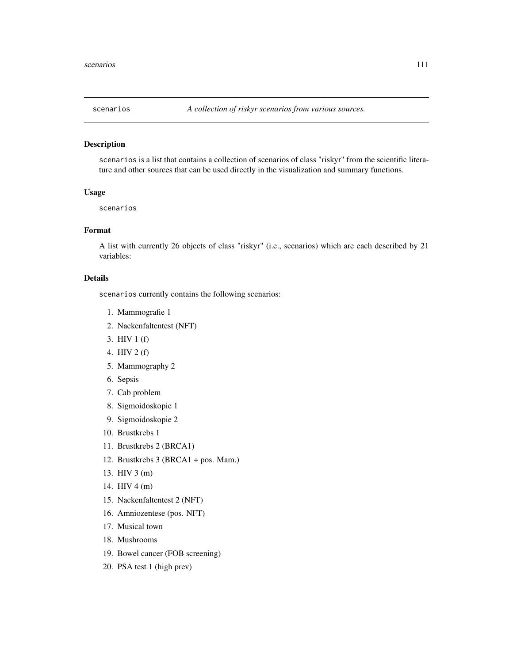<span id="page-110-0"></span>

# Description

scenarios is a list that contains a collection of scenarios of class "riskyr" from the scientific literature and other sources that can be used directly in the visualization and summary functions.

# Usage

scenarios

# Format

A list with currently 26 objects of class "riskyr" (i.e., scenarios) which are each described by 21 variables:

#### Details

scenarios currently contains the following scenarios:

- 1. Mammografie 1
- 2. Nackenfaltentest (NFT)
- 3. HIV 1 (f)
- 4. HIV 2 (f)
- 5. Mammography 2
- 6. Sepsis
- 7. Cab problem
- 8. Sigmoidoskopie 1
- 9. Sigmoidoskopie 2
- 10. Brustkrebs 1
- 11. Brustkrebs 2 (BRCA1)
- 12. Brustkrebs 3 (BRCA1 + pos. Mam.)
- 13. HIV 3 (m)
- 14. HIV 4 (m)
- 15. Nackenfaltentest 2 (NFT)
- 16. Amniozentese (pos. NFT)
- 17. Musical town
- 18. Mushrooms
- 19. Bowel cancer (FOB screening)
- 20. PSA test 1 (high prev)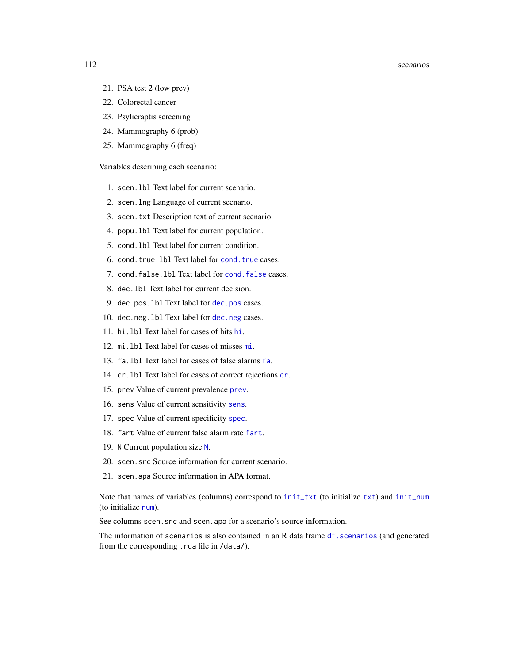#### <span id="page-111-0"></span>112 scenarios estados e a contra e a secundo e a contra e a secundo e a secundo e a secundo e a secundo e a secundo e a secundo e a secundo e a secundo e a secundo e a secundo e a secundo e a secundo e a secundo e a secund

- 21. PSA test 2 (low prev)
- 22. Colorectal cancer
- 23. Psylicraptis screening
- 24. Mammography 6 (prob)
- 25. Mammography 6 (freq)

Variables describing each scenario:

- 1. scen.lbl Text label for current scenario.
- 2. scen.lng Language of current scenario.
- 3. scen.txt Description text of current scenario.
- 4. popu.lbl Text label for current population.
- 5. cond.lbl Text label for current condition.
- 6. cond.true.lbl Text label for [cond.true](#page-44-0) cases.
- 7. cond.false.lbl Text label for [cond.false](#page-43-0) cases.
- 8. dec.lbl Text label for current decision.
- 9. dec.pos.lbl Text label for [dec.pos](#page-50-0) cases.
- 10. [dec.neg](#page-49-0).1b1 Text label for dec.neg cases.
- 11. hi.lbl Text label for cases of hits [hi](#page-60-0).
- 12. mi.lbl Text label for cases of misses [mi](#page-77-0).
- 13. fa.lbl Text label for cases of false alarms [fa](#page-54-0).
- 14. cr.lbl Text label for cases of correct rejections [cr](#page-46-0).
- 15. prev Value of current prevalence [prev](#page-104-0).
- 16. sens Value of current sensitivity [sens](#page-112-0).
- 17. spec Value of current specificity [spec](#page-113-0).
- 18. fart Value of current false alarm rate [fart](#page-55-0).
- 19. N Current population size [N](#page-80-0).
- 20. scen.src Source information for current scenario.
- 21. scen.apa Source information in APA format.

Note that names of variables (columns) correspond to [init\\_txt](#page-64-0) (to initialize [txt](#page-115-0)) and [init\\_num](#page-61-0) (to initialize [num](#page-82-0)).

See columns scen. src and scen. apa for a scenario's source information.

The information of scenarios is also contained in an R data frame df. scenarios (and generated from the corresponding .rda file in /data/).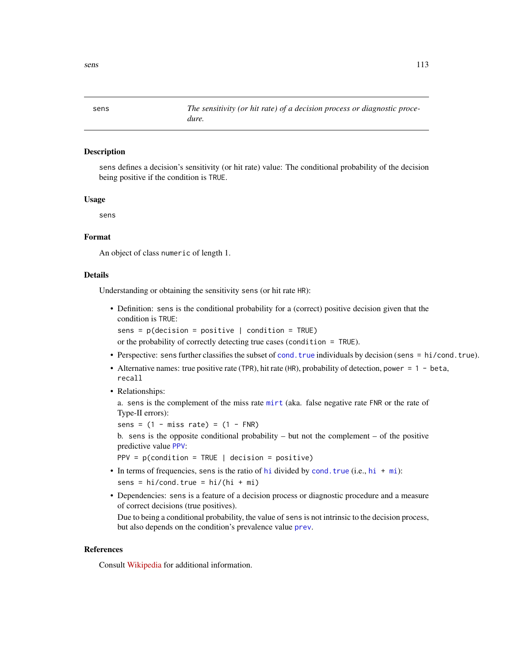<span id="page-112-1"></span><span id="page-112-0"></span>

# Description

sens defines a decision's sensitivity (or hit rate) value: The conditional probability of the decision being positive if the condition is TRUE.

#### Usage

sens

# Format

An object of class numeric of length 1.

#### Details

Understanding or obtaining the sensitivity sens (or hit rate HR):

• Definition: sens is the conditional probability for a (correct) positive decision given that the condition is TRUE:

sens =  $p$ (decision =  $positive$  | condition = TRUE)

or the probability of correctly detecting true cases (condition = TRUE).

- Perspective: sens further classifies the subset of [cond.true](#page-44-0) individuals by decision (sens = hi/cond.true).
- Alternative names: true positive rate (TPR), hit rate (HR), probability of detection, power = 1 beta, recall
- Relationships:

a. sens is the complement of the miss rate [mirt](#page-78-0) (aka. false negative rate FNR or the rate of Type-II errors):

sens =  $(1 - \text{miss rate}) = (1 - \text{FNR})$ 

b. sens is the opposite conditional probability – but not the complement – of the positive predictive value [PPV](#page-103-0):

 $PPV = p$ (condition = TRUE | decision = positive)

- In terms of frequencies, sens is the ratio of [hi](#page-60-0) divided by [cond.true](#page-44-0) (i.e.,  $hi + mi$  $hi + mi$ ):  $sens = hi/cond.true = hi/(hi + mi)$
- Dependencies: sens is a feature of a decision process or diagnostic procedure and a measure of correct decisions (true positives).

Due to being a conditional probability, the value of sens is not intrinsic to the decision process, but also depends on the condition's prevalence value [prev](#page-104-0).

# References

Consult [Wikipedia](https://en.wikipedia.org/wiki/Sensitivity_and_specificity) for additional information.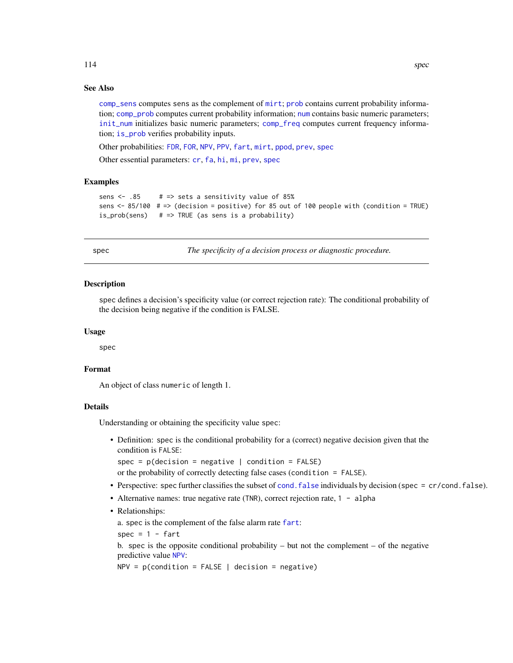# <span id="page-113-1"></span>See Also

[comp\\_sens](#page-41-0) computes sens as the complement of [mirt](#page-78-0); [prob](#page-106-0) contains current probability information; [comp\\_prob](#page-32-0) computes current probability information; [num](#page-82-0) contains basic numeric parameters; [init\\_num](#page-61-0) initializes basic numeric parameters; [comp\\_freq](#page-16-0) computes current frequency information; [is\\_prob](#page-71-0) verifies probability inputs.

Other probabilities: [FDR](#page-56-0), [FOR](#page-57-0), [NPV](#page-81-0), [PPV](#page-103-0), [fart](#page-55-0), [mirt](#page-78-0), [ppod](#page-102-0), [prev](#page-104-0), [spec](#page-113-0)

Other essential parameters: [cr](#page-46-0), [fa](#page-54-0), [hi](#page-60-0), [mi](#page-77-0), [prev](#page-104-0), [spec](#page-113-0)

## Examples

```
sens \leq -0.85 # => sets a sensitivity value of 85%
sens <- 85/100 # => (decision = positive) for 85 out of 100 people with (condition = TRUE)
is_prob(sens) # => TRUE (as sens is a probability)
```
<span id="page-113-0"></span>spec *The specificity of a decision process or diagnostic procedure.*

## Description

spec defines a decision's specificity value (or correct rejection rate): The conditional probability of the decision being negative if the condition is FALSE.

#### Usage

spec

## Format

An object of class numeric of length 1.

#### Details

Understanding or obtaining the specificity value spec:

• Definition: spec is the conditional probability for a (correct) negative decision given that the condition is FALSE:

spec =  $p$ (decision = negative | condition =  $F$ ALSE)

or the probability of correctly detecting false cases (condition = FALSE).

- Perspective: spec further classifies the subset of cond. false individuals by decision (spec = cr/[cond.false](#page-43-0)).
- Alternative names: true negative rate (TNR), correct rejection rate, 1 alpha
- Relationships:

a. spec is the complement of the false alarm rate [fart](#page-55-0):

 $spec = 1 - fart$ 

b. spec is the opposite conditional probability – but not the complement – of the negative predictive value [NPV](#page-81-0):

 $NPV = p$ (condition = FALSE | decision = negative)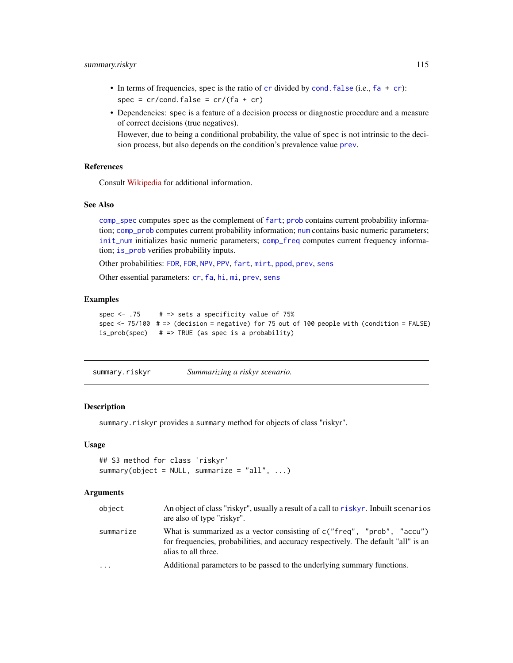# <span id="page-114-0"></span>summary.riskyr 115

- In terms of frequencies, spec is the ratio of [cr](#page-46-0) divided by cond. [fa](#page-54-0)lse (i.e.,  $fa + cr$ ):  $spec = cr/cond.false = cr/(fa + cr)$
- Dependencies: spec is a feature of a decision process or diagnostic procedure and a measure of correct decisions (true negatives).

However, due to being a conditional probability, the value of spec is not intrinsic to the decision process, but also depends on the condition's prevalence value [prev](#page-104-0).

# References

Consult [Wikipedia](https://en.wikipedia.org/wiki/Sensitivity_and_specificity) for additional information.

#### See Also

[comp\\_spec](#page-42-0) computes spec as the complement of [fart](#page-55-0); [prob](#page-106-0) contains current probability information; [comp\\_prob](#page-32-0) computes current probability information; [num](#page-82-0) contains basic numeric parameters; [init\\_num](#page-61-0) initializes basic numeric parameters; [comp\\_freq](#page-16-0) computes current frequency information; [is\\_prob](#page-71-0) verifies probability inputs.

Other probabilities: [FDR](#page-56-0), [FOR](#page-57-0), [NPV](#page-81-0), [PPV](#page-103-0), [fart](#page-55-0), [mirt](#page-78-0), [ppod](#page-102-0), [prev](#page-104-0), [sens](#page-112-0)

Other essential parameters: [cr](#page-46-0), [fa](#page-54-0), [hi](#page-60-0), [mi](#page-77-0), [prev](#page-104-0), [sens](#page-112-0)

# Examples

```
spec \leq -75 # => sets a specificity value of 75%
spec \le 75/100 \# => (decision = negative) for 75 out of 100 people with (condition = FALSE)
is_prob(spec) # => TRUE (as spec is a probability)
```
summary.riskyr *Summarizing a riskyr scenario.*

#### Description

summary.riskyr provides a summary method for objects of class "riskyr".

#### Usage

```
## S3 method for class 'riskyr'
summary(object = NULL, summarize = "all", \ldots)
```
#### Arguments

| object    | An object of class "riskyr", usually a result of a call to riskyr. Inbuilt scenarios<br>are also of type "riskyr".                                                                     |
|-----------|----------------------------------------------------------------------------------------------------------------------------------------------------------------------------------------|
| summarize | What is summarized as a vector consisting of $c$ ("freq", "prob", "accu")<br>for frequencies, probabilities, and accuracy respectively. The default "all" is an<br>alias to all three. |
| $\ddots$  | Additional parameters to be passed to the underlying summary functions.                                                                                                                |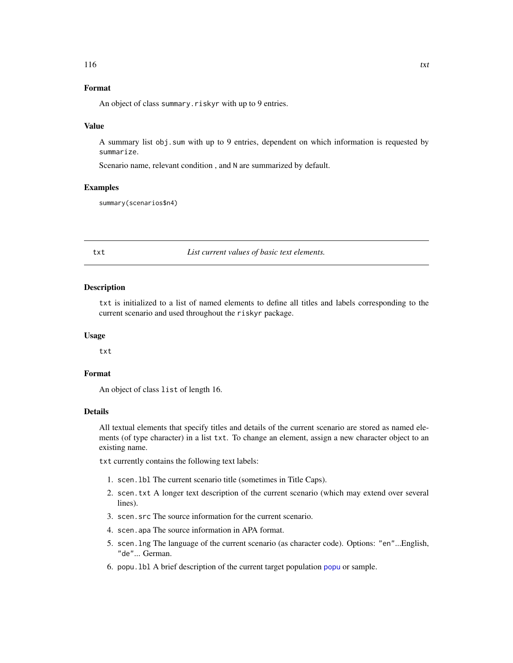# <span id="page-115-1"></span>Format

An object of class summary. riskyr with up to 9 entries.

#### Value

A summary list obj.sum with up to 9 entries, dependent on which information is requested by summarize.

Scenario name, relevant condition , and N are summarized by default.

#### Examples

summary(scenarios\$n4)

<span id="page-115-0"></span>txt *List current values of basic text elements.*

#### Description

txt is initialized to a list of named elements to define all titles and labels corresponding to the current scenario and used throughout the riskyr package.

## Usage

txt

# Format

An object of class list of length 16.

# **Details**

All textual elements that specify titles and details of the current scenario are stored as named elements (of type character) in a list txt. To change an element, assign a new character object to an existing name.

txt currently contains the following text labels:

- 1. scen.lbl The current scenario title (sometimes in Title Caps).
- 2. scen.txt A longer text description of the current scenario (which may extend over several lines).
- 3. scen.src The source information for the current scenario.
- 4. scen.apa The source information in APA format.
- 5. scen.lng The language of the current scenario (as character code). Options: "en"...English, "de"... German.
- 6. popu.lbl A brief description of the current target population [popu](#page-101-0) or sample.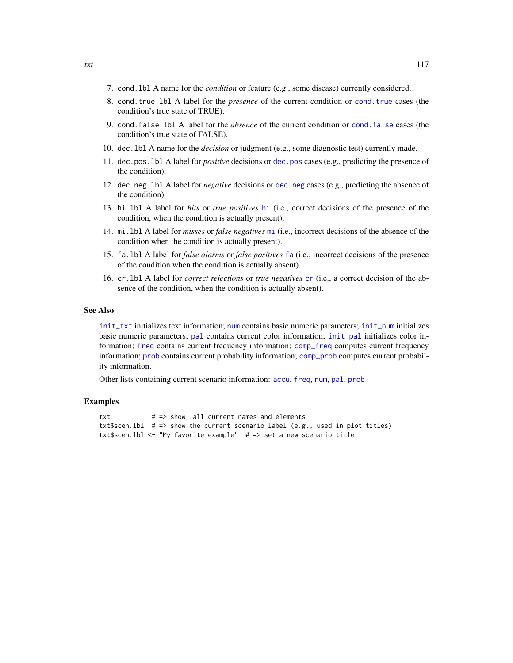- <span id="page-116-0"></span>7. cond.lbl A name for the *condition* or feature (e.g., some disease) currently considered.
- 8. cond.true.lbl A label for the *presence* of the current condition or [cond.true](#page-44-0) cases (the condition's true state of TRUE).
- 9. cond.false.lbl A label for the *absence* of the current condition or [cond.false](#page-43-0) cases (the condition's true state of FALSE).
- 10. dec.lbl A name for the *decision* or judgment (e.g., some diagnostic test) currently made.
- 11. dec.pos.lbl A label for *positive* decisions or [dec.pos](#page-50-0) cases (e.g., predicting the presence of the condition).
- 12. dec.neg.lbl A label for *negative* decisions or [dec.neg](#page-49-0) cases (e.g., predicting the absence of the condition).
- 13. hi.lbl A label for *hits* or *true positives* [hi](#page-60-0) (i.e., correct decisions of the presence of the condition, when the condition is actually present).
- 14. mi.lbl A label for *misses* or *false negatives* [mi](#page-77-0) (i.e., incorrect decisions of the absence of the condition when the condition is actually present).
- 15. fa.lbl A label for *false alarms* or *false positives* [fa](#page-54-0) (i.e., incorrect decisions of the presence of the condition when the condition is actually absent).
- 16. cr.lbl A label for *correct rejections* or *true negatives* [cr](#page-46-0) (i.e., a correct decision of the absence of the condition, when the condition is actually absent).

#### See Also

[init\\_txt](#page-64-0) initializes text information; [num](#page-82-0) contains basic numeric parameters; [init\\_num](#page-61-0) initializes basic numeric parameters; [pal](#page-83-0) contains current color information; [init\\_pal](#page-62-0) initializes color information; [freq](#page-59-0) contains current frequency information; [comp\\_freq](#page-16-0) computes current frequency information; [prob](#page-106-0) contains current probability information; [comp\\_prob](#page-32-0) computes current probability information.

Other lists containing current scenario information: [accu](#page-2-0), [freq](#page-59-0), [num](#page-82-0), [pal](#page-83-0), [prob](#page-106-0)

#### Examples

```
txt # => show all current names and elements
txt$scen.lbl # \Rightarrow show the current scenario label (e.g., used in plot titles)
txt$scen.lbl <- "My favorite example" # => set a new scenario title
```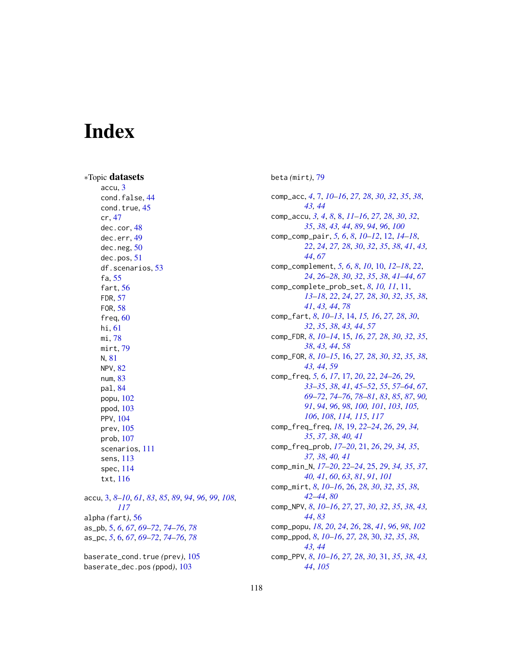# Index

∗Topic datasets accu, [3](#page-2-1) cond.false, [44](#page-43-1) cond.true, [45](#page-44-1) cr, [47](#page-46-1) dec.cor, [48](#page-47-0) dec.err, [49](#page-48-0) dec.neg, [50](#page-49-1) dec.pos, [51](#page-50-1) df.scenarios, [53](#page-52-1) fa, [55](#page-54-1) fart, [56](#page-55-1) FDR, [57](#page-56-1) FOR, [58](#page-57-1) freq, [60](#page-59-1) hi, [61](#page-60-1) mi, [78](#page-77-1) mirt, [79](#page-78-1) N, [81](#page-80-1) NPV, [82](#page-81-1) num, [83](#page-82-1) pal, [84](#page-83-1) popu, [102](#page-101-1) ppod, [103](#page-102-1) PPV, [104](#page-103-1) prev, [105](#page-104-1) prob, [107](#page-106-1) scenarios, [111](#page-110-0) sens, [113](#page-112-1) spec, [114](#page-113-1) txt, [116](#page-115-1) accu, [3,](#page-2-1) *[8](#page-7-0)[–10](#page-9-0)*, *[61](#page-60-1)*, *[83](#page-82-1)*, *[85](#page-84-0)*, *[89](#page-88-0)*, *[94](#page-93-0)*, *[96](#page-95-0)*, *[99](#page-98-0)*, *[108](#page-107-1)*, *[117](#page-116-0)* alpha *(*fart*)*, [56](#page-55-1) as\_pb, [5,](#page-4-0) *[6](#page-5-0)*, *[67](#page-66-0)*, *[69](#page-68-0)[–72](#page-71-1)*, *[74–](#page-73-0)[76](#page-75-0)*, *[78](#page-77-1)* as\_pc, *[5](#page-4-0)*, [6,](#page-5-0) *[67](#page-66-0)*, *[69](#page-68-0)[–72](#page-71-1)*, *[74–](#page-73-0)[76](#page-75-0)*, *[78](#page-77-1)* baserate\_cond.true *(*prev*)*, [105](#page-104-1) baserate\_dec.pos *(*ppod*)*, [103](#page-102-1)

beta *(*mirt*)*, [79](#page-78-1)

comp\_acc, *[4](#page-3-0)*, [7,](#page-6-0) *[10](#page-9-0)[–16](#page-15-0)*, *[27,](#page-26-0) [28](#page-27-0)*, *[30](#page-29-0)*, *[32](#page-31-0)*, *[35](#page-34-0)*, *[38](#page-37-0)*, *[43,](#page-42-1) [44](#page-43-1)* comp\_accu, *[3,](#page-2-1) [4](#page-3-0)*, *[8](#page-7-0)*, [8,](#page-7-0) *[11](#page-10-0)[–16](#page-15-0)*, *[27,](#page-26-0) [28](#page-27-0)*, *[30](#page-29-0)*, *[32](#page-31-0)*, *[35](#page-34-0)*, *[38](#page-37-0)*, *[43,](#page-42-1) [44](#page-43-1)*, *[89](#page-88-0)*, *[94](#page-93-0)*, *[96](#page-95-0)*, *[100](#page-99-0)* comp\_comp\_pair, *[5,](#page-4-0) [6](#page-5-0)*, *[8](#page-7-0)*, *[10](#page-9-0)[–12](#page-11-0)*, [12,](#page-11-0) *[14](#page-13-0)[–18](#page-17-0)*, *[22](#page-21-0)*, *[24](#page-23-0)*, *[27,](#page-26-0) [28](#page-27-0)*, *[30](#page-29-0)*, *[32](#page-31-0)*, *[35](#page-34-0)*, *[38](#page-37-0)*, *[41](#page-40-0)*, *[43,](#page-42-1) [44](#page-43-1)*, *[67](#page-66-0)* comp\_complement, *[5,](#page-4-0) [6](#page-5-0)*, *[8](#page-7-0)*, *[10](#page-9-0)*, [10,](#page-9-0) *[12](#page-11-0)[–18](#page-17-0)*, *[22](#page-21-0)*, *[24](#page-23-0)*, *[26](#page-25-0)[–28](#page-27-0)*, *[30](#page-29-0)*, *[32](#page-31-0)*, *[35](#page-34-0)*, *[38](#page-37-0)*, *[41](#page-40-0)[–44](#page-43-1)*, *[67](#page-66-0)* comp\_complete\_prob\_set, *[8](#page-7-0)*, *[10,](#page-9-0) [11](#page-10-0)*, [11,](#page-10-0) *[13](#page-12-0)[–18](#page-17-0)*, *[22](#page-21-0)*, *[24](#page-23-0)*, *[27,](#page-26-0) [28](#page-27-0)*, *[30](#page-29-0)*, *[32](#page-31-0)*, *[35](#page-34-0)*, *[38](#page-37-0)*, *[41](#page-40-0)*, *[43,](#page-42-1) [44](#page-43-1)*, *[78](#page-77-1)* comp\_fart, *[8](#page-7-0)*, *[10](#page-9-0)[–13](#page-12-0)*, [14,](#page-13-0) *[15,](#page-14-0) [16](#page-15-0)*, *[27,](#page-26-0) [28](#page-27-0)*, *[30](#page-29-0)*, *[32](#page-31-0)*, *[35](#page-34-0)*, *[38](#page-37-0)*, *[43,](#page-42-1) [44](#page-43-1)*, *[57](#page-56-1)* comp\_FDR, *[8](#page-7-0)*, *[10](#page-9-0)[–14](#page-13-0)*, [15,](#page-14-0) *[16](#page-15-0)*, *[27,](#page-26-0) [28](#page-27-0)*, *[30](#page-29-0)*, *[32](#page-31-0)*, *[35](#page-34-0)*, *[38](#page-37-0)*, *[43,](#page-42-1) [44](#page-43-1)*, *[58](#page-57-1)* comp\_FOR, *[8](#page-7-0)*, *[10](#page-9-0)[–15](#page-14-0)*, [16,](#page-15-0) *[27,](#page-26-0) [28](#page-27-0)*, *[30](#page-29-0)*, *[32](#page-31-0)*, *[35](#page-34-0)*, *[38](#page-37-0)*, *[43,](#page-42-1) [44](#page-43-1)*, *[59](#page-58-0)* comp\_freq, *[5,](#page-4-0) [6](#page-5-0)*, *[17](#page-16-1)*, [17,](#page-16-1) *[20](#page-19-0)*, *[22](#page-21-0)*, *[24](#page-23-0)[–26](#page-25-0)*, *[29](#page-28-0)*, *[33](#page-32-1)[–35](#page-34-0)*, *[38](#page-37-0)*, *[41](#page-40-0)*, *[45](#page-44-1)[–52](#page-51-0)*, *[55](#page-54-1)*, *[57](#page-56-1)[–64](#page-63-0)*, *[67](#page-66-0)*, *[69](#page-68-0)[–72](#page-71-1)*, *[74](#page-73-0)[–76](#page-75-0)*, *[78](#page-77-1)[–81](#page-80-1)*, *[83](#page-82-1)*, *[85](#page-84-0)*, *[87](#page-86-0)*, *[90,](#page-89-0) [91](#page-90-0)*, *[94](#page-93-0)*, *[96](#page-95-0)*, *[98](#page-97-0)*, *[100,](#page-99-0) [101](#page-100-0)*, *[103](#page-102-1)*, *[105,](#page-104-1) [106](#page-105-0)*, *[108](#page-107-1)*, *[114,](#page-113-1) [115](#page-114-0)*, *[117](#page-116-0)* comp\_freq\_freq, *[18](#page-17-0)*, [19,](#page-18-0) *[22](#page-21-0)[–24](#page-23-0)*, *[26](#page-25-0)*, *[29](#page-28-0)*, *[34,](#page-33-0) [35](#page-34-0)*, *[37,](#page-36-0) [38](#page-37-0)*, *[40,](#page-39-0) [41](#page-40-0)* comp\_freq\_prob, *[17](#page-16-1)[–20](#page-19-0)*, [21,](#page-20-0) *[26](#page-25-0)*, *[29](#page-28-0)*, *[34,](#page-33-0) [35](#page-34-0)*, *[37,](#page-36-0) [38](#page-37-0)*, *[40,](#page-39-0) [41](#page-40-0)* comp\_min\_N, *[17](#page-16-1)[–20](#page-19-0)*, *[22](#page-21-0)[–24](#page-23-0)*, [25,](#page-24-0) *[29](#page-28-0)*, *[34,](#page-33-0) [35](#page-34-0)*, *[37](#page-36-0)*, *[40,](#page-39-0) [41](#page-40-0)*, *[60](#page-59-1)*, *[63](#page-62-1)*, *[81](#page-80-1)*, *[91](#page-90-0)*, *[101](#page-100-0)* comp\_mirt, *[8](#page-7-0)*, *[10](#page-9-0)[–16](#page-15-0)*, [26,](#page-25-0) *[28](#page-27-0)*, *[30](#page-29-0)*, *[32](#page-31-0)*, *[35](#page-34-0)*, *[38](#page-37-0)*, *[42](#page-41-1)[–44](#page-43-1)*, *[80](#page-79-0)* comp\_NPV, *[8](#page-7-0)*, *[10](#page-9-0)[–16](#page-15-0)*, *[27](#page-26-0)*, [27,](#page-26-0) *[30](#page-29-0)*, *[32](#page-31-0)*, *[35](#page-34-0)*, *[38](#page-37-0)*, *[43,](#page-42-1) [44](#page-43-1)*, *[83](#page-82-1)* comp\_popu, *[18](#page-17-0)*, *[20](#page-19-0)*, *[24](#page-23-0)*, *[26](#page-25-0)*, [28,](#page-27-0) *[41](#page-40-0)*, *[96](#page-95-0)*, *[98](#page-97-0)*, *[102](#page-101-1)* comp\_ppod, *[8](#page-7-0)*, *[10](#page-9-0)[–16](#page-15-0)*, *[27,](#page-26-0) [28](#page-27-0)*, [30,](#page-29-0) *[32](#page-31-0)*, *[35](#page-34-0)*, *[38](#page-37-0)*, *[43,](#page-42-1) [44](#page-43-1)* comp\_PPV, *[8](#page-7-0)*, *[10](#page-9-0)[–16](#page-15-0)*, *[27,](#page-26-0) [28](#page-27-0)*, *[30](#page-29-0)*, [31,](#page-30-0) *[35](#page-34-0)*, *[38](#page-37-0)*, *[43,](#page-42-1) [44](#page-43-1)*, *[105](#page-104-1)*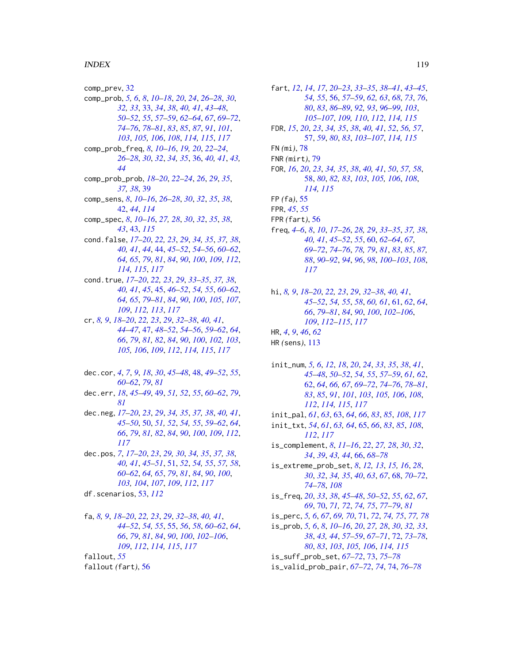#### INDEX 119

comp\_prev, [32](#page-31-0) comp\_prob, *[5,](#page-4-0) [6](#page-5-0)*, *[8](#page-7-0)*, *[10](#page-9-0)[–18](#page-17-0)*, *[20](#page-19-0)*, *[24](#page-23-0)*, *[26–](#page-25-0)[28](#page-27-0)*, *[30](#page-29-0)*, *[32,](#page-31-0) [33](#page-32-1)*, [33,](#page-32-1) *[34](#page-33-0)*, *[38](#page-37-0)*, *[40,](#page-39-0) [41](#page-40-0)*, *[43–](#page-42-1)[48](#page-47-0)*, *[50](#page-49-1)[–52](#page-51-0)*, *[55](#page-54-1)*, *[57–](#page-56-1)[59](#page-58-0)*, *[62–](#page-61-1)[64](#page-63-0)*, *[67](#page-66-0)*, *[69–](#page-68-0)[72](#page-71-1)*, *[74](#page-73-0)[–76](#page-75-0)*, *[78](#page-77-1)[–81](#page-80-1)*, *[83](#page-82-1)*, *[85](#page-84-0)*, *[87](#page-86-0)*, *[91](#page-90-0)*, *[101](#page-100-0)*, *[103](#page-102-1)*, *[105,](#page-104-1) [106](#page-105-0)*, *[108](#page-107-1)*, *[114,](#page-113-1) [115](#page-114-0)*, *[117](#page-116-0)* comp\_prob\_freq, *[8](#page-7-0)*, *[10–](#page-9-0)[16](#page-15-0)*, *[19,](#page-18-0) [20](#page-19-0)*, *[22–](#page-21-0)[24](#page-23-0)*, *[26](#page-25-0)[–28](#page-27-0)*, *[30](#page-29-0)*, *[32](#page-31-0)*, *[34,](#page-33-0) [35](#page-34-0)*, [36,](#page-35-0) *[40,](#page-39-0) [41](#page-40-0)*, *[43,](#page-42-1) [44](#page-43-1)* comp\_prob\_prob, *[18](#page-17-0)[–20](#page-19-0)*, *[22–](#page-21-0)[24](#page-23-0)*, *[26](#page-25-0)*, *[29](#page-28-0)*, *[35](#page-34-0)*, *[37,](#page-36-0) [38](#page-37-0)*, [39](#page-38-0) comp\_sens, *[8](#page-7-0)*, *[10](#page-9-0)[–16](#page-15-0)*, *[26–](#page-25-0)[28](#page-27-0)*, *[30](#page-29-0)*, *[32](#page-31-0)*, *[35](#page-34-0)*, *[38](#page-37-0)*, [42,](#page-41-1) *[44](#page-43-1)*, *[114](#page-113-1)* comp\_spec, *[8](#page-7-0)*, *[10](#page-9-0)[–16](#page-15-0)*, *[27,](#page-26-0) [28](#page-27-0)*, *[30](#page-29-0)*, *[32](#page-31-0)*, *[35](#page-34-0)*, *[38](#page-37-0)*, *[43](#page-42-1)*, [43,](#page-42-1) *[115](#page-114-0)* cond.false, *[17](#page-16-1)[–20](#page-19-0)*, *[22,](#page-21-0) [23](#page-22-0)*, *[29](#page-28-0)*, *[34,](#page-33-0) [35](#page-34-0)*, *[37,](#page-36-0) [38](#page-37-0)*, *[40,](#page-39-0) [41](#page-40-0)*, *[44](#page-43-1)*, [44,](#page-43-1) *[45–](#page-44-1)[52](#page-51-0)*, *[54–](#page-53-0)[56](#page-55-1)*, *[60–](#page-59-1)[62](#page-61-1)*, *[64,](#page-63-0) [65](#page-64-1)*, *[79](#page-78-1)*, *[81](#page-80-1)*, *[84](#page-83-1)*, *[90](#page-89-0)*, *[100](#page-99-0)*, *[109](#page-108-0)*, *[112](#page-111-0)*, *[114,](#page-113-1) [115](#page-114-0)*, *[117](#page-116-0)* cond.true, *[17](#page-16-1)[–20](#page-19-0)*, *[22,](#page-21-0) [23](#page-22-0)*, *[29](#page-28-0)*, *[33–](#page-32-1)[35](#page-34-0)*, *[37,](#page-36-0) [38](#page-37-0)*, *[40,](#page-39-0) [41](#page-40-0)*, *[45](#page-44-1)*, [45,](#page-44-1) *[46–](#page-45-0)[52](#page-51-0)*, *[54,](#page-53-0) [55](#page-54-1)*, *[60–](#page-59-1)[62](#page-61-1)*, *[64,](#page-63-0) [65](#page-64-1)*, *[79](#page-78-1)[–81](#page-80-1)*, *[84](#page-83-1)*, *[90](#page-89-0)*, *[100](#page-99-0)*, *[105](#page-104-1)*, *[107](#page-106-1)*, *[109](#page-108-0)*, *[112,](#page-111-0) [113](#page-112-1)*, *[117](#page-116-0)* cr, *[8,](#page-7-0) [9](#page-8-0)*, *[18](#page-17-0)[–20](#page-19-0)*, *[22,](#page-21-0) [23](#page-22-0)*, *[29](#page-28-0)*, *[32–](#page-31-0)[38](#page-37-0)*, *[40,](#page-39-0) [41](#page-40-0)*, *[44](#page-43-1)[–47](#page-46-1)*, [47,](#page-46-1) *[48–](#page-47-0)[52](#page-51-0)*, *[54–](#page-53-0)[56](#page-55-1)*, *[59–](#page-58-0)[62](#page-61-1)*, *[64](#page-63-0)*, *[66](#page-65-0)*, *[79](#page-78-1)*, *[81,](#page-80-1) [82](#page-81-1)*, *[84](#page-83-1)*, *[90](#page-89-0)*, *[100](#page-99-0)*, *[102,](#page-101-1) [103](#page-102-1)*, *[105,](#page-104-1) [106](#page-105-0)*, *[109](#page-108-0)*, *[112](#page-111-0)*, *[114,](#page-113-1) [115](#page-114-0)*, *[117](#page-116-0)* dec.cor, *[4](#page-3-0)*, *[7](#page-6-0)*, *[9](#page-8-0)*, *[18](#page-17-0)*, *[30](#page-29-0)*, *[45–](#page-44-1)[48](#page-47-0)*, [48,](#page-47-0) *[49–](#page-48-0)[52](#page-51-0)*, *[55](#page-54-1)*, *[60](#page-59-1)[–62](#page-61-1)*, *[79](#page-78-1)*, *[81](#page-80-1)* dec.err, *[18](#page-17-0)*, *[45](#page-44-1)[–49](#page-48-0)*, [49,](#page-48-0) *[51,](#page-50-1) [52](#page-51-0)*, *[55](#page-54-1)*, *[60–](#page-59-1)[62](#page-61-1)*, *[79](#page-78-1)*, *[81](#page-80-1)* dec.neg, *[17](#page-16-1)[–20](#page-19-0)*, *[23](#page-22-0)*, *[29](#page-28-0)*, *[34,](#page-33-0) [35](#page-34-0)*, *[37,](#page-36-0) [38](#page-37-0)*, *[40,](#page-39-0) [41](#page-40-0)*, *[45](#page-44-1)[–50](#page-49-1)*, [50,](#page-49-1) *[51,](#page-50-1) [52](#page-51-0)*, *[54,](#page-53-0) [55](#page-54-1)*, *[59–](#page-58-0)[62](#page-61-1)*, *[64](#page-63-0)*, *[66](#page-65-0)*, *[79](#page-78-1)*, *[81,](#page-80-1) [82](#page-81-1)*, *[84](#page-83-1)*, *[90](#page-89-0)*, *[100](#page-99-0)*, *[109](#page-108-0)*, *[112](#page-111-0)*, *[117](#page-116-0)*

- dec.pos, *[7](#page-6-0)*, *[17](#page-16-1)[–20](#page-19-0)*, *[23](#page-22-0)*, *[29,](#page-28-0) [30](#page-29-0)*, *[34,](#page-33-0) [35](#page-34-0)*, *[37,](#page-36-0) [38](#page-37-0)*, *[40,](#page-39-0) [41](#page-40-0)*, *[45](#page-44-1)[–51](#page-50-1)*, [51,](#page-50-1) *[52](#page-51-0)*, *[54,](#page-53-0) [55](#page-54-1)*, *[57,](#page-56-1) [58](#page-57-1)*, *[60](#page-59-1)[–62](#page-61-1)*, *[64,](#page-63-0) [65](#page-64-1)*, *[79](#page-78-1)*, *[81](#page-80-1)*, *[84](#page-83-1)*, *[90](#page-89-0)*, *[100](#page-99-0)*, *[103,](#page-102-1) [104](#page-103-1)*, *[107](#page-106-1)*, *[109](#page-108-0)*, *[112](#page-111-0)*, *[117](#page-116-0)*
- df.scenarios, [53,](#page-52-1) *[112](#page-111-0)*
- fa, *[8,](#page-7-0) [9](#page-8-0)*, *[18](#page-17-0)[–20](#page-19-0)*, *[22,](#page-21-0) [23](#page-22-0)*, *[29](#page-28-0)*, *[32–](#page-31-0)[38](#page-37-0)*, *[40,](#page-39-0) [41](#page-40-0)*, *[44](#page-43-1)[–52](#page-51-0)*, *[54,](#page-53-0) [55](#page-54-1)*, [55,](#page-54-1) *[56](#page-55-1)*, *[58](#page-57-1)*, *[60–](#page-59-1)[62](#page-61-1)*, *[64](#page-63-0)*, *[66](#page-65-0)*, *[79](#page-78-1)*, *[81](#page-80-1)*, *[84](#page-83-1)*, *[90](#page-89-0)*, *[100](#page-99-0)*, *[102–](#page-101-1)[106](#page-105-0)*, *[109](#page-108-0)*, *[112](#page-111-0)*, *[114,](#page-113-1) [115](#page-114-0)*, *[117](#page-116-0)* fallout, *[55](#page-54-1)* fallout *(*fart*)*, [56](#page-55-1)
- fart, *[12](#page-11-0)*, *[14](#page-13-0)*, *[17](#page-16-1)*, *[20](#page-19-0)[–23](#page-22-0)*, *[33](#page-32-1)[–35](#page-34-0)*, *[38](#page-37-0)[–41](#page-40-0)*, *[43](#page-42-1)[–45](#page-44-1)*, *[54,](#page-53-0) [55](#page-54-1)*, [56,](#page-55-1) *[57](#page-56-1)[–59](#page-58-0)*, *[62,](#page-61-1) [63](#page-62-1)*, *[68](#page-67-0)*, *[73](#page-72-0)*, *[76](#page-75-0)*, *[80](#page-79-0)*, *[83](#page-82-1)*, *[86](#page-85-0)[–89](#page-88-0)*, *[92,](#page-91-0) [93](#page-92-0)*, *[96](#page-95-0)[–99](#page-98-0)*, *[103](#page-102-1)*, *[105](#page-104-1)[–107](#page-106-1)*, *[109,](#page-108-0) [110](#page-109-0)*, *[112](#page-111-0)*, *[114,](#page-113-1) [115](#page-114-0)* FDR, *[15](#page-14-0)*, *[20](#page-19-0)*, *[23](#page-22-0)*, *[34,](#page-33-0) [35](#page-34-0)*, *[38](#page-37-0)*, *[40,](#page-39-0) [41](#page-40-0)*, *[52](#page-51-0)*, *[56,](#page-55-1) [57](#page-56-1)*, [57,](#page-56-1) *[59](#page-58-0)*, *[80](#page-79-0)*, *[83](#page-82-1)*, *[103](#page-102-1)[–107](#page-106-1)*, *[114,](#page-113-1) [115](#page-114-0)* FN *(*mi*)*, [78](#page-77-1) FNR *(*mirt*)*, [79](#page-78-1) FOR, *[16](#page-15-0)*, *[20](#page-19-0)*, *[23](#page-22-0)*, *[34,](#page-33-0) [35](#page-34-0)*, *[38](#page-37-0)*, *[40,](#page-39-0) [41](#page-40-0)*, *[50](#page-49-1)*, *[57,](#page-56-1) [58](#page-57-1)*, [58,](#page-57-1) *[80](#page-79-0)*, *[82,](#page-81-1) [83](#page-82-1)*, *[103](#page-102-1)*, *[105,](#page-104-1) [106](#page-105-0)*, *[108](#page-107-1)*, *[114,](#page-113-1) [115](#page-114-0)* FP *(*fa*)*, [55](#page-54-1) FPR, *[45](#page-44-1)*, *[55](#page-54-1)* FPR *(*fart*)*, [56](#page-55-1) freq, *[4–](#page-3-0)[6](#page-5-0)*, *[8](#page-7-0)*, *[10](#page-9-0)*, *[17](#page-16-1)[–26](#page-25-0)*, *[28,](#page-27-0) [29](#page-28-0)*, *[33](#page-32-1)[–35](#page-34-0)*, *[37,](#page-36-0) [38](#page-37-0)*, *[40,](#page-39-0) [41](#page-40-0)*, *[45](#page-44-1)[–52](#page-51-0)*, *[55](#page-54-1)*, [60,](#page-59-1) *[62](#page-61-1)[–64](#page-63-0)*, *[67](#page-66-0)*, *[69](#page-68-0)[–72](#page-71-1)*, *[74](#page-73-0)[–76](#page-75-0)*, *[78,](#page-77-1) [79](#page-78-1)*, *[81](#page-80-1)*, *[83](#page-82-1)*, *[85](#page-84-0)*, *[87,](#page-86-0) [88](#page-87-0)*, *[90](#page-89-0)[–92](#page-91-0)*, *[94](#page-93-0)*, *[96](#page-95-0)*, *[98](#page-97-0)*, *[100](#page-99-0)[–103](#page-102-1)*, *[108](#page-107-1)*,
- hi, *[8,](#page-7-0) [9](#page-8-0)*, *[18](#page-17-0)[–20](#page-19-0)*, *[22,](#page-21-0) [23](#page-22-0)*, *[29](#page-28-0)*, *[32](#page-31-0)[–38](#page-37-0)*, *[40,](#page-39-0) [41](#page-40-0)*, *[45](#page-44-1)[–52](#page-51-0)*, *[54,](#page-53-0) [55](#page-54-1)*, *[58](#page-57-1)*, *[60,](#page-59-1) [61](#page-60-1)*, [61,](#page-60-1) *[62](#page-61-1)*, *[64](#page-63-0)*, *[66](#page-65-0)*, *[79](#page-78-1)[–81](#page-80-1)*, *[84](#page-83-1)*, *[90](#page-89-0)*, *[100](#page-99-0)*, *[102](#page-101-1)[–106](#page-105-0)*, *[109](#page-108-0)*, *[112](#page-111-0)[–115](#page-114-0)*, *[117](#page-116-0)*
- HR, *[4](#page-3-0)*, *[9](#page-8-0)*, *[46](#page-45-0)*, *[62](#page-61-1)*

*[117](#page-116-0)*

- HR *(*sens*)*, [113](#page-112-1)
- init\_num, *[5,](#page-4-0) [6](#page-5-0)*, *[12](#page-11-0)*, *[18](#page-17-0)*, *[20](#page-19-0)*, *[24](#page-23-0)*, *[33](#page-32-1)*, *[35](#page-34-0)*, *[38](#page-37-0)*, *[41](#page-40-0)*, *[45](#page-44-1)[–48](#page-47-0)*, *[50](#page-49-1)[–52](#page-51-0)*, *[54,](#page-53-0) [55](#page-54-1)*, *[57](#page-56-1)[–59](#page-58-0)*, *[61,](#page-60-1) [62](#page-61-1)*, [62,](#page-61-1) *[64](#page-63-0)*, *[66,](#page-65-0) [67](#page-66-0)*, *[69](#page-68-0)[–72](#page-71-1)*, *[74](#page-73-0)[–76](#page-75-0)*, *[78](#page-77-1)[–81](#page-80-1)*, *[83](#page-82-1)*, *[85](#page-84-0)*, *[91](#page-90-0)*, *[101](#page-100-0)*, *[103](#page-102-1)*, *[105,](#page-104-1) [106](#page-105-0)*, *[108](#page-107-1)*, *[112](#page-111-0)*, *[114,](#page-113-1) [115](#page-114-0)*, *[117](#page-116-0)*
- init\_pal, *[61](#page-60-1)*, *[63](#page-62-1)*, [63,](#page-62-1) *[64](#page-63-0)*, *[66](#page-65-0)*, *[83](#page-82-1)*, *[85](#page-84-0)*, *[108](#page-107-1)*, *[117](#page-116-0)*
- init\_txt, *[54](#page-53-0)*, *[61](#page-60-1)*, *[63,](#page-62-1) [64](#page-63-0)*, [65,](#page-64-1) *[66](#page-65-0)*, *[83](#page-82-1)*, *[85](#page-84-0)*, *[108](#page-107-1)*, *[112](#page-111-0)*, *[117](#page-116-0)*
- is\_complement, *[8](#page-7-0)*, *[11](#page-10-0)[–16](#page-15-0)*, *[22](#page-21-0)*, *[27,](#page-26-0) [28](#page-27-0)*, *[30](#page-29-0)*, *[32](#page-31-0)*, *[34](#page-33-0)*, *[39](#page-38-0)*, *[43,](#page-42-1) [44](#page-43-1)*, [66,](#page-65-0) *[68](#page-67-0)[–78](#page-77-1)*
- is\_extreme\_prob\_set, *[8](#page-7-0)*, *[12,](#page-11-0) [13](#page-12-0)*, *[15,](#page-14-0) [16](#page-15-0)*, *[28](#page-27-0)*, *[30](#page-29-0)*, *[32](#page-31-0)*, *[34,](#page-33-0) [35](#page-34-0)*, *[40](#page-39-0)*, *[63](#page-62-1)*, *[67](#page-66-0)*, [68,](#page-67-0) *[70](#page-69-0)[–72](#page-71-1)*, *[74](#page-73-0)[–78](#page-77-1)*, *[108](#page-107-1)*
- is\_freq, *[20](#page-19-0)*, *[33](#page-32-1)*, *[38](#page-37-0)*, *[45](#page-44-1)[–48](#page-47-0)*, *[50](#page-49-1)[–52](#page-51-0)*, *[55](#page-54-1)*, *[62](#page-61-1)*, *[67](#page-66-0)*, *[69](#page-68-0)*, [70,](#page-69-0) *[71,](#page-70-0) [72](#page-71-1)*, *[74,](#page-73-0) [75](#page-74-0)*, *[77](#page-76-0)[–79](#page-78-1)*, *[81](#page-80-1)*
- is\_perc, *[5,](#page-4-0) [6](#page-5-0)*, *[67](#page-66-0)*, *[69,](#page-68-0) [70](#page-69-0)*, [71,](#page-70-0) *[72](#page-71-1)*, *[74,](#page-73-0) [75](#page-74-0)*, *[77,](#page-76-0) [78](#page-77-1)*
- is\_prob, *[5,](#page-4-0) [6](#page-5-0)*, *[8](#page-7-0)*, *[10](#page-9-0)[–16](#page-15-0)*, *[20](#page-19-0)*, *[27,](#page-26-0) [28](#page-27-0)*, *[30](#page-29-0)*, *[32,](#page-31-0) [33](#page-32-1)*, *[38](#page-37-0)*, *[43,](#page-42-1) [44](#page-43-1)*, *[57](#page-56-1)[–59](#page-58-0)*, *[67](#page-66-0)[–71](#page-70-0)*, [72,](#page-71-1) *[73](#page-72-0)[–78](#page-77-1)*, *[80](#page-79-0)*, *[83](#page-82-1)*, *[103](#page-102-1)*, *[105,](#page-104-1) [106](#page-105-0)*, *[114,](#page-113-1) [115](#page-114-0)* is\_suff\_prob\_set, *[67](#page-66-0)[–72](#page-71-1)*, [73,](#page-72-0) *[75](#page-74-0)[–78](#page-77-1)*
- is\_valid\_prob\_pair, *[67](#page-66-0)[–72](#page-71-1)*, *[74](#page-73-0)*, [74,](#page-73-0) *[76](#page-75-0)[–78](#page-77-1)*